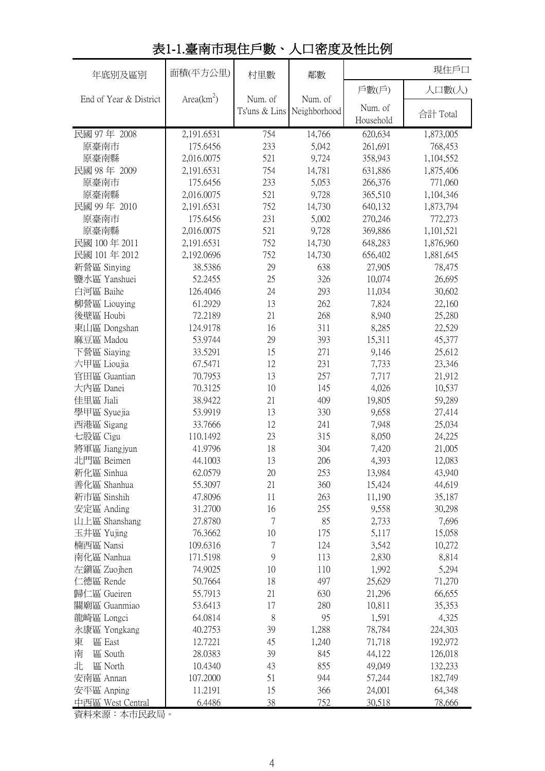| 年底別及區別                 | 面積(平方公里)     | 村里數       | 鄰數                         | 現住戶口      |           |
|------------------------|--------------|-----------|----------------------------|-----------|-----------|
|                        |              |           |                            | 戶數(戶)     | 人口數(人)    |
| End of Year & District | $Area(km^2)$ | Num. of   | Num. of                    | Num. of   |           |
|                        |              |           | Ts'uns & Lins Neighborhood | Household | 合計 Total  |
| 民國 97年 2008            | 2,191.6531   | 754       | 14,766                     | 620,634   | 1,873,005 |
| 原臺南市                   | 175.6456     | 233       | 5,042                      | 261,691   | 768,453   |
| 原臺南縣                   | 2,016.0075   | 521       | 9,724                      | 358,943   | 1,104,552 |
| 民國 98年 2009            | 2,191.6531   | 754       | 14,781                     | 631,886   | 1,875,406 |
| 原臺南市                   | 175.6456     | 233       | 5,053                      | 266,376   | 771,060   |
| 原臺南縣                   | 2,016.0075   | 521       | 9,728                      | 365,510   | 1,104,346 |
| 民國 99年 2010            | 2,191.6531   | 752       | 14,730                     | 640,132   | 1,873,794 |
| 原臺南市                   | 175.6456     | 231       | 5,002                      | 270,246   | 772,273   |
| 原臺南縣                   | 2,016.0075   | 521       | 9,728                      | 369,886   | 1,101,521 |
| 民國 100年 2011           | 2,191.6531   | 752       | 14,730                     | 648,283   | 1,876,960 |
| 民國 101年 2012           | 2,192.0696   | 752       | 14,730                     | 656,402   | 1,881,645 |
| 新營區 Sinying            | 38.5386      | 29        | 638                        | 27,905    | 78,475    |
| 鹽水區 Yanshuei           | 52.2455      | 25        | 326                        | 10,074    | 26,695    |
| 白河區 Baihe              | 126.4046     | 24        | 293                        | 11,034    | 30,602    |
| 柳營區 Liouying           | 61.2929      | 13        | 262                        | 7,824     | 22,160    |
| 後壁區 Houbi              | 72.2189      | 21        | 268                        | 8,940     | 25,280    |
| 東山區 Dongshan           | 124.9178     | 16        | 311                        | 8,285     | 22,529    |
| 麻豆區 Madou              | 53.9744      | 29        | 393                        | 15,311    | 45,377    |
| 下營區 Siaying            | 33.5291      | 15        | 271                        | 9,146     | 25,612    |
| 六甲區 Lioujia            | 67.5471      | 12        | 231                        | 7,733     | 23,346    |
| 官田區 Guantian           | 70.7953      | 13        | 257                        | 7,717     | 21,912    |
| 大內區 Danei              | 70.3125      | 10        | 145                        | 4,026     | 10,537    |
| 佳里區 Jiali              | 38.9422      | 21        | 409                        | 19,805    | 59,289    |
| 學甲區 Syuejia            | 53.9919      | 13        | 330                        | 9,658     | 27,414    |
| 西港區 Sigang             | 33.7666      | 12        | 241                        | 7,948     | 25,034    |
| 七股區 Cigu               | 110.1492     | 23        | 315                        | 8,050     | 24,225    |
| 將軍區 Jiangjyun          | 41.9796      | 18        | 304                        | 7,420     | 21,005    |
| 北門區 Beimen             | 44.1003      | 13        | 206                        | 4,393     | 12,083    |
| 新化區 Sinhua             | 62.0579      | 20        | 253                        | 13,984    | 43,940    |
| 善化區 Shanhua            | 55.3097      | 21        | 360                        | 15,424    | 44,619    |
| 新市區 Sinshih            | 47.8096      | 11        | 263                        | 11,190    | 35,187    |
| 安定區 Anding             | 31.2700      | 16        | 255                        | 9,558     | 30,298    |
| 山上區 Shanshang          | 27.8780      | 7         | 85                         | 2,733     | 7,696     |
| 玉井區 Yujing             | 76.3662      | 10        | 175                        | 5,117     | 15,058    |
| 楠西區 Nansi              | 109.6316     | 7         | 124                        | 3,542     | 10,272    |
| 南化區 Nanhua             | 171.5198     | 9         | 113                        | 2,830     | 8,814     |
| 左鎮區 Zuojhen            | 74.9025      | 10        | 110                        | 1,992     | 5,294     |
| 仁德區 Rende              | 50.7664      | 18        | 497                        | 25,629    | 71,270    |
| 歸仁區 Gueiren            | 55.7913      | 21        | 630                        | 21,296    | 66,655    |
| 關廟區 Guanmiao           | 53.6413      | 17        | 280                        | 10,811    | 35,353    |
| 龍崎區 Longci             | 64.0814      | $\,$ $\,$ | 95                         | 1,591     | 4,325     |
| 永康區 Yongkang           | 40.2753      | 39        | 1,288                      | 78,784    | 224,303   |
| 區 East<br>東            | 12.7221      | 45        | 1,240                      | 71,718    | 192,972   |
| 區 South<br>南           | 28.0383      | 39        | 845                        | 44,122    | 126,018   |
| 北<br>區 North           | 10.4340      | 43        | 855                        | 49,049    | 132,233   |
| 安南區 Annan              | 107.2000     | 51        | 944                        | 57,244    | 182,749   |
| 安平區 Anping             | 11.2191      | 15        | 366                        | 24,001    | 64,348    |
| 中西區 West Central       | 6.4486       | 38        | 752                        | 30,518    | 78,666    |

## 表1-1.臺南市現住戶數、人口密度及性比例

資料來源:本市民政局。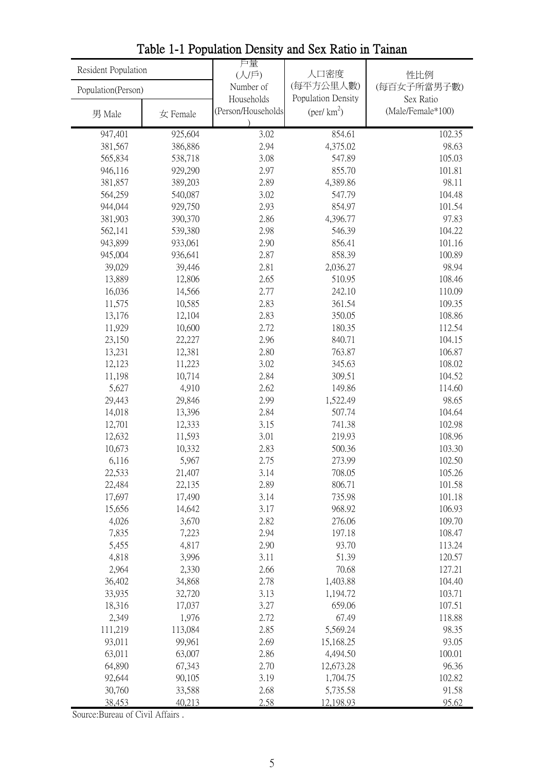| 人口密度<br>(人/戶)<br>性比例<br>(每平方公里人數)<br>(每百女子所當男子數)<br>Number of<br>Population(Person)<br>Population Density<br>Households<br>Sex Ratio<br>$(\text{per}/\text{km}^2)$<br>(Person/Households<br>(Male/Female*100)<br>男 Male<br>女 Female<br>947,401<br>925,604<br>3.02<br>854.61<br>102.35<br>4,375.02<br>2.94<br>98.63<br>381,567<br>386,886<br>105.03<br>565,834<br>3.08<br>547.89<br>538,718<br>2.97<br>855.70<br>101.81<br>946,116<br>929,290<br>2.89<br>98.11<br>381,857<br>389,203<br>4,389.86<br>564,259<br>540,087<br>3.02<br>547.79<br>104.48<br>944,044<br>929,750<br>2.93<br>854.97<br>101.54<br>97.83<br>381,903<br>390,370<br>2.86<br>4,396.77<br>539,380<br>2.98<br>546.39<br>104.22<br>562,141<br>2.90<br>856.41<br>101.16<br>943,899<br>933,061<br>858.39<br>100.89<br>945,004<br>936,641<br>2.87<br>39,029<br>39,446<br>2.81<br>98.94<br>2,036.27<br>108.46<br>13,889<br>12,806<br>2.65<br>510.95<br>16,036<br>2.77<br>242.10<br>110.09<br>14,566<br>2.83<br>361.54<br>109.35<br>11,575<br>10,585<br>13,176<br>12,104<br>2.83<br>350.05<br>108.86 |  |
|---------------------------------------------------------------------------------------------------------------------------------------------------------------------------------------------------------------------------------------------------------------------------------------------------------------------------------------------------------------------------------------------------------------------------------------------------------------------------------------------------------------------------------------------------------------------------------------------------------------------------------------------------------------------------------------------------------------------------------------------------------------------------------------------------------------------------------------------------------------------------------------------------------------------------------------------------------------------------------------------------------------------------------------------------------------|--|
|                                                                                                                                                                                                                                                                                                                                                                                                                                                                                                                                                                                                                                                                                                                                                                                                                                                                                                                                                                                                                                                               |  |
|                                                                                                                                                                                                                                                                                                                                                                                                                                                                                                                                                                                                                                                                                                                                                                                                                                                                                                                                                                                                                                                               |  |
|                                                                                                                                                                                                                                                                                                                                                                                                                                                                                                                                                                                                                                                                                                                                                                                                                                                                                                                                                                                                                                                               |  |
|                                                                                                                                                                                                                                                                                                                                                                                                                                                                                                                                                                                                                                                                                                                                                                                                                                                                                                                                                                                                                                                               |  |
|                                                                                                                                                                                                                                                                                                                                                                                                                                                                                                                                                                                                                                                                                                                                                                                                                                                                                                                                                                                                                                                               |  |
|                                                                                                                                                                                                                                                                                                                                                                                                                                                                                                                                                                                                                                                                                                                                                                                                                                                                                                                                                                                                                                                               |  |
|                                                                                                                                                                                                                                                                                                                                                                                                                                                                                                                                                                                                                                                                                                                                                                                                                                                                                                                                                                                                                                                               |  |
|                                                                                                                                                                                                                                                                                                                                                                                                                                                                                                                                                                                                                                                                                                                                                                                                                                                                                                                                                                                                                                                               |  |
|                                                                                                                                                                                                                                                                                                                                                                                                                                                                                                                                                                                                                                                                                                                                                                                                                                                                                                                                                                                                                                                               |  |
|                                                                                                                                                                                                                                                                                                                                                                                                                                                                                                                                                                                                                                                                                                                                                                                                                                                                                                                                                                                                                                                               |  |
|                                                                                                                                                                                                                                                                                                                                                                                                                                                                                                                                                                                                                                                                                                                                                                                                                                                                                                                                                                                                                                                               |  |
|                                                                                                                                                                                                                                                                                                                                                                                                                                                                                                                                                                                                                                                                                                                                                                                                                                                                                                                                                                                                                                                               |  |
|                                                                                                                                                                                                                                                                                                                                                                                                                                                                                                                                                                                                                                                                                                                                                                                                                                                                                                                                                                                                                                                               |  |
|                                                                                                                                                                                                                                                                                                                                                                                                                                                                                                                                                                                                                                                                                                                                                                                                                                                                                                                                                                                                                                                               |  |
|                                                                                                                                                                                                                                                                                                                                                                                                                                                                                                                                                                                                                                                                                                                                                                                                                                                                                                                                                                                                                                                               |  |
|                                                                                                                                                                                                                                                                                                                                                                                                                                                                                                                                                                                                                                                                                                                                                                                                                                                                                                                                                                                                                                                               |  |
|                                                                                                                                                                                                                                                                                                                                                                                                                                                                                                                                                                                                                                                                                                                                                                                                                                                                                                                                                                                                                                                               |  |
|                                                                                                                                                                                                                                                                                                                                                                                                                                                                                                                                                                                                                                                                                                                                                                                                                                                                                                                                                                                                                                                               |  |
|                                                                                                                                                                                                                                                                                                                                                                                                                                                                                                                                                                                                                                                                                                                                                                                                                                                                                                                                                                                                                                                               |  |
| 11,929<br>10,600<br>2.72<br>180.35<br>112.54                                                                                                                                                                                                                                                                                                                                                                                                                                                                                                                                                                                                                                                                                                                                                                                                                                                                                                                                                                                                                  |  |
| 23,150<br>22,227<br>2.96<br>840.71<br>104.15                                                                                                                                                                                                                                                                                                                                                                                                                                                                                                                                                                                                                                                                                                                                                                                                                                                                                                                                                                                                                  |  |
| 13,231<br>2.80<br>763.87<br>106.87<br>12,381                                                                                                                                                                                                                                                                                                                                                                                                                                                                                                                                                                                                                                                                                                                                                                                                                                                                                                                                                                                                                  |  |
| 3.02<br>345.63<br>108.02<br>12,123<br>11,223                                                                                                                                                                                                                                                                                                                                                                                                                                                                                                                                                                                                                                                                                                                                                                                                                                                                                                                                                                                                                  |  |
| 11,198<br>10,714<br>2.84<br>309.51<br>104.52                                                                                                                                                                                                                                                                                                                                                                                                                                                                                                                                                                                                                                                                                                                                                                                                                                                                                                                                                                                                                  |  |
| 5,627<br>4,910<br>149.86<br>114.60<br>2.62                                                                                                                                                                                                                                                                                                                                                                                                                                                                                                                                                                                                                                                                                                                                                                                                                                                                                                                                                                                                                    |  |
| 29,443<br>2.99<br>1,522.49<br>98.65<br>29,846                                                                                                                                                                                                                                                                                                                                                                                                                                                                                                                                                                                                                                                                                                                                                                                                                                                                                                                                                                                                                 |  |
| 14,018<br>2.84<br>507.74<br>104.64<br>13,396                                                                                                                                                                                                                                                                                                                                                                                                                                                                                                                                                                                                                                                                                                                                                                                                                                                                                                                                                                                                                  |  |
| 12,701<br>3.15<br>741.38<br>102.98<br>12,333                                                                                                                                                                                                                                                                                                                                                                                                                                                                                                                                                                                                                                                                                                                                                                                                                                                                                                                                                                                                                  |  |
| 11,593<br>3.01<br>219.93<br>108.96<br>12,632                                                                                                                                                                                                                                                                                                                                                                                                                                                                                                                                                                                                                                                                                                                                                                                                                                                                                                                                                                                                                  |  |
| 10,673<br>500.36<br>103.30<br>10,332<br>2.83                                                                                                                                                                                                                                                                                                                                                                                                                                                                                                                                                                                                                                                                                                                                                                                                                                                                                                                                                                                                                  |  |
| 6,116<br>5,967<br>2.75<br>273.99<br>102.50                                                                                                                                                                                                                                                                                                                                                                                                                                                                                                                                                                                                                                                                                                                                                                                                                                                                                                                                                                                                                    |  |
| 22,533<br>708.05<br>105.26<br>21,407<br>3.14                                                                                                                                                                                                                                                                                                                                                                                                                                                                                                                                                                                                                                                                                                                                                                                                                                                                                                                                                                                                                  |  |
| 2.89<br>806.71<br>101.58<br>22,484<br>22,135                                                                                                                                                                                                                                                                                                                                                                                                                                                                                                                                                                                                                                                                                                                                                                                                                                                                                                                                                                                                                  |  |
| 17,697<br>17,490<br>3.14<br>735.98<br>101.18                                                                                                                                                                                                                                                                                                                                                                                                                                                                                                                                                                                                                                                                                                                                                                                                                                                                                                                                                                                                                  |  |
| 15,656<br>968.92<br>106.93<br>14,642<br>3.17                                                                                                                                                                                                                                                                                                                                                                                                                                                                                                                                                                                                                                                                                                                                                                                                                                                                                                                                                                                                                  |  |
| 4,026<br>2.82<br>276.06<br>109.70<br>3,670                                                                                                                                                                                                                                                                                                                                                                                                                                                                                                                                                                                                                                                                                                                                                                                                                                                                                                                                                                                                                    |  |
| 7,835<br>2.94<br>197.18<br>108.47<br>7,223                                                                                                                                                                                                                                                                                                                                                                                                                                                                                                                                                                                                                                                                                                                                                                                                                                                                                                                                                                                                                    |  |
| 5,455<br>4,817<br>2.90<br>93.70<br>113.24                                                                                                                                                                                                                                                                                                                                                                                                                                                                                                                                                                                                                                                                                                                                                                                                                                                                                                                                                                                                                     |  |
| 4,818<br>3,996<br>3.11<br>51.39<br>120.57                                                                                                                                                                                                                                                                                                                                                                                                                                                                                                                                                                                                                                                                                                                                                                                                                                                                                                                                                                                                                     |  |
| 2,964<br>2,330<br>70.68<br>127.21<br>2.66                                                                                                                                                                                                                                                                                                                                                                                                                                                                                                                                                                                                                                                                                                                                                                                                                                                                                                                                                                                                                     |  |
| 36,402<br>2.78<br>104.40<br>34,868<br>1,403.88                                                                                                                                                                                                                                                                                                                                                                                                                                                                                                                                                                                                                                                                                                                                                                                                                                                                                                                                                                                                                |  |
| 33,935<br>3.13<br>103.71<br>32,720<br>1,194.72                                                                                                                                                                                                                                                                                                                                                                                                                                                                                                                                                                                                                                                                                                                                                                                                                                                                                                                                                                                                                |  |
| 18,316<br>3.27<br>659.06<br>107.51<br>17,037                                                                                                                                                                                                                                                                                                                                                                                                                                                                                                                                                                                                                                                                                                                                                                                                                                                                                                                                                                                                                  |  |
| 2,349<br>1,976<br>2.72<br>67.49<br>118.88                                                                                                                                                                                                                                                                                                                                                                                                                                                                                                                                                                                                                                                                                                                                                                                                                                                                                                                                                                                                                     |  |
| 111,219<br>113,084<br>2.85<br>5,569.24<br>98.35                                                                                                                                                                                                                                                                                                                                                                                                                                                                                                                                                                                                                                                                                                                                                                                                                                                                                                                                                                                                               |  |
| 93.05<br>93,011<br>2.69<br>99,961<br>15,168.25                                                                                                                                                                                                                                                                                                                                                                                                                                                                                                                                                                                                                                                                                                                                                                                                                                                                                                                                                                                                                |  |
| 63,011<br>2.86<br>4,494.50<br>100.01<br>63,007                                                                                                                                                                                                                                                                                                                                                                                                                                                                                                                                                                                                                                                                                                                                                                                                                                                                                                                                                                                                                |  |
| 64,890<br>67,343<br>2.70<br>96.36<br>12,673.28                                                                                                                                                                                                                                                                                                                                                                                                                                                                                                                                                                                                                                                                                                                                                                                                                                                                                                                                                                                                                |  |
| 92,644<br>90,105<br>3.19<br>1,704.75<br>102.82<br>30,760<br>5,735.58<br>91.58                                                                                                                                                                                                                                                                                                                                                                                                                                                                                                                                                                                                                                                                                                                                                                                                                                                                                                                                                                                 |  |
| 33,588<br>2.68<br>38,453<br>40,213<br>2.58<br>12,198.93<br>95.62                                                                                                                                                                                                                                                                                                                                                                                                                                                                                                                                                                                                                                                                                                                                                                                                                                                                                                                                                                                              |  |

Table 1-1 Population Density and Sex Ratio in Tainan

Source:Bureau of Civil Affairs .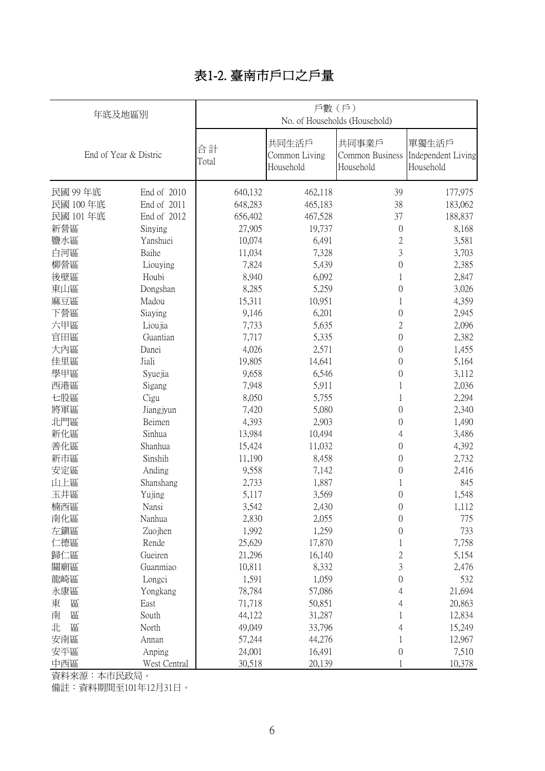## 表1-2. 臺南市戶口之戶量

|          | 年底及地區別                | 戶數(戶)<br>No. of Households (Household) |                                     |                                       |                                          |  |  |  |  |
|----------|-----------------------|----------------------------------------|-------------------------------------|---------------------------------------|------------------------------------------|--|--|--|--|
|          | End of Year & Distric | 合計<br>Total                            | 共同生活戶<br>Common Living<br>Household | 共同事業戶<br>Common Business<br>Household | 單獨生活戶<br>Independent Living<br>Household |  |  |  |  |
| 民國 99年底  | End of 2010           | 640,132                                | 462,118                             | 39                                    | 177,975                                  |  |  |  |  |
| 民國 100年底 | End of 2011           | 648,283                                | 465,183                             | 38                                    | 183,062                                  |  |  |  |  |
| 民國 101年底 | End of 2012           | 656,402                                | 467,528                             | 37                                    | 188,837                                  |  |  |  |  |
| 新營區      | Sinying               | 27,905                                 | 19,737                              | $\boldsymbol{0}$                      | 8,168                                    |  |  |  |  |
| 鹽水區      | Yanshuei              | 10,074                                 | 6,491                               | $\overline{c}$                        | 3,581                                    |  |  |  |  |
| 白河區      | Baihe                 | 11,034                                 | 7,328                               | 3                                     | 3,703                                    |  |  |  |  |
| 柳營區      | Liouying              | 7,824                                  | 5,439                               | $\boldsymbol{0}$                      | 2,385                                    |  |  |  |  |
| 後壁區      | Houbi                 | 8,940                                  | 6,092                               | 1                                     | 2,847                                    |  |  |  |  |
| 東山區      | Dongshan              | 8,285                                  | 5,259                               | $\boldsymbol{0}$                      | 3,026                                    |  |  |  |  |
| 麻豆區      | Madou                 | 15,311                                 | 10,951                              | 1                                     | 4,359                                    |  |  |  |  |
| 下營區      | Siaying               | 9,146                                  | 6,201                               | $\boldsymbol{0}$                      | 2,945                                    |  |  |  |  |
| 六甲區      | Lioujia               | 7,733                                  | 5,635                               | $\overline{2}$                        | 2,096                                    |  |  |  |  |
| 官田區      | Guantian              | 7,717                                  | 5,335                               | $\mathbf{0}$                          | 2,382                                    |  |  |  |  |
| 大內區      | Danei                 | 4,026                                  | 2,571                               | $\boldsymbol{0}$                      | 1,455                                    |  |  |  |  |
| 佳里區      | Jiali                 | 19,805                                 | 14,641                              | $\boldsymbol{0}$                      | 5,164                                    |  |  |  |  |
| 學甲區      | Syuejia               | 9,658                                  | 6,546                               | $\boldsymbol{0}$                      | 3,112                                    |  |  |  |  |
| 西港區      | Sigang                | 7,948                                  | 5,911                               | 1                                     | 2,036                                    |  |  |  |  |
| 七股區      | Cigu                  | 8,050                                  | 5,755                               | 1                                     | 2,294                                    |  |  |  |  |
| 將軍區      | Jiangjyun             | 7,420                                  | 5,080                               | $\overline{0}$                        | 2,340                                    |  |  |  |  |
| 北門區      | Beimen                | 4,393                                  | 2,903                               | 0                                     | 1,490                                    |  |  |  |  |
| 新化區      | Sinhua                | 13,984                                 | 10,494                              | 4                                     | 3,486                                    |  |  |  |  |
| 善化區      | Shanhua               | 15,424                                 | 11,032                              | 0                                     | 4,392                                    |  |  |  |  |
| 新市區      | Sinshih               | 11,190                                 | 8,458                               | 0                                     | 2,732                                    |  |  |  |  |
| 安定區      | Anding                | 9,558                                  | 7,142                               | 0                                     | 2,416                                    |  |  |  |  |
| 山上區      | Shanshang             | 2,733                                  | 1,887                               | 1                                     | 845                                      |  |  |  |  |
| 玉井區      | Yujing                | 5,117                                  | 3,569                               | 0                                     | 1,548                                    |  |  |  |  |
| 楠西區      | Nansi                 | 3,542                                  | 2,430                               | 0                                     | 1,112                                    |  |  |  |  |
| 南化區      | Nanhua                | 2,830                                  | 2,055                               | $\boldsymbol{0}$                      | 775                                      |  |  |  |  |
| 左鎭區      | Zuojhen               | 1,992                                  | 1,259                               | 0                                     | 733                                      |  |  |  |  |
| 仁德區      | Rende                 | 25,629                                 | 17,870                              |                                       | 7,758                                    |  |  |  |  |
| 歸仁區      | Gueiren               | 21,296                                 | 16,140                              | $\overline{c}$                        | 5,154                                    |  |  |  |  |
| 關廟區      | Guanmiao              | 10,811                                 | 8,332                               | 3                                     | 2,476                                    |  |  |  |  |
| 龍崎區      | Longci                | 1,591                                  | 1,059                               | 0                                     | 532                                      |  |  |  |  |
| 永康區      | Yongkang              | 78,784                                 | 57,086                              | 4                                     | 21,694                                   |  |  |  |  |
| 東<br>區   | East                  | 71,718                                 | 50,851                              | 4                                     | 20,863                                   |  |  |  |  |
| 區<br>南   | South                 | 44,122                                 | 31,287                              | 1                                     | 12,834                                   |  |  |  |  |
| 北<br>區   | North                 | 49,049                                 | 33,796                              | 4                                     | 15,249                                   |  |  |  |  |
| 安南區      | Annan                 | 57,244                                 | 44,276                              |                                       | 12,967                                   |  |  |  |  |
| 安平區      | Anping                | 24,001                                 | 16,491                              | 0                                     | 7,510                                    |  |  |  |  |
| 中西區      | West Central          | 30,518                                 | 20,139                              |                                       | 10,378                                   |  |  |  |  |

資料來源:本市民政局。

備註:資料期間至101年12月31日。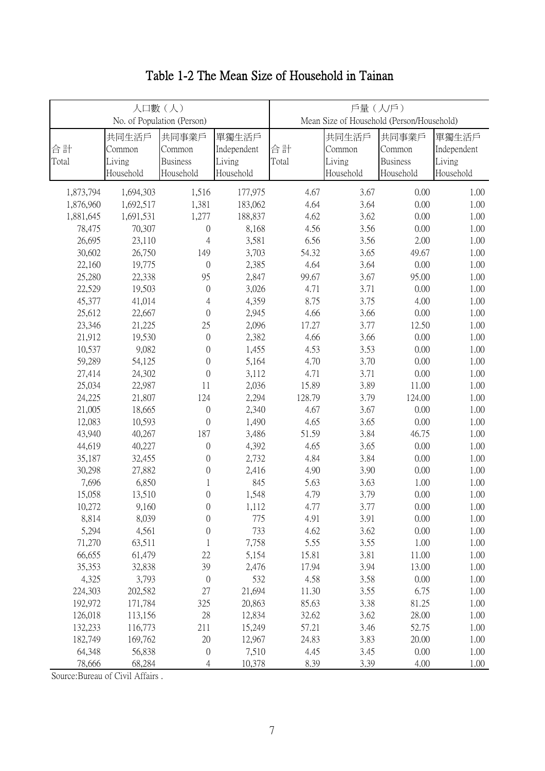|                  |                                        | 人口數(人)<br>No. of Population (Person)            |                                             | 戶量(人戶)<br>Mean Size of Household (Person/Household) |                                        |                                                 |                                             |  |
|------------------|----------------------------------------|-------------------------------------------------|---------------------------------------------|-----------------------------------------------------|----------------------------------------|-------------------------------------------------|---------------------------------------------|--|
| 合計<br>Total      | 共同生活戶<br>Common<br>Living<br>Household | 共同事業戶<br>Common<br><b>Business</b><br>Household | 單獨生活戶<br>Independent<br>Living<br>Household | 合計<br>Total                                         | 共同生活戶<br>Common<br>Living<br>Household | 共同事業戶<br>Common<br><b>Business</b><br>Household | 單獨生活戶<br>Independent<br>Living<br>Household |  |
| 1,873,794        | 1,694,303                              | 1,516                                           | 177,975                                     | 4.67                                                | 3.67                                   | 0.00                                            | 1.00                                        |  |
| 1,876,960        | 1,692,517                              | 1,381                                           | 183,062                                     | 4.64                                                | 3.64                                   | 0.00                                            | 1.00                                        |  |
| 1,881,645        | 1,691,531                              | 1,277                                           | 188,837                                     | 4.62                                                | 3.62                                   | 0.00                                            | 1.00                                        |  |
| 78,475           | 70,307                                 | $\boldsymbol{0}$                                | 8,168                                       | 4.56                                                | 3.56                                   | 0.00                                            | 1.00                                        |  |
| 26,695           | 23,110                                 | $\overline{4}$                                  | 3,581                                       | 6.56                                                | 3.56                                   | 2.00                                            | 1.00                                        |  |
| 30,602           | 26,750                                 | 149                                             | 3,703                                       | 54.32                                               | 3.65                                   | 49.67                                           | 1.00                                        |  |
| 22,160           | 19,775                                 | $\boldsymbol{0}$                                | 2,385                                       | 4.64                                                | 3.64                                   | 0.00                                            | 1.00                                        |  |
| 25,280           | 22,338                                 | 95                                              | 2,847                                       | 99.67                                               | 3.67                                   | 95.00                                           | 1.00                                        |  |
| 22,529           | 19,503                                 | $\boldsymbol{0}$                                | 3,026                                       | 4.71                                                | 3.71                                   | 0.00                                            | 1.00                                        |  |
| 45,377           | 41,014                                 | $\overline{4}$                                  | 4,359                                       | 8.75                                                | 3.75                                   | 4.00                                            | 1.00                                        |  |
| 25,612           | 22,667                                 | $\boldsymbol{0}$                                | 2,945                                       | 4.66                                                | 3.66                                   | 0.00                                            | 1.00                                        |  |
| 23,346           | 21,225                                 | 25                                              | 2,096                                       | 17.27                                               | 3.77                                   | 12.50                                           | 1.00                                        |  |
| 21,912           | 19,530                                 | $\boldsymbol{0}$                                | 2,382                                       | 4.66                                                | 3.66                                   | 0.00                                            | 1.00                                        |  |
| 10,537           | 9,082                                  | $\boldsymbol{0}$                                | 1,455                                       | 4.53                                                | 3.53                                   | 0.00                                            | 1.00                                        |  |
| 59,289           | 54,125                                 | $\boldsymbol{0}$                                | 5,164                                       | 4.70                                                | 3.70                                   | 0.00                                            | 1.00                                        |  |
| 27,414           | 24,302                                 | $\boldsymbol{0}$                                | 3,112                                       | 4.71                                                | 3.71                                   | 0.00                                            | 1.00                                        |  |
| 25,034           | 22,987                                 | 11                                              | 2,036                                       | 15.89                                               | 3.89                                   | 11.00                                           | 1.00                                        |  |
| 24,225           | 21,807                                 | 124                                             | 2,294                                       | 128.79                                              | 3.79                                   | 124.00                                          | 1.00                                        |  |
| 21,005           | 18,665                                 | $\theta$                                        | 2,340                                       | 4.67                                                | 3.67                                   | 0.00                                            | 1.00                                        |  |
| 12,083           | 10,593                                 | $\boldsymbol{0}$                                | 1,490                                       | 4.65                                                | 3.65                                   | 0.00                                            | 1.00                                        |  |
| 43,940           | 40,267                                 | 187                                             | 3,486                                       | 51.59                                               | 3.84                                   | 46.75                                           | 1.00                                        |  |
| 44,619           | 40,227                                 | $\boldsymbol{0}$                                | 4,392                                       | 4.65                                                | 3.65                                   | 0.00                                            | 1.00                                        |  |
| 35,187           | 32,455                                 | $\boldsymbol{0}$                                | 2,732                                       | 4.84                                                | 3.84                                   | 0.00                                            | 1.00                                        |  |
| 30,298           | 27,882                                 | $\boldsymbol{0}$                                | 2,416                                       | 4.90                                                | 3.90                                   | 0.00                                            | 1.00                                        |  |
| 7,696            | 6,850                                  | 1                                               | 845                                         | 5.63                                                | 3.63                                   | 1.00                                            | 1.00                                        |  |
| 15,058           | 13,510                                 | $\boldsymbol{0}$                                | 1,548                                       | 4.79                                                | 3.79                                   | 0.00                                            | 1.00                                        |  |
| 10,272           | 9,160                                  | $\boldsymbol{0}$                                | 1,112                                       | 4.77                                                | 3.77                                   | 0.00                                            | 1.00                                        |  |
| 8,814            | 8,039                                  | $\boldsymbol{0}$                                | 775                                         | 4.91                                                | 3.91                                   | 0.00                                            | 1.00                                        |  |
| 5,294            | 4,561                                  | $\boldsymbol{0}$                                | 733                                         | 4.62                                                | 3.62                                   | 0.00                                            | 1.00                                        |  |
| 71,270           | 63,511                                 | 1                                               | 7,758                                       | 5.55                                                | 3.55                                   | 1.00                                            | 1.00                                        |  |
| 66,655           | 61,479                                 | 22                                              | 5,154                                       | 15.81                                               | 3.81                                   | 11.00                                           | 1.00                                        |  |
| 35,353           | 32,838                                 | 39                                              | 2,476                                       | 17.94                                               | 3.94                                   | 13.00                                           | 1.00                                        |  |
| 4,325            | 3,793                                  | $\boldsymbol{0}$                                | 532                                         | 4.58                                                | 3.58                                   | 0.00                                            | 1.00                                        |  |
| 224,303          | 202,582                                | 27                                              | 21,694                                      | 11.30                                               | 3.55                                   | 6.75                                            | 1.00                                        |  |
| 192,972          | 171,784                                | 325                                             | 20,863                                      | 85.63                                               | 3.38                                   | 81.25                                           | 1.00                                        |  |
| 126,018          | 113,156                                | $28\,$                                          | 12,834                                      | 32.62                                               | 3.62                                   | 28.00                                           | 1.00                                        |  |
| 132,233          | 116,773                                | 211                                             | 15,249                                      | 57.21                                               | 3.46                                   | 52.75                                           | 1.00                                        |  |
| 182,749          | 169,762                                | 20                                              | 12,967                                      | 24.83                                               | 3.83                                   | 20.00                                           | 1.00                                        |  |
| 64,348<br>78,666 | 56,838<br>68,284                       | $\boldsymbol{0}$<br>$\overline{4}$              | 7,510<br>10,378                             | 4.45<br>8.39                                        | 3.45<br>3.39                           | 0.00<br>4.00                                    | 1.00<br>1.00                                |  |
|                  |                                        |                                                 |                                             |                                                     |                                        |                                                 |                                             |  |

## Table 1-2 The Mean Size of Household in Tainan

Source:Bureau of Civil Affairs .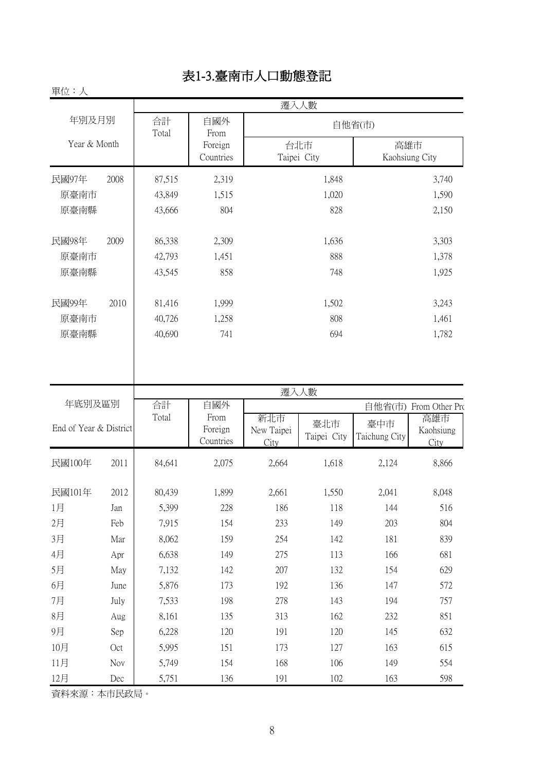## 表1-3.臺南市人口動態登記

#### 單位:人

| 十一 ノー                  |      |             |                      |                           | 遷入人數               |                       |                          |
|------------------------|------|-------------|----------------------|---------------------------|--------------------|-----------------------|--------------------------|
| 年別及月別                  |      | 合計<br>Total | 自國外<br>From          |                           |                    | 自他省(市)                |                          |
| Year & Month           |      |             | Foreign<br>Countries |                           | 台北市<br>Taipei City | 高雄市<br>Kaohsiung City |                          |
| 民國97年                  | 2008 | 87,515      | 2,319                |                           | 1,848              |                       | 3,740                    |
| 原臺南市                   |      | 43,849      | 1,515                |                           | 1,020              |                       | 1,590                    |
| 原臺南縣                   |      | 43,666      | 804                  |                           | 828                |                       | 2,150                    |
| 民國98年                  | 2009 | 86,338      | 2,309                |                           | 1,636              |                       | 3,303                    |
| 原臺南市                   |      | 42,793      | 1,451                |                           | 888                |                       | 1,378                    |
| 原臺南縣                   |      | 43,545      | 858                  |                           | 748                |                       | 1,925                    |
| 民國99年                  | 2010 | 81,416      | 1,999                |                           | 1,502              |                       | 3,243                    |
| 原臺南市                   |      | 40,726      | 1,258                |                           | 808                |                       | 1,461                    |
| 原臺南縣                   |      | 40,690      | 741                  |                           | 694                |                       | 1,782                    |
|                        |      |             |                      |                           | 遷入人數               |                       |                          |
| 年底別及區別                 |      | 合計<br>Total | 自國外<br>From          |                           |                    |                       | 自他省(市) From Other Pro    |
| End of Year & District |      |             | Foreign<br>Countries | 新北市<br>New Taipei<br>City | 臺北市<br>Taipei City | 臺中市<br>Taichung City  | 高雄市<br>Kaohsiung<br>City |
| 民國100年                 | 2011 | 84,641      | 2,075                | 2,664                     | 1,618              | 2,124                 | 8,866                    |
| 民國101年                 | 2012 | 80,439      | 1,899                | 2,661                     | 1,550              | 2,041                 | 8,048                    |
| 1月                     | Jan  | 5,399       | 228                  | 186                       | 118                | 144                   | 516                      |
| 2月                     | Feb  | 7,915       | 154                  | 233                       | 149                | 203                   | 804                      |
| 3月                     | Mar  | 8,062       | 159                  | 254                       | 142                | 181                   | 839                      |
| 4月                     | Apr  | 6,638       | 149                  | 275                       | 113                | 166                   | 681                      |
| 5月                     | May  | 7,132       | 142                  | 207                       | 132                | 154                   | 629                      |
| 6月                     | June | 5,876       | 173                  | 192                       | 136                | 147                   | 572                      |
| 7月                     | July | 7,533       | 198                  | 278                       | 143                | 194                   | 757                      |
| 8月                     | Aug  | 8,161       | 135                  | 313                       | 162                | 232                   | 851                      |
| 9月                     | Sep  | 6,228       | 120                  | 191                       | 120                | 145                   | 632                      |
| 10月                    | Oct  | 5,995       | 151                  | 173                       | 127                | 163                   | 615                      |
| 11月                    | Nov  | 5,749       | 154                  | 168                       | 106                | 149                   | 554                      |
| 12月                    | Dec  | 5,751       | 136                  | 191                       | 102                | 163                   | 598                      |

資料來源:本市民政局。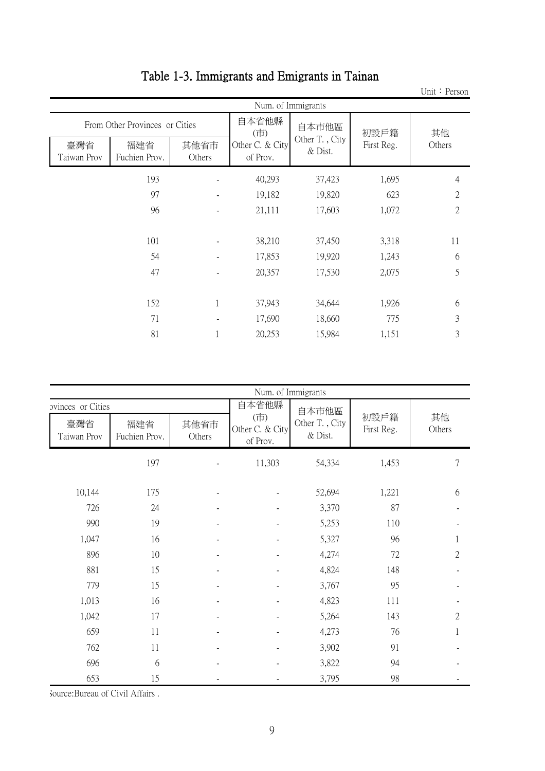|                    |                                |                | Num. of Immigrants          |                           |            |                |
|--------------------|--------------------------------|----------------|-----------------------------|---------------------------|------------|----------------|
|                    | From Other Provinces or Cities |                | 自本省他縣<br>(市)                | 自本市他區                     | 初設戶籍       | 其他             |
| 臺灣省<br>Taiwan Prov | 福建省<br>Fuchien Prov.           | 其他省市<br>Others | Other C. & City<br>of Prov. | Other T., City<br>& Dist. | First Reg. | Others         |
|                    | 193                            |                | 40,293                      | 37,423                    | 1,695      | 4              |
|                    | 97                             |                | 19,182                      | 19,820                    | 623        | $\mathfrak{2}$ |
|                    | 96                             |                | 21,111                      | 17,603                    | 1,072      | 2              |
|                    |                                |                |                             |                           |            |                |
|                    | 101                            |                | 38,210                      | 37,450                    | 3,318      | 11             |
|                    | 54                             |                | 17,853                      | 19,920                    | 1,243      | 6              |
|                    | 47                             |                | 20,357                      | 17,530                    | 2,075      | 5              |
|                    |                                |                |                             |                           |            |                |
|                    | 152                            | 1              | 37,943                      | 34,644                    | 1,926      | 6              |
|                    | 71                             |                | 17,690                      | 18,660                    | 775        | 3              |
|                    | 81                             |                | 20,253                      | 15,984                    | 1,151      | 3              |

### Table 1-3. Immigrants and Emigrants in Tainan

|                                         |                      |                |                                    | Num. of Immigrants                    |                    |                |  |  |
|-----------------------------------------|----------------------|----------------|------------------------------------|---------------------------------------|--------------------|----------------|--|--|
|                                         |                      |                | 自本省他縣                              |                                       |                    |                |  |  |
| ovinces or Cities<br>臺灣省<br>Taiwan Prov | 福建省<br>Fuchien Prov. | 其他省市<br>Others | (市)<br>Other C. & City<br>of Prov. | 自本市他區<br>Other T., City<br>$\&$ Dist. | 初設戶籍<br>First Reg. | 其他<br>Others   |  |  |
|                                         | 197                  |                | 11,303                             | 54,334                                | 1,453              | 7              |  |  |
| 10,144                                  | 175                  |                |                                    | 52,694                                | 1,221              | 6              |  |  |
| 726                                     | 24                   |                |                                    | 3,370                                 | 87                 |                |  |  |
| 990                                     | 19                   |                |                                    | 5,253                                 | 110                |                |  |  |
| 1,047                                   | 16                   |                |                                    | 5,327                                 | 96                 |                |  |  |
| 896                                     | 10                   |                |                                    | 4,274                                 | 72                 | $\overline{2}$ |  |  |
| 881                                     | 15                   |                |                                    | 4,824                                 | 148                |                |  |  |
| 779                                     | 15                   |                |                                    | 3,767                                 | 95                 |                |  |  |
| 1,013                                   | 16                   |                |                                    | 4,823                                 | 111                |                |  |  |
| 1,042                                   | 17                   |                |                                    | 5,264                                 | 143                | $\overline{2}$ |  |  |
| 659                                     | 11                   |                | $\overline{\phantom{0}}$           | 4,273                                 | 76                 | 1              |  |  |
| 762                                     | 11                   |                |                                    | 3,902                                 | 91                 |                |  |  |
| 696                                     | 6                    |                |                                    | 3,822                                 | 94                 |                |  |  |
| 653                                     | 15                   |                |                                    | 3,795                                 | 98                 |                |  |  |

Unit: Person

Source:Bureau of Civil Affairs .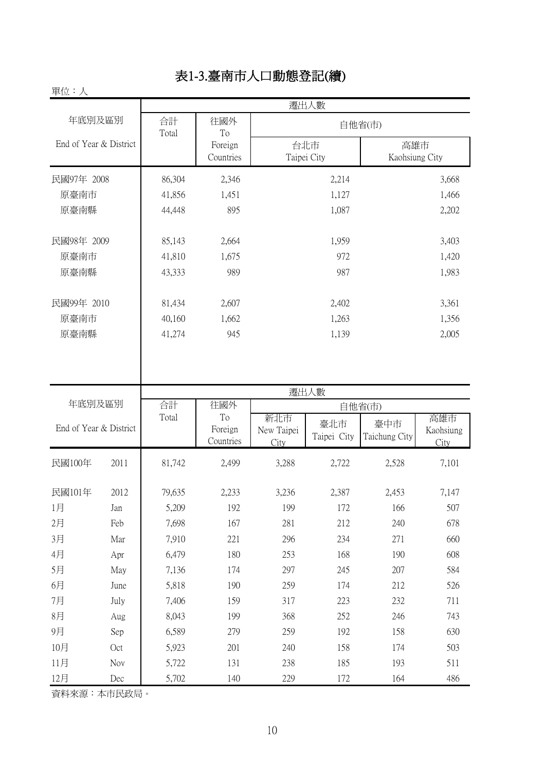#### 表1-3.臺南市人口動態登記(續)

#### 民國97年 2008 86,304 2,346 2,214 2,214 3,668 原臺南市 41,856 1,451 1,127 1,466 原臺南縣 44,448 895 1,087 2,202 民國98年 2009 1 85,143 2,664 1,959 3,403 原臺南市 41,810 1,675 972 1,420 原臺南縣 43,333 989 987 1,983 民國99年 2010 81,434 2,607 2,402 3,361 原臺南市 40,160 1,662 1,263 1,356 原臺南縣 41,274 945 1,139 2,005 民國100年 2011 81,742 2,499 3,288 2,722 2,528 7,101 民國101年 2012 | 79,635 2,233 3,236 2,387 2,453 7,147 1月 Jan | 5,209 192 199 172 166 507 2月 Feb 7,698 167 281 212 240 678 3月 Mar 7,910 221 296 234 271 660 4月 Apr 6,479 180 253 168 190 608 5月 May 7,136 174 297 245 207 584 6月 June | 5,818 190 259 174 212 526 7月 July 7,406 159 317 223 232 711 8月 Aug 8,043 199 368 252 246 743 9月 Sep 6,589 279 259 192 158 630 10月 Oct 5,923 201 240 158 174 503 遷出人數 合計 往國外 | 在國外 Total 往國外 To Foreign Countries 新北市 New Taipei **City** 臺中市 Taichung City 臺北市 Taipei City 高雄市 Kaohsiung City 年底別及區別 End of Year & District 遷出人數 年底別及區別 End of Year & District 往國外 To Foreign Countries 自他省(市) 高雄市 Kaohsiung City 台北市 Taipei City 合計 Total

資料來源:本市民政局。

單位:人

11月 Nov | 5,722 131 238 185 193 511 12月 Dec | 5,702 140 229 172 164 486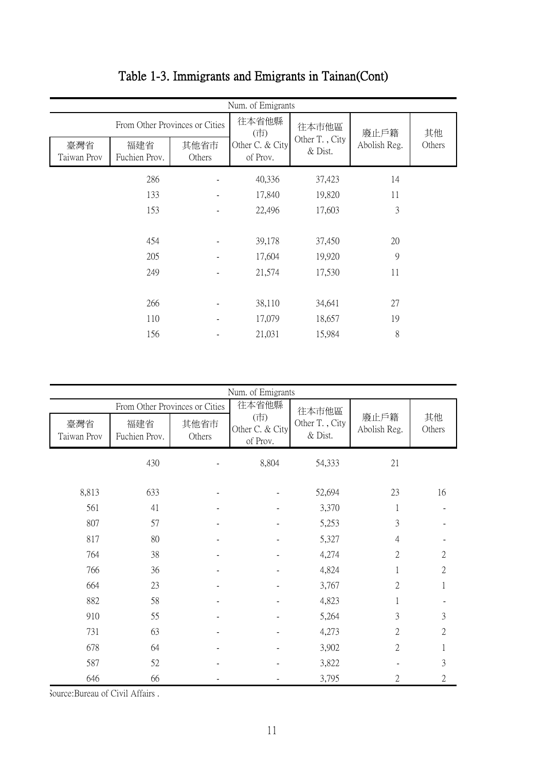|                    | Num. of Emigrants              |                |                             |                           |              |        |  |  |  |  |  |  |
|--------------------|--------------------------------|----------------|-----------------------------|---------------------------|--------------|--------|--|--|--|--|--|--|
|                    | From Other Provinces or Cities |                | 往本省他縣<br>(市)                | 往本市他區                     | 廢止戶籍         | 其他     |  |  |  |  |  |  |
| 臺灣省<br>Taiwan Prov | 福建省<br>Fuchien Prov.           | 其他省市<br>Others | Other C. & City<br>of Prov. | Other T., City<br>& Dist. | Abolish Reg. | Others |  |  |  |  |  |  |
|                    | 286                            |                | 40,336                      | 37,423                    | 14           |        |  |  |  |  |  |  |
|                    | 133                            |                | 17,840                      | 19,820                    | 11           |        |  |  |  |  |  |  |
|                    | 153                            |                | 22,496                      | 17,603                    | 3            |        |  |  |  |  |  |  |
|                    |                                |                |                             |                           |              |        |  |  |  |  |  |  |
|                    | 454                            |                | 39,178                      | 37,450                    | 20           |        |  |  |  |  |  |  |
|                    | 205                            |                | 17,604                      | 19,920                    | 9            |        |  |  |  |  |  |  |
|                    | 249                            |                | 21,574                      | 17,530                    | 11           |        |  |  |  |  |  |  |
|                    |                                |                |                             |                           |              |        |  |  |  |  |  |  |
|                    | 266                            |                | 38,110                      | 34,641                    | 27           |        |  |  |  |  |  |  |
|                    | 110                            |                | 17,079                      | 18,657                    | 19           |        |  |  |  |  |  |  |
|                    | 156                            |                | 21,031                      | 15,984                    | 8            |        |  |  |  |  |  |  |

## Table 1-3. Immigrants and Emigrants in Tainan(Cont)

| Num. of Emigrants  |                                |                |                                    |                           |                      |                |  |  |  |  |  |
|--------------------|--------------------------------|----------------|------------------------------------|---------------------------|----------------------|----------------|--|--|--|--|--|
|                    | From Other Provinces or Cities |                | 往本省他縣                              | 往本市他區                     |                      |                |  |  |  |  |  |
| 臺灣省<br>Taiwan Prov | 福建省<br>Fuchien Prov.           | 其他省市<br>Others | (市)<br>Other C. & City<br>of Prov. | Other T., City<br>& Dist. | 廢止戶籍<br>Abolish Reg. | 其他<br>Others   |  |  |  |  |  |
|                    | 430                            |                | 8,804                              | 54,333                    | 21                   |                |  |  |  |  |  |
| 8,813              | 633                            |                |                                    | 52,694                    | 23                   | 16             |  |  |  |  |  |
| 561                | 41                             |                |                                    | 3,370                     | 1                    |                |  |  |  |  |  |
| 807                | 57                             |                |                                    | 5,253                     | 3                    |                |  |  |  |  |  |
| 817                | 80                             |                |                                    | 5,327                     | 4                    |                |  |  |  |  |  |
| 764                | 38                             |                |                                    | 4,274                     | $\overline{2}$       | $\mathbf{2}$   |  |  |  |  |  |
| 766                | 36                             |                |                                    | 4,824                     | 1                    | $\sqrt{2}$     |  |  |  |  |  |
| 664                | 23                             |                |                                    | 3,767                     | $\overline{2}$       | 1              |  |  |  |  |  |
| 882                | 58                             |                |                                    | 4,823                     | 1                    |                |  |  |  |  |  |
| 910                | 55                             |                |                                    | 5,264                     | 3                    | 3              |  |  |  |  |  |
| 731                | 63                             |                |                                    | 4,273                     | 2                    | $\overline{2}$ |  |  |  |  |  |
| 678                | 64                             |                |                                    | 3,902                     | $\overline{2}$       | 1              |  |  |  |  |  |
| 587                | 52                             |                |                                    | 3,822                     |                      | 3              |  |  |  |  |  |
| 646                | 66                             |                |                                    | 3,795                     | 2                    | $\overline{2}$ |  |  |  |  |  |

Source:Bureau of Civil Affairs .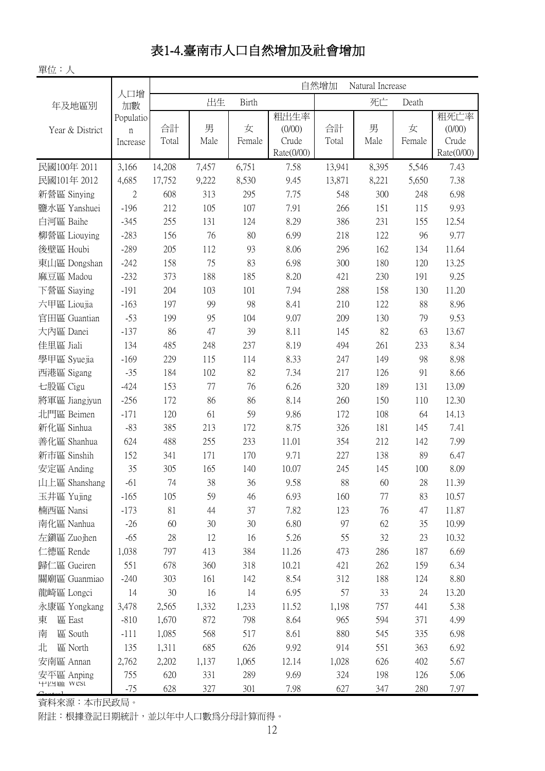## 表1-4.臺南市人口自然增加及社會增加

單位:人

|                 | 人口增                                    |             | 自然增加<br>Natural Increase |              |                                       |             |           |             |                                       |  |  |
|-----------------|----------------------------------------|-------------|--------------------------|--------------|---------------------------------------|-------------|-----------|-------------|---------------------------------------|--|--|
| 年及地區別           | 加數                                     |             | 出生                       | <b>Birth</b> |                                       |             | 死亡        | Death       |                                       |  |  |
| Year & District | Populatio<br>$\mathfrak n$<br>Increase | 合計<br>Total | 男<br>Male                | 女<br>Female  | 粗出生率<br>(0/00)<br>Crude<br>Rate(0/00) | 合計<br>Total | 男<br>Male | 女<br>Female | 粗死亡率<br>(0/00)<br>Crude<br>Rate(0/00) |  |  |
| 民國100年 2011     | 3,166                                  | 14,208      | 7,457                    | 6,751        | 7.58                                  | 13,941      | 8,395     | 5,546       | 7.43                                  |  |  |
| 民國101年 2012     | 4,685                                  | 17,752      | 9,222                    | 8,530        | 9.45                                  | 13,871      | 8,221     | 5,650       | 7.38                                  |  |  |
| 新營區 Sinying     | $\mathbf{2}$                           | 608         | 313                      | 295          | 7.75                                  | 548         | 300       | 248         | 6.98                                  |  |  |
| 鹽水區 Yanshuei    | $-196$                                 | 212         | 105                      | 107          | 7.91                                  | 266         | 151       | 115         | 9.93                                  |  |  |
| 白河區 Baihe       | $-345$                                 | 255         | 131                      | 124          | 8.29                                  | 386         | 231       | 155         | 12.54                                 |  |  |
| 柳營區 Liouying    | $-283$                                 | 156         | 76                       | 80           | 6.99                                  | 218         | 122       | 96          | 9.77                                  |  |  |
| 後壁區 Houbi       | $-289$                                 | 205         | 112                      | 93           | 8.06                                  | 296         | 162       | 134         | 11.64                                 |  |  |
| 東山區 Dongshan    | $-242$                                 | 158         | 75                       | 83           | 6.98                                  | 300         | 180       | 120         | 13.25                                 |  |  |
| 麻豆區 Madou       | $-232$                                 | 373         | 188                      | 185          | 8.20                                  | 421         | 230       | 191         | 9.25                                  |  |  |
| 下營區 Siaying     | $-191$                                 | 204         | 103                      | 101          | 7.94                                  | 288         | 158       | 130         | 11.20                                 |  |  |
| 六甲區 Lioujia     | $-163$                                 | 197         | 99                       | 98           | 8.41                                  | 210         | 122       | 88          | 8.96                                  |  |  |
| 官田區 Guantian    | $-53$                                  | 199         | 95                       | 104          | 9.07                                  | 209         | 130       | 79          | 9.53                                  |  |  |
| 大內區 Danei       | $-137$                                 | 86          | 47                       | 39           | 8.11                                  | 145         | 82        | 63          | 13.67                                 |  |  |
| 佳里區 Jiali       | 134                                    | 485         | 248                      | 237          | 8.19                                  | 494         | 261       | 233         | 8.34                                  |  |  |
| 學甲區 Syuejia     | $-169$                                 | 229         | 115                      | 114          | 8.33                                  | 247         | 149       | 98          | 8.98                                  |  |  |
| 西港區 Sigang      | $-35$                                  | 184         | 102                      | 82           | 7.34                                  | 217         | 126       | 91          | 8.66                                  |  |  |
| 七股區 Cigu        | $-424$                                 | 153         | 77                       | 76           | 6.26                                  | 320         | 189       | 131         | 13.09                                 |  |  |
| 將軍區 Jiangjyun   | $-256$                                 | 172         | 86                       | 86           | 8.14                                  | 260         | 150       | 110         | 12.30                                 |  |  |
| 北門區 Beimen      | $-171$                                 | 120         | 61                       | 59           | 9.86                                  | 172         | 108       | 64          | 14.13                                 |  |  |
| 新化區 Sinhua      | $-83$                                  | 385         | 213                      | 172          | 8.75                                  | 326         | 181       | 145         | 7.41                                  |  |  |
| 善化區 Shanhua     | 624                                    | 488         | 255                      | 233          | 11.01                                 | 354         | 212       | 142         | 7.99                                  |  |  |
| 新市區 Sinshih     | 152                                    | 341         | 171                      | 170          | 9.71                                  | 227         | 138       | 89          | 6.47                                  |  |  |
| 安定區 Anding      | 35                                     | 305         | 165                      | 140          | 10.07                                 | 245         | 145       | 100         | 8.09                                  |  |  |
| 山上區 Shanshang   | $-61$                                  | 74          | 38                       | 36           | 9.58                                  | 88          | 60        | 28          | 11.39                                 |  |  |
| 玉井區 Yujing      | $-165$                                 | 105         | 59                       | 46           | 6.93                                  | 160         | 77        | 83          | 10.57                                 |  |  |
| 楠西區 Nansi       | $-173$                                 | 81          | 44                       | 37           | 7.82                                  | 123         | 76        | 47          | 11.87                                 |  |  |
| 南化區 Nanhua      | $-26$                                  | 60          | 30                       | 30           | 6.80                                  | 97          | 62        | 35          | 10.99                                 |  |  |
| 左鎮區 Zuojhen     | $-65$                                  | 28          | 12                       | 16           | 5.26                                  | 55          | 32        | 23          | 10.32                                 |  |  |
| 仁德區 Rende       | 1,038                                  | 797         | 413                      | 384          | 11.26                                 | 473         | 286       | 187         | 6.69                                  |  |  |
| 歸仁區 Gueiren     | 551                                    | 678         | 360                      | 318          | 10.21                                 | 421         | 262       | 159         | 6.34                                  |  |  |
| 關廟區 Guanmiao    | $-240$                                 | 303         | 161                      | 142          | 8.54                                  | 312         | 188       | 124         | 8.80                                  |  |  |
| 龍崎區 Longci      | 14                                     | 30          | 16                       | 14           | 6.95                                  | 57          | 33        | 24          | 13.20                                 |  |  |
| 永康區 Yongkang    | 3,478                                  | 2,565       | 1,332                    | 1,233        | 11.52                                 | 1,198       | 757       | 441         | 5.38                                  |  |  |
| 區 East<br>東     | $-810$                                 | 1,670       | 872                      | 798          | 8.64                                  | 965         | 594       | 371         | 4.99                                  |  |  |
| 區 South<br>南    | $-111$                                 | 1,085       | 568                      | 517          | 8.61                                  | 880         | 545       | 335         | 6.98                                  |  |  |
| 北<br>區 North    | 135                                    | 1,311       | 685                      | 626          | 9.92                                  | 914         | 551       | 363         | 6.92                                  |  |  |
| 安南區 Annan       | 2,762                                  | 2,202       | 1,137                    | 1,065        | 12.14                                 | 1,028       | 626       | 402         | 5.67                                  |  |  |
| 安平區 Anping      | 755                                    | 620         | 331                      | 289          | 9.69                                  | 324         | 198       | 126         | 5.06                                  |  |  |
| 十四區 West        | $-75$                                  | 628         | 327                      | 301          | 7.98                                  | 627         | 347       | 280         | 7.97                                  |  |  |

資料來源:本市民政局。

附註:根據登記日期統計,並以年中人口數為分母計算而得。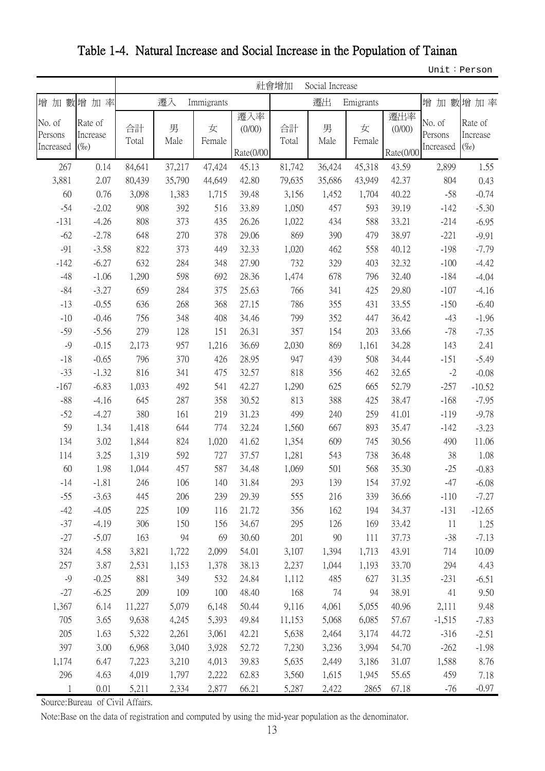Table 1-4. Natural Increase and Social Increase in the Population of Tainan

Unit:Person

|                                |                                | 社會增加<br>Social Increase |           |             |                            |             |           |             |                            |                                |                                |
|--------------------------------|--------------------------------|-------------------------|-----------|-------------|----------------------------|-------------|-----------|-------------|----------------------------|--------------------------------|--------------------------------|
|                                | 增加數增加率                         |                         | 遷入        | Immigrants  |                            |             | 遷出        | Emigrants   |                            | 增加數                            | 增加率                            |
| No. of<br>Persons<br>Increased | Rate of<br>Increase<br>$(\%o)$ | 合計<br>Total             | 男<br>Male | 女<br>Female | 遷入率<br>(0/00)<br>Rate(0/00 | 合計<br>Total | 男<br>Male | 女<br>Female | 遷出率<br>(0/00)<br>Rate(0/00 | No. of<br>Persons<br>Increased | Rate of<br>Increase<br>$(\%o)$ |
| 267                            | 0.14                           | 84,641                  | 37,217    | 47,424      | 45.13                      | 81,742      | 36,424    | 45,318      | 43.59                      | 2,899                          | 1.55                           |
| 3,881                          | 2.07                           | 80,439                  | 35,790    | 44,649      | 42.80                      | 79,635      | 35,686    | 43,949      | 42.37                      | 804                            | 0.43                           |
| 60                             | 0.76                           | 3,098                   | 1,383     | 1,715       | 39.48                      | 3,156       | 1,452     | 1,704       | 40.22                      | $-58$                          | $-0.74$                        |
| $-54$                          | $-2.02$                        | 908                     | 392       | 516         | 33.89                      | 1,050       | 457       | 593         | 39.19                      | $-142$                         | $-5.30$                        |
| $-131$                         | $-4.26$                        | 808                     | 373       | 435         | 26.26                      | 1,022       | 434       | 588         | 33.21                      | $-214$                         | $-6.95$                        |
| $-62$                          | $-2.78$                        | 648                     | 270       | 378         | 29.06                      | 869         | 390       | 479         | 38.97                      | $-221$                         | $-9.91$                        |
| $-91$                          | $-3.58$                        | 822                     | 373       | 449         | 32.33                      | 1,020       | 462       | 558         | 40.12                      | $-198$                         | $-7.79$                        |
| $-142$                         | $-6.27$                        | 632                     | 284       | 348         | 27.90                      | 732         | 329       | 403         | 32.32                      | $-100$                         | $-4.42$                        |
| $-48$                          | $-1.06$                        | 1,290                   | 598       | 692         | 28.36                      | 1,474       | 678       | 796         | 32.40                      | $-184$                         | $-4.04$                        |
| $-84$                          | $-3.27$                        | 659                     | 284       | 375         | 25.63                      | 766         | 341       | 425         | 29.80                      | $-107$                         | $-4.16$                        |
| $-13$                          | $-0.55$                        | 636                     | 268       | 368         | 27.15                      | 786         | 355       | 431         | 33.55                      | $-150$                         | $-6.40$                        |
| $-10$                          | $-0.46$                        | 756                     | 348       | 408         | 34.46                      | 799         | 352       | 447         | 36.42                      | $-43$                          | $-1.96$                        |
| $-59$                          | $-5.56$                        | 279                     | 128       | 151         | 26.31                      | 357         | 154       | 203         | 33.66                      | $-78$                          | $-7.35$                        |
| $-9$                           | $-0.15$                        | 2,173                   | 957       | 1,216       | 36.69                      | 2,030       | 869       | 1,161       | 34.28                      | 143                            | 2.41                           |
| $-18$                          | $-0.65$                        | 796                     | 370       | 426         | 28.95                      | 947         | 439       | 508         | 34.44                      | $-151$                         | $-5.49$                        |
| $-33$                          | $-1.32$                        | 816                     | 341       | 475         | 32.57                      | 818         | 356       | 462         | 32.65                      | $-2$                           | $-0.08$                        |
| $-167$                         | $-6.83$                        | 1,033                   | 492       | 541         | 42.27                      | 1,290       | 625       | 665         | 52.79                      | $-257$                         | $-10.52$                       |
| $-88$                          | $-4.16$                        | 645                     | 287       | 358         | 30.52                      | 813         | 388       | 425         | 38.47                      | $-168$                         | $-7.95$                        |
| $-52$                          | $-4.27$                        | 380                     | 161       | 219         | 31.23                      | 499         | 240       | 259         | 41.01                      | $-119$                         | $-9.78$                        |
| 59                             | 1.34                           | 1,418                   | 644       | 774         | 32.24                      | 1,560       | 667       | 893         | 35.47                      | $-142$                         | $-3.23$                        |
| 134                            | 3.02                           | 1,844                   | 824       | 1,020       | 41.62                      | 1,354       | 609       | 745         | 30.56                      | 490                            | 11.06                          |
| 114                            | 3.25                           | 1,319                   | 592       | 727         | 37.57                      | 1,281       | 543       | 738         | 36.48                      | 38                             | 1.08                           |
| 60                             | 1.98                           | 1,044                   | 457       | 587         | 34.48                      | 1,069       | 501       | 568         | 35.30                      | $-25$                          | $-0.83$                        |
| $-14$                          | $-1.81$                        | 246                     | 106       | 140         | 31.84                      | 293         | 139       | 154         | 37.92                      | $-47$                          | $-6.08$                        |
| $-55$                          | $-3.63$                        | 445                     | 206       | 239         | 29.39                      | 555         | 216       | 339         | 36.66                      | $-110$                         | $-7.27$                        |
| $-42$                          | $-4.05$                        | 225                     | 109       | 116         | 21.72                      | 356         | 162       | 194         | 34.37                      | $-131$                         | $-12.65$                       |
| $-37$                          | $-4.19$                        | 306                     | 150       | 156         | 34.67                      | 295         | 126       | 169         | 33.42                      | 11                             | 1.25                           |
| $-27$                          | $-5.07$                        | 163                     | 94        | 69          | 30.60                      | 201         | 90        | 111         | 37.73                      | $-38$                          | $-7.13$                        |
| 324                            | 4.58                           | 3,821                   | 1,722     | 2,099       | 54.01                      | 3,107       | 1,394     | 1,713       | 43.91                      | 714                            | 10.09                          |
| 257                            | 3.87                           | 2,531                   | 1,153     | 1,378       | 38.13                      | 2,237       | 1,044     | 1,193       | 33.70                      | 294                            | 4.43                           |
| $-9$                           | $-0.25$                        | 881                     | 349       | 532         | 24.84                      | 1,112       | 485       | 627         | 31.35                      | $-231$                         | $-6.51$                        |
| $-27$                          | $-6.25$                        | 209                     | 109       | 100         | 48.40                      | 168         | 74        | 94          | 38.91                      | 41                             | 9.50                           |
| 1,367                          | 6.14                           | 11,227                  | 5,079     | 6,148       | 50.44                      | 9,116       | 4,061     | 5,055       | 40.96                      | 2,111                          | 9.48                           |
| 705                            | 3.65                           | 9,638                   | 4,245     | 5,393       | 49.84                      | 11,153      | 5,068     | 6,085       | 57.67                      | $-1,515$                       | $-7.83$                        |
| 205                            | 1.63                           | 5,322                   | 2,261     | 3,061       | 42.21                      | 5,638       | 2,464     | 3,174       | 44.72                      | $-316$                         | $-2.51$                        |
| 397                            | 3.00                           | 6,968                   | 3,040     | 3,928       | 52.72                      | 7,230       | 3,236     | 3,994       | 54.70                      | $-262$                         | $-1.98$                        |
| 1,174                          | 6.47                           | 7,223                   | 3,210     | 4,013       | 39.83                      | 5,635       | 2,449     | 3,186       | 31.07                      | 1,588                          | 8.76                           |
| 296                            | 4.63                           | 4,019                   | 1,797     | 2,222       | 62.83                      | 3,560       | 1,615     | 1,945       | 55.65                      | 459                            | 7.18                           |
|                                | 0.01                           | 5,211                   | 2,334     | 2,877       | 66.21                      | 5,287       | 2,422     | 2865        | 67.18                      | $-76$                          | $-0.97$                        |

Source:Bureau of Civil Affairs.

Note:Base on the data of registration and computed by using the mid-year population as the denominator.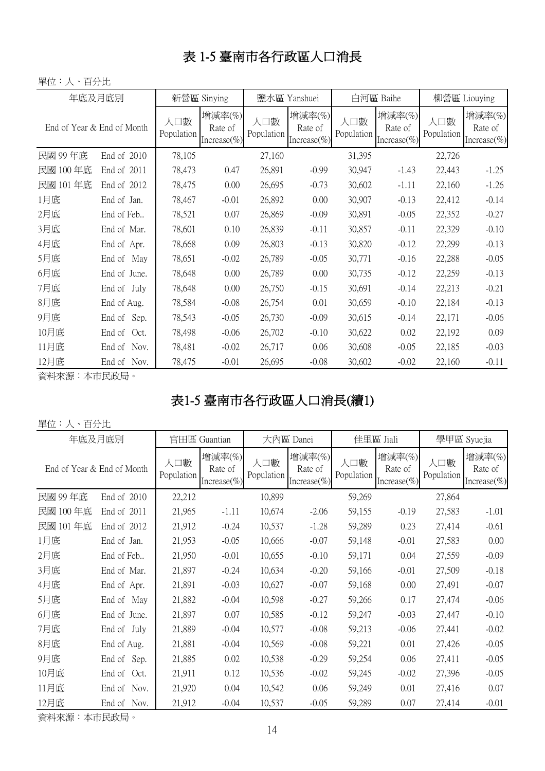#### 表 1-5 臺南市各行政區人口消長

#### 單位:人、百分比

| 年底及月底別                     |                | 新營區 Sinying       |                                      | 鹽水區 Yanshuei      |                                      |                   | 白河區 Baihe                            | 柳營區 Liouying      |                                  |
|----------------------------|----------------|-------------------|--------------------------------------|-------------------|--------------------------------------|-------------------|--------------------------------------|-------------------|----------------------------------|
| End of Year & End of Month |                | 人口數<br>Population | 增減率(%)<br>Rate of<br>Increase $(\%)$ | 人口數<br>Population | 增減率(%)<br>Rate of<br>Increase $(\%)$ | 人口數<br>Population | 增減率(%)<br>Rate of<br>Increase $(\%)$ | 人口數<br>Population | 增減率(%)<br>Rate of<br>Increase(%) |
| 民國 99年底                    | End of 2010    | 78,105            |                                      | 27,160            |                                      | 31,395            |                                      | 22,726            |                                  |
| 民國 100 年底                  | End of 2011    | 78,473            | 0.47                                 | 26,891            | $-0.99$                              | 30,947            | $-1.43$                              | 22,443            | $-1.25$                          |
| 民國 101 年底                  | End of 2012    | 78,475            | 0.00                                 | 26,695            | $-0.73$                              | 30,602            | $-1.11$                              | 22,160            | $-1.26$                          |
| 1月底                        | End of Jan.    | 78,467            | $-0.01$                              | 26,892            | 0.00                                 | 30,907            | $-0.13$                              | 22,412            | $-0.14$                          |
| 2月底                        | End of Feb     | 78,521            | 0.07                                 | 26,869            | $-0.09$                              | 30,891            | $-0.05$                              | 22,352            | $-0.27$                          |
| 3月底                        | End of Mar.    | 78,601            | 0.10                                 | 26,839            | $-0.11$                              | 30,857            | $-0.11$                              | 22,329            | $-0.10$                          |
| 4月底                        | End of Apr.    | 78,668            | 0.09                                 | 26,803            | $-0.13$                              | 30,820            | $-0.12$                              | 22,299            | $-0.13$                          |
| 5月底                        | End of<br>May  | 78,651            | $-0.02$                              | 26,789            | $-0.05$                              | 30,771            | $-0.16$                              | 22,288            | $-0.05$                          |
| 6月底                        | End of June.   | 78,648            | 0.00                                 | 26,789            | 0.00                                 | 30,735            | $-0.12$                              | 22,259            | $-0.13$                          |
| 7月底                        | End of July    | 78,648            | 0.00                                 | 26,750            | $-0.15$                              | 30,691            | $-0.14$                              | 22,213            | $-0.21$                          |
| 8月底                        | End of Aug.    | 78,584            | $-0.08$                              | 26,754            | 0.01                                 | 30,659            | $-0.10$                              | 22,184            | $-0.13$                          |
| 9月底                        | Sep.<br>End of | 78,543            | $-0.05$                              | 26,730            | $-0.09$                              | 30,615            | $-0.14$                              | 22,171            | $-0.06$                          |
| 10月底                       | End of<br>Oct. | 78,498            | $-0.06$                              | 26,702            | $-0.10$                              | 30,622            | 0.02                                 | 22,192            | 0.09                             |
| 11月底                       | End of<br>Nov. | 78,481            | $-0.02$                              | 26,717            | 0.06                                 | 30,608            | $-0.05$                              | 22,185            | $-0.03$                          |
| 12月底                       | Nov.<br>End of | 78,475            | $-0.01$                              | 26,695            | $-0.08$                              | 30,602            | $-0.02$                              | 22,160            | $-0.11$                          |

資料來源:本市民政局。

## 表1-5 臺南市各行政區人口消長(續1)

#### 單位:人、百分比

| 年底及月底別                     |                | 官田區 Guantian      |                                  | 大內區 Danei         |                                      |                   | 佳里區 Jiali                             | 學甲區 Syuejia       |                                       |
|----------------------------|----------------|-------------------|----------------------------------|-------------------|--------------------------------------|-------------------|---------------------------------------|-------------------|---------------------------------------|
| End of Year & End of Month |                | 人口數<br>Population | 增減率(%)<br>Rate of<br>Increase(%) | 人口數<br>Population | 增減率(%)<br>Rate of<br>Increase $(\%)$ | 人口數<br>Population | 增減率(%)<br>Rate of<br>Increase $(\% )$ | 人口數<br>Population | 增減率(%)<br>Rate of<br>Increase $(\% )$ |
| 民國 99年底                    | End of 2010    | 22,212            |                                  | 10,899            |                                      | 59,269            |                                       | 27,864            |                                       |
| 民國 100 年底                  | End of 2011    | 21,965            | $-1.11$                          | 10,674            | $-2.06$                              | 59,155            | $-0.19$                               | 27,583            | $-1.01$                               |
| 民國 101 年底                  | End of 2012    | 21,912            | $-0.24$                          | 10,537            | $-1.28$                              | 59,289            | 0.23                                  | 27,414            | $-0.61$                               |
| 1月底                        | End of Jan.    | 21,953            | $-0.05$                          | 10,666            | $-0.07$                              | 59,148            | $-0.01$                               | 27,583            | 0.00                                  |
| 2月底                        | End of Feb     | 21,950            | $-0.01$                          | 10,655            | $-0.10$                              | 59,171            | 0.04                                  | 27,559            | $-0.09$                               |
| 3月底                        | End of Mar.    | 21,897            | $-0.24$                          | 10,634            | $-0.20$                              | 59,166            | $-0.01$                               | 27,509            | $-0.18$                               |
| 4月底                        | End of Apr.    | 21,891            | $-0.03$                          | 10,627            | $-0.07$                              | 59,168            | 0.00                                  | 27,491            | $-0.07$                               |
| 5月底                        | End of May     | 21,882            | $-0.04$                          | 10,598            | $-0.27$                              | 59,266            | 0.17                                  | 27,474            | $-0.06$                               |
| 6月底                        | End of June.   | 21,897            | 0.07                             | 10,585            | $-0.12$                              | 59,247            | $-0.03$                               | 27,447            | $-0.10$                               |
| 7月底                        | End of July    | 21,889            | $-0.04$                          | 10,577            | $-0.08$                              | 59,213            | $-0.06$                               | 27,441            | $-0.02$                               |
| 8月底                        | End of Aug.    | 21,881            | $-0.04$                          | 10,569            | $-0.08$                              | 59,221            | 0.01                                  | 27,426            | $-0.05$                               |
| 9月底                        | Sep.<br>End of | 21,885            | 0.02                             | 10,538            | $-0.29$                              | 59,254            | 0.06                                  | 27,411            | $-0.05$                               |
| 10月底                       | End of<br>Oct. | 21,911            | 0.12                             | 10,536            | $-0.02$                              | 59,245            | $-0.02$                               | 27,396            | $-0.05$                               |
| 11月底                       | End of<br>Nov. | 21,920            | 0.04                             | 10,542            | 0.06                                 | 59,249            | 0.01                                  | 27,416            | 0.07                                  |
| 12月底                       | End of<br>Nov. | 21,912            | $-0.04$                          | 10,537            | $-0.05$                              | 59,289            | 0.07                                  | 27,414            | $-0.01$                               |

資料來源:本市民政局。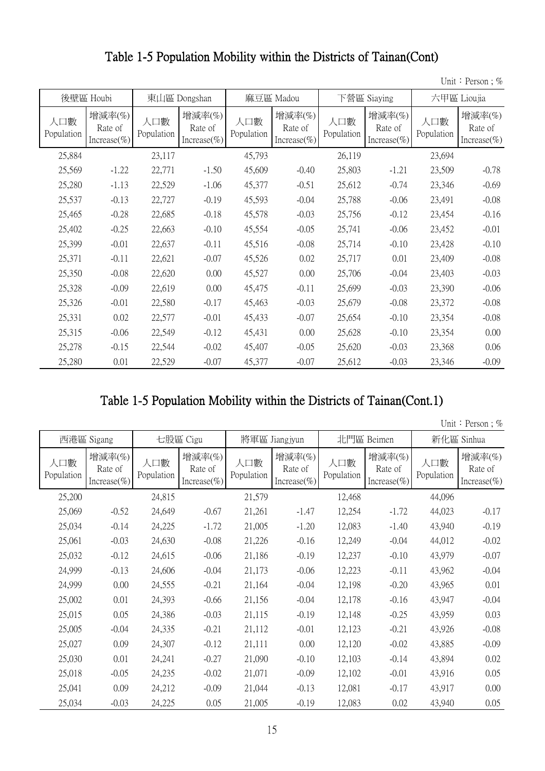#### Table 1-5 Population Mobility within the Districts of Tainan(Cont)

Unit: Person; %

|                   | 後壁區 Houbi                             | 東山區 Dongshan<br>麻豆區 Madou |                                       |                   |                                      | 下營區 Siaying       | 六甲區 Lioujia                          |                   |                                      |
|-------------------|---------------------------------------|---------------------------|---------------------------------------|-------------------|--------------------------------------|-------------------|--------------------------------------|-------------------|--------------------------------------|
| 人口數<br>Population | 增減率(%)<br>Rate of<br>Increase $(\% )$ | 人口數<br>Population         | 增減率(%)<br>Rate of<br>Increase $(\% )$ | 人口數<br>Population | 增減率(%)<br>Rate of<br>Increase $(\%)$ | 人口數<br>Population | 增減率(%)<br>Rate of<br>Increase $(\%)$ | 人口數<br>Population | 增減率(%)<br>Rate of<br>Increase $(\%)$ |
| 25,884            |                                       | 23,117                    |                                       | 45,793            |                                      | 26,119            |                                      | 23,694            |                                      |
| 25,569            | $-1.22$                               | 22,771                    | $-1.50$                               | 45,609            | $-0.40$                              | 25,803            | $-1.21$                              | 23,509            | $-0.78$                              |
| 25,280            | $-1.13$                               | 22,529                    | $-1.06$                               | 45,377            | $-0.51$                              | 25,612            | $-0.74$                              | 23,346            | $-0.69$                              |
| 25,537            | $-0.13$                               | 22,727                    | $-0.19$                               | 45,593            | $-0.04$                              | 25,788            | $-0.06$                              | 23,491            | $-0.08$                              |
| 25,465            | $-0.28$                               | 22,685                    | $-0.18$                               | 45,578            | $-0.03$                              | 25,756            | $-0.12$                              | 23,454            | $-0.16$                              |
| 25,402            | $-0.25$                               | 22,663                    | $-0.10$                               | 45,554            | $-0.05$                              | 25,741            | $-0.06$                              | 23,452            | $-0.01$                              |
| 25,399            | $-0.01$                               | 22,637                    | $-0.11$                               | 45,516            | $-0.08$                              | 25,714            | $-0.10$                              | 23,428            | $-0.10$                              |
| 25,371            | $-0.11$                               | 22,621                    | $-0.07$                               | 45,526            | 0.02                                 | 25,717            | 0.01                                 | 23,409            | $-0.08$                              |
| 25,350            | $-0.08$                               | 22,620                    | 0.00                                  | 45,527            | 0.00                                 | 25,706            | $-0.04$                              | 23,403            | $-0.03$                              |
| 25,328            | $-0.09$                               | 22,619                    | 0.00                                  | 45,475            | $-0.11$                              | 25,699            | $-0.03$                              | 23,390            | $-0.06$                              |
| 25,326            | $-0.01$                               | 22,580                    | $-0.17$                               | 45,463            | $-0.03$                              | 25,679            | $-0.08$                              | 23,372            | $-0.08$                              |
| 25,331            | 0.02                                  | 22,577                    | $-0.01$                               | 45,433            | $-0.07$                              | 25,654            | $-0.10$                              | 23,354            | $-0.08$                              |
| 25,315            | $-0.06$                               | 22,549                    | $-0.12$                               | 45,431            | 0.00                                 | 25,628            | $-0.10$                              | 23,354            | 0.00                                 |
| 25,278            | $-0.15$                               | 22,544                    | $-0.02$                               | 45,407            | $-0.05$                              | 25,620            | $-0.03$                              | 23,368            | 0.06                                 |
| 25,280            | 0.01                                  | 22,529                    | $-0.07$                               | 45,377            | $-0.07$                              | 25,612            | $-0.03$                              | 23,346            | $-0.09$                              |

#### Table 1-5 Population Mobility within the Districts of Tainan(Cont.1)

Unit: Person; %

|                   | 西港區 Sigang                            |                   | 七股區 Cigu                              | 將軍區 Jiangjyun     |                                      |                   | 北門區 Beimen                           | 新化區 Sinhua        |                                      |
|-------------------|---------------------------------------|-------------------|---------------------------------------|-------------------|--------------------------------------|-------------------|--------------------------------------|-------------------|--------------------------------------|
| 人口數<br>Population | 增減率(%)<br>Rate of<br>Increase $(\% )$ | 人口數<br>Population | 增減率(%)<br>Rate of<br>Increase $(\% )$ | 人口數<br>Population | 增減率(%)<br>Rate of<br>Increase $(\%)$ | 人口數<br>Population | 增減率(%)<br>Rate of<br>Increase $(\%)$ | 人口數<br>Population | 增減率(%)<br>Rate of<br>Increase $(\%)$ |
| 25,200            |                                       | 24,815            |                                       | 21,579            |                                      | 12,468            |                                      | 44,096            |                                      |
| 25,069            | $-0.52$                               | 24,649            | $-0.67$                               | 21,261            | $-1.47$                              | 12,254            | $-1.72$                              | 44,023            | $-0.17$                              |
| 25,034            | $-0.14$                               | 24,225            | $-1.72$                               | 21,005            | $-1.20$                              | 12,083            | $-1.40$                              | 43,940            | $-0.19$                              |
| 25,061            | $-0.03$                               | 24,630            | $-0.08$                               | 21,226            | $-0.16$                              | 12,249            | $-0.04$                              | 44,012            | $-0.02$                              |
| 25,032            | $-0.12$                               | 24,615            | $-0.06$                               | 21,186            | $-0.19$                              | 12,237            | $-0.10$                              | 43,979            | $-0.07$                              |
| 24,999            | $-0.13$                               | 24,606            | $-0.04$                               | 21,173            | $-0.06$                              | 12,223            | $-0.11$                              | 43,962            | $-0.04$                              |
| 24,999            | 0.00                                  | 24,555            | $-0.21$                               | 21,164            | $-0.04$                              | 12,198            | $-0.20$                              | 43,965            | 0.01                                 |
| 25,002            | 0.01                                  | 24,393            | $-0.66$                               | 21,156            | $-0.04$                              | 12,178            | $-0.16$                              | 43,947            | $-0.04$                              |
| 25,015            | 0.05                                  | 24,386            | $-0.03$                               | 21,115            | $-0.19$                              | 12,148            | $-0.25$                              | 43,959            | 0.03                                 |
| 25,005            | $-0.04$                               | 24,335            | $-0.21$                               | 21,112            | $-0.01$                              | 12,123            | $-0.21$                              | 43,926            | $-0.08$                              |
| 25,027            | 0.09                                  | 24,307            | $-0.12$                               | 21,111            | 0.00                                 | 12,120            | $-0.02$                              | 43,885            | $-0.09$                              |
| 25,030            | 0.01                                  | 24,241            | $-0.27$                               | 21,090            | $-0.10$                              | 12,103            | $-0.14$                              | 43,894            | 0.02                                 |
| 25,018            | $-0.05$                               | 24,235            | $-0.02$                               | 21,071            | $-0.09$                              | 12,102            | $-0.01$                              | 43,916            | 0.05                                 |
| 25,041            | 0.09                                  | 24,212            | $-0.09$                               | 21,044            | $-0.13$                              | 12,081            | $-0.17$                              | 43,917            | 0.00                                 |
| 25,034            | $-0.03$                               | 24,225            | 0.05                                  | 21,005            | $-0.19$                              | 12,083            | 0.02                                 | 43,940            | 0.05                                 |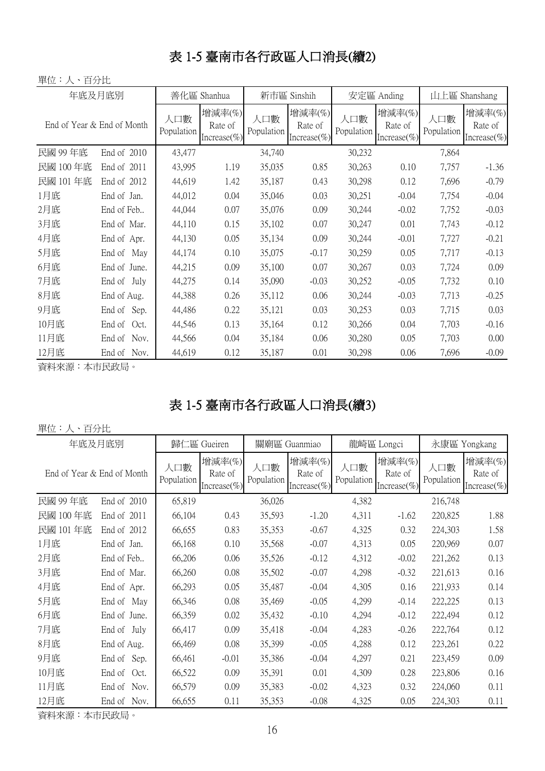#### 表 1-5 臺南市各行政區人口消長(續2)

單位:人、百分比

| 年底及月底別                     |                |                   | 善化區 Shanhua                          | 新市區 Sinshih       |                                      |                   | 安定區 Anding                            | 山上區 Shanshang     |                                       |
|----------------------------|----------------|-------------------|--------------------------------------|-------------------|--------------------------------------|-------------------|---------------------------------------|-------------------|---------------------------------------|
| End of Year & End of Month |                | 人口數<br>Population | 增減率(%)<br>Rate of<br>Increase $(\%)$ | 人口數<br>Population | 增減率(%)<br>Rate of<br>Increase $(\%)$ | 人口數<br>Population | 增減率(%)<br>Rate of<br>Increase $(\% )$ | 人口數<br>Population | 增減率(%)<br>Rate of<br>Increase $(\% )$ |
| 民國 99年底                    | End of 2010    | 43,477            |                                      | 34,740            |                                      | 30,232            |                                       | 7,864             |                                       |
| 民國 100年底                   | End of 2011    | 43,995            | 1.19                                 | 35,035            | 0.85                                 | 30,263            | 0.10                                  | 7,757             | $-1.36$                               |
| 民國 101 年底                  | End of 2012    | 44,619            | 1.42                                 | 35,187            | 0.43                                 | 30,298            | 0.12                                  | 7,696             | $-0.79$                               |
| 1月底                        | End of Jan.    | 44,012            | 0.04                                 | 35,046            | 0.03                                 | 30,251            | $-0.04$                               | 7,754             | $-0.04$                               |
| 2月底                        | End of Feb     | 44,044            | 0.07                                 | 35,076            | 0.09                                 | 30,244            | $-0.02$                               | 7,752             | $-0.03$                               |
| 3月底                        | End of Mar.    | 44,110            | 0.15                                 | 35,102            | 0.07                                 | 30,247            | 0.01                                  | 7,743             | $-0.12$                               |
| 4月底                        | End of Apr.    | 44,130            | 0.05                                 | 35,134            | 0.09                                 | 30,244            | $-0.01$                               | 7,727             | $-0.21$                               |
| 5月底                        | End of May     | 44,174            | 0.10                                 | 35,075            | $-0.17$                              | 30,259            | 0.05                                  | 7,717             | $-0.13$                               |
| 6月底                        | End of June.   | 44,215            | 0.09                                 | 35,100            | 0.07                                 | 30,267            | 0.03                                  | 7,724             | 0.09                                  |
| 7月底                        | End of July    | 44,275            | 0.14                                 | 35,090            | $-0.03$                              | 30,252            | $-0.05$                               | 7,732             | 0.10                                  |
| 8月底                        | End of Aug.    | 44,388            | 0.26                                 | 35,112            | 0.06                                 | 30,244            | $-0.03$                               | 7,713             | $-0.25$                               |
| 9月底                        | End of<br>Sep. | 44,486            | 0.22                                 | 35,121            | 0.03                                 | 30,253            | 0.03                                  | 7,715             | 0.03                                  |
| 10月底                       | End of<br>Oct. | 44,546            | 0.13                                 | 35,164            | 0.12                                 | 30,266            | 0.04                                  | 7,703             | $-0.16$                               |
| 11月底                       | End of<br>Nov. | 44,566            | 0.04                                 | 35,184            | 0.06                                 | 30,280            | 0.05                                  | 7,703             | 0.00                                  |
| 12月底                       | End of Nov.    | 44,619            | 0.12                                 | 35,187            | 0.01                                 | 30,298            | 0.06                                  | 7,696             | $-0.09$                               |

資料來源:本市民政局。

#### 表 1-5 臺南市各行政區人口消長(續3)

#### 單位:人、百分比

| 年底及月底別                     |                | 歸仁區 Gueiren       |                                      | 關廟區 Guanmiao      |                                       |                   | 龍崎區 Longci                           | 永康區 Yongkang      |                                      |
|----------------------------|----------------|-------------------|--------------------------------------|-------------------|---------------------------------------|-------------------|--------------------------------------|-------------------|--------------------------------------|
| End of Year & End of Month |                | 人口數<br>Population | 增減率(%)<br>Rate of<br>Increase $(\%)$ | 人口數<br>Population | 增減率(%)<br>Rate of<br>Increase $(\% )$ | 人口數<br>Population | 增減率(%)<br>Rate of<br>Increase $(\%)$ | 人口數<br>Population | 增減率(%)<br>Rate of<br>Increase $(\%)$ |
| 民國 99年底                    | End of 2010    | 65,819            |                                      | 36,026            |                                       | 4,382             |                                      | 216,748           |                                      |
| 民國 100 年底                  | End of 2011    | 66,104            | 0.43                                 | 35,593            | $-1.20$                               | 4,311             | $-1.62$                              | 220,825           | 1.88                                 |
| 民國 101 年底                  | End of 2012    | 66,655            | 0.83                                 | 35,353            | $-0.67$                               | 4,325             | 0.32                                 | 224,303           | 1.58                                 |
| 1月底                        | End of Jan.    | 66,168            | 0.10                                 | 35,568            | $-0.07$                               | 4,313             | 0.05                                 | 220,969           | 0.07                                 |
| 2月底                        | End of Feb     | 66,206            | 0.06                                 | 35,526            | $-0.12$                               | 4,312             | $-0.02$                              | 221,262           | 0.13                                 |
| 3月底                        | End of Mar.    | 66,260            | 0.08                                 | 35,502            | $-0.07$                               | 4,298             | $-0.32$                              | 221,613           | 0.16                                 |
| 4月底                        | End of Apr.    | 66,293            | 0.05                                 | 35,487            | $-0.04$                               | 4,305             | 0.16                                 | 221,933           | 0.14                                 |
| 5月底                        | End of<br>May  | 66,346            | 0.08                                 | 35,469            | $-0.05$                               | 4,299             | $-0.14$                              | 222,225           | 0.13                                 |
| 6月底                        | End of June.   | 66,359            | 0.02                                 | 35,432            | $-0.10$                               | 4,294             | $-0.12$                              | 222,494           | 0.12                                 |
| 7月底                        | End of July    | 66,417            | 0.09                                 | 35,418            | $-0.04$                               | 4,283             | $-0.26$                              | 222,764           | 0.12                                 |
| 8月底                        | End of Aug.    | 66,469            | 0.08                                 | 35,399            | $-0.05$                               | 4,288             | 0.12                                 | 223,261           | 0.22                                 |
| 9月底                        | Sep.<br>End of | 66,461            | $-0.01$                              | 35,386            | $-0.04$                               | 4,297             | 0.21                                 | 223,459           | 0.09                                 |
| 10月底                       | End of<br>Oct. | 66,522            | 0.09                                 | 35,391            | 0.01                                  | 4,309             | 0.28                                 | 223,806           | 0.16                                 |
| 11月底                       | End of<br>Nov. | 66,579            | 0.09                                 | 35,383            | $-0.02$                               | 4,323             | 0.32                                 | 224,060           | 0.11                                 |
| 12月底                       | End of<br>Nov. | 66,655            | 0.11                                 | 35,353            | $-0.08$                               | 4,325             | 0.05                                 | 224,303           | 0.11                                 |

資料來源:本市民政局。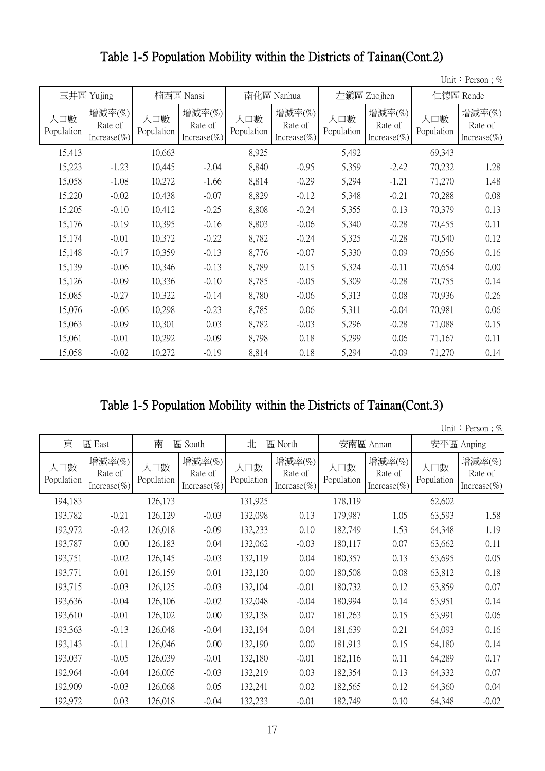|                   |                                       |                   |                                       |                   |                                      |                   |                                           |                   | Unit: Person; $%$                    |
|-------------------|---------------------------------------|-------------------|---------------------------------------|-------------------|--------------------------------------|-------------------|-------------------------------------------|-------------------|--------------------------------------|
|                   | 玉井區 Yujing                            |                   | 楠西區 Nansi                             | 南化區 Nanhua        |                                      |                   | 左鎮區 Zuojhen                               | 仁德區 Rende         |                                      |
| 人口數<br>Population | 增減率(%)<br>Rate of<br>Increase $(\% )$ | 人口數<br>Population | 增減率(%)<br>Rate of<br>Increase $(\% )$ | 人口數<br>Population | 增減率(%)<br>Rate of<br>Increase $(\%)$ | 人口數<br>Population | 增減率 $(\%)$<br>Rate of<br>Increase $(\% )$ | 人口數<br>Population | 增減率(%)<br>Rate of<br>Increase $(\%)$ |
| 15,413            |                                       | 10,663            |                                       | 8,925             |                                      | 5,492             |                                           | 69,343            |                                      |
| 15,223            | $-1.23$                               | 10,445            | $-2.04$                               | 8,840             | $-0.95$                              | 5,359             | $-2.42$                                   | 70,232            | 1.28                                 |
| 15,058            | $-1.08$                               | 10,272            | $-1.66$                               | 8,814             | $-0.29$                              | 5,294             | $-1.21$                                   | 71,270            | 1.48                                 |
| 15,220            | $-0.02$                               | 10,438            | $-0.07$                               | 8,829             | $-0.12$                              | 5,348             | $-0.21$                                   | 70,288            | 0.08                                 |
| 15,205            | $-0.10$                               | 10,412            | $-0.25$                               | 8,808             | $-0.24$                              | 5,355             | 0.13                                      | 70,379            | 0.13                                 |
| 15,176            | $-0.19$                               | 10,395            | $-0.16$                               | 8,803             | $-0.06$                              | 5,340             | $-0.28$                                   | 70,455            | 0.11                                 |
| 15,174            | $-0.01$                               | 10,372            | $-0.22$                               | 8,782             | $-0.24$                              | 5,325             | $-0.28$                                   | 70,540            | 0.12                                 |
| 15,148            | $-0.17$                               | 10,359            | $-0.13$                               | 8,776             | $-0.07$                              | 5,330             | 0.09                                      | 70,656            | 0.16                                 |
| 15,139            | $-0.06$                               | 10,346            | $-0.13$                               | 8,789             | 0.15                                 | 5,324             | $-0.11$                                   | 70,654            | 0.00                                 |
| 15,126            | $-0.09$                               | 10,336            | $-0.10$                               | 8,785             | $-0.05$                              | 5,309             | $-0.28$                                   | 70,755            | 0.14                                 |
| 15,085            | $-0.27$                               | 10,322            | $-0.14$                               | 8,780             | $-0.06$                              | 5,313             | 0.08                                      | 70,936            | 0.26                                 |
| 15,076            | $-0.06$                               | 10,298            | $-0.23$                               | 8,785             | 0.06                                 | 5,311             | $-0.04$                                   | 70,981            | 0.06                                 |
| 15,063            | $-0.09$                               | 10,301            | 0.03                                  | 8,782             | $-0.03$                              | 5,296             | $-0.28$                                   | 71,088            | 0.15                                 |
| 15,061            | $-0.01$                               | 10,292            | $-0.09$                               | 8,798             | 0.18                                 | 5,299             | 0.06                                      | 71,167            | 0.11                                 |
| 15,058            | $-0.02$                               | 10,272            | $-0.19$                               | 8,814             | 0.18                                 | 5,294             | $-0.09$                                   | 71,270            | 0.14                                 |

Table 1-5 Population Mobility within the Districts of Tainan(Cont.2)

|  |  |  | Unit: Person; $%$ |  |  |
|--|--|--|-------------------|--|--|
|--|--|--|-------------------|--|--|

| 東                 | 區 East                           | 南<br>區 South      |                                  | 北<br>區 North      |                                      |                   | 安南區 Annan                            | 安平區 Anping        |                                      |
|-------------------|----------------------------------|-------------------|----------------------------------|-------------------|--------------------------------------|-------------------|--------------------------------------|-------------------|--------------------------------------|
| 人口數<br>Population | 增減率(%)<br>Rate of<br>Increase(%) | 人口數<br>Population | 增減率(%)<br>Rate of<br>Increase(%) | 人口數<br>Population | 增減率(%)<br>Rate of<br>Increase $(\%)$ | 人口數<br>Population | 增減率(%)<br>Rate of<br>Increase $(\%)$ | 人口數<br>Population | 增減率(%)<br>Rate of<br>Increase $(\%)$ |
| 194,183           |                                  | 126,173           |                                  | 131,925           |                                      | 178,119           |                                      | 62,602            |                                      |
| 193,782           | $-0.21$                          | 126,129           | $-0.03$                          | 132,098           | 0.13                                 | 179,987           | 1.05                                 | 63,593            | 1.58                                 |
| 192,972           | $-0.42$                          | 126,018           | $-0.09$                          | 132,233           | 0.10                                 | 182,749           | 1.53                                 | 64,348            | 1.19                                 |
| 193,787           | 0.00                             | 126,183           | 0.04                             | 132,062           | $-0.03$                              | 180,117           | 0.07                                 | 63,662            | 0.11                                 |
| 193,751           | $-0.02$                          | 126,145           | $-0.03$                          | 132,119           | 0.04                                 | 180,357           | 0.13                                 | 63,695            | 0.05                                 |
| 193,771           | 0.01                             | 126,159           | 0.01                             | 132,120           | 0.00                                 | 180,508           | 0.08                                 | 63,812            | 0.18                                 |
| 193,715           | $-0.03$                          | 126,125           | $-0.03$                          | 132,104           | $-0.01$                              | 180,732           | 0.12                                 | 63,859            | 0.07                                 |
| 193,636           | $-0.04$                          | 126,106           | $-0.02$                          | 132,048           | $-0.04$                              | 180,994           | 0.14                                 | 63,951            | 0.14                                 |
| 193,610           | $-0.01$                          | 126,102           | 0.00                             | 132,138           | 0.07                                 | 181,263           | 0.15                                 | 63,991            | 0.06                                 |
| 193,363           | $-0.13$                          | 126,048           | $-0.04$                          | 132,194           | 0.04                                 | 181,639           | 0.21                                 | 64,093            | 0.16                                 |
| 193,143           | $-0.11$                          | 126,046           | 0.00                             | 132,190           | 0.00                                 | 181,913           | 0.15                                 | 64,180            | 0.14                                 |
| 193,037           | $-0.05$                          | 126,039           | $-0.01$                          | 132,180           | $-0.01$                              | 182,116           | 0.11                                 | 64,289            | 0.17                                 |
| 192,964           | $-0.04$                          | 126,005           | $-0.03$                          | 132,219           | 0.03                                 | 182,354           | 0.13                                 | 64,332            | 0.07                                 |
| 192,909           | $-0.03$                          | 126,068           | 0.05                             | 132,241           | 0.02                                 | 182,565           | 0.12                                 | 64,360            | 0.04                                 |
| 192,972           | 0.03                             | 126,018           | $-0.04$                          | 132,233           | $-0.01$                              | 182,749           | 0.10                                 | 64,348            | $-0.02$                              |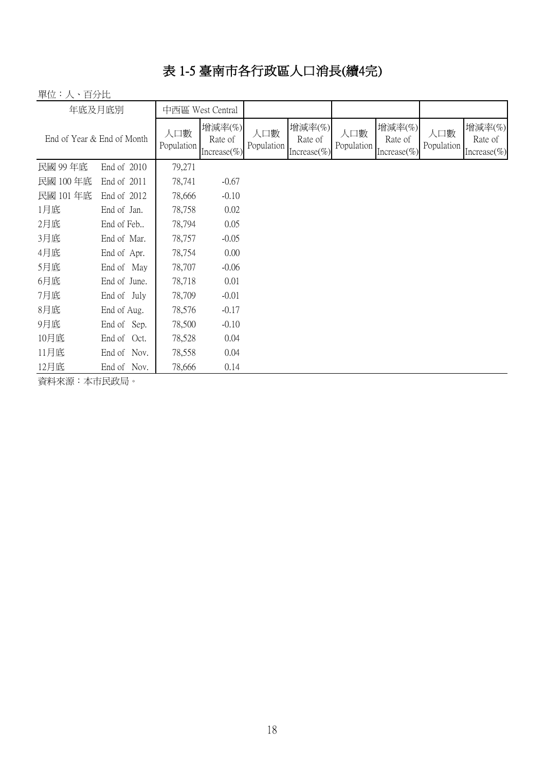## 表 1-5 臺南市各行政區人口消長(續4完)

單位:人、百分比

| 年底及月底別                     |              | 中西區 West Central  |                                      |                   |                                       |                   |                                      |                   |                                      |
|----------------------------|--------------|-------------------|--------------------------------------|-------------------|---------------------------------------|-------------------|--------------------------------------|-------------------|--------------------------------------|
| End of Year & End of Month |              | 人口數<br>Population | 增減率(%)<br>Rate of<br>Increase $(\%)$ | 人口數<br>Population | 增減率(%)<br>Rate of<br>Increase $(\% )$ | 人口數<br>Population | 增減率(%)<br>Rate of<br>Increase $(\%)$ | 人口數<br>Population | 增減率(%)<br>Rate of<br>Increase $(\%)$ |
| 民國 99年底                    | End of 2010  | 79,271            |                                      |                   |                                       |                   |                                      |                   |                                      |
| 民國 100年底                   | End of 2011  | 78,741            | $-0.67$                              |                   |                                       |                   |                                      |                   |                                      |
| 民國 101年底                   | End of 2012  | 78,666            | $-0.10$                              |                   |                                       |                   |                                      |                   |                                      |
| 1月底                        | End of Jan.  | 78,758            | 0.02                                 |                   |                                       |                   |                                      |                   |                                      |
| 2月底                        | End of Feb   | 78,794            | 0.05                                 |                   |                                       |                   |                                      |                   |                                      |
| 3月底                        | End of Mar.  | 78,757            | $-0.05$                              |                   |                                       |                   |                                      |                   |                                      |
| 4月底                        | End of Apr.  | 78,754            | 0.00                                 |                   |                                       |                   |                                      |                   |                                      |
| 5月底                        | End of May   | 78,707            | $-0.06$                              |                   |                                       |                   |                                      |                   |                                      |
| 6月底                        | End of June. | 78,718            | 0.01                                 |                   |                                       |                   |                                      |                   |                                      |
| 7月底                        | End of July  | 78,709            | $-0.01$                              |                   |                                       |                   |                                      |                   |                                      |
| 8月底                        | End of Aug.  | 78,576            | $-0.17$                              |                   |                                       |                   |                                      |                   |                                      |
| 9月底                        | End of Sep.  | 78,500            | $-0.10$                              |                   |                                       |                   |                                      |                   |                                      |
| 10月底                       | End of Oct.  | 78,528            | 0.04                                 |                   |                                       |                   |                                      |                   |                                      |
| 11月底                       | End of Nov.  | 78,558            | 0.04                                 |                   |                                       |                   |                                      |                   |                                      |
| 12月底                       | End of Nov.  | 78,666            | 0.14                                 |                   |                                       |                   |                                      |                   |                                      |

資料來源:本市民政局。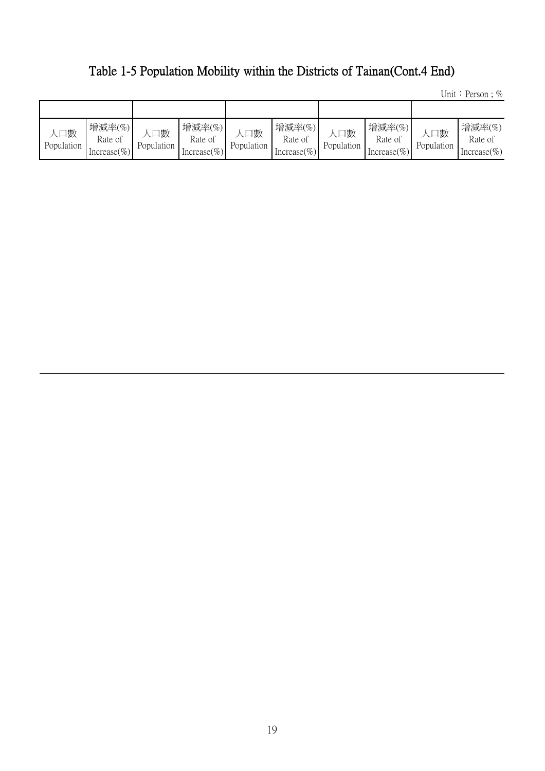## Table 1-5 Population Mobility within the Districts of Tainan(Cont.4 End)

Unit: Person ;  $\%$ 

| 口數<br>Population | 增減率(%)<br>Rate of<br>Increase $(\% )$ | 口數<br>Population | 增減率(%)<br>Rate of<br>Increase $(\% )$ | 口數<br>Population | 增減率(%)<br>Rate of<br>Increase $(\% )$ | 口數<br>Population | 增減率(%)<br>Rate of<br>Increase $(\% )$ | 、口數<br>Population | 增減率(%)<br>Rate of<br>Increase $(\% )$ |
|------------------|---------------------------------------|------------------|---------------------------------------|------------------|---------------------------------------|------------------|---------------------------------------|-------------------|---------------------------------------|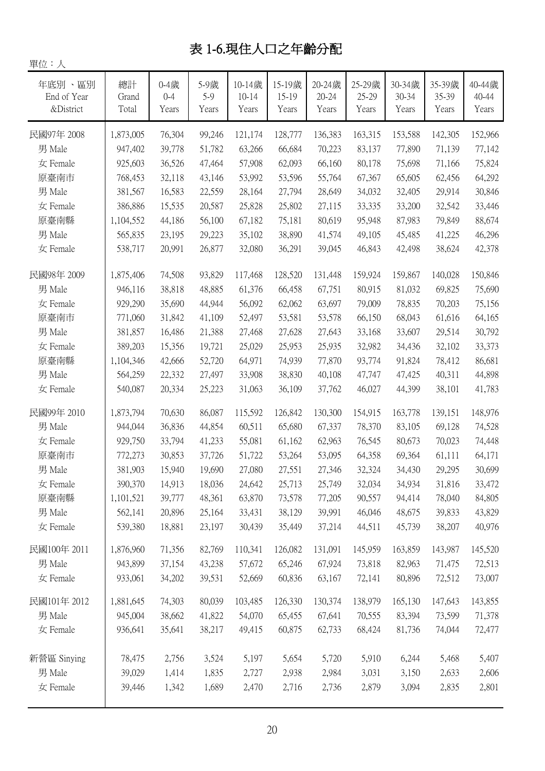## 表 1-6.現住人口之年齡分配

| 十匹・ハ        |           |         |        |           |         |           |         |         |         |         |
|-------------|-----------|---------|--------|-----------|---------|-----------|---------|---------|---------|---------|
| 年底別、區別      | 總計        | 0-4歲    | 5-9歲   | 10-14歲    | 15-19歲  | 20-24歲    | 25-29歲  | 30-34歲  | 35-39歲  | 40-44歲  |
| End of Year | Grand     | $0 - 4$ | $5-9$  | $10 - 14$ | 15-19   | $20 - 24$ | 25-29   | 30-34   | 35-39   | 40-44   |
| &District   | Total     | Years   | Years  | Years     | Years   | Years     | Years   | Years   | Years   | Years   |
| 民國97年 2008  | 1,873,005 | 76,304  | 99,246 | 121,174   | 128,777 | 136,383   | 163,315 | 153,588 | 142,305 | 152,966 |
| 男 Male      | 947,402   | 39,778  | 51,782 | 63,266    | 66,684  | 70,223    | 83,137  | 77,890  | 71,139  | 77,142  |
| 女 Female    | 925,603   | 36,526  | 47,464 | 57,908    | 62,093  | 66,160    | 80,178  | 75,698  | 71,166  | 75,824  |
| 原臺南市        | 768,453   | 32,118  | 43,146 | 53,992    | 53,596  | 55,764    | 67,367  | 65,605  | 62,456  | 64,292  |
| 男 Male      | 381,567   | 16,583  | 22,559 | 28,164    | 27,794  | 28,649    | 34,032  | 32,405  | 29,914  | 30,846  |
| 女 Female    | 386,886   | 15,535  | 20,587 | 25,828    | 25,802  | 27,115    | 33,335  | 33,200  | 32,542  | 33,446  |
| 原臺南縣        | 1,104,552 | 44,186  | 56,100 | 67,182    | 75,181  | 80,619    | 95,948  | 87,983  | 79,849  | 88,674  |
| 男 Male      | 565,835   | 23,195  | 29,223 | 35,102    | 38,890  | 41,574    | 49,105  | 45,485  | 41,225  | 46,296  |
| 女 Female    | 538,717   | 20,991  | 26,877 | 32,080    | 36,291  | 39,045    | 46,843  | 42,498  | 38,624  | 42,378  |
| 民國98年 2009  | 1,875,406 | 74,508  | 93,829 | 117,468   | 128,520 | 131,448   | 159,924 | 159,867 | 140,028 | 150,846 |
| 男 Male      | 946,116   | 38,818  | 48,885 | 61,376    | 66,458  | 67,751    | 80,915  | 81,032  | 69,825  | 75,690  |
| 女 Female    | 929,290   | 35,690  | 44,944 | 56,092    | 62,062  | 63,697    | 79,009  | 78,835  | 70,203  | 75,156  |
| 原臺南市        | 771,060   | 31,842  | 41,109 | 52,497    | 53,581  | 53,578    | 66,150  | 68,043  | 61,616  | 64,165  |
| 男 Male      | 381,857   | 16,486  | 21,388 | 27,468    | 27,628  | 27,643    | 33,168  | 33,607  | 29,514  | 30,792  |
| 女 Female    | 389,203   | 15,356  | 19,721 | 25,029    | 25,953  | 25,935    | 32,982  | 34,436  | 32,102  | 33,373  |
| 原臺南縣        | 1,104,346 | 42,666  | 52,720 | 64,971    | 74,939  | 77,870    | 93,774  | 91,824  | 78,412  | 86,681  |
| 男 Male      | 564,259   | 22,332  | 27,497 | 33,908    | 38,830  | 40,108    | 47,747  | 47,425  | 40,311  | 44,898  |
| 女 Female    | 540,087   | 20,334  | 25,223 | 31,063    | 36,109  | 37,762    | 46,027  | 44,399  | 38,101  | 41,783  |
| 民國99年 2010  | 1,873,794 | 70,630  | 86,087 | 115,592   | 126,842 | 130,300   | 154,915 | 163,778 | 139,151 | 148,976 |
| 男 Male      | 944,044   | 36,836  | 44,854 | 60,511    | 65,680  | 67,337    | 78,370  | 83,105  | 69,128  | 74,528  |
| 女 Female    | 929,750   | 33,794  | 41,233 | 55,081    | 61,162  | 62,963    | 76,545  | 80,673  | 70,023  | 74,448  |
| 原臺南市        | 772,273   | 30,853  | 37,726 | 51,722    | 53,264  | 53,095    | 64,358  | 69,364  | 61,111  | 64,171  |
| 男 Male      | 381,903   | 15,940  | 19,690 | 27,080    | 27,551  | 27,346    | 32,324  | 34,430  | 29,295  | 30,699  |
| 女 Female    | 390,370   | 14,913  | 18,036 | 24,642    | 25,713  | 25,749    | 32,034  | 34,934  | 31,816  | 33,472  |
| 原臺南縣        | 1,101,521 | 39,777  | 48,361 | 63,870    | 73,578  | 77,205    | 90,557  | 94,414  | 78,040  | 84,805  |
| 男 Male      | 562,141   | 20,896  | 25,164 | 33,431    | 38,129  | 39,991    | 46,046  | 48,675  | 39,833  | 43,829  |
| 女 Female    | 539,380   | 18,881  | 23,197 | 30,439    | 35,449  | 37,214    | 44,511  | 45,739  | 38,207  | 40,976  |
| 民國100年 2011 | 1,876,960 | 71,356  | 82,769 | 110,341   | 126,082 | 131,091   | 145,959 | 163,859 | 143,987 | 145,520 |
| 男 Male      | 943,899   | 37,154  | 43,238 | 57,672    | 65,246  | 67,924    | 73,818  | 82,963  | 71,475  | 72,513  |
| 女 Female    | 933,061   | 34,202  | 39,531 | 52,669    | 60,836  | 63,167    | 72,141  | 80,896  | 72,512  | 73,007  |
| 民國101年 2012 | 1,881,645 | 74,303  | 80,039 | 103,485   | 126,330 | 130,374   | 138,979 | 165,130 | 147,643 | 143,855 |
| 男 Male      | 945,004   | 38,662  | 41,822 | 54,070    | 65,455  | 67,641    | 70,555  | 83,394  | 73,599  | 71,378  |
| 女 Female    | 936,641   | 35,641  | 38,217 | 49,415    | 60,875  | 62,733    | 68,424  | 81,736  | 74,044  | 72,477  |
| 新營區 Sinying | 78,475    | 2,756   | 3,524  | 5,197     | 5,654   | 5,720     | 5,910   | 6,244   | 5,468   | 5,407   |
| 男 Male      | 39,029    | 1,414   | 1,835  | 2,727     | 2,938   | 2,984     | 3,031   | 3,150   | 2,633   | 2,606   |
| 女 Female    | 39,446    | 1,342   | 1,689  | 2,470     | 2,716   | 2,736     | 2,879   | 3,094   | 2,835   | 2,801   |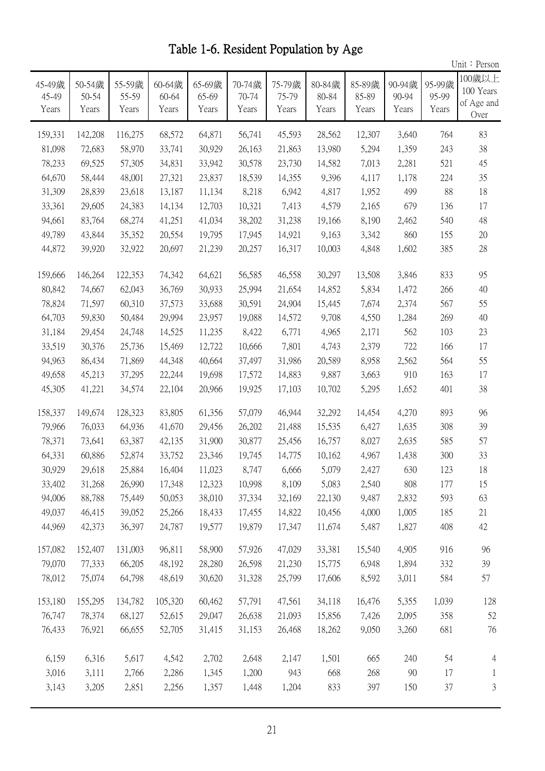Unit: Person 45-49歲 45-49 Years 50-54歲 50-54 Years 55-59歲 55-59 Years 60-64歲 60-64 Years 65-69歲 65-69 Years 70-74歲 70-74 Years 75-79歲 75-79 Years 80-84歲 80-84 Years 85-89歲 85-89 Years 90-94歲 90-94 Years 95-99歲 95-99 Years 100歲以上 100 Years of Age and Over 159,331 142,208 116,275 68,572 64,871 56,741 45,593 28,562 12,307 3,640 764 83 81,098 72,683 58,970 33,741 30,929 26,163 21,863 13,980 5,294 1,359 243 38 78,233 69,525 57,305 34,831 33,942 30,578 23,730 14,582 7,013 2,281 521 45 64,670 58,444 48,001 27,321 23,837 18,539 14,355 9,396 4,117 1,178 224 35 31,309 28,839 23,618 13,187 11,134 8,218 6,942 4,817 1,952 499 88 18 33,361 29,605 24,383 14,134 12,703 10,321 7,413 4,579 2,165 679 136 17 94,661 83,764 68,274 41,251 41,034 38,202 31,238 19,166 8,190 2,462 540 48 49,789 43,844 35,352 20,554 19,795 17,945 14,921 9,163 3,342 860 155 20 44,872 39,920 32,922 20,697 21,239 20,257 16,317 10,003 4,848 1,602 385 28 159,666 146,264 122,353 74,342 64,621 56,585 46,558 30,297 13,508 3,846 833 95 80,842 74,667 62,043 36,769 30,933 25,994 21,654 14,852 5,834 1,472 266 40 78,824 71,597 60,310 37,573 33,688 30,591 24,904 15,445 7,674 2,374 567 55 64,703 59,830 50,484 29,994 23,957 19,088 14,572 9,708 4,550 1,284 269 40 31,184 29,454 24,748 14,525 11,235 8,422 6,771 4,965 2,171 562 103 23 33,519 30,376 25,736 15,469 12,722 10,666 7,801 4,743 2,379 722 166 17 94,963 86,434 71,869 44,348 40,664 37,497 31,986 20,589 8,958 2,562 564 55 49,658 45,213 37,295 22,244 19,698 17,572 14,883 9,887 3,663 910 163 17 45,305 41,221 34,574 22,104 20,966 19,925 17,103 10,702 5,295 1,652 401 38 158,337 149,674 128,323 83,805 61,356 57,079 46,944 32,292 14,454 4,270 893 96 79,966 76,033 64,936 41,670 29,456 26,202 21,488 15,535 6,427 1,635 308 39 78,371 73,641 63,387 42,135 31,900 30,877 25,456 16,757 8,027 2,635 585 57 64,331 60,886 52,874 33,752 23,346 19,745 14,775 10,162 4,967 1,438 300 33 30,929 29,618 25,884 16,404 11,023 8,747 6,666 5,079 2,427 630 123 18 33,402 31,268 26,990 17,348 12,323 10,998 8,109 5,083 2,540 808 177 15 94,006 88,788 75,449 50,053 38,010 37,334 32,169 22,130 9,487 2,832 593 63 49,037 46,415 39,052 25,266 18,433 17,455 14,822 10,456 4,000 1,005 185 21 44,969 42,373 36,397 24,787 19,577 19,879 17,347 11,674 5,487 1,827 408 42 152,407 157,082 131,003 96,811 58,900 57,926 47,029 33,381 15,540 4,905 916 96 77,333 79,070 66,205 48,192 28,280 26,598 21,230 15,775 6,948 1,894 332 39 75,074 78,012 64,798 48,619 30,620 31,328 25,799 17,606 8,592 3,011 584 57 155,295 153,180 134,782 105,320 60,462 57,791 47,561 34,118 16,476 5,355 1,039 128 78,374 76,747 68,127 52,615 29,047 26,638 21,093 15,856 7,426 2,095 358 52 76,921 76,433 66,655 52,705 31,415 31,153 26,468 18,262 9,050 3,260 681 76 6,316 6,159 5,617 4,542 2,702 2,648 2,147 1,501 665 240 54 4 3,111 3,016 2,766 2,286 1,345 1,200 943 668 268 90 17 1 3,205 3,143 2,851 2,256 1,357 1,448 1,204 833 397 150 37 3

Table 1-6. Resident Population by Age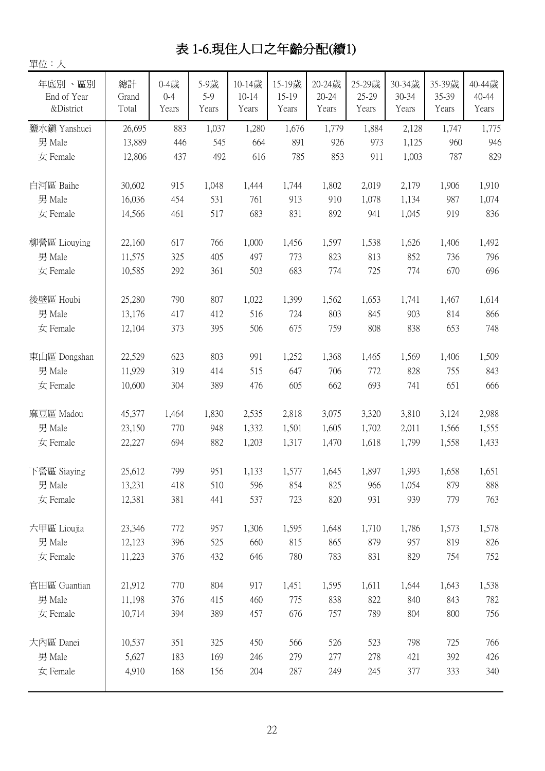## 表 1-6.現住人口之年齡分配(續1)

| 單位:人                               |                      |                          |                      |                              |                          |                              |                          |                          |                          |                          |
|------------------------------------|----------------------|--------------------------|----------------------|------------------------------|--------------------------|------------------------------|--------------------------|--------------------------|--------------------------|--------------------------|
| 年底別、區別<br>End of Year<br>&District | 總計<br>Grand<br>Total | 0-4歲<br>$0 - 4$<br>Years | 5-9歲<br>5-9<br>Years | 10-14歲<br>$10 - 14$<br>Years | 15-19歲<br>15-19<br>Years | 20-24歲<br>$20 - 24$<br>Years | 25-29歲<br>25-29<br>Years | 30-34歲<br>30-34<br>Years | 35-39歲<br>35-39<br>Years | 40-44歲<br>40-44<br>Years |
| 鹽水鎮 Yanshuei                       | 26,695               | 883                      | 1,037                | 1,280                        | 1,676                    | 1,779                        | 1,884                    | 2,128                    | 1,747                    | 1,775                    |
| 男 Male                             | 13,889               | 446                      | 545                  | 664                          | 891                      | 926                          | 973                      | 1,125                    | 960                      | 946                      |
| 女 Female                           | 12,806               | 437                      | 492                  | 616                          | 785                      | 853                          | 911                      | 1,003                    | 787                      | 829                      |
| 白河區 Baihe                          | 30,602               | 915                      | 1,048                | 1,444                        | 1,744                    | 1,802                        | 2,019                    | 2,179                    | 1,906                    | 1,910                    |
| 男 Male                             | 16,036               | 454                      | 531                  | 761                          | 913                      | 910                          | 1,078                    | 1,134                    | 987                      | 1,074                    |
| 女 Female                           | 14,566               | 461                      | 517                  | 683                          | 831                      | 892                          | 941                      | 1,045                    | 919                      | 836                      |
| 柳營區 Liouying                       | 22,160               | 617                      | 766                  | 1,000                        | 1,456                    | 1,597                        | 1,538                    | 1,626                    | 1,406                    | 1,492                    |
| 男 Male                             | 11,575               | 325                      | 405                  | 497                          | 773                      | 823                          | 813                      | 852                      | 736                      | 796                      |
| 女 Female                           | 10,585               | 292                      | 361                  | 503                          | 683                      | 774                          | 725                      | 774                      | 670                      | 696                      |
| 後壁區 Houbi                          | 25,280               | 790                      | 807                  | 1,022                        | 1,399                    | 1,562                        | 1,653                    | 1,741                    | 1,467                    | 1,614                    |
| 男 Male                             | 13,176               | 417                      | 412                  | 516                          | 724                      | 803                          | 845                      | 903                      | 814                      | 866                      |
| 女 Female                           | 12,104               | 373                      | 395                  | 506                          | 675                      | 759                          | 808                      | 838                      | 653                      | 748                      |
| 東山區 Dongshan                       | 22,529               | 623                      | 803                  | 991                          | 1,252                    | 1,368                        | 1,465                    | 1,569                    | 1,406                    | 1,509                    |
| 男 Male                             | 11,929               | 319                      | 414                  | 515                          | 647                      | 706                          | 772                      | 828                      | 755                      | 843                      |
| 女 Female                           | 10,600               | 304                      | 389                  | 476                          | 605                      | 662                          | 693                      | 741                      | 651                      | 666                      |
| 麻豆區 Madou                          | 45,377               | 1,464                    | 1,830                | 2,535                        | 2,818                    | 3,075                        | 3,320                    | 3,810                    | 3,124                    | 2,988                    |
| 男 Male                             | 23,150               | 770                      | 948                  | 1,332                        | 1,501                    | 1,605                        | 1,702                    | 2,011                    | 1,566                    | 1,555                    |
| 女 Female                           | 22,227               | 694                      | 882                  | 1,203                        | 1,317                    | 1,470                        | 1,618                    | 1,799                    | 1,558                    | 1,433                    |
| 下營區 Siaying                        | 25,612               | 799                      | 951                  | 1,133                        | 1,577                    | 1,645                        | 1,897                    | 1,993                    | 1,658                    | 1,651                    |
| 男 Male                             | 13,231               | 418                      | 510                  | 596                          | 854                      | 825                          | 966                      | 1,054                    | 879                      | 888                      |
| 女 Female                           | 12,381               | 381                      | 441                  | 537                          | 723                      | 820                          | 931                      | 939                      | 779                      | 763                      |
| 六甲區 Lioujia                        | 23,346               | 772                      | 957                  | 1,306                        | 1,595                    | 1,648                        | 1,710                    | 1,786                    | 1,573                    | 1,578                    |
| 男 Male                             | 12,123               | 396                      | 525                  | 660                          | 815                      | 865                          | 879                      | 957                      | 819                      | 826                      |
| 女 Female                           | 11,223               | 376                      | 432                  | 646                          | 780                      | 783                          | 831                      | 829                      | 754                      | 752                      |
| 官田區 Guantian                       | 21,912               | 770                      | 804                  | 917                          | 1,451                    | 1,595                        | 1,611                    | 1,644                    | 1,643                    | 1,538                    |
| 男 Male                             | 11,198               | 376                      | 415                  | 460                          | 775                      | 838                          | 822                      | 840                      | 843                      | 782                      |
| 女 Female                           | 10,714               | 394                      | 389                  | 457                          | 676                      | 757                          | 789                      | 804                      | 800                      | 756                      |
| 大內區 Danei                          | 10,537               | 351                      | 325                  | 450                          | 566                      | 526                          | 523                      | 798                      | 725                      | 766                      |
| 男 Male                             | 5,627                | 183                      | 169                  | 246                          | 279                      | 277                          | 278                      | 421                      | 392                      | 426                      |
| 女 Female                           | 4,910                | 168                      | 156                  | 204                          | 287                      | 249                          | 245                      | 377                      | 333                      | 340                      |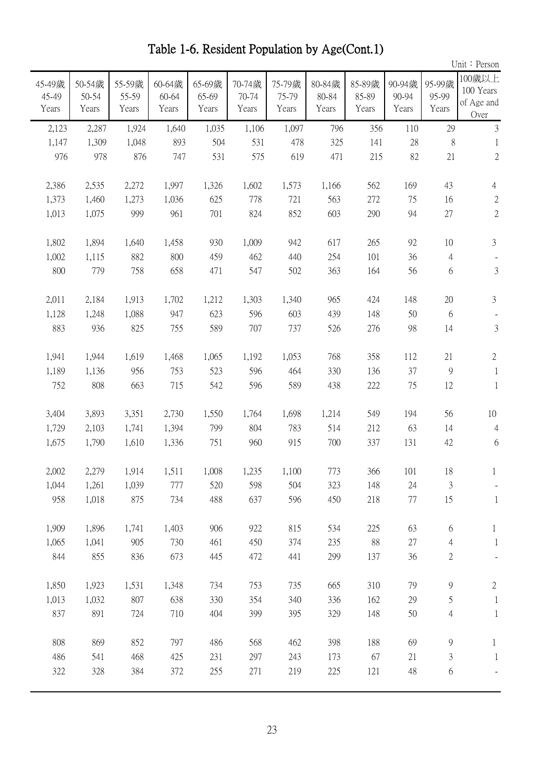|                          |                          |                          |                          |                          |                          |                          |                          |                          |                          |                          | Unit: Person                              |
|--------------------------|--------------------------|--------------------------|--------------------------|--------------------------|--------------------------|--------------------------|--------------------------|--------------------------|--------------------------|--------------------------|-------------------------------------------|
| 45-49歲<br>45-49<br>Years | 50-54歲<br>50-54<br>Years | 55-59歲<br>55-59<br>Years | 60-64歲<br>60-64<br>Years | 65-69歲<br>65-69<br>Years | 70-74歲<br>70-74<br>Years | 75-79歲<br>75-79<br>Years | 80-84歲<br>80-84<br>Years | 85-89歲<br>85-89<br>Years | 90-94歲<br>90-94<br>Years | 95-99歲<br>95-99<br>Years | 100歲以上<br>100 Years<br>of Age and<br>Over |
| 2,123                    | 2,287                    | 1,924                    | 1,640                    | 1,035                    | 1,106                    | 1,097                    | 796                      | 356                      | 110                      | 29                       | $\mathfrak{Z}$                            |
| 1,147                    | 1,309                    | 1,048                    | 893                      | 504                      | 531                      | 478                      | 325                      | 141                      | 28                       | 8                        | 1                                         |
| 976                      | 978                      | 876                      | 747                      | 531                      | 575                      | 619                      | 471                      | 215                      | 82                       | 21                       | $\sqrt{2}$                                |
| 2,386                    | 2,535                    | 2,272                    | 1,997                    | 1,326                    | 1,602                    | 1,573                    | 1,166                    | 562                      | 169                      | 43                       | $\overline{4}$                            |
| 1,373                    | 1,460                    | 1,273                    | 1,036                    | 625                      | 778                      | 721                      | 563                      | 272                      | 75                       | 16                       | $\mathbf{2}$                              |
| 1,013                    | 1,075                    | 999                      | 961                      | 701                      | 824                      | 852                      | 603                      | 290                      | 94                       | 27                       | $\sqrt{2}$                                |
| 1,802                    | 1,894                    | 1,640                    | 1,458                    | 930                      | 1,009                    | 942                      | 617                      | 265                      | 92                       | 10                       | $\mathfrak{Z}$                            |
| 1,002                    | 1,115                    | 882                      | 800                      | 459                      | 462                      | 440                      | 254                      | 101                      | 36                       | 4                        |                                           |
| 800                      | 779                      | 758                      | 658                      | 471                      | 547                      | 502                      | 363                      | 164                      | 56                       | 6                        | 3                                         |
| 2,011                    | 2,184                    | 1,913                    | 1,702                    | 1,212                    | 1,303                    | 1,340                    | 965                      | 424                      | 148                      | 20                       | $\mathfrak{Z}$                            |
| 1,128                    | 1,248                    | 1,088                    | 947                      | 623                      | 596                      | 603                      | 439                      | 148                      | 50                       | 6                        |                                           |
| 883                      | 936                      | 825                      | 755                      | 589                      | 707                      | 737                      | 526                      | 276                      | 98                       | 14                       | $\sqrt{3}$                                |
| 1,941                    | 1,944                    | 1,619                    | 1,468                    | 1,065                    | 1,192                    | 1,053                    | 768                      | 358                      | 112                      | 21                       | $2\,$                                     |
| 1,189                    | 1,136                    | 956                      | 753                      | 523                      | 596                      | 464                      | 330                      | 136                      | 37                       | $\overline{9}$           | 1                                         |
| 752                      | 808                      | 663                      | 715                      | 542                      | 596                      | 589                      | 438                      | 222                      | 75                       | 12                       | $\mathbf{1}$                              |
| 3,404                    | 3,893                    | 3,351                    | 2,730                    | 1,550                    | 1,764                    | 1,698                    | 1,214                    | 549                      | 194                      | 56                       | 10                                        |
| 1,729                    | 2,103                    | 1,741                    | 1,394                    | 799                      | 804                      | 783                      | 514                      | 212                      | 63                       | 14                       | $\overline{4}$                            |
| 1,675                    | 1,790                    | 1,610                    | 1,336                    | 751                      | 960                      | 915                      | 700                      | 337                      | 131                      | 42                       | 6                                         |
| 2,002                    | 2,279                    | 1,914                    | 1,511                    | 1,008                    | 1,235                    | 1,100                    | 773                      | 366                      | 101                      | 18                       |                                           |
| 1,044                    | 1,261                    | 1,039                    | 777                      | 520                      | 598                      | 504                      | 323                      | 148                      | 24                       | $\mathfrak{Z}$           |                                           |
| 958                      | 1,018                    | 875                      | 734                      | 488                      | 637                      | 596                      | 450                      | 218                      | 77                       | 15                       | $\mathbf{1}$                              |
| 1,909                    | 1,896                    | 1,741                    | 1,403                    | 906                      | 922                      | 815                      | 534                      | 225                      | 63                       | 6                        | $\mathbf{1}$                              |
| 1,065                    | 1,041                    | 905                      | 730                      | 461                      | 450                      | 374                      | 235                      | 88                       | 27                       | $\overline{4}$           | $\mathbf{1}$                              |
| 844                      | 855                      | 836                      | 673                      | 445                      | 472                      | 441                      | 299                      | 137                      | 36                       | $\overline{c}$           |                                           |
| 1,850                    | 1,923                    | 1,531                    | 1,348                    | 734                      | 753                      | 735                      | 665                      | 310                      | 79                       | 9                        | $\mathbf{2}$                              |
| 1,013                    | 1,032                    | 807                      | 638                      | 330                      | 354                      | 340                      | 336                      | 162                      | 29                       | 5                        | $\mathbf{1}$                              |
| 837                      | 891                      | 724                      | 710                      | 404                      | 399                      | 395                      | 329                      | 148                      | 50                       | $\overline{4}$           | $\mathbf{1}$                              |
| 808                      | 869                      | 852                      | 797                      | 486                      | 568                      | 462                      | 398                      | 188                      | 69                       | 9                        | $\mathbf{1}$                              |
| 486                      | 541                      | 468                      | 425                      | 231                      | 297                      | 243                      | 173                      | 67                       | 21                       | 3                        | $\mathbf{1}$                              |
| 322                      | 328                      | 384                      | 372                      | 255                      | 271                      | 219                      | 225                      | 121                      | 48                       | $6\,$                    |                                           |

Table 1-6. Resident Population by Age(Cont.1)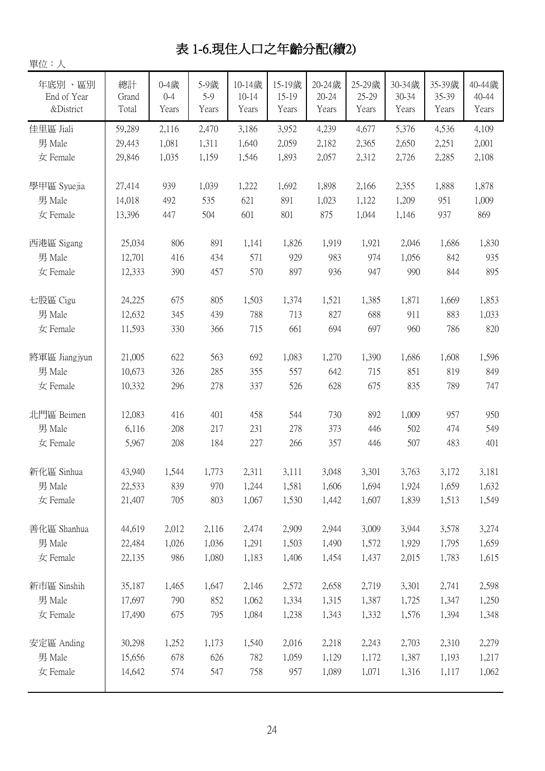## 表 1-6.現住人口之年齡分配(續2)

| 單位:人                               |                      |                          |                        |                              |                          |                              |                          |                          |                          |                          |
|------------------------------------|----------------------|--------------------------|------------------------|------------------------------|--------------------------|------------------------------|--------------------------|--------------------------|--------------------------|--------------------------|
| 年底別、區別<br>End of Year<br>&District | 總計<br>Grand<br>Total | 0-4歲<br>$0 - 4$<br>Years | 5-9歲<br>$5-9$<br>Years | 10-14歲<br>$10 - 14$<br>Years | 15-19歲<br>15-19<br>Years | 20-24歳<br>$20 - 24$<br>Years | 25-29歲<br>25-29<br>Years | 30-34歲<br>30-34<br>Years | 35-39歲<br>35-39<br>Years | 40-44歲<br>40-44<br>Years |
| 佳里區 Jiali                          | 59,289               | 2,116                    | 2,470                  | 3,186                        | 3,952                    | 4,239                        | 4,677                    | 5,376                    | 4,536                    | 4,109                    |
| 男 Male                             | 29,443               | 1,081                    | 1,311                  | 1,640                        | 2,059                    | 2,182                        | 2,365                    | 2,650                    | 2,251                    | 2,001                    |
| 女 Female                           | 29,846               | 1,035                    | 1,159                  | 1,546                        | 1,893                    | 2,057                        | 2,312                    | 2,726                    | 2,285                    | 2,108                    |
| 學甲區 Syuejia                        | 27,414               | 939                      | 1,039                  | 1,222                        | 1,692                    | 1,898                        | 2,166                    | 2,355                    | 1,888                    | 1,878                    |
| 男 Male                             | 14,018               | 492                      | 535                    | 621                          | 891                      | 1,023                        | 1,122                    | 1,209                    | 951                      | 1,009                    |
| 女 Female                           | 13,396               | 447                      | 504                    | 601                          | 801                      | 875                          | 1,044                    | 1,146                    | 937                      | 869                      |
| 西港區 Sigang                         | 25,034               | 806                      | 891                    | 1,141                        | 1,826                    | 1,919                        | 1,921                    | 2,046                    | 1,686                    | 1,830                    |
| 男 Male                             | 12,701               | 416                      | 434                    | 571                          | 929                      | 983                          | 974                      | 1,056                    | 842                      | 935                      |
| 女 Female                           | 12,333               | 390                      | 457                    | 570                          | 897                      | 936                          | 947                      | 990                      | 844                      | 895                      |
| 七股區 Cigu                           | 24,225               | 675                      | 805                    | 1,503                        | 1,374                    | 1,521                        | 1,385                    | 1,871                    | 1,669                    | 1,853                    |
| 男 Male                             | 12,632               | 345                      | 439                    | 788                          | 713                      | 827                          | 688                      | 911                      | 883                      | 1,033                    |
| 女 Female                           | 11,593               | 330                      | 366                    | 715                          | 661                      | 694                          | 697                      | 960                      | 786                      | 820                      |
| 將軍區 Jiangjyun                      | 21,005               | 622                      | 563                    | 692                          | 1,083                    | 1,270                        | 1,390                    | 1,686                    | 1,608                    | 1,596                    |
| 男 Male                             | 10,673               | 326                      | 285                    | 355                          | 557                      | 642                          | 715                      | 851                      | 819                      | 849                      |
| 女 Female                           | 10,332               | 296                      | 278                    | 337                          | 526                      | 628                          | 675                      | 835                      | 789                      | 747                      |
| 北門區 Beimen                         | 12,083               | 416                      | 401                    | 458                          | 544                      | 730                          | 892                      | 1,009                    | 957                      | 950                      |
| 男 Male                             | 6,116                | 208                      | 217                    | 231                          | 278                      | 373                          | 446                      | 502                      | 474                      | 549                      |
| 女 Female                           | 5,967                | 208                      | 184                    | 227                          | 266                      | 357                          | 446                      | 507                      | 483                      | 401                      |
| 新化區 Sinhua                         | 43,940               | 1,544                    | 1,773                  | 2,311                        | 3,111                    | 3,048                        | 3,301                    | 3,763                    | 3,172                    | 3,181                    |
| 男 Male                             | 22,533               | 839                      | 970                    | 1,244                        | 1,581                    | 1,606                        | 1,694                    | 1,924                    | 1,659                    | 1,632                    |
| 女 Female                           | 21,407               | 705                      | 803                    | 1,067                        | 1,530                    | 1,442                        | 1,607                    | 1,839                    | 1,513                    | 1,549                    |
| 善化區 Shanhua                        | 44,619               | 2,012                    | 2,116                  | 2,474                        | 2,909                    | 2,944                        | 3,009                    | 3,944                    | 3,578                    | 3,274                    |
| 男 Male                             | 22,484               | 1,026                    | 1,036                  | 1,291                        | 1,503                    | 1,490                        | 1,572                    | 1,929                    | 1,795                    | 1,659                    |
| 女 Female                           | 22,135               | 986                      | 1,080                  | 1,183                        | 1,406                    | 1,454                        | 1,437                    | 2,015                    | 1,783                    | 1,615                    |
| 新市區 Sinshih                        | 35,187               | 1,465                    | 1,647                  | 2,146                        | 2,572                    | 2,658                        | 2,719                    | 3,301                    | 2,741                    | 2,598                    |
| 男 Male                             | 17,697               | 790                      | 852                    | 1,062                        | 1,334                    | 1,315                        | 1,387                    | 1,725                    | 1,347                    | 1,250                    |
| 女 Female                           | 17,490               | 675                      | 795                    | 1,084                        | 1,238                    | 1,343                        | 1,332                    | 1,576                    | 1,394                    | 1,348                    |
| 安定區 Anding                         | 30,298               | 1,252                    | 1,173                  | 1,540                        | 2,016                    | 2,218                        | 2,243                    | 2,703                    | 2,310                    | 2,279                    |
| 男 Male                             | 15,656               | 678                      | 626                    | 782                          | 1,059                    | 1,129                        | 1,172                    | 1,387                    | 1,193                    | 1,217                    |
| 女 Female                           | 14,642               | 574                      | 547                    | 758                          | 957                      | 1,089                        | 1,071                    | 1,316                    | 1,117                    | 1,062                    |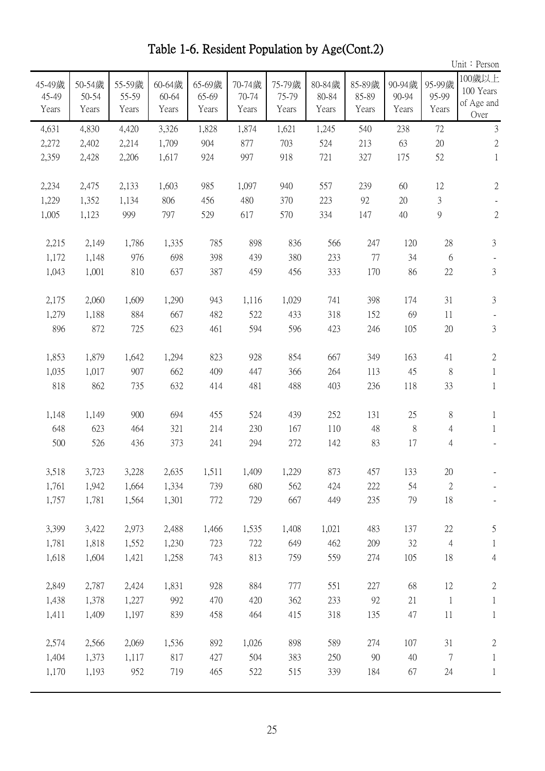|                          |                          |                          |                          |                          |                          |                          |                          |                          |                          |                          | Unit: Person                              |
|--------------------------|--------------------------|--------------------------|--------------------------|--------------------------|--------------------------|--------------------------|--------------------------|--------------------------|--------------------------|--------------------------|-------------------------------------------|
| 45-49歲<br>45-49<br>Years | 50-54歲<br>50-54<br>Years | 55-59歲<br>55-59<br>Years | 60-64歲<br>60-64<br>Years | 65-69歲<br>65-69<br>Years | 70-74歲<br>70-74<br>Years | 75-79歲<br>75-79<br>Years | 80-84歲<br>80-84<br>Years | 85-89歲<br>85-89<br>Years | 90-94歲<br>90-94<br>Years | 95-99歲<br>95-99<br>Years | 100歲以上<br>100 Years<br>of Age and<br>Over |
| 4,631                    | 4,830                    | 4,420                    | 3,326                    | 1,828                    | 1,874                    | 1,621                    | 1,245                    | 540                      | 238                      | 72                       | $\mathfrak{Z}$                            |
| 2,272                    | 2,402                    | 2,214                    | 1,709                    | 904                      | 877                      | 703                      | 524                      | 213                      | 63                       | $20\,$                   | $\sqrt{2}$                                |
| 2,359                    | 2,428                    | 2,206                    | 1,617                    | 924                      | 997                      | 918                      | 721                      | 327                      | 175                      | 52                       | $\mathbf{1}$                              |
| 2,234                    | 2,475                    | 2,133                    | 1,603                    | 985                      | 1,097                    | 940                      | 557                      | 239                      | 60                       | 12                       | $\sqrt{2}$                                |
| 1,229                    | 1,352                    | 1,134                    | 806                      | 456                      | 480                      | 370                      | 223                      | 92                       | 20                       | 3                        |                                           |
| 1,005                    | 1,123                    | 999                      | 797                      | 529                      | 617                      | 570                      | 334                      | 147                      | 40                       | 9                        | $\overline{2}$                            |
| 2,215                    | 2,149                    | 1,786                    | 1,335                    | 785                      | 898                      | 836                      | 566                      | 247                      | 120                      | 28                       | $\mathfrak{Z}$                            |
| 1,172                    | 1,148                    | 976                      | 698                      | 398                      | 439                      | 380                      | 233                      | 77                       | 34                       | 6                        |                                           |
| 1,043                    | 1,001                    | 810                      | 637                      | 387                      | 459                      | 456                      | 333                      | 170                      | 86                       | 22                       | $\mathfrak{Z}$                            |
| 2,175                    | 2,060                    | 1,609                    | 1,290                    | 943                      | 1,116                    | 1,029                    | 741                      | 398                      | 174                      | 31                       | 3                                         |
| 1,279                    | 1,188                    | 884                      | 667                      | 482                      | 522                      | 433                      | 318                      | 152                      | 69                       | 11                       |                                           |
| 896                      | 872                      | 725                      | 623                      | 461                      | 594                      | 596                      | 423                      | 246                      | 105                      | 20                       | $\mathfrak{Z}$                            |
| 1,853                    | 1,879                    | 1,642                    | 1,294                    | 823                      | 928                      | 854                      | 667                      | 349                      | 163                      | 41                       | $\mathbf{2}$                              |
| 1,035                    | 1,017                    | 907                      | 662                      | 409                      | 447                      | 366                      | 264                      | 113                      | 45                       | 8                        | $\mathbf{1}$                              |
| 818                      | 862                      | 735                      | 632                      | 414                      | 481                      | 488                      | 403                      | 236                      | 118                      | 33                       | $\mathbf{1}$                              |
| 1,148                    | 1,149                    | 900                      | 694                      | 455                      | 524                      | 439                      | 252                      | 131                      | 25                       | 8                        | 1                                         |
| 648                      | 623                      | 464                      | 321                      | 214                      | 230                      | 167                      | 110                      | 48                       | $8\,$                    | $\overline{4}$           | $\mathbf{1}$                              |
| 500                      | 526                      | 436                      | 373                      | 241                      | 294                      | 272                      | 142                      | 83                       | 17                       | $\overline{4}$           |                                           |
| 3,518                    | 3,723                    | 3,228                    | 2,635                    | 1,511                    | 1,409                    | 1,229                    | 873                      | 457                      | 133                      | 20                       |                                           |
| 1,761                    | 1,942                    | 1,664                    | 1,334                    | 739                      | 680                      | 562                      | 424                      | 222                      | 54                       | $\mathbf{2}$             |                                           |
| 1,757                    | 1,781                    | 1,564                    | 1,301                    | 772                      | 729                      | 667                      | 449                      | 235                      | 79                       | 18                       |                                           |
| 3,399                    | 3,422                    | 2,973                    | 2,488                    | 1,466                    | 1,535                    | 1,408                    | 1,021                    | 483                      | 137                      | 22                       | 5                                         |
| 1,781                    | 1,818                    | 1,552                    | 1,230                    | 723                      | 722                      | 649                      | 462                      | 209                      | 32                       | $\overline{4}$           | $\mathbf{1}$                              |
| 1,618                    | 1,604                    | 1,421                    | 1,258                    | 743                      | 813                      | 759                      | 559                      | 274                      | 105                      | 18                       | $\overline{4}$                            |
| 2,849                    | 2,787                    | 2,424                    | 1,831                    | 928                      | 884                      | 777                      | 551                      | 227                      | 68                       | 12                       | $\mathbf{2}$                              |
| 1,438                    | 1,378                    | 1,227                    | 992                      | 470                      | 420                      | 362                      | 233                      | 92                       | 21                       | $\mathbf{1}$             | $\mathbf{1}$                              |
| 1,411                    | 1,409                    | 1,197                    | 839                      | 458                      | 464                      | 415                      | 318                      | 135                      | 47                       | 11                       | $\mathbf{1}$                              |
| 2,574                    | 2,566                    | 2,069                    | 1,536                    | 892                      | 1,026                    | 898                      | 589                      | 274                      | 107                      | 31                       | $\mathbf{2}$                              |
| 1,404                    | 1,373                    | 1,117                    | 817                      | 427                      | 504                      | 383                      | 250                      | 90                       | 40                       | 7                        | $\mathbf{1}$                              |
| 1,170                    | 1,193                    | 952                      | 719                      | 465                      | 522                      | 515                      | 339                      | 184                      | 67                       | 24                       | $\mathbf{1}$                              |
|                          |                          |                          |                          |                          |                          |                          |                          |                          |                          |                          |                                           |

Table 1-6. Resident Population by Age(Cont.2)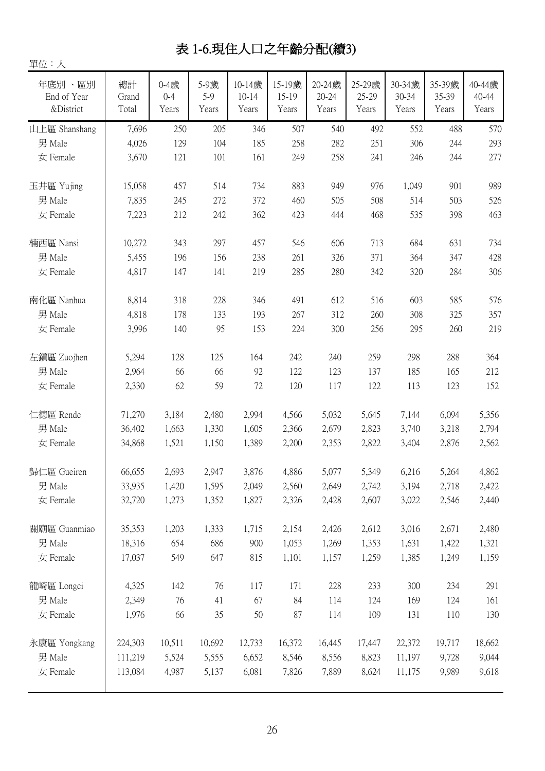## 表 1-6.現住人口之年齡分配(續3)

| 單位:人                               |                      |                          |                      |                              |                          |                              |                          |                          |                          |                          |
|------------------------------------|----------------------|--------------------------|----------------------|------------------------------|--------------------------|------------------------------|--------------------------|--------------------------|--------------------------|--------------------------|
| 年底別、區別<br>End of Year<br>&District | 總計<br>Grand<br>Total | 0-4歲<br>$0 - 4$<br>Years | 5-9歲<br>5-9<br>Years | 10-14歲<br>$10 - 14$<br>Years | 15-19歲<br>15-19<br>Years | 20-24歲<br>$20 - 24$<br>Years | 25-29歲<br>25-29<br>Years | 30-34歲<br>30-34<br>Years | 35-39歲<br>35-39<br>Years | 40-44歲<br>40-44<br>Years |
| 山上區 Shanshang                      | 7,696                | 250                      | 205                  | 346                          | 507                      | 540                          | 492                      | 552                      | 488                      | 570                      |
| 男 Male                             | 4,026                | 129                      | 104                  | 185                          | 258                      | 282                          | 251                      | 306                      | 244                      | 293                      |
| 女 Female                           | 3,670                | 121                      | 101                  | 161                          | 249                      | 258                          | 241                      | 246                      | 244                      | 277                      |
| 玉井區 Yujing                         | 15,058               | 457                      | 514                  | 734                          | 883                      | 949                          | 976                      | 1,049                    | 901                      | 989                      |
| 男 Male                             | 7,835                | 245                      | 272                  | 372                          | 460                      | 505                          | 508                      | 514                      | 503                      | 526                      |
| 女 Female                           | 7,223                | 212                      | 242                  | 362                          | 423                      | 444                          | 468                      | 535                      | 398                      | 463                      |
| 楠西區 Nansi                          | 10,272               | 343                      | 297                  | 457                          | 546                      | 606                          | 713                      | 684                      | 631                      | 734                      |
| 男 Male                             | 5,455                | 196                      | 156                  | 238                          | 261                      | 326                          | 371                      | 364                      | 347                      | 428                      |
| 女 Female                           | 4,817                | 147                      | 141                  | 219                          | 285                      | 280                          | 342                      | 320                      | 284                      | 306                      |
| 南化區 Nanhua                         | 8,814                | 318                      | 228                  | 346                          | 491                      | 612                          | 516                      | 603                      | 585                      | 576                      |
| 男 Male                             | 4,818                | 178                      | 133                  | 193                          | 267                      | 312                          | 260                      | 308                      | 325                      | 357                      |
| 女 Female                           | 3,996                | 140                      | 95                   | 153                          | 224                      | 300                          | 256                      | 295                      | 260                      | 219                      |
| 左鎮區 Zuojhen                        | 5,294                | 128                      | 125                  | 164                          | 242                      | 240                          | 259                      | 298                      | 288                      | 364                      |
| 男 Male                             | 2,964                | 66                       | 66                   | 92                           | 122                      | 123                          | 137                      | 185                      | 165                      | 212                      |
| 女 Female                           | 2,330                | 62                       | 59                   | 72                           | 120                      | 117                          | 122                      | 113                      | 123                      | 152                      |
| 仁德區 Rende                          | 71,270               | 3,184                    | 2,480                | 2,994                        | 4,566                    | 5,032                        | 5,645                    | 7,144                    | 6,094                    | 5,356                    |
| 男 Male                             | 36,402               | 1,663                    | 1,330                | 1,605                        | 2,366                    | 2,679                        | 2,823                    | 3,740                    | 3,218                    | 2,794                    |
| 女 Female                           | 34,868               | 1,521                    | 1,150                | 1,389                        | 2,200                    | 2,353                        | 2,822                    | 3,404                    | 2,876                    | 2,562                    |
| 歸仁區 Gueiren                        | 66,655               | 2,693                    | 2,947                | 3,876                        | 4,886                    | 5,077                        | 5,349                    | 6,216                    | 5,264                    | 4,862                    |
| 男 Male                             | 33,935               | 1,420                    | 1,595                | 2,049                        | 2,560                    | 2,649                        | 2,742                    | 3,194                    | 2,718                    | 2,422                    |
| 女 Female                           | 32,720               | 1,273                    | 1,352                | 1,827                        | 2,326                    | 2,428                        | 2,607                    | 3,022                    | 2,546                    | 2,440                    |
| 關廟區 Guanmiao                       | 35,353               | 1,203                    | 1,333                | 1,715                        | 2,154                    | 2,426                        | 2,612                    | 3,016                    | 2,671                    | 2,480                    |
| 男 Male                             | 18,316               | 654                      | 686                  | 900                          | 1,053                    | 1,269                        | 1,353                    | 1,631                    | 1,422                    | 1,321                    |
| 女 Female                           | 17,037               | 549                      | 647                  | 815                          | 1,101                    | 1,157                        | 1,259                    | 1,385                    | 1,249                    | 1,159                    |
| 龍崎區 Longci                         | 4,325                | 142                      | 76                   | 117                          | 171                      | 228                          | 233                      | 300                      | 234                      | 291                      |
| 男 Male                             | 2,349                | 76                       | 41                   | 67                           | 84                       | 114                          | 124                      | 169                      | 124                      | 161                      |
| 女 Female                           | 1,976                | 66                       | 35                   | 50                           | 87                       | 114                          | 109                      | 131                      | 110                      | 130                      |
| 永康區 Yongkang                       | 224,303              | 10,511                   | 10,692               | 12,733                       | 16,372                   | 16,445                       | 17,447                   | 22,372                   | 19,717                   | 18,662                   |
| 男 Male                             | 111,219              | 5,524                    | 5,555                | 6,652                        | 8,546                    | 8,556                        | 8,823                    | 11,197                   | 9,728                    | 9,044                    |
| 女 Female                           | 113,084              | 4,987                    | 5,137                | 6,081                        | 7,826                    | 7,889                        | 8,624                    | 11,175                   | 9,989                    | 9,618                    |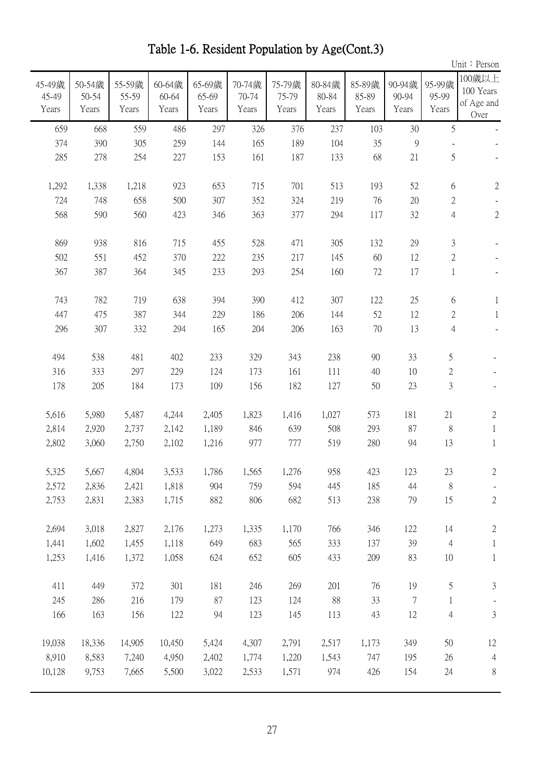|                          |                          |                          |                          |                          |                          |                          |                          |                          |                          |                          | Unit: Person                              |
|--------------------------|--------------------------|--------------------------|--------------------------|--------------------------|--------------------------|--------------------------|--------------------------|--------------------------|--------------------------|--------------------------|-------------------------------------------|
| 45-49歲<br>45-49<br>Years | 50-54歲<br>50-54<br>Years | 55-59歲<br>55-59<br>Years | 60-64歲<br>60-64<br>Years | 65-69歲<br>65-69<br>Years | 70-74歲<br>70-74<br>Years | 75-79歲<br>75-79<br>Years | 80-84歲<br>80-84<br>Years | 85-89歲<br>85-89<br>Years | 90-94歲<br>90-94<br>Years | 95-99歲<br>95-99<br>Years | 100歲以上<br>100 Years<br>of Age and<br>Over |
| 659                      | 668                      | 559                      | 486                      | 297                      | 326                      | 376                      | 237                      | 103                      | 30                       | 5                        |                                           |
| 374                      | 390                      | 305                      | 259                      | 144                      | 165                      | 189                      | 104                      | 35                       | $\mathcal{G}$            |                          |                                           |
| 285                      | 278                      | 254                      | 227                      | 153                      | 161                      | 187                      | 133                      | 68                       | 21                       | 5                        |                                           |
| 1,292                    | 1,338                    | 1,218                    | 923                      | 653                      | 715                      | 701                      | 513                      | 193                      | 52                       | 6                        | $\sqrt{2}$                                |
| 724                      | 748                      | 658                      | 500                      | 307                      | 352                      | 324                      | 219                      | 76                       | 20                       | 2                        |                                           |
| 568                      | 590                      | 560                      | 423                      | 346                      | 363                      | 377                      | 294                      | 117                      | 32                       | $\overline{4}$           | $\sqrt{2}$                                |
| 869                      | 938                      | 816                      | 715                      | 455                      | 528                      | 471                      | 305                      | 132                      | 29                       | 3                        |                                           |
| 502                      | 551                      | 452                      | 370                      | 222                      | 235                      | 217                      | 145                      | 60                       | 12                       | 2                        |                                           |
| 367                      | 387                      | 364                      | 345                      | 233                      | 293                      | 254                      | 160                      | 72                       | 17                       | $\mathbf{1}$             |                                           |
| 743                      | 782                      | 719                      | 638                      | 394                      | 390                      | 412                      | 307                      | 122                      | 25                       | 6                        | 1                                         |
| 447                      | 475                      | 387                      | 344                      | 229                      | 186                      | 206                      | 144                      | 52                       | 12                       | $\overline{2}$           | $\mathbf{1}$                              |
| 296                      | 307                      | 332                      | 294                      | 165                      | 204                      | 206                      | 163                      | 70                       | 13                       | 4                        |                                           |
| 494                      | 538                      | 481                      | 402                      | 233                      | 329                      | 343                      | 238                      | 90                       | 33                       | 5                        |                                           |
| 316                      | 333                      | 297                      | 229                      | 124                      | 173                      | 161                      | 111                      | 40                       | 10                       | $\overline{c}$           |                                           |
| 178                      | 205                      | 184                      | 173                      | 109                      | 156                      | 182                      | 127                      | 50                       | 23                       | $\mathfrak{Z}$           |                                           |
| 5,616                    | 5,980                    | 5,487                    | 4,244                    | 2,405                    | 1,823                    | 1,416                    | 1,027                    | 573                      | 181                      | 21                       | $\mathbf{2}$                              |
| 2,814                    | 2,920                    | 2,737                    | 2,142                    | 1,189                    | 846                      | 639                      | 508                      | 293                      | 87                       | 8                        | $\mathbf{1}$                              |
| 2,802                    | 3,060                    | 2,750                    | 2,102                    | 1,216                    | 977                      | 777                      | 519                      | 280                      | 94                       | 13                       | $\mathbf{1}$                              |
| 5,325                    | 5,667                    | 4,804                    | 3,533                    | 1,786                    | 1,565                    | 1,276                    | 958                      | 423                      | 123                      | 23                       | 2                                         |
| 2,572                    | 2,836                    | 2,421                    | 1,818                    | 904                      | 759                      | 594                      | 445                      | 185                      | 44                       | 8                        |                                           |
| 2,753                    | 2,831                    | 2,383                    | 1,715                    | 882                      | 806                      | 682                      | 513                      | 238                      | 79                       | 15                       | $\mathbf{2}$                              |
| 2,694                    | 3,018                    | 2,827                    | 2,176                    | 1,273                    | 1,335                    | 1,170                    | 766                      | 346                      | 122                      | 14                       | $\mathbf{2}$                              |
| 1,441                    | 1,602                    | 1,455                    | 1,118                    | 649                      | 683                      | 565                      | 333                      | 137                      | 39                       | $\overline{4}$           | $\mathbf{1}$                              |
| 1,253                    | 1,416                    | 1,372                    | 1,058                    | 624                      | 652                      | 605                      | 433                      | 209                      | 83                       | 10                       | $\mathbf{1}$                              |
| 411                      | 449                      | 372                      | 301                      | 181                      | 246                      | 269                      | 201                      | 76                       | 19                       | 5                        | $\mathfrak{Z}$                            |
| 245                      | 286                      | 216                      | 179                      | 87                       | 123                      | 124                      | 88                       | 33                       | $\tau$                   | $\mathbf{1}$             |                                           |
| 166                      | 163                      | 156                      | 122                      | 94                       | 123                      | 145                      | 113                      | 43                       | 12                       | $\overline{4}$           | $\mathfrak{Z}$                            |
| 19,038                   | 18,336                   | 14,905                   | 10,450                   | 5,424                    | 4,307                    | 2,791                    | 2,517                    | 1,173                    | 349                      | 50                       | 12                                        |
| 8,910                    | 8,583                    | 7,240                    | 4,950                    | 2,402                    | 1,774                    | 1,220                    | 1,543                    | 747                      | 195                      | 26                       | $\overline{4}$                            |
| 10,128                   | 9,753                    | 7,665                    | 5,500                    | 3,022                    | 2,533                    | 1,571                    | 974                      | 426                      | 154                      | 24                       | $8\,$                                     |
|                          |                          |                          |                          |                          |                          |                          |                          |                          |                          |                          |                                           |

Table 1-6. Resident Population by Age(Cont.3)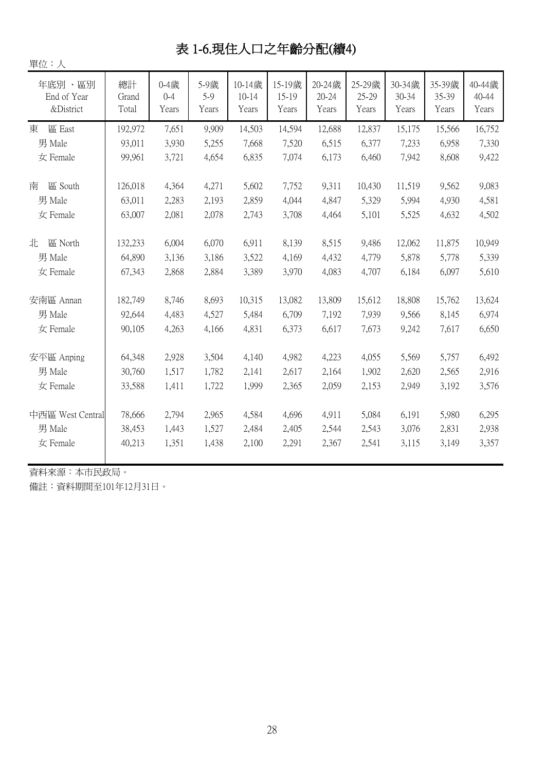## 表 1-6.現住人口之年齡分配(續4)

| 單位:人                                   |                             |                               |                         |                              |                          |                              |                          |                          |                          |                          |
|----------------------------------------|-----------------------------|-------------------------------|-------------------------|------------------------------|--------------------------|------------------------------|--------------------------|--------------------------|--------------------------|--------------------------|
| 年底別、區別<br>End of Year<br>&District     | 總計<br>Grand<br>Total        | $0 - 4$ 歲<br>$0 - 4$<br>Years | 5-9歲<br>5-9<br>Years    | 10-14歲<br>$10 - 14$<br>Years | 15-19歲<br>15-19<br>Years | 20-24歲<br>$20 - 24$<br>Years | 25-29歲<br>25-29<br>Years | 30-34歳<br>30-34<br>Years | 35-39歲<br>35-39<br>Years | 40-44歲<br>40-44<br>Years |
| 區 East<br>東                            | 192,972                     | 7,651                         | 9,909                   | 14,503                       | 14,594                   | 12,688                       | 12,837                   | 15,175                   | 15,566                   | 16,752                   |
| 男 Male                                 | 93,011                      | 3,930                         | 5,255                   | 7,668                        | 7,520                    | 6,515                        | 6,377                    | 7,233                    | 6,958                    | 7,330                    |
| 女 Female                               | 99,961                      | 3,721                         | 4,654                   | 6,835                        | 7,074                    | 6,173                        | 6,460                    | 7,942                    | 8,608                    | 9,422                    |
| 區 South<br>南<br>男 Male<br>女 Female     | 126,018<br>63,011<br>63,007 | 4,364<br>2,283<br>2,081       | 4,271<br>2,193<br>2,078 | 5,602<br>2,859<br>2,743      | 7,752<br>4,044<br>3,708  | 9,311<br>4,847<br>4,464      | 10,430<br>5,329<br>5,101 | 11,519<br>5,994<br>5,525 | 9,562<br>4,930<br>4,632  | 9,083<br>4,581<br>4,502  |
| 北<br>區 North                           | 132,233                     | 6,004                         | 6,070                   | 6,911                        | 8,139                    | 8,515                        | 9,486                    | 12,062<br>5,878          | 11,875                   | 10,949                   |
| 男 Male<br>女 Female                     | 64,890<br>67,343            | 3,136<br>2,868                | 3,186<br>2,884          | 3,522<br>3,389               | 4,169<br>3,970           | 4,432<br>4,083               | 4,779<br>4,707           | 6,184                    | 5,778<br>6,097           | 5,339<br>5,610           |
| 安南區 Annan<br>男 Male                    | 182,749<br>92,644           | 8,746<br>4,483                | 8,693<br>4,527          | 10,315<br>5,484              | 13,082<br>6,709          | 13,809<br>7,192              | 15,612<br>7,939          | 18,808<br>9,566          | 15,762<br>8,145          | 13,624<br>6,974          |
| 女 Female                               | 90,105                      | 4,263                         | 4,166                   | 4,831                        | 6,373                    | 6,617                        | 7,673                    | 9,242                    | 7,617                    | 6,650                    |
| 安平區 Anping<br>男 Male<br>女 Female       | 64,348<br>30,760<br>33,588  | 2,928<br>1,517<br>1,411       | 3,504<br>1,782<br>1,722 | 4,140<br>2,141<br>1,999      | 4,982<br>2,617<br>2,365  | 4,223<br>2,164<br>2,059      | 4,055<br>1,902<br>2,153  | 5,569<br>2,620<br>2,949  | 5,757<br>2,565<br>3,192  | 6,492<br>2,916<br>3,576  |
| 中西區 West Central<br>男 Male<br>女 Female | 78,666<br>38,453<br>40,213  | 2,794<br>1,443<br>1,351       | 2,965<br>1,527<br>1,438 | 4,584<br>2,484<br>2,100      | 4,696<br>2,405<br>2,291  | 4,911<br>2,544<br>2,367      | 5,084<br>2,543<br>2,541  | 6,191<br>3,076<br>3,115  | 5,980<br>2,831<br>3,149  | 6,295<br>2,938<br>3,357  |

資料來源:本市民政局。

備註:資料期間至101年12月31日。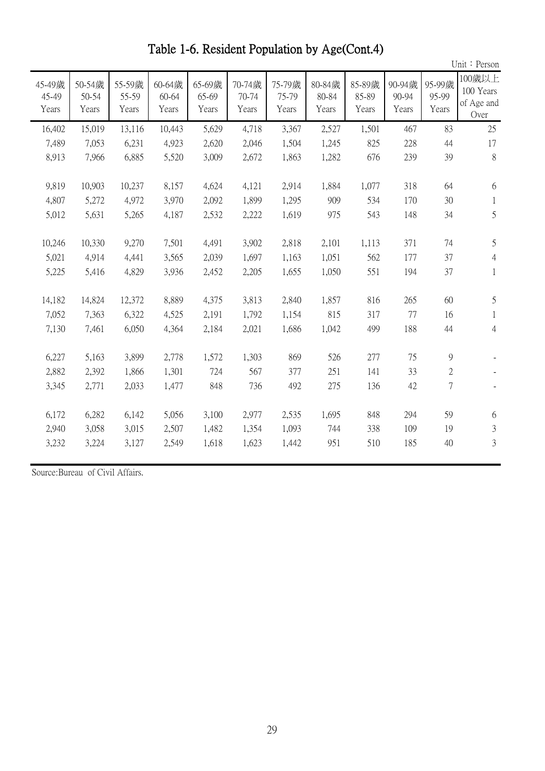|                          |                          |                          |                          |                          |                          |                          |                          |                          |                          |                          | Unit: Person                              |
|--------------------------|--------------------------|--------------------------|--------------------------|--------------------------|--------------------------|--------------------------|--------------------------|--------------------------|--------------------------|--------------------------|-------------------------------------------|
| 45-49歲<br>45-49<br>Years | 50-54歲<br>50-54<br>Years | 55-59歲<br>55-59<br>Years | 60-64歲<br>60-64<br>Years | 65-69歲<br>65-69<br>Years | 70-74歲<br>70-74<br>Years | 75-79歲<br>75-79<br>Years | 80-84歲<br>80-84<br>Years | 85-89歲<br>85-89<br>Years | 90-94歲<br>90-94<br>Years | 95-99歲<br>95-99<br>Years | 100歲以上<br>100 Years<br>of Age and<br>Over |
| 16,402                   | 15,019                   | 13,116                   | 10,443                   | 5,629                    | 4,718                    | 3,367                    | 2,527                    | 1,501                    | 467                      | 83                       | 25                                        |
| 7,489                    | 7,053                    | 6,231                    | 4,923                    | 2,620                    | 2,046                    | 1,504                    | 1,245                    | 825                      | 228                      | 44                       | 17                                        |
| 8,913                    | 7,966                    | 6,885                    | 5,520                    | 3,009                    | 2,672                    | 1,863                    | 1,282                    | 676                      | 239                      | 39                       | 8                                         |
| 9,819<br>4,807<br>5,012  | 10,903<br>5,272<br>5,631 | 10,237<br>4,972<br>5,265 | 8,157<br>3,970<br>4,187  | 4,624<br>2,092<br>2,532  | 4,121<br>1,899<br>2,222  | 2,914<br>1,295<br>1,619  | 1,884<br>909<br>975      | 1,077<br>534<br>543      | 318<br>170<br>148        | 64<br>30<br>34           | 6<br>1<br>5                               |
|                          |                          |                          |                          |                          |                          |                          |                          |                          |                          |                          |                                           |
| 10,246                   | 10,330                   | 9,270                    | 7,501                    | 4,491                    | 3,902                    | 2,818                    | 2,101                    | 1,113                    | 371                      | 74                       | 5                                         |
| 5,021                    | 4,914                    | 4,441                    | 3,565                    | 2,039                    | 1,697                    | 1,163                    | 1,051                    | 562                      | 177                      | 37                       | $\overline{4}$                            |
| 5,225                    | 5,416                    | 4,829                    | 3,936                    | 2,452                    | 2,205                    | 1,655                    | 1,050                    | 551                      | 194                      | 37                       | $\mathbf{1}$                              |
| 14,182<br>7,052<br>7,130 | 14,824<br>7,363<br>7,461 | 12,372<br>6,322<br>6,050 | 8,889<br>4,525<br>4,364  | 4,375<br>2,191<br>2,184  | 3,813<br>1,792<br>2,021  | 2,840<br>1,154<br>1,686  | 1,857<br>815<br>1,042    | 816<br>317<br>499        | 265<br>77<br>188         | 60<br>16<br>44           | 5<br>$\mathbf{1}$<br>$\overline{4}$       |
| 6,227                    | 5,163                    | 3,899                    | 2,778                    | 1,572                    | 1,303                    | 869                      | 526                      | 277                      | 75                       | $\overline{9}$           |                                           |
| 2,882                    | 2,392                    | 1,866                    | 1,301                    | 724                      | 567                      | 377                      | 251                      | 141                      | 33                       | $\overline{2}$           |                                           |
| 3,345                    | 2,771                    | 2,033                    | 1,477                    | 848                      | 736                      | 492                      | 275                      | 136                      | 42                       | 7                        |                                           |
| 6,172<br>2,940<br>3,232  | 6,282<br>3,058<br>3,224  | 6,142<br>3,015<br>3,127  | 5,056<br>2,507<br>2,549  | 3,100<br>1,482<br>1,618  | 2,977<br>1,354<br>1,623  | 2,535<br>1,093<br>1,442  | 1,695<br>744<br>951      | 848<br>338<br>510        | 294<br>109<br>185        | 59<br>19<br>40           | 6<br>$\mathfrak{Z}$<br>3                  |
|                          |                          |                          |                          |                          |                          |                          |                          |                          |                          |                          |                                           |

Table 1-6. Resident Population by Age(Cont.4)

Source:Bureau of Civil Affairs.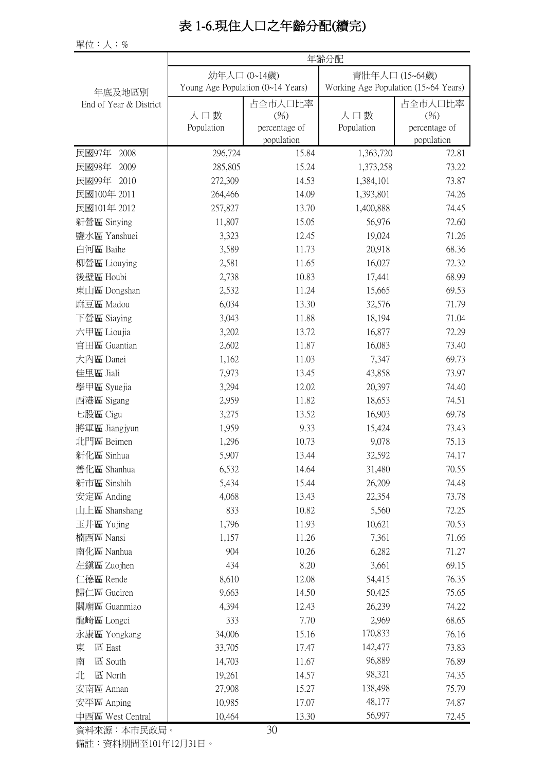### 表 1-6.現住人口之年齡分配(續完)

單位:人;%

| 幼年人口 (0~14歲)<br>青壯年人口 (15~64歲)<br>Young Age Population (0~14 Years)<br>Working Age Population (15~64 Years)<br>年底及地區別<br>占全市人口比率<br>占全市人口比率<br>End of Year & District<br>人口數<br>(%)<br>人口數<br>(%)<br>Population<br>Population<br>percentage of<br>percentage of<br>population<br>population<br>民國97年<br>296,724<br>15.84<br>2008<br>1,363,720<br>72.81<br>民國98年<br>285,805<br>73.22<br>2009<br>15.24<br>1,373,258<br>民國99年<br>2010<br>272,309<br>14.53<br>1,384,101<br>73.87<br>民國100年 2011<br>264,466<br>14.09<br>1,393,801<br>74.26<br>民國101年 2012<br>257,827<br>13.70<br>1,400,888<br>74.45<br>新營區 Sinying<br>72.60<br>11,807<br>15.05<br>56,976<br>鹽水區 Yanshuei<br>3,323<br>12.45<br>19,024<br>71.26<br>白河區 Baihe<br>68.36<br>3,589<br>11.73<br>20,918<br>柳營區 Liouying<br>2,581<br>11.65<br>16,027<br>72.32<br>後壁區 Houbi<br>2,738<br>68.99<br>10.83<br>17,441<br>東山區 Dongshan<br>2,532<br>11.24<br>15,665<br>69.53<br>麻豆區 Madou<br>6,034<br>13.30<br>32,576<br>71.79<br>下營區 Siaying<br>3,043<br>11.88<br>18,194<br>71.04<br>六甲區 Lioujia<br>3,202<br>72.29<br>13.72<br>16,877<br>官田區 Guantian<br>2,602<br>11.87<br>16,083<br>73.40<br>大內區 Danei<br>1,162<br>11.03<br>7,347<br>69.73<br>佳里區 Jiali<br>7,973<br>13.45<br>43,858<br>73.97<br>74.40<br>學甲區 Syuejia<br>3,294<br>12.02<br>20,397<br>西港區 Sigang<br>2,959<br>11.82<br>18,653<br>74.51<br>七股區 Cigu<br>3,275<br>13.52<br>16,903<br>69.78<br>將軍區 Jiangjyun<br>1,959<br>9.33<br>15,424<br>73.43<br>北門區 Beimen<br>75.13<br>1,296<br>10.73<br>9,078<br>新化區 Sinhua<br>5,907<br>13.44<br>32,592<br>74.17<br>善化區 Shanhua<br>6,532<br>14.64<br>31,480<br>70.55<br>新市區 Sinshih<br>5,434<br>15.44<br>26,209<br>74.48<br>安定區 Anding<br>4,068<br>73.78<br>13.43<br>22,354<br>山上區 Shanshang<br>833<br>5,560<br>10.82<br>72.25<br>玉井區 Yujing<br>1,796<br>10,621<br>70.53<br>11.93<br>楠西區 Nansi<br>71.66<br>1,157<br>11.26<br>7,361<br>南化區 Nanhua<br>904<br>10.26<br>6,282<br>71.27<br>左鎮區 Zuojhen<br>434<br>8.20<br>3,661<br>69.15<br>仁德區 Rende<br>76.35<br>8,610<br>12.08<br>54,415<br>歸仁區 Gueiren<br>9,663<br>14.50<br>50,425<br>75.65<br>關廟區 Guanmiao<br>4,394<br>74.22<br>12.43<br>26,239<br>龍崎區 Longci<br>333<br>7.70<br>2,969<br>68.65<br>170,833<br>76.16<br>永康區 Yongkang<br>34,006<br>15.16<br>區 East<br>142,477<br>東<br>33,705<br>73.83<br>17.47<br>96,889<br>區 South<br>14,703<br>76.89<br>南<br>11.67<br>98,321<br>北<br>區 North<br>74.35<br>19,261<br>14.57<br>138,498<br>安南區 Annan<br>27,908<br>75.79<br>15.27<br>48,177<br>安平區 Anping<br>10,985<br>17.07<br>74.87 |                  | 年齡分配   |       |        |       |  |  |  |  |  |
|-------------------------------------------------------------------------------------------------------------------------------------------------------------------------------------------------------------------------------------------------------------------------------------------------------------------------------------------------------------------------------------------------------------------------------------------------------------------------------------------------------------------------------------------------------------------------------------------------------------------------------------------------------------------------------------------------------------------------------------------------------------------------------------------------------------------------------------------------------------------------------------------------------------------------------------------------------------------------------------------------------------------------------------------------------------------------------------------------------------------------------------------------------------------------------------------------------------------------------------------------------------------------------------------------------------------------------------------------------------------------------------------------------------------------------------------------------------------------------------------------------------------------------------------------------------------------------------------------------------------------------------------------------------------------------------------------------------------------------------------------------------------------------------------------------------------------------------------------------------------------------------------------------------------------------------------------------------------------------------------------------------------------------------------------------------------------------------------------------------------------------------------------------------------------------------------------------------------------------------------------------------------------------------------------------------------------------------------------------------------------------------------------------------------------------------------------------------------------------------------------------------------------|------------------|--------|-------|--------|-------|--|--|--|--|--|
|                                                                                                                                                                                                                                                                                                                                                                                                                                                                                                                                                                                                                                                                                                                                                                                                                                                                                                                                                                                                                                                                                                                                                                                                                                                                                                                                                                                                                                                                                                                                                                                                                                                                                                                                                                                                                                                                                                                                                                                                                                                                                                                                                                                                                                                                                                                                                                                                                                                                                                                         |                  |        |       |        |       |  |  |  |  |  |
|                                                                                                                                                                                                                                                                                                                                                                                                                                                                                                                                                                                                                                                                                                                                                                                                                                                                                                                                                                                                                                                                                                                                                                                                                                                                                                                                                                                                                                                                                                                                                                                                                                                                                                                                                                                                                                                                                                                                                                                                                                                                                                                                                                                                                                                                                                                                                                                                                                                                                                                         |                  |        |       |        |       |  |  |  |  |  |
|                                                                                                                                                                                                                                                                                                                                                                                                                                                                                                                                                                                                                                                                                                                                                                                                                                                                                                                                                                                                                                                                                                                                                                                                                                                                                                                                                                                                                                                                                                                                                                                                                                                                                                                                                                                                                                                                                                                                                                                                                                                                                                                                                                                                                                                                                                                                                                                                                                                                                                                         |                  |        |       |        |       |  |  |  |  |  |
|                                                                                                                                                                                                                                                                                                                                                                                                                                                                                                                                                                                                                                                                                                                                                                                                                                                                                                                                                                                                                                                                                                                                                                                                                                                                                                                                                                                                                                                                                                                                                                                                                                                                                                                                                                                                                                                                                                                                                                                                                                                                                                                                                                                                                                                                                                                                                                                                                                                                                                                         |                  |        |       |        |       |  |  |  |  |  |
|                                                                                                                                                                                                                                                                                                                                                                                                                                                                                                                                                                                                                                                                                                                                                                                                                                                                                                                                                                                                                                                                                                                                                                                                                                                                                                                                                                                                                                                                                                                                                                                                                                                                                                                                                                                                                                                                                                                                                                                                                                                                                                                                                                                                                                                                                                                                                                                                                                                                                                                         |                  |        |       |        |       |  |  |  |  |  |
|                                                                                                                                                                                                                                                                                                                                                                                                                                                                                                                                                                                                                                                                                                                                                                                                                                                                                                                                                                                                                                                                                                                                                                                                                                                                                                                                                                                                                                                                                                                                                                                                                                                                                                                                                                                                                                                                                                                                                                                                                                                                                                                                                                                                                                                                                                                                                                                                                                                                                                                         |                  |        |       |        |       |  |  |  |  |  |
|                                                                                                                                                                                                                                                                                                                                                                                                                                                                                                                                                                                                                                                                                                                                                                                                                                                                                                                                                                                                                                                                                                                                                                                                                                                                                                                                                                                                                                                                                                                                                                                                                                                                                                                                                                                                                                                                                                                                                                                                                                                                                                                                                                                                                                                                                                                                                                                                                                                                                                                         |                  |        |       |        |       |  |  |  |  |  |
|                                                                                                                                                                                                                                                                                                                                                                                                                                                                                                                                                                                                                                                                                                                                                                                                                                                                                                                                                                                                                                                                                                                                                                                                                                                                                                                                                                                                                                                                                                                                                                                                                                                                                                                                                                                                                                                                                                                                                                                                                                                                                                                                                                                                                                                                                                                                                                                                                                                                                                                         |                  |        |       |        |       |  |  |  |  |  |
|                                                                                                                                                                                                                                                                                                                                                                                                                                                                                                                                                                                                                                                                                                                                                                                                                                                                                                                                                                                                                                                                                                                                                                                                                                                                                                                                                                                                                                                                                                                                                                                                                                                                                                                                                                                                                                                                                                                                                                                                                                                                                                                                                                                                                                                                                                                                                                                                                                                                                                                         |                  |        |       |        |       |  |  |  |  |  |
|                                                                                                                                                                                                                                                                                                                                                                                                                                                                                                                                                                                                                                                                                                                                                                                                                                                                                                                                                                                                                                                                                                                                                                                                                                                                                                                                                                                                                                                                                                                                                                                                                                                                                                                                                                                                                                                                                                                                                                                                                                                                                                                                                                                                                                                                                                                                                                                                                                                                                                                         |                  |        |       |        |       |  |  |  |  |  |
|                                                                                                                                                                                                                                                                                                                                                                                                                                                                                                                                                                                                                                                                                                                                                                                                                                                                                                                                                                                                                                                                                                                                                                                                                                                                                                                                                                                                                                                                                                                                                                                                                                                                                                                                                                                                                                                                                                                                                                                                                                                                                                                                                                                                                                                                                                                                                                                                                                                                                                                         |                  |        |       |        |       |  |  |  |  |  |
|                                                                                                                                                                                                                                                                                                                                                                                                                                                                                                                                                                                                                                                                                                                                                                                                                                                                                                                                                                                                                                                                                                                                                                                                                                                                                                                                                                                                                                                                                                                                                                                                                                                                                                                                                                                                                                                                                                                                                                                                                                                                                                                                                                                                                                                                                                                                                                                                                                                                                                                         |                  |        |       |        |       |  |  |  |  |  |
|                                                                                                                                                                                                                                                                                                                                                                                                                                                                                                                                                                                                                                                                                                                                                                                                                                                                                                                                                                                                                                                                                                                                                                                                                                                                                                                                                                                                                                                                                                                                                                                                                                                                                                                                                                                                                                                                                                                                                                                                                                                                                                                                                                                                                                                                                                                                                                                                                                                                                                                         |                  |        |       |        |       |  |  |  |  |  |
|                                                                                                                                                                                                                                                                                                                                                                                                                                                                                                                                                                                                                                                                                                                                                                                                                                                                                                                                                                                                                                                                                                                                                                                                                                                                                                                                                                                                                                                                                                                                                                                                                                                                                                                                                                                                                                                                                                                                                                                                                                                                                                                                                                                                                                                                                                                                                                                                                                                                                                                         |                  |        |       |        |       |  |  |  |  |  |
|                                                                                                                                                                                                                                                                                                                                                                                                                                                                                                                                                                                                                                                                                                                                                                                                                                                                                                                                                                                                                                                                                                                                                                                                                                                                                                                                                                                                                                                                                                                                                                                                                                                                                                                                                                                                                                                                                                                                                                                                                                                                                                                                                                                                                                                                                                                                                                                                                                                                                                                         |                  |        |       |        |       |  |  |  |  |  |
|                                                                                                                                                                                                                                                                                                                                                                                                                                                                                                                                                                                                                                                                                                                                                                                                                                                                                                                                                                                                                                                                                                                                                                                                                                                                                                                                                                                                                                                                                                                                                                                                                                                                                                                                                                                                                                                                                                                                                                                                                                                                                                                                                                                                                                                                                                                                                                                                                                                                                                                         |                  |        |       |        |       |  |  |  |  |  |
|                                                                                                                                                                                                                                                                                                                                                                                                                                                                                                                                                                                                                                                                                                                                                                                                                                                                                                                                                                                                                                                                                                                                                                                                                                                                                                                                                                                                                                                                                                                                                                                                                                                                                                                                                                                                                                                                                                                                                                                                                                                                                                                                                                                                                                                                                                                                                                                                                                                                                                                         |                  |        |       |        |       |  |  |  |  |  |
|                                                                                                                                                                                                                                                                                                                                                                                                                                                                                                                                                                                                                                                                                                                                                                                                                                                                                                                                                                                                                                                                                                                                                                                                                                                                                                                                                                                                                                                                                                                                                                                                                                                                                                                                                                                                                                                                                                                                                                                                                                                                                                                                                                                                                                                                                                                                                                                                                                                                                                                         |                  |        |       |        |       |  |  |  |  |  |
|                                                                                                                                                                                                                                                                                                                                                                                                                                                                                                                                                                                                                                                                                                                                                                                                                                                                                                                                                                                                                                                                                                                                                                                                                                                                                                                                                                                                                                                                                                                                                                                                                                                                                                                                                                                                                                                                                                                                                                                                                                                                                                                                                                                                                                                                                                                                                                                                                                                                                                                         |                  |        |       |        |       |  |  |  |  |  |
|                                                                                                                                                                                                                                                                                                                                                                                                                                                                                                                                                                                                                                                                                                                                                                                                                                                                                                                                                                                                                                                                                                                                                                                                                                                                                                                                                                                                                                                                                                                                                                                                                                                                                                                                                                                                                                                                                                                                                                                                                                                                                                                                                                                                                                                                                                                                                                                                                                                                                                                         |                  |        |       |        |       |  |  |  |  |  |
|                                                                                                                                                                                                                                                                                                                                                                                                                                                                                                                                                                                                                                                                                                                                                                                                                                                                                                                                                                                                                                                                                                                                                                                                                                                                                                                                                                                                                                                                                                                                                                                                                                                                                                                                                                                                                                                                                                                                                                                                                                                                                                                                                                                                                                                                                                                                                                                                                                                                                                                         |                  |        |       |        |       |  |  |  |  |  |
|                                                                                                                                                                                                                                                                                                                                                                                                                                                                                                                                                                                                                                                                                                                                                                                                                                                                                                                                                                                                                                                                                                                                                                                                                                                                                                                                                                                                                                                                                                                                                                                                                                                                                                                                                                                                                                                                                                                                                                                                                                                                                                                                                                                                                                                                                                                                                                                                                                                                                                                         |                  |        |       |        |       |  |  |  |  |  |
|                                                                                                                                                                                                                                                                                                                                                                                                                                                                                                                                                                                                                                                                                                                                                                                                                                                                                                                                                                                                                                                                                                                                                                                                                                                                                                                                                                                                                                                                                                                                                                                                                                                                                                                                                                                                                                                                                                                                                                                                                                                                                                                                                                                                                                                                                                                                                                                                                                                                                                                         |                  |        |       |        |       |  |  |  |  |  |
|                                                                                                                                                                                                                                                                                                                                                                                                                                                                                                                                                                                                                                                                                                                                                                                                                                                                                                                                                                                                                                                                                                                                                                                                                                                                                                                                                                                                                                                                                                                                                                                                                                                                                                                                                                                                                                                                                                                                                                                                                                                                                                                                                                                                                                                                                                                                                                                                                                                                                                                         |                  |        |       |        |       |  |  |  |  |  |
|                                                                                                                                                                                                                                                                                                                                                                                                                                                                                                                                                                                                                                                                                                                                                                                                                                                                                                                                                                                                                                                                                                                                                                                                                                                                                                                                                                                                                                                                                                                                                                                                                                                                                                                                                                                                                                                                                                                                                                                                                                                                                                                                                                                                                                                                                                                                                                                                                                                                                                                         |                  |        |       |        |       |  |  |  |  |  |
|                                                                                                                                                                                                                                                                                                                                                                                                                                                                                                                                                                                                                                                                                                                                                                                                                                                                                                                                                                                                                                                                                                                                                                                                                                                                                                                                                                                                                                                                                                                                                                                                                                                                                                                                                                                                                                                                                                                                                                                                                                                                                                                                                                                                                                                                                                                                                                                                                                                                                                                         |                  |        |       |        |       |  |  |  |  |  |
|                                                                                                                                                                                                                                                                                                                                                                                                                                                                                                                                                                                                                                                                                                                                                                                                                                                                                                                                                                                                                                                                                                                                                                                                                                                                                                                                                                                                                                                                                                                                                                                                                                                                                                                                                                                                                                                                                                                                                                                                                                                                                                                                                                                                                                                                                                                                                                                                                                                                                                                         |                  |        |       |        |       |  |  |  |  |  |
|                                                                                                                                                                                                                                                                                                                                                                                                                                                                                                                                                                                                                                                                                                                                                                                                                                                                                                                                                                                                                                                                                                                                                                                                                                                                                                                                                                                                                                                                                                                                                                                                                                                                                                                                                                                                                                                                                                                                                                                                                                                                                                                                                                                                                                                                                                                                                                                                                                                                                                                         |                  |        |       |        |       |  |  |  |  |  |
|                                                                                                                                                                                                                                                                                                                                                                                                                                                                                                                                                                                                                                                                                                                                                                                                                                                                                                                                                                                                                                                                                                                                                                                                                                                                                                                                                                                                                                                                                                                                                                                                                                                                                                                                                                                                                                                                                                                                                                                                                                                                                                                                                                                                                                                                                                                                                                                                                                                                                                                         |                  |        |       |        |       |  |  |  |  |  |
|                                                                                                                                                                                                                                                                                                                                                                                                                                                                                                                                                                                                                                                                                                                                                                                                                                                                                                                                                                                                                                                                                                                                                                                                                                                                                                                                                                                                                                                                                                                                                                                                                                                                                                                                                                                                                                                                                                                                                                                                                                                                                                                                                                                                                                                                                                                                                                                                                                                                                                                         |                  |        |       |        |       |  |  |  |  |  |
|                                                                                                                                                                                                                                                                                                                                                                                                                                                                                                                                                                                                                                                                                                                                                                                                                                                                                                                                                                                                                                                                                                                                                                                                                                                                                                                                                                                                                                                                                                                                                                                                                                                                                                                                                                                                                                                                                                                                                                                                                                                                                                                                                                                                                                                                                                                                                                                                                                                                                                                         |                  |        |       |        |       |  |  |  |  |  |
|                                                                                                                                                                                                                                                                                                                                                                                                                                                                                                                                                                                                                                                                                                                                                                                                                                                                                                                                                                                                                                                                                                                                                                                                                                                                                                                                                                                                                                                                                                                                                                                                                                                                                                                                                                                                                                                                                                                                                                                                                                                                                                                                                                                                                                                                                                                                                                                                                                                                                                                         |                  |        |       |        |       |  |  |  |  |  |
|                                                                                                                                                                                                                                                                                                                                                                                                                                                                                                                                                                                                                                                                                                                                                                                                                                                                                                                                                                                                                                                                                                                                                                                                                                                                                                                                                                                                                                                                                                                                                                                                                                                                                                                                                                                                                                                                                                                                                                                                                                                                                                                                                                                                                                                                                                                                                                                                                                                                                                                         |                  |        |       |        |       |  |  |  |  |  |
|                                                                                                                                                                                                                                                                                                                                                                                                                                                                                                                                                                                                                                                                                                                                                                                                                                                                                                                                                                                                                                                                                                                                                                                                                                                                                                                                                                                                                                                                                                                                                                                                                                                                                                                                                                                                                                                                                                                                                                                                                                                                                                                                                                                                                                                                                                                                                                                                                                                                                                                         |                  |        |       |        |       |  |  |  |  |  |
|                                                                                                                                                                                                                                                                                                                                                                                                                                                                                                                                                                                                                                                                                                                                                                                                                                                                                                                                                                                                                                                                                                                                                                                                                                                                                                                                                                                                                                                                                                                                                                                                                                                                                                                                                                                                                                                                                                                                                                                                                                                                                                                                                                                                                                                                                                                                                                                                                                                                                                                         |                  |        |       |        |       |  |  |  |  |  |
|                                                                                                                                                                                                                                                                                                                                                                                                                                                                                                                                                                                                                                                                                                                                                                                                                                                                                                                                                                                                                                                                                                                                                                                                                                                                                                                                                                                                                                                                                                                                                                                                                                                                                                                                                                                                                                                                                                                                                                                                                                                                                                                                                                                                                                                                                                                                                                                                                                                                                                                         |                  |        |       |        |       |  |  |  |  |  |
|                                                                                                                                                                                                                                                                                                                                                                                                                                                                                                                                                                                                                                                                                                                                                                                                                                                                                                                                                                                                                                                                                                                                                                                                                                                                                                                                                                                                                                                                                                                                                                                                                                                                                                                                                                                                                                                                                                                                                                                                                                                                                                                                                                                                                                                                                                                                                                                                                                                                                                                         |                  |        |       |        |       |  |  |  |  |  |
|                                                                                                                                                                                                                                                                                                                                                                                                                                                                                                                                                                                                                                                                                                                                                                                                                                                                                                                                                                                                                                                                                                                                                                                                                                                                                                                                                                                                                                                                                                                                                                                                                                                                                                                                                                                                                                                                                                                                                                                                                                                                                                                                                                                                                                                                                                                                                                                                                                                                                                                         |                  |        |       |        |       |  |  |  |  |  |
|                                                                                                                                                                                                                                                                                                                                                                                                                                                                                                                                                                                                                                                                                                                                                                                                                                                                                                                                                                                                                                                                                                                                                                                                                                                                                                                                                                                                                                                                                                                                                                                                                                                                                                                                                                                                                                                                                                                                                                                                                                                                                                                                                                                                                                                                                                                                                                                                                                                                                                                         |                  |        |       |        |       |  |  |  |  |  |
|                                                                                                                                                                                                                                                                                                                                                                                                                                                                                                                                                                                                                                                                                                                                                                                                                                                                                                                                                                                                                                                                                                                                                                                                                                                                                                                                                                                                                                                                                                                                                                                                                                                                                                                                                                                                                                                                                                                                                                                                                                                                                                                                                                                                                                                                                                                                                                                                                                                                                                                         |                  |        |       |        |       |  |  |  |  |  |
|                                                                                                                                                                                                                                                                                                                                                                                                                                                                                                                                                                                                                                                                                                                                                                                                                                                                                                                                                                                                                                                                                                                                                                                                                                                                                                                                                                                                                                                                                                                                                                                                                                                                                                                                                                                                                                                                                                                                                                                                                                                                                                                                                                                                                                                                                                                                                                                                                                                                                                                         |                  |        |       |        |       |  |  |  |  |  |
|                                                                                                                                                                                                                                                                                                                                                                                                                                                                                                                                                                                                                                                                                                                                                                                                                                                                                                                                                                                                                                                                                                                                                                                                                                                                                                                                                                                                                                                                                                                                                                                                                                                                                                                                                                                                                                                                                                                                                                                                                                                                                                                                                                                                                                                                                                                                                                                                                                                                                                                         |                  |        |       |        |       |  |  |  |  |  |
|                                                                                                                                                                                                                                                                                                                                                                                                                                                                                                                                                                                                                                                                                                                                                                                                                                                                                                                                                                                                                                                                                                                                                                                                                                                                                                                                                                                                                                                                                                                                                                                                                                                                                                                                                                                                                                                                                                                                                                                                                                                                                                                                                                                                                                                                                                                                                                                                                                                                                                                         |                  |        |       |        |       |  |  |  |  |  |
|                                                                                                                                                                                                                                                                                                                                                                                                                                                                                                                                                                                                                                                                                                                                                                                                                                                                                                                                                                                                                                                                                                                                                                                                                                                                                                                                                                                                                                                                                                                                                                                                                                                                                                                                                                                                                                                                                                                                                                                                                                                                                                                                                                                                                                                                                                                                                                                                                                                                                                                         |                  |        |       |        |       |  |  |  |  |  |
|                                                                                                                                                                                                                                                                                                                                                                                                                                                                                                                                                                                                                                                                                                                                                                                                                                                                                                                                                                                                                                                                                                                                                                                                                                                                                                                                                                                                                                                                                                                                                                                                                                                                                                                                                                                                                                                                                                                                                                                                                                                                                                                                                                                                                                                                                                                                                                                                                                                                                                                         |                  |        |       |        |       |  |  |  |  |  |
|                                                                                                                                                                                                                                                                                                                                                                                                                                                                                                                                                                                                                                                                                                                                                                                                                                                                                                                                                                                                                                                                                                                                                                                                                                                                                                                                                                                                                                                                                                                                                                                                                                                                                                                                                                                                                                                                                                                                                                                                                                                                                                                                                                                                                                                                                                                                                                                                                                                                                                                         |                  |        |       |        |       |  |  |  |  |  |
|                                                                                                                                                                                                                                                                                                                                                                                                                                                                                                                                                                                                                                                                                                                                                                                                                                                                                                                                                                                                                                                                                                                                                                                                                                                                                                                                                                                                                                                                                                                                                                                                                                                                                                                                                                                                                                                                                                                                                                                                                                                                                                                                                                                                                                                                                                                                                                                                                                                                                                                         |                  |        |       |        |       |  |  |  |  |  |
|                                                                                                                                                                                                                                                                                                                                                                                                                                                                                                                                                                                                                                                                                                                                                                                                                                                                                                                                                                                                                                                                                                                                                                                                                                                                                                                                                                                                                                                                                                                                                                                                                                                                                                                                                                                                                                                                                                                                                                                                                                                                                                                                                                                                                                                                                                                                                                                                                                                                                                                         | 中西區 West Central | 10,464 | 13.30 | 56,997 | 72.45 |  |  |  |  |  |

資料來源:本市民政局。 備註:資料期間至101年12月31日。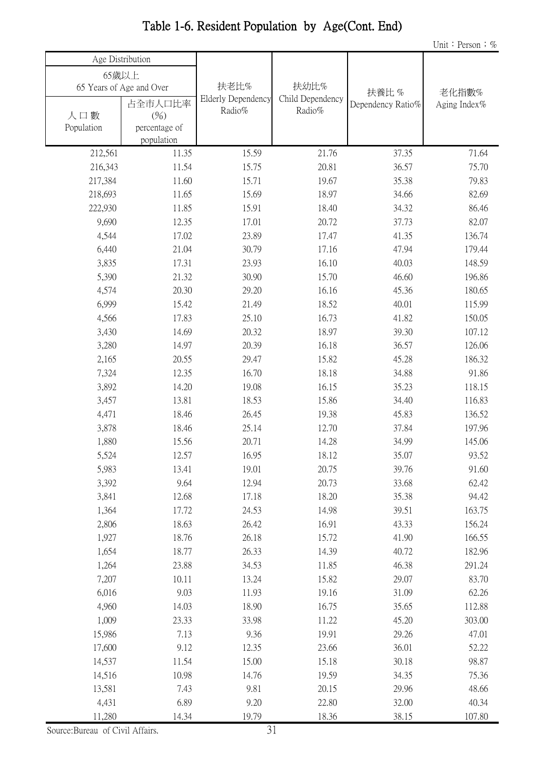|            |                          |                    |                  |                   | Unit: Person; $%$ |
|------------|--------------------------|--------------------|------------------|-------------------|-------------------|
|            | Age Distribution         |                    |                  |                   |                   |
| 65歲以上      |                          |                    |                  |                   |                   |
|            | 65 Years of Age and Over | 扶老比%               | 扶幼比%             | 扶養比%              | 老化指數%             |
|            | 占全市人口比率                  | Elderly Dependency | Child Dependency | Dependency Ratio% | Aging Index%      |
| 人口數        | (%)                      | Radio%             | Radio%           |                   |                   |
| Population | percentage of            |                    |                  |                   |                   |
|            | population               |                    |                  |                   |                   |
| 212,561    | 11.35                    | 15.59              | 21.76            | 37.35             | 71.64             |
| 216,343    | 11.54                    | 15.75              | 20.81            | 36.57             | 75.70             |
| 217,384    | 11.60                    | 15.71              | 19.67            | 35.38             | 79.83             |
| 218,693    | 11.65                    | 15.69              | 18.97            | 34.66             | 82.69             |
| 222,930    | 11.85                    | 15.91              | 18.40            | 34.32             | 86.46             |
| 9,690      | 12.35                    | 17.01              | 20.72            | 37.73             | 82.07             |
| 4,544      | 17.02                    | 23.89              | 17.47            | 41.35             | 136.74            |
| 6,440      | 21.04                    | 30.79              | 17.16            | 47.94             | 179.44            |
| 3,835      | 17.31                    | 23.93              | 16.10            | 40.03             | 148.59            |
| 5,390      | 21.32                    | 30.90              | 15.70            | 46.60             | 196.86            |
| 4,574      | 20.30                    | 29.20              | 16.16            | 45.36             | 180.65            |
| 6,999      | 15.42                    | 21.49              | 18.52            | 40.01             | 115.99            |
| 4,566      | 17.83                    | 25.10              | 16.73            | 41.82             | 150.05            |
| 3,430      | 14.69                    | 20.32              | 18.97            | 39.30             | 107.12            |
| 3,280      | 14.97                    | 20.39              | 16.18            | 36.57             | 126.06            |
| 2,165      | 20.55                    | 29.47              | 15.82            | 45.28             | 186.32            |
| 7,324      | 12.35                    | 16.70              | 18.18            | 34.88             | 91.86             |
| 3,892      | 14.20                    | 19.08              | 16.15            | 35.23             | 118.15            |
| 3,457      | 13.81                    | 18.53              | 15.86            | 34.40             | 116.83            |
| 4,471      | 18.46                    | 26.45              | 19.38            | 45.83             | 136.52            |
| 3,878      | 18.46                    | 25.14              | 12.70            | 37.84             | 197.96            |
| 1,880      | 15.56                    | 20.71              | 14.28            | 34.99             | 145.06            |
| 5,524      | 12.57                    | 16.95              | 18.12            | 35.07             | 93.52             |
| 5,983      | 13.41                    | 19.01              | 20.75            | 39.76             | 91.60             |
| 3,392      | 9.64                     | 12.94              | 20.73            | 33.68             | 62.42             |
| 3,841      | 12.68                    | 17.18              | 18.20            | 35.38             | 94.42             |
| 1,364      | 17.72                    | 24.53              | 14.98            | 39.51             | 163.75            |
| 2,806      | 18.63                    | 26.42              | 16.91            | 43.33             | 156.24            |
| 1,927      | 18.76                    | 26.18              | 15.72            | 41.90             | 166.55            |
| 1,654      | 18.77                    | 26.33              | 14.39            | 40.72             | 182.96            |
| 1,264      | 23.88                    | 34.53              | 11.85            | 46.38             | 291.24            |
| 7,207      | 10.11                    | 13.24              | 15.82            | 29.07             | 83.70             |
| 6,016      | 9.03                     | 11.93              | 19.16            | 31.09             | 62.26             |
| 4,960      | 14.03                    | 18.90              | 16.75            | 35.65             | 112.88            |
| 1,009      | 23.33                    | 33.98              | 11.22            | 45.20             | 303.00            |
| 15,986     | 7.13                     | 9.36               | 19.91            | 29.26             | 47.01             |
| 17,600     | 9.12                     | 12.35              | 23.66            | 36.01             | 52.22             |
| 14,537     | 11.54                    | 15.00              | 15.18            | 30.18             | 98.87             |
| 14,516     | 10.98                    | 14.76              | 19.59            | 34.35             | 75.36             |
| 13,581     | 7.43                     | 9.81               | 20.15            | 29.96             | 48.66             |
| 4,431      | 6.89                     | 9.20               | 22.80            | 32.00             | 40.34             |
| 11,280     | 14.34                    | 19.79              | 18.36            | 38.15             | 107.80            |

### Table 1-6. Resident Population by Age(Cont. End)

Source:Bureau of Civil Affairs.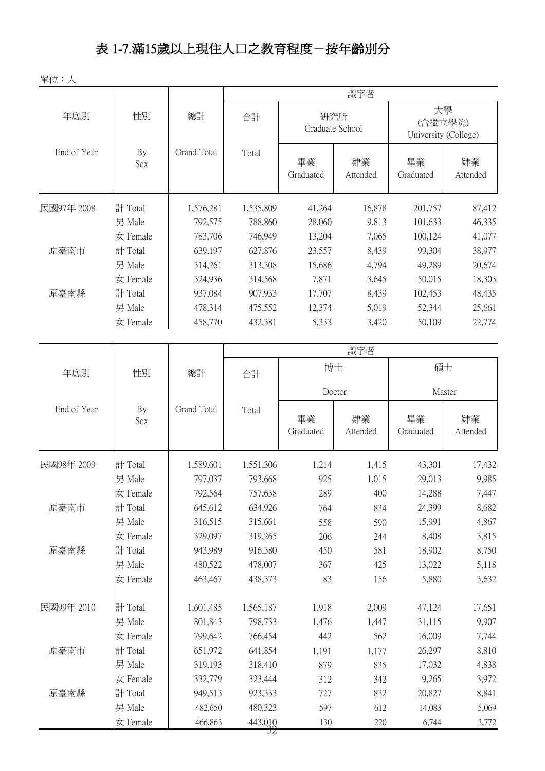## 表 1-7.滿15歲以上現住人口之教育程度-按年齡別分

單位:人

| 大學<br>性別<br>總計<br>年底別<br>研究所<br>合計<br>(含獨立學院)<br>Graduate School<br>University (College)<br>End of Year<br>Grand Total<br>By<br>Total<br>畢業<br>肄業<br>畢業<br>肄業<br>Sex<br>Graduated<br>Attended<br>Graduated<br>Attended<br>計 Total<br>民國97年 2008<br>1,576,281<br>41,264<br>16,878<br>201,757<br>1,535,809<br>男 Male<br>792,575<br>788,860<br>28,060<br>9,813<br>101,633<br>女 Female<br>783,706<br>746,949<br>7,065<br>100,124<br>13,204<br>計 Total<br>原臺南市<br>639,197<br>627,876<br>23,557<br>8,439<br>99,304<br>38,977<br>男 Male<br>314,261<br>313,308<br>4,794<br>49,289<br>20,674<br>15,686<br>7,871<br>50,015<br>女 Female<br>324,936<br>314,568<br>3,645<br>18,303<br>48,435<br>原臺南縣<br>計 Total<br>937,084<br>907,933<br>17,707<br>8,439<br>102,453<br>25,661<br>男 Male<br>475,552<br>5,019<br>478,314<br>12,374<br>52,344<br>5,333<br>458,770<br>432,381<br>3,420<br>50,109<br>22,774<br>女 Female<br>識字者<br>博士<br>碩士<br>年底別<br>性別<br>總計<br>合計<br>Doctor<br>Master<br>End of Year<br>Grand Total<br>By<br>Total<br>畢業<br>肄業<br>肄業<br>畢業<br><b>Sex</b><br>Graduated<br>Attended<br>Graduated<br>Attended<br>計 Total<br>民國98年 2009<br>1,214<br>1,415<br>43,301<br>1,589,601<br>1,551,306<br>男 Male<br>797,037<br>793,668<br>925<br>1,015<br>29,013<br>$\pm$ Female<br>792,564<br>757,638<br>289<br>400<br>14,288<br>原臺南市<br>645,612<br>計 Total<br>634,926<br>24,399<br>834<br>764<br>男 Male<br>316,515<br>315,661<br>558<br>590<br>15,991<br>女 Female<br>329,097<br>8,408<br>319,265<br>206<br>244<br>計 Total<br>581<br>原臺南縣<br>943,989<br>916,380<br>450<br>18,902<br>男 Male<br>480,522<br>478,007<br>367<br>425<br>13,022<br>83<br>5,880<br>女 Female<br>463,467<br>438,373<br>156<br>民國99年 2010<br>計 Total<br>1,601,485<br>1,565,187<br>1,918<br>2,009<br>47,124<br>男 Male<br>801,843<br>1,476<br>1,447<br>31,115<br>798,733<br>女 Female<br>799,642<br>766,454<br>442<br>562<br>16,009<br>計 Total<br>原臺南市<br>651,972<br>641,854<br>26,297<br>1,177<br>1,191<br>男 Male<br>318,410<br>879<br>835<br>319,193<br>17,032<br>9,265<br>女 Female<br>332,779<br>312<br>342<br>323,444<br>計 Total<br>832<br>原臺南縣<br>923,333<br>727<br>20,827<br>949,513<br>612<br>男 Male<br>482,650<br>480,323<br>597<br>14,083 |          |         |         |     | 識字者 |       |       |
|----------------------------------------------------------------------------------------------------------------------------------------------------------------------------------------------------------------------------------------------------------------------------------------------------------------------------------------------------------------------------------------------------------------------------------------------------------------------------------------------------------------------------------------------------------------------------------------------------------------------------------------------------------------------------------------------------------------------------------------------------------------------------------------------------------------------------------------------------------------------------------------------------------------------------------------------------------------------------------------------------------------------------------------------------------------------------------------------------------------------------------------------------------------------------------------------------------------------------------------------------------------------------------------------------------------------------------------------------------------------------------------------------------------------------------------------------------------------------------------------------------------------------------------------------------------------------------------------------------------------------------------------------------------------------------------------------------------------------------------------------------------------------------------------------------------------------------------------------------------------------------------------------------------------------------------------------------------------------------------------------------------------------------------------------------------------------------------------------------------------------------------------------------------------------------------------------------|----------|---------|---------|-----|-----|-------|-------|
| 87,412<br>46,335<br>41,077<br>17,432<br>9,985<br>4,838<br>8,841                                                                                                                                                                                                                                                                                                                                                                                                                                                                                                                                                                                                                                                                                                                                                                                                                                                                                                                                                                                                                                                                                                                                                                                                                                                                                                                                                                                                                                                                                                                                                                                                                                                                                                                                                                                                                                                                                                                                                                                                                                                                                                                                          |          |         |         |     |     |       |       |
|                                                                                                                                                                                                                                                                                                                                                                                                                                                                                                                                                                                                                                                                                                                                                                                                                                                                                                                                                                                                                                                                                                                                                                                                                                                                                                                                                                                                                                                                                                                                                                                                                                                                                                                                                                                                                                                                                                                                                                                                                                                                                                                                                                                                          |          |         |         |     |     |       |       |
|                                                                                                                                                                                                                                                                                                                                                                                                                                                                                                                                                                                                                                                                                                                                                                                                                                                                                                                                                                                                                                                                                                                                                                                                                                                                                                                                                                                                                                                                                                                                                                                                                                                                                                                                                                                                                                                                                                                                                                                                                                                                                                                                                                                                          |          |         |         |     |     |       |       |
|                                                                                                                                                                                                                                                                                                                                                                                                                                                                                                                                                                                                                                                                                                                                                                                                                                                                                                                                                                                                                                                                                                                                                                                                                                                                                                                                                                                                                                                                                                                                                                                                                                                                                                                                                                                                                                                                                                                                                                                                                                                                                                                                                                                                          |          |         |         |     |     |       |       |
| 7,447<br>8,682<br>4,867<br>3,815<br>8,750<br>5,118<br>3,632<br>17,651<br>9,907<br>7,744<br>8,810<br>3,972<br>5,069                                                                                                                                                                                                                                                                                                                                                                                                                                                                                                                                                                                                                                                                                                                                                                                                                                                                                                                                                                                                                                                                                                                                                                                                                                                                                                                                                                                                                                                                                                                                                                                                                                                                                                                                                                                                                                                                                                                                                                                                                                                                                       |          |         |         |     |     |       |       |
|                                                                                                                                                                                                                                                                                                                                                                                                                                                                                                                                                                                                                                                                                                                                                                                                                                                                                                                                                                                                                                                                                                                                                                                                                                                                                                                                                                                                                                                                                                                                                                                                                                                                                                                                                                                                                                                                                                                                                                                                                                                                                                                                                                                                          |          |         |         |     |     |       |       |
|                                                                                                                                                                                                                                                                                                                                                                                                                                                                                                                                                                                                                                                                                                                                                                                                                                                                                                                                                                                                                                                                                                                                                                                                                                                                                                                                                                                                                                                                                                                                                                                                                                                                                                                                                                                                                                                                                                                                                                                                                                                                                                                                                                                                          |          |         |         |     |     |       |       |
|                                                                                                                                                                                                                                                                                                                                                                                                                                                                                                                                                                                                                                                                                                                                                                                                                                                                                                                                                                                                                                                                                                                                                                                                                                                                                                                                                                                                                                                                                                                                                                                                                                                                                                                                                                                                                                                                                                                                                                                                                                                                                                                                                                                                          |          |         |         |     |     |       |       |
|                                                                                                                                                                                                                                                                                                                                                                                                                                                                                                                                                                                                                                                                                                                                                                                                                                                                                                                                                                                                                                                                                                                                                                                                                                                                                                                                                                                                                                                                                                                                                                                                                                                                                                                                                                                                                                                                                                                                                                                                                                                                                                                                                                                                          |          |         |         |     |     |       |       |
|                                                                                                                                                                                                                                                                                                                                                                                                                                                                                                                                                                                                                                                                                                                                                                                                                                                                                                                                                                                                                                                                                                                                                                                                                                                                                                                                                                                                                                                                                                                                                                                                                                                                                                                                                                                                                                                                                                                                                                                                                                                                                                                                                                                                          |          |         |         |     |     |       |       |
|                                                                                                                                                                                                                                                                                                                                                                                                                                                                                                                                                                                                                                                                                                                                                                                                                                                                                                                                                                                                                                                                                                                                                                                                                                                                                                                                                                                                                                                                                                                                                                                                                                                                                                                                                                                                                                                                                                                                                                                                                                                                                                                                                                                                          |          |         |         |     |     |       |       |
|                                                                                                                                                                                                                                                                                                                                                                                                                                                                                                                                                                                                                                                                                                                                                                                                                                                                                                                                                                                                                                                                                                                                                                                                                                                                                                                                                                                                                                                                                                                                                                                                                                                                                                                                                                                                                                                                                                                                                                                                                                                                                                                                                                                                          |          |         |         |     |     |       |       |
|                                                                                                                                                                                                                                                                                                                                                                                                                                                                                                                                                                                                                                                                                                                                                                                                                                                                                                                                                                                                                                                                                                                                                                                                                                                                                                                                                                                                                                                                                                                                                                                                                                                                                                                                                                                                                                                                                                                                                                                                                                                                                                                                                                                                          |          |         |         |     |     |       |       |
|                                                                                                                                                                                                                                                                                                                                                                                                                                                                                                                                                                                                                                                                                                                                                                                                                                                                                                                                                                                                                                                                                                                                                                                                                                                                                                                                                                                                                                                                                                                                                                                                                                                                                                                                                                                                                                                                                                                                                                                                                                                                                                                                                                                                          |          |         |         |     |     |       |       |
|                                                                                                                                                                                                                                                                                                                                                                                                                                                                                                                                                                                                                                                                                                                                                                                                                                                                                                                                                                                                                                                                                                                                                                                                                                                                                                                                                                                                                                                                                                                                                                                                                                                                                                                                                                                                                                                                                                                                                                                                                                                                                                                                                                                                          |          |         |         |     |     |       |       |
|                                                                                                                                                                                                                                                                                                                                                                                                                                                                                                                                                                                                                                                                                                                                                                                                                                                                                                                                                                                                                                                                                                                                                                                                                                                                                                                                                                                                                                                                                                                                                                                                                                                                                                                                                                                                                                                                                                                                                                                                                                                                                                                                                                                                          |          |         |         |     |     |       |       |
|                                                                                                                                                                                                                                                                                                                                                                                                                                                                                                                                                                                                                                                                                                                                                                                                                                                                                                                                                                                                                                                                                                                                                                                                                                                                                                                                                                                                                                                                                                                                                                                                                                                                                                                                                                                                                                                                                                                                                                                                                                                                                                                                                                                                          |          |         |         |     |     |       |       |
|                                                                                                                                                                                                                                                                                                                                                                                                                                                                                                                                                                                                                                                                                                                                                                                                                                                                                                                                                                                                                                                                                                                                                                                                                                                                                                                                                                                                                                                                                                                                                                                                                                                                                                                                                                                                                                                                                                                                                                                                                                                                                                                                                                                                          |          |         |         |     |     |       |       |
|                                                                                                                                                                                                                                                                                                                                                                                                                                                                                                                                                                                                                                                                                                                                                                                                                                                                                                                                                                                                                                                                                                                                                                                                                                                                                                                                                                                                                                                                                                                                                                                                                                                                                                                                                                                                                                                                                                                                                                                                                                                                                                                                                                                                          |          |         |         |     |     |       |       |
|                                                                                                                                                                                                                                                                                                                                                                                                                                                                                                                                                                                                                                                                                                                                                                                                                                                                                                                                                                                                                                                                                                                                                                                                                                                                                                                                                                                                                                                                                                                                                                                                                                                                                                                                                                                                                                                                                                                                                                                                                                                                                                                                                                                                          |          |         |         |     |     |       |       |
|                                                                                                                                                                                                                                                                                                                                                                                                                                                                                                                                                                                                                                                                                                                                                                                                                                                                                                                                                                                                                                                                                                                                                                                                                                                                                                                                                                                                                                                                                                                                                                                                                                                                                                                                                                                                                                                                                                                                                                                                                                                                                                                                                                                                          |          |         |         |     |     |       |       |
|                                                                                                                                                                                                                                                                                                                                                                                                                                                                                                                                                                                                                                                                                                                                                                                                                                                                                                                                                                                                                                                                                                                                                                                                                                                                                                                                                                                                                                                                                                                                                                                                                                                                                                                                                                                                                                                                                                                                                                                                                                                                                                                                                                                                          |          |         |         |     |     |       |       |
|                                                                                                                                                                                                                                                                                                                                                                                                                                                                                                                                                                                                                                                                                                                                                                                                                                                                                                                                                                                                                                                                                                                                                                                                                                                                                                                                                                                                                                                                                                                                                                                                                                                                                                                                                                                                                                                                                                                                                                                                                                                                                                                                                                                                          |          |         |         |     |     |       |       |
|                                                                                                                                                                                                                                                                                                                                                                                                                                                                                                                                                                                                                                                                                                                                                                                                                                                                                                                                                                                                                                                                                                                                                                                                                                                                                                                                                                                                                                                                                                                                                                                                                                                                                                                                                                                                                                                                                                                                                                                                                                                                                                                                                                                                          |          |         |         |     |     |       |       |
|                                                                                                                                                                                                                                                                                                                                                                                                                                                                                                                                                                                                                                                                                                                                                                                                                                                                                                                                                                                                                                                                                                                                                                                                                                                                                                                                                                                                                                                                                                                                                                                                                                                                                                                                                                                                                                                                                                                                                                                                                                                                                                                                                                                                          |          |         |         |     |     |       |       |
|                                                                                                                                                                                                                                                                                                                                                                                                                                                                                                                                                                                                                                                                                                                                                                                                                                                                                                                                                                                                                                                                                                                                                                                                                                                                                                                                                                                                                                                                                                                                                                                                                                                                                                                                                                                                                                                                                                                                                                                                                                                                                                                                                                                                          |          |         |         |     |     |       |       |
|                                                                                                                                                                                                                                                                                                                                                                                                                                                                                                                                                                                                                                                                                                                                                                                                                                                                                                                                                                                                                                                                                                                                                                                                                                                                                                                                                                                                                                                                                                                                                                                                                                                                                                                                                                                                                                                                                                                                                                                                                                                                                                                                                                                                          |          |         |         |     |     |       |       |
|                                                                                                                                                                                                                                                                                                                                                                                                                                                                                                                                                                                                                                                                                                                                                                                                                                                                                                                                                                                                                                                                                                                                                                                                                                                                                                                                                                                                                                                                                                                                                                                                                                                                                                                                                                                                                                                                                                                                                                                                                                                                                                                                                                                                          |          |         |         |     |     |       |       |
|                                                                                                                                                                                                                                                                                                                                                                                                                                                                                                                                                                                                                                                                                                                                                                                                                                                                                                                                                                                                                                                                                                                                                                                                                                                                                                                                                                                                                                                                                                                                                                                                                                                                                                                                                                                                                                                                                                                                                                                                                                                                                                                                                                                                          |          |         |         |     |     |       |       |
|                                                                                                                                                                                                                                                                                                                                                                                                                                                                                                                                                                                                                                                                                                                                                                                                                                                                                                                                                                                                                                                                                                                                                                                                                                                                                                                                                                                                                                                                                                                                                                                                                                                                                                                                                                                                                                                                                                                                                                                                                                                                                                                                                                                                          |          |         |         |     |     |       |       |
|                                                                                                                                                                                                                                                                                                                                                                                                                                                                                                                                                                                                                                                                                                                                                                                                                                                                                                                                                                                                                                                                                                                                                                                                                                                                                                                                                                                                                                                                                                                                                                                                                                                                                                                                                                                                                                                                                                                                                                                                                                                                                                                                                                                                          |          |         |         |     |     |       |       |
|                                                                                                                                                                                                                                                                                                                                                                                                                                                                                                                                                                                                                                                                                                                                                                                                                                                                                                                                                                                                                                                                                                                                                                                                                                                                                                                                                                                                                                                                                                                                                                                                                                                                                                                                                                                                                                                                                                                                                                                                                                                                                                                                                                                                          |          |         |         |     |     |       |       |
|                                                                                                                                                                                                                                                                                                                                                                                                                                                                                                                                                                                                                                                                                                                                                                                                                                                                                                                                                                                                                                                                                                                                                                                                                                                                                                                                                                                                                                                                                                                                                                                                                                                                                                                                                                                                                                                                                                                                                                                                                                                                                                                                                                                                          |          |         |         |     |     |       |       |
|                                                                                                                                                                                                                                                                                                                                                                                                                                                                                                                                                                                                                                                                                                                                                                                                                                                                                                                                                                                                                                                                                                                                                                                                                                                                                                                                                                                                                                                                                                                                                                                                                                                                                                                                                                                                                                                                                                                                                                                                                                                                                                                                                                                                          | 女 Female | 466,863 | 443,010 | 130 | 220 | 6,744 | 3,772 |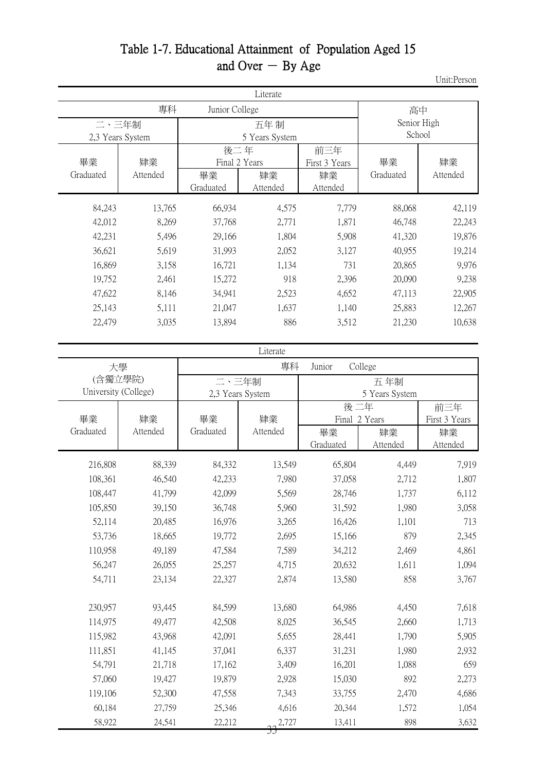#### Table 1-7. Educational Attainment of Population Aged 15 and Over  $-$  By Age

Unit:Person

| Literate             |                  |                                         |                |                                        |                       |                  |  |
|----------------------|------------------|-----------------------------------------|----------------|----------------------------------------|-----------------------|------------------|--|
| 專科<br>Junior College |                  |                                         |                |                                        | 高中                    |                  |  |
| 二、三年制                | 2,3 Years System | 五年制<br>5 Years System                   |                |                                        | Senior High<br>School |                  |  |
| 畢業<br>Graduated      | 肄業<br>Attended   | 後二年<br>Final 2 Years<br>畢業<br>Graduated | 肄業<br>Attended | 前三年<br>First 3 Years<br>肄業<br>Attended | 畢業<br>Graduated       | 肄業<br>Attended   |  |
| 84,243               | 13,765           | 66,934                                  | 4,575          | 7,779                                  | 88,068                | 42,119           |  |
| 42,012<br>42,231     | 8,269<br>5,496   | 37,768<br>29,166                        | 2,771<br>1,804 | 1,871<br>5,908                         | 46,748<br>41,320      | 22,243<br>19,876 |  |
| 36,621               | 5,619            | 31,993                                  | 2,052          | 3,127                                  | 40,955                | 19,214           |  |
| 16,869               | 3,158            | 16,721                                  | 1,134          | 731                                    | 20,865                | 9,976            |  |
| 19,752               | 2,461            | 15,272                                  | 918            | 2,396                                  | 20,090                | 9,238            |  |
| 47,622               | 8,146            | 34,941                                  | 2,523          | 4,652                                  | 47,113                | 22,905           |  |
| 25,143               | 5,111            | 21,047                                  | 1,637          | 1,140                                  | 25,883                | 12,267           |  |
| 22,479               | 3,035            | 13,894                                  | 886            | 3,512                                  | 21,230                | 10,638           |  |

|                      | Literate |                  |                         |               |                |               |  |  |  |
|----------------------|----------|------------------|-------------------------|---------------|----------------|---------------|--|--|--|
| 大學                   |          |                  | 專科<br>College<br>Junior |               |                |               |  |  |  |
| (含獨立學院)              |          | 二、三年制            |                         | 五年制           |                |               |  |  |  |
| University (College) |          | 2,3 Years System |                         |               | 5 Years System |               |  |  |  |
|                      |          |                  |                         |               | 後二年            |               |  |  |  |
| 畢業                   | 肄業       | 畢業               | 肄業                      | Final 2 Years |                | First 3 Years |  |  |  |
| Graduated            | Attended | Graduated        | Attended                | 畢業            | 肄業             | 肄業            |  |  |  |
|                      |          |                  |                         | Graduated     | Attended       | Attended      |  |  |  |
| 216,808              | 88,339   | 84,332           | 13,549                  | 65,804        | 4,449          | 7,919         |  |  |  |
| 108,361              | 46,540   | 42,233           | 7,980                   | 37,058        | 2,712          | 1,807         |  |  |  |
| 108,447              | 41,799   | 42,099           | 5,569                   | 28,746        | 1,737          | 6,112         |  |  |  |
| 105,850              | 39,150   | 36,748           | 5,960                   | 31,592        | 1,980          | 3,058         |  |  |  |
| 52,114               | 20,485   | 16,976           | 3,265                   | 16,426        | 1,101          | 713           |  |  |  |
| 53,736               | 18,665   | 19,772           | 2,695                   | 15,166        | 879            | 2,345         |  |  |  |
| 110,958              | 49,189   | 47,584           | 7,589                   | 34,212        | 2,469          | 4,861         |  |  |  |
| 56,247               | 26,055   | 25,257           | 4,715                   | 20,632        | 1,611          | 1,094         |  |  |  |
| 54,711               | 23,134   | 22,327           | 2,874                   | 13,580        | 858            | 3,767         |  |  |  |
|                      |          |                  |                         |               |                |               |  |  |  |
| 230,957              | 93,445   | 84,599           | 13,680                  | 64,986        | 4,450          | 7,618         |  |  |  |
| 114,975              | 49,477   | 42,508           | 8,025                   | 36,545        | 2,660          | 1,713         |  |  |  |
| 115,982              | 43,968   | 42,091           | 5,655                   | 28,441        | 1,790          | 5,905         |  |  |  |
| 111,851              | 41,145   | 37,041           | 6,337                   | 31,231        | 1,980          | 2,932         |  |  |  |
| 54,791               | 21,718   | 17,162           | 3,409                   | 16,201        | 1,088          | 659           |  |  |  |
| 57,060               | 19,427   | 19,879           | 2,928                   | 15,030        | 892            | 2,273         |  |  |  |
| 119,106              | 52,300   | 47,558           | 7,343                   | 33,755        | 2,470          | 4,686         |  |  |  |
| 60,184               | 27,759   | 25,346           | 4,616                   | 20,344        | 1,572          | 1,054         |  |  |  |
| 58,922               | 24,541   | 22,212           | 2,727                   | 13,411        | 898            | 3,632         |  |  |  |
|                      |          |                  | IJ                      |               |                |               |  |  |  |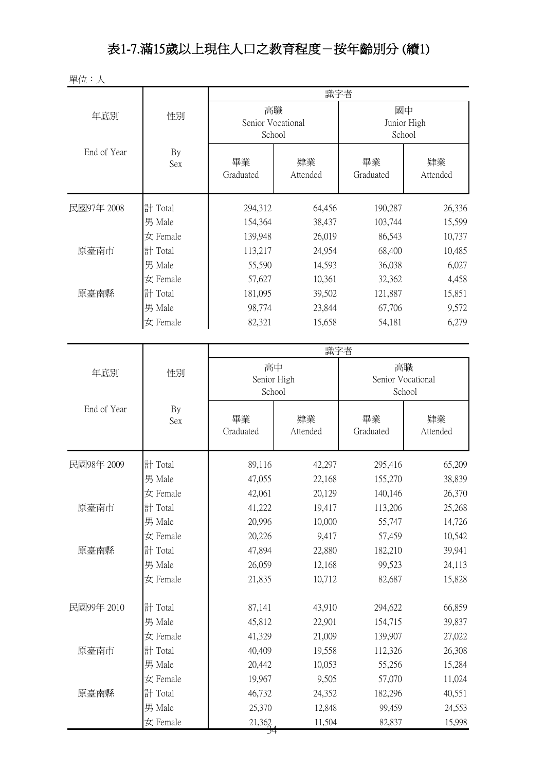## 表1-7.滿15歲以上現住人口之教育程度-按年齡別分 (續1)

| 單位:人        |                  |                                   |                |                             |                |  |  |
|-------------|------------------|-----------------------------------|----------------|-----------------------------|----------------|--|--|
|             |                  | 識字者                               |                |                             |                |  |  |
| 年底別         | 性別               | 高職<br>Senior Vocational<br>School |                | 國中<br>Junior High<br>School |                |  |  |
| End of Year | By<br><b>Sex</b> | 畢業<br>Graduated                   | 肄業<br>Attended | 畢業<br>Graduated             | 肄業<br>Attended |  |  |
| 民國97年 2008  | 計 Total          | 294,312                           | 64,456         | 190,287                     | 26,336         |  |  |
|             | 男 Male           | 154,364                           | 38,437         | 103,744                     | 15,599         |  |  |
|             | 女 Female         | 139,948                           | 26,019         | 86,543                      | 10,737         |  |  |
| 原臺南市        | 計 Total          | 113,217                           | 24,954         | 68,400                      | 10,485         |  |  |
|             | 男 Male           | 55,590                            | 14,593         | 36,038                      | 6,027          |  |  |
|             | 女 Female         | 57,627                            | 10,361         | 32,362                      | 4,458          |  |  |
| 原臺南縣        | 計 Total          | 181,095                           | 39,502         | 121,887                     | 15,851         |  |  |
|             | 男 Male           | 98,774                            | 23,844         | 67,706                      | 9,572          |  |  |
|             | $\pm$ Female     | 82,321                            | 15,658         | 54,181                      | 6,279          |  |  |
|             |                  |                                   | 識字者            |                             |                |  |  |
|             |                  | 高中                                |                | 高職                          |                |  |  |
| 年底別         | 性別               | Senior High                       |                | Senior Vocational           |                |  |  |
|             |                  | School                            |                | School                      |                |  |  |
| End of Year | By<br><b>Sex</b> | 畢業<br>Graduated                   | 肄業<br>Attended | 畢業<br>Graduated             | 肄業<br>Attended |  |  |
| 民國98年 2009  | 計 Total          | 89,116                            | 42,297         | 295,416                     | 65,209         |  |  |
|             | 男 Male           | 47,055                            | 22,168         | 155,270                     | 38,839         |  |  |
|             | 女 Female         | 42,061                            | 20,129         | 140,146                     | 26,370         |  |  |
| 原臺南市        | 計 Total          | 41,222                            | 19,417         | 113,206                     | 25,268         |  |  |
|             | 男 Male           | 20,996                            | 10,000         | 55,747                      | 14,726         |  |  |
|             | 女 Female         | 20,226                            | 9,417          | 57,459                      | 10,542         |  |  |
| 原臺南縣        | 計 Total          | 47,894                            | 22,880         | 182,210                     | 39,941         |  |  |
|             | 男 Male           | 26,059                            | 12,168         | 99,523                      | 24,113         |  |  |
|             | 女 Female         | 21,835                            | 10,712         | 82,687                      | 15,828         |  |  |
| 民國99年 2010  | 計 Total          | 87,141                            | 43,910         | 294,622                     | 66,859         |  |  |
|             | 男 Male           | 45,812                            | 22,901         | 154,715                     | 39,837         |  |  |
|             | 女 Female         | 41,329                            | 21,009         | 139,907                     | 27,022         |  |  |
| 原臺南市        | 計 Total          | 40,409                            | 19,558         | 112,326                     | 26,308         |  |  |
|             | 男 Male           | 20,442                            | 10,053         | 55,256                      | 15,284         |  |  |
|             | 女 Female         | 19,967                            | 9,505          | 57,070                      | 11,024         |  |  |
| 原臺南縣        | 計 Total          | 46,732                            | 24,352         | 182,296                     | 40,551         |  |  |
|             | 男 Male           | 25,370                            | 12,848         | 99,459                      | 24,553         |  |  |
|             | 女 Female         | 21,362                            | 11,504         | 82,837                      | 15,998         |  |  |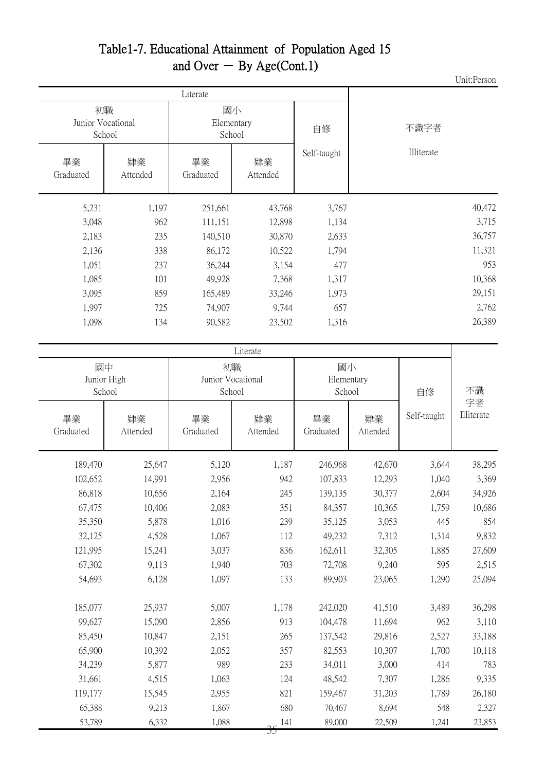#### Table1-7. Educational Attainment of Population Aged 15 and Over  $-$  By Age(Cont.1)

Unit:Person

|                 | 初職<br>Junior Vocational<br>School |                 | 國小<br>Elementary<br>School |             | 不識字者       |
|-----------------|-----------------------------------|-----------------|----------------------------|-------------|------------|
| 畢業<br>Graduated | 肄業<br>Attended                    | 畢業<br>Graduated | 肄業<br>Attended             | Self-taught | Illiterate |
| 5,231           | 1,197                             | 251,661         | 43,768                     | 3,767       | 40,472     |
| 3,048           | 962                               | 111,151         | 12,898                     | 1,134       | 3,715      |
| 2,183           | 235                               | 140,510         | 30,870                     | 2,633       | 36,757     |
| 2,136           | 338                               | 86,172          | 10,522                     | 1,794       | 11,321     |
| 1,051           | 237                               | 36,244          | 3,154                      | 477         | 953        |
| 1,085           | 101                               | 49,928          | 7,368                      | 1,317       | 10,368     |
| 3,095           | 859                               | 165,489         | 33,246                     | 1,973       | 29,151     |
| 1,997           | 725                               | 74,907          | 9,744                      | 657         | 2,762      |
| 1,098           | 134                               | 90,582          | 23,502                     | 1,316       | 26,389     |

| Literate                    |                |                                   |                |                            |                |             |                  |  |
|-----------------------------|----------------|-----------------------------------|----------------|----------------------------|----------------|-------------|------------------|--|
| 國中<br>Junior High<br>School |                | 初職<br>Junior Vocational<br>School |                | 國小<br>Elementary<br>School |                | 自修          | 不識               |  |
| 畢業<br>Graduated             | 肄業<br>Attended | 畢業<br>Graduated                   | 肄業<br>Attended | 畢業<br>Graduated            | 肄業<br>Attended | Self-taught | 字者<br>Illiterate |  |
| 189,470                     | 25,647         | 5,120                             | 1,187          | 246,968                    | 42,670         | 3,644       | 38,295           |  |
| 102,652                     | 14,991         | 2,956                             | 942            | 107,833                    | 12,293         | 1,040       | 3,369            |  |
| 86,818                      | 10,656         | 2,164                             | 245            | 139,135                    | 30,377         | 2,604       | 34,926           |  |
| 67,475                      | 10,406         | 2,083                             | 351            | 84,357                     | 10,365         | 1,759       | 10,686           |  |
| 35,350                      | 5,878          | 1,016                             | 239            | 35,125                     | 3,053          | 445         | 854              |  |
| 32,125                      | 4,528          | 1,067                             | 112            | 49,232                     | 7,312          | 1,314       | 9,832            |  |
| 121,995                     | 15,241         | 3,037                             | 836            | 162,611                    | 32,305         | 1,885       | 27,609           |  |
| 67,302                      | 9,113          | 1,940                             | 703            | 72,708                     | 9,240          | 595         | 2,515            |  |
| 54,693                      | 6,128          | 1,097                             | 133            | 89,903                     | 23,065         | 1,290       | 25,094           |  |
| 185,077                     | 25,937         | 5,007                             | 1,178          | 242,020                    | 41,510         | 3,489       | 36,298           |  |
| 99,627                      | 15,090         | 2,856                             | 913            | 104,478                    | 11,694         | 962         | 3,110            |  |
| 85,450                      | 10,847         | 2,151                             | 265            | 137,542                    | 29,816         | 2,527       | 33,188           |  |
| 65,900                      | 10,392         | 2,052                             | 357            | 82,553                     | 10,307         | 1,700       | 10,118           |  |
| 34,239                      | 5,877          | 989                               | 233            | 34,011                     | 3,000          | 414         | 783              |  |
| 31,661                      | 4,515          | 1,063                             | 124            | 48,542                     | 7,307          | 1,286       | 9,335            |  |
| 119,177                     | 15,545         | 2,955                             | 821            | 159,467                    | 31,203         | 1,789       | 26,180           |  |
| 65,388                      | 9,213          | 1,867                             | 680            | 70,467                     | 8,694          | 548         | 2,327            |  |
| 53,789                      | 6,332          | 1,088                             | 141<br>IJ      | 89,000                     | 22,509         | 1,241       | 23,853           |  |
|                             |                |                                   |                |                            |                |             |                  |  |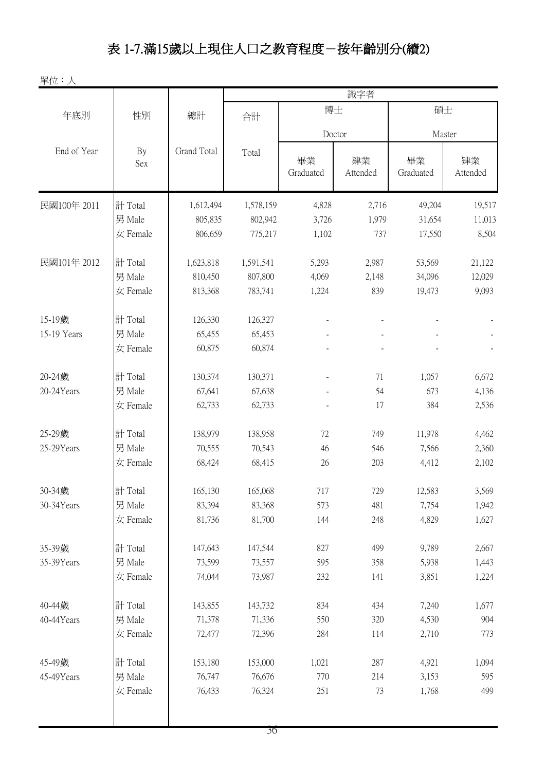# 表 1-7.滿15歲以上現住人口之教育程度-按年齡別分(續2)

單位:人

|             |           |             | 識字者       |                 |                |                 |                |  |
|-------------|-----------|-------------|-----------|-----------------|----------------|-----------------|----------------|--|
| 年底別         | 性別        | 總計          | 合計        | 博士              |                |                 | 碩士             |  |
|             |           |             |           |                 | Doctor         | Master          |                |  |
| End of Year | By<br>Sex | Grand Total | Total     | 畢業<br>Graduated | 肄業<br>Attended | 畢業<br>Graduated | 肄業<br>Attended |  |
| 民國100年 2011 | 計 Total   | 1,612,494   | 1,578,159 | 4,828           | 2,716          | 49,204          | 19,517         |  |
|             | 男 Male    | 805,835     | 802,942   | 3,726           | 1,979          | 31,654          | 11,013         |  |
|             | 女 Female  | 806,659     | 775,217   | 1,102           | 737            | 17,550          | 8,504          |  |
| 民國101年 2012 | 計 Total   | 1,623,818   | 1,591,541 | 5,293           | 2,987          | 53,569          | 21,122         |  |
|             | 男 Male    | 810,450     | 807,800   | 4,069           | 2,148          | 34,096          | 12,029         |  |
|             | 女 Female  | 813,368     | 783,741   | 1,224           | 839            | 19,473          | 9,093          |  |
| 15-19歲      | 計 Total   | 126,330     | 126,327   |                 |                |                 |                |  |
| 15-19 Years | 男 Male    | 65,455      | 65,453    |                 |                |                 |                |  |
|             | 女 Female  | 60,875      | 60,874    |                 |                |                 |                |  |
| 20-24歲      | 計 Total   | 130,374     | 130,371   |                 | 71             | 1,057           | 6,672          |  |
| 20-24 Years | 男 Male    | 67,641      | 67,638    |                 | 54             | 673             | 4,136          |  |
|             | 女 Female  | 62,733      | 62,733    |                 | 17             | 384             | 2,536          |  |
| 25-29歲      | 計 Total   | 138,979     | 138,958   | 72              | 749            | 11,978          | 4,462          |  |
| 25-29Years  | 男 Male    | 70,555      | 70,543    | 46              | 546            | 7,566           | 2,360          |  |
|             | 女 Female  | 68,424      | 68,415    | 26              | 203            | 4,412           | 2,102          |  |
| 30-34歲      | 計 Total   | 165,130     | 165,068   | 717             | 729            | 12,583          | 3,569          |  |
| 30-34Years  | 男 Male    | 83,394      | 83,368    | 573             | 481            | 7,754           | 1,942          |  |
|             | 女 Female  | 81,736      | 81,700    | 144             | 248            | 4,829           | 1,627          |  |
| 35-39歲      | 計 Total   | 147,643     | 147,544   | 827             | 499            | 9,789           | 2,667          |  |
| 35-39Years  | 男 Male    | 73,599      | 73,557    | 595             | 358            | 5,938           | 1,443          |  |
|             | 女 Female  | 74,044      | 73,987    | 232             | 141            | 3,851           | 1,224          |  |
| 40-44歲      | 計 Total   | 143,855     | 143,732   | 834             | 434            | 7,240           | 1,677          |  |
| 40-44Years  | 男 Male    | 71,378      | 71,336    | 550             | 320            | 4,530           | 904            |  |
|             | 女 Female  | 72,477      | 72,396    | 284             | 114            | 2,710           | 773            |  |
| 45-49歲      | 計 Total   | 153,180     | 153,000   | 1,021           | 287            | 4,921           | 1,094          |  |
| 45-49Years  | 男 Male    | 76,747      | 76,676    | 770             | 214            | 3,153           | 595            |  |
|             | 女 Female  | 76,433      | 76,324    | 251             | 73             | 1,768           | 499            |  |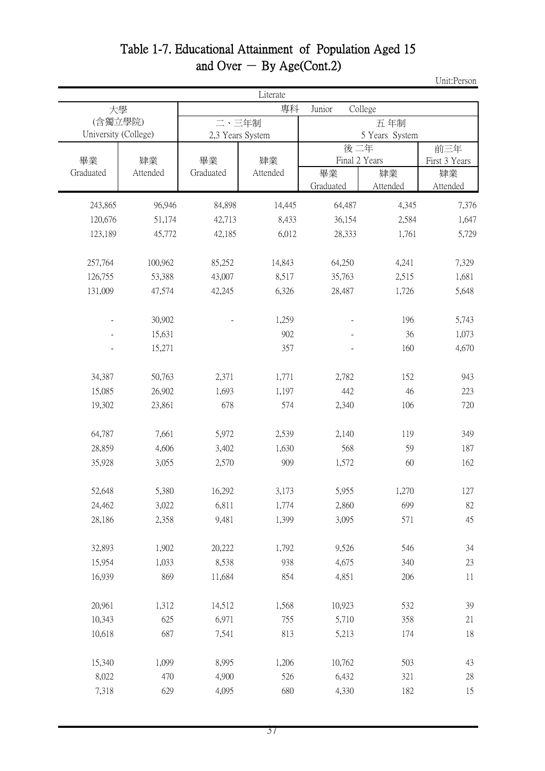### Table 1-7. Educational Attainment of Population Aged 15 and Over  $-$  By Age(Cont.2)

Unit:Person

|                                 | Literate |                           |          |                   |                |                      |  |  |  |  |
|---------------------------------|----------|---------------------------|----------|-------------------|----------------|----------------------|--|--|--|--|
|                                 | 大學       |                           | 專科       | College<br>Junior |                |                      |  |  |  |  |
| (含獨立學院)<br>University (College) |          | 二、三年制<br>2,3 Years System |          |                   | 5 Years System |                      |  |  |  |  |
| 畢業                              | 肄業       | 畢業                        | 肄業       | 後二年               | Final 2 Years  | 前三年<br>First 3 Years |  |  |  |  |
| Graduated                       | Attended | Graduated                 | Attended | 畢業<br>Graduated   | 肄業<br>Attended | 肄業<br>Attended       |  |  |  |  |
| 243,865                         | 96,946   | 84,898                    | 14,445   | 64,487            | 4,345          | 7,376                |  |  |  |  |
| 120,676                         | 51,174   | 42,713                    | 8,433    | 36,154            | 2,584          | 1,647                |  |  |  |  |
| 123,189                         | 45,772   | 42,185                    | 6,012    | 28,333            | 1,761          | 5,729                |  |  |  |  |
| 257,764                         | 100,962  | 85,252                    | 14,843   | 64,250            | 4,241          | 7,329                |  |  |  |  |
| 126,755                         | 53,388   | 43,007                    | 8,517    | 35,763            | 2,515          | 1,681                |  |  |  |  |
| 131,009                         | 47,574   | 42,245                    | 6,326    | 28,487            | 1,726          | 5,648                |  |  |  |  |
|                                 | 30,902   |                           | 1,259    |                   | 196            | 5,743                |  |  |  |  |
|                                 | 15,631   |                           | 902      |                   | 36             | 1,073                |  |  |  |  |
|                                 | 15,271   |                           | 357      |                   | 160            | 4,670                |  |  |  |  |
| 34,387                          | 50,763   | 2,371                     | 1,771    | 2,782             | 152            | 943                  |  |  |  |  |
| 15,085                          | 26,902   | 1,693                     | 1,197    | 442               | 46             | 223                  |  |  |  |  |
| 19,302                          | 23,861   | 678                       | 574      | 2,340             | 106            | 720                  |  |  |  |  |
| 64,787                          | 7,661    | 5,972                     | 2,539    | 2,140             | 119            | 349                  |  |  |  |  |
| 28,859                          | 4,606    | 3,402                     | 1,630    | 568               | 59             | 187                  |  |  |  |  |
| 35,928                          | 3,055    | 2,570                     | 909      | 1,572             | 60             | 162                  |  |  |  |  |
| 52,648                          | 5,380    | 16,292                    | 3,173    | 5,955             | 1,270          | 127                  |  |  |  |  |
| 24,462                          | 3,022    | 6,811                     | 1,774    | 2,860             | 699            | 82                   |  |  |  |  |
| 28,186                          | 2,358    | 9,481                     | 1,399    | 3,095             | 571            | 45                   |  |  |  |  |
| 32,893                          | 1,902    | 20,222                    | 1,792    | 9,526             | 546            | 34                   |  |  |  |  |
| 15,954                          | 1,033    | 8,538                     | 938      | 4,675             | 340            | 23                   |  |  |  |  |
| 16,939                          | 869      | 11,684                    | 854      | 4,851             | 206            | 11                   |  |  |  |  |
| 20,961                          | 1,312    | 14,512                    | 1,568    | 10,923            | 532            | 39                   |  |  |  |  |
| 10,343                          | 625      | 6,971                     | 755      | 5,710             | 358            | 21                   |  |  |  |  |
| 10,618                          | 687      | 7,541                     | 813      | 5,213             | 174            | 18                   |  |  |  |  |
| 15,340                          | 1,099    | 8,995                     | 1,206    | 10,762            | 503            | 43                   |  |  |  |  |
| 8,022                           | 470      | 4,900                     | 526      | 6,432             | 321            | 28                   |  |  |  |  |
| 7,318                           | 629      | 4,095                     | 680      | 4,330             | 182            | 15                   |  |  |  |  |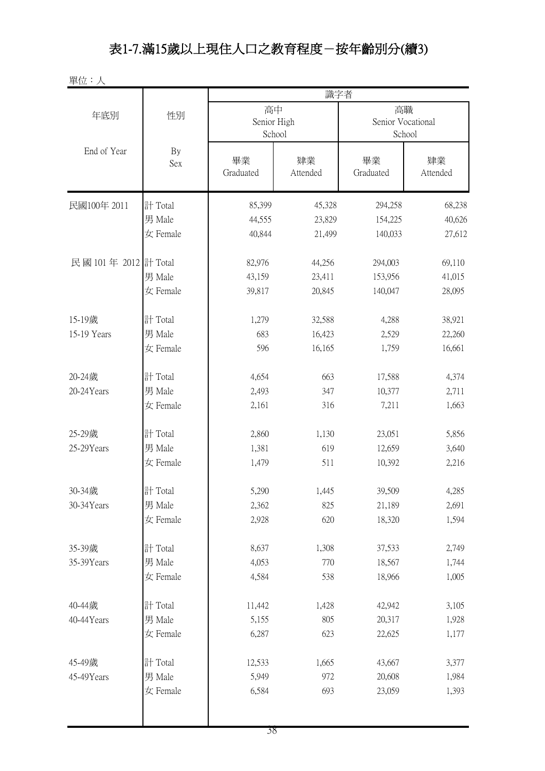## 表1-7.滿15歲以上現住人口之教育程度-按年齡別分(續3)

單位:人

|                      |           | 識字者               |                |                 |                                   |  |  |  |
|----------------------|-----------|-------------------|----------------|-----------------|-----------------------------------|--|--|--|
| 年底別                  | 性別        | 高中<br>Senior High | School         |                 | 高職<br>Senior Vocational<br>School |  |  |  |
| End of Year          | By<br>Sex | 畢業<br>Graduated   | 肄業<br>Attended | 畢業<br>Graduated | 肄業<br>Attended                    |  |  |  |
| 民國100年 2011          | 計 Total   | 85,399            | 45,328         | 294,258         | 68,238                            |  |  |  |
|                      | 男 Male    | 44,555            | 23,829         | 154,225         | 40,626                            |  |  |  |
|                      | 女 Female  | 40,844            | 21,499         | 140,033         | 27,612                            |  |  |  |
| 民國 101年 2012 計 Total |           | 82,976            | 44,256         | 294,003         | 69,110                            |  |  |  |
|                      | 男 Male    | 43,159            | 23,411         | 153,956         | 41,015                            |  |  |  |
|                      | 女 Female  | 39,817            | 20,845         | 140,047         | 28,095                            |  |  |  |
| 15-19歲               | 計 Total   | 1,279             | 32,588         | 4,288           | 38,921                            |  |  |  |
| 15-19 Years          | 男 Male    | 683               | 16,423         | 2,529           | 22,260                            |  |  |  |
|                      | 女 Female  | 596               | 16,165         | 1,759           | 16,661                            |  |  |  |
| 20-24歲               | 計 Total   | 4,654             | 663            | 17,588          | 4,374                             |  |  |  |
| 20-24Years           | 男 Male    | 2,493             | 347            | 10,377          | 2,711                             |  |  |  |
|                      | 女 Female  | 2,161             | 316            | 7,211           | 1,663                             |  |  |  |
| 25-29歲               | 計 Total   | 2,860             | 1,130          | 23,051          | 5,856                             |  |  |  |
| 25-29Years           | 男 Male    | 1,381             | 619            | 12,659          | 3,640                             |  |  |  |
|                      | 女 Female  | 1,479             | 511            | 10,392          | 2,216                             |  |  |  |
| 30-34歲               | 計 Total   | 5,290             | 1,445          | 39,509          | 4,285                             |  |  |  |
| 30-34Years           | 男 Male    | 2,362             | 825            | 21,189          | 2,691                             |  |  |  |
|                      | 女 Female  | 2,928             | 620            | 18,320          | 1,594                             |  |  |  |
| 35-39歲               | 計 Total   | 8,637             | 1,308          | 37,533          | 2,749                             |  |  |  |
| 35-39Years           | 男 Male    | 4,053             | 770            | 18,567          | 1,744                             |  |  |  |
|                      | 女 Female  | 4,584             | 538            | 18,966          | 1,005                             |  |  |  |
| 40-44歲               | 計 Total   | 11,442            | 1,428          | 42,942          | 3,105                             |  |  |  |
| 40-44Years           | 男 Male    | 5,155             | 805            | 20,317          | 1,928                             |  |  |  |
|                      | 女 Female  | 6,287             | 623            | 22,625          | 1,177                             |  |  |  |
| 45-49歲               | 計 Total   | 12,533            | 1,665          | 43,667          | 3,377                             |  |  |  |
| 45-49Years           | 男 Male    | 5,949             | 972            | 20,608          | 1,984                             |  |  |  |
|                      | 女 Female  | 6,584             | 693            | 23,059          | 1,393                             |  |  |  |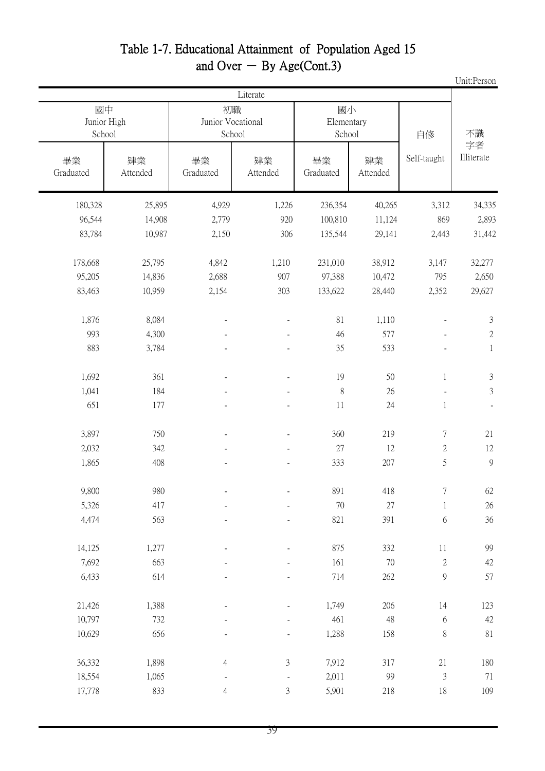#### Table 1-7. Educational Attainment of Population Aged 15 and Over  $-$  By Age(Cont.3)

|                             |                |                                   |                             |                            |                |                             | Unit:Person              |
|-----------------------------|----------------|-----------------------------------|-----------------------------|----------------------------|----------------|-----------------------------|--------------------------|
|                             |                |                                   | Literate                    |                            |                |                             |                          |
| 國中<br>Junior High<br>School |                | 初職<br>Junior Vocational<br>School |                             | 國小<br>Elementary<br>School |                | 自修                          | 不識                       |
| 畢業<br>Graduated             | 肄業<br>Attended | 畢業<br>Graduated                   | 肄業<br>Attended              | 畢業<br>Graduated            | 肄業<br>Attended | Self-taught                 | 字者<br>Illiterate         |
| 180,328                     | 25,895         | 4,929                             | 1,226                       | 236,354                    | 40,265         | 3,312                       | 34,335                   |
| 96,544                      | 14,908         | 2,779                             | 920                         | 100,810                    | 11,124         | 869                         | 2,893                    |
| 83,784                      | 10,987         | 2,150                             | 306                         | 135,544                    | 29,141         | 2,443                       | 31,442                   |
| 178,668                     | 25,795         | 4,842                             | 1,210                       | 231,010                    | 38,912         | 3,147                       | 32,277                   |
| 95,205                      | 14,836         | 2,688                             | 907                         | 97,388                     | 10,472         | 795                         | 2,650                    |
| 83,463                      | 10,959         | 2,154                             | 303                         | 133,622                    | 28,440         | 2,352                       | 29,627                   |
| 1,876                       | 8,084          | $\overline{\phantom{a}}$          | ÷,                          | 81                         | 1,110          | $\overline{\phantom{a}}$    | $\mathfrak{Z}$           |
| 993                         | 4,300          |                                   |                             | 46                         | 577            |                             | $\mathbf{2}$             |
| 883                         | 3,784          |                                   |                             | 35                         | 533            |                             | $\mathbf{1}$             |
| 1,692                       | 361            |                                   |                             | 19                         | 50             | $\mathbf 1$                 | $\mathfrak{Z}$           |
| 1,041                       | 184            |                                   |                             | 8                          | 26             |                             | $\mathfrak{Z}$           |
| 651                         | 177            |                                   |                             | 11                         | 24             | $\mathbf{1}$                | $\overline{\phantom{a}}$ |
| 3,897                       | 750            |                                   |                             | 360                        | 219            | 7                           | 21                       |
| 2,032                       | 342            |                                   |                             | $27\,$                     | 12             | $\mathbf{2}$                | 12                       |
| 1,865                       | 408            |                                   |                             | 333                        | 207            | 5                           | 9                        |
| 9,800                       | 980            |                                   | $\overline{a}$              | 891                        | 418            | $\boldsymbol{7}$            | 62                       |
| 5,326                       | 417            |                                   |                             | $70\,$                     | $27\,$         | $\,1$                       | $26\,$                   |
| 4,474                       | 563            |                                   |                             | 821                        | 391            | $\sqrt{6}$                  | $36\,$                   |
| 14,125                      | 1,277          |                                   |                             | 875                        | 332            | $11\,$                      | 99                       |
| 7,692                       | 663            |                                   |                             | 161                        | $70\,$         | $\sqrt{2}$                  | $42\,$                   |
| 6,433                       | 614            |                                   |                             | 714                        | 262            | $\boldsymbol{9}$            | 57                       |
| 21,426                      | 1,388          |                                   |                             | 1,749                      | 206            | 14                          | 123                      |
| 10,797                      | 732            |                                   |                             | 461                        | 48             | $\boldsymbol{6}$            | $42\,$                   |
| 10,629                      | 656            |                                   |                             | 1,288                      | 158            | $8\,$                       | 81                       |
| 36,332                      | 1,898          | $\overline{4}$                    | $\ensuremath{\mathfrak{Z}}$ | 7,912                      | 317            | $21\,$                      | $180\,$                  |
| 18,554                      | 1,065          |                                   |                             | 2,011                      | 99             | $\ensuremath{\mathfrak{Z}}$ | 71                       |
| 17,778                      | 833            | $\overline{4}$                    | $\mathfrak{Z}$              | 5,901                      | 218            | $18\,$                      | 109                      |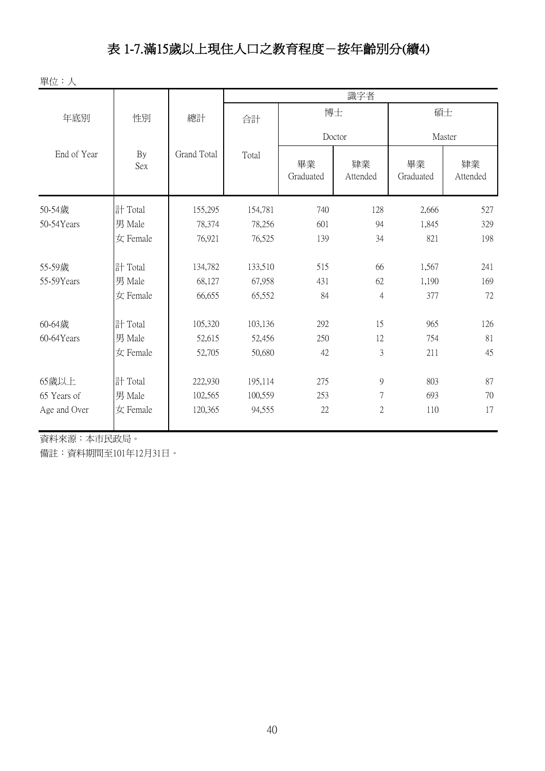## 表 1-7.滿15歲以上現住人口之教育程度-按年齡別分(續4)

單位:人

|              |           |             | 識字者     |                 |                |                 |                |  |  |
|--------------|-----------|-------------|---------|-----------------|----------------|-----------------|----------------|--|--|
| 年底別          | 性別        | 總計          | 合計      | 博士              |                | 碩士              |                |  |  |
|              |           |             |         |                 | Doctor         |                 | Master         |  |  |
| End of Year  | By<br>Sex | Grand Total | Total   | 畢業<br>Graduated | 肄業<br>Attended | 畢業<br>Graduated | 肄業<br>Attended |  |  |
| 50-54歲       | 計 Total   | 155,295     | 154,781 | 740             | 128            | 2,666           | 527            |  |  |
| 50-54Years   | 男 Male    | 78,374      | 78,256  | 601             | 94             | 1,845           | 329            |  |  |
|              | 女 Female  | 76,921      | 76,525  | 139             | 34             | 821             | 198            |  |  |
| 55-59歲       | 計 Total   | 134,782     | 133,510 | 515             | 66             | 1,567           | 241            |  |  |
| 55-59Years   | 男 Male    | 68,127      | 67,958  | 431             | 62             | 1,190           | 169            |  |  |
|              | 女 Female  | 66,655      | 65,552  | 84              | $\overline{4}$ | 377             | 72             |  |  |
| 60-64歲       | 計 Total   | 105,320     | 103,136 | 292             | 15             | 965             | 126            |  |  |
| 60-64Years   | 男 Male    | 52,615      | 52,456  | 250             | 12             | 754             | 81             |  |  |
|              | 女 Female  | 52,705      | 50,680  | 42              | 3              | 211             | 45             |  |  |
| 65歲以上        | 計 Total   | 222,930     | 195,114 | 275             | 9              | 803             | 87             |  |  |
| 65 Years of  | 男 Male    | 102,565     | 100,559 | 253             | $\overline{7}$ | 693             | 70             |  |  |
| Age and Over | 女 Female  | 120,365     | 94,555  | 22              | $\sqrt{2}$     | 110             | 17             |  |  |

資料來源:本市民政局。

備註:資料期間至101年12月31日。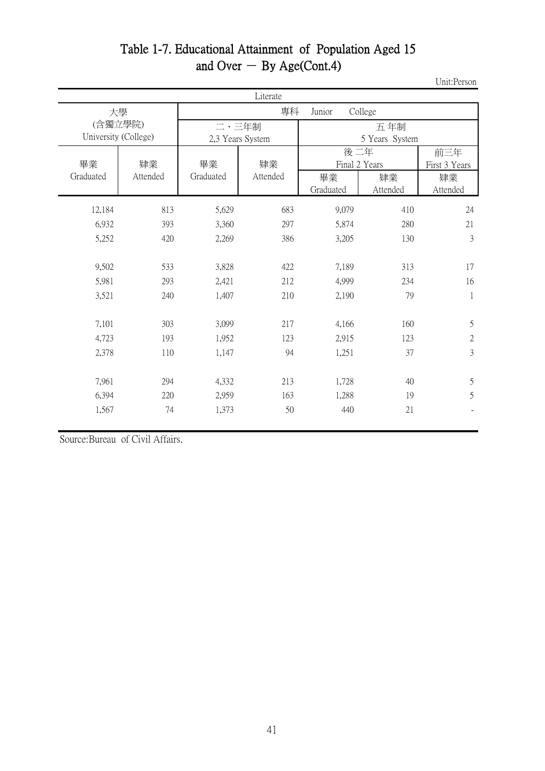#### Table 1-7. Educational Attainment of Population Aged 15 and Over  $-$  By Age(Cont.4)

Unit:Person

|                 | Literate             |                 |                         |                 |                |                |  |  |  |
|-----------------|----------------------|-----------------|-------------------------|-----------------|----------------|----------------|--|--|--|
|                 | 大學                   |                 | 專科<br>College<br>Junior |                 |                |                |  |  |  |
|                 | (含獨立學院)              |                 | 二、三年制                   | 五年制             |                |                |  |  |  |
|                 | University (College) |                 | 2,3 Years System        |                 | 5 Years System |                |  |  |  |
|                 |                      |                 |                         | 後二年             |                | 前三年            |  |  |  |
| 畢業<br>Graduated | 肄業<br>Attended       | 畢業<br>Graduated | 肄業<br>Attended          |                 | Final 2 Years  | First 3 Years  |  |  |  |
|                 |                      |                 |                         | 畢業<br>Graduated | 肄業<br>Attended | 肄業<br>Attended |  |  |  |
|                 |                      |                 |                         |                 |                |                |  |  |  |
| 12,184          | 813                  | 5,629           | 683                     | 9,079           | 410            | 24             |  |  |  |
| 6,932           | 393                  | 3,360           | 297                     | 5,874           | 280            | 21             |  |  |  |
| 5,252           | 420                  | 2,269           | 386                     | 3,205           | 130            | 3              |  |  |  |
|                 |                      |                 |                         |                 |                |                |  |  |  |
| 9,502           | 533                  | 3,828           | 422                     | 7,189           | 313            | 17             |  |  |  |
| 5,981           | 293                  | 2,421           | 212                     | 4,999           | 234            | 16             |  |  |  |
| 3,521           | 240                  | 1,407           | 210                     | 2,190           | 79             | $\mathbf{1}$   |  |  |  |
|                 |                      |                 |                         |                 |                |                |  |  |  |
| 7,101           | 303                  | 3,099           | 217                     | 4,166           | 160            | 5              |  |  |  |
| 4,723           | 193                  | 1,952           | 123                     | 2,915           | 123            | $\mathbf{2}$   |  |  |  |
| 2,378           | 110                  | 1,147           | 94                      | 1,251           | 37             | $\overline{3}$ |  |  |  |
|                 |                      |                 |                         |                 |                |                |  |  |  |
| 7,961           | 294                  | 4,332           | 213                     | 1,728           | 40             | 5              |  |  |  |
| 6,394           | 220                  | 2,959           | 163                     | 1,288           | 19             | 5              |  |  |  |
| 1,567           | 74                   | 1,373           | 50                      | 440             | 21             |                |  |  |  |
|                 |                      |                 |                         |                 |                |                |  |  |  |

Source:Bureau of Civil Affairs.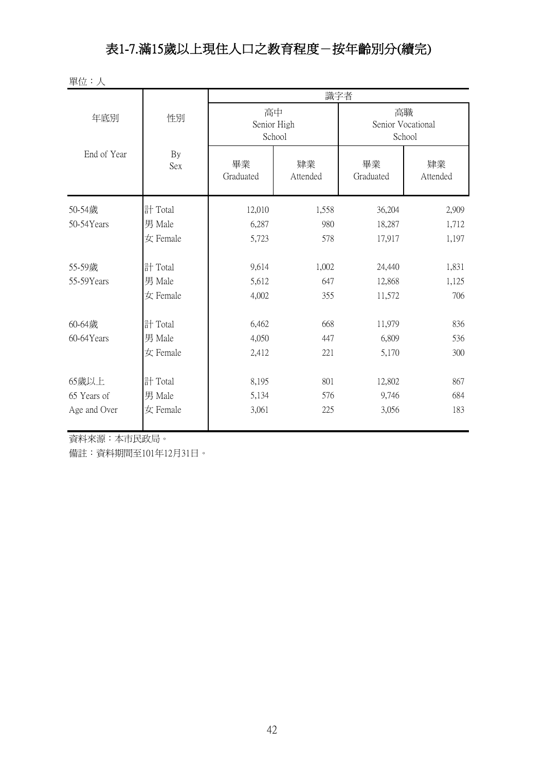#### 表1-7.滿15歲以上現住人口之教育程度-按年齡別分(續完)

單位:人

|              |                  | 識字者                         |                |                                   |                |  |  |  |
|--------------|------------------|-----------------------------|----------------|-----------------------------------|----------------|--|--|--|
| 年底別          | 性別               | 高中<br>Senior High<br>School |                | 高職<br>Senior Vocational<br>School |                |  |  |  |
| End of Year  | By<br><b>Sex</b> | 畢業<br>Graduated             | 肄業<br>Attended | 畢業<br>Graduated                   | 肄業<br>Attended |  |  |  |
| 50-54歲       | 計 Total          | 12,010                      | 1,558          | 36,204                            | 2,909          |  |  |  |
| 50-54Years   | 男 Male           | 6,287                       | 980            | 18,287                            | 1,712          |  |  |  |
|              | 女 Female         | 5,723                       | 578            | 17,917                            | 1,197          |  |  |  |
| 55-59歲       | 計 Total          | 9,614                       | 1,002          | 24,440                            | 1,831          |  |  |  |
| 55-59Years   | 男 Male           | 5,612                       | 647            | 12,868                            | 1,125          |  |  |  |
|              | 女 Female         | 4,002                       | 355            | 11,572                            | 706            |  |  |  |
| 60-64歲       | 計 Total          | 6,462                       | 668            | 11,979                            | 836            |  |  |  |
| 60-64Years   | 男 Male           | 4,050                       | 447            | 6,809                             | 536            |  |  |  |
|              | 女 Female         | 2,412                       | 221            | 5,170                             | 300            |  |  |  |
| 65歲以上        | 計 Total          | 8,195                       | 801            | 12,802                            | 867            |  |  |  |
| 65 Years of  | 男 Male           | 5,134                       | 576            | 9,746                             | 684            |  |  |  |
| Age and Over | 女 Female         | 3,061                       | 225            | 3,056                             | 183            |  |  |  |

資料來源:本市民政局。

備註:資料期間至101年12月31日。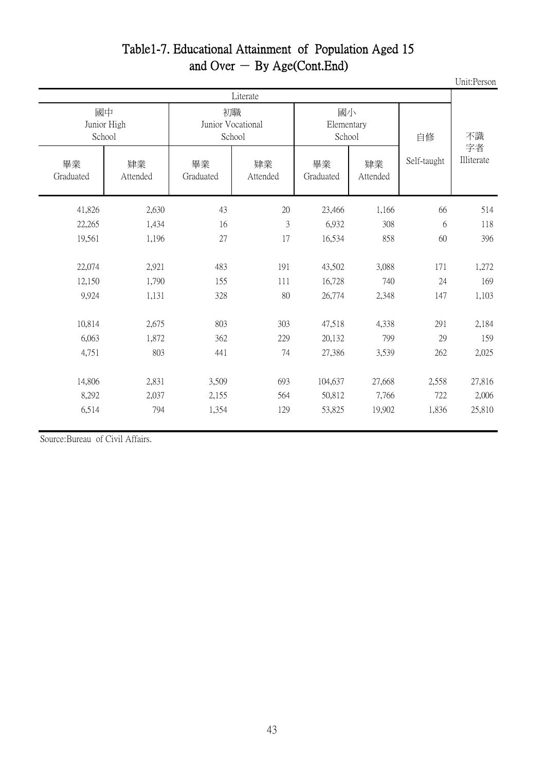#### Table1-7. Educational Attainment of Population Aged 15 and Over  $-$  By Age(Cont. End)

 Unit:Person 2,630 41,826 43 20 23,466 1,166 66 514 1,434 22,265 16 3 6,932 308 6 118 1,196 19,561 27 17 16,534 858 60 396 2,921 22,074 483 191 43,502 3,088 171 1,272 1,790 12,150 155 111 16,728 740 24 169 1,131 9,924 328 80 26,774 2,348 147 1,103 2,675 10,814 803 303 47,518 4,338 291 2,184 1,872 6,063 362 229 20,132 799 29 159 803 4,751 441 74 27,386 3,539 262 2,025 2,831 14,806 3,509 693 104,637 27,668 2,558 27,816 2,037 8,292 2,155 564 50,812 7,766 722 2,006 794 6,514 1,354 129 53,825 19,902 1,836 25,810 畢業 Graduated 肄業 Attended Literate 畢業 Graduated 肄業 Attended 畢業 Graduated 肄業 Attended 不識 字者 Illiterate 國中 Junior High School 初職 Junior Vocational School 國小 Elementary School 自修 Self-taught

Source:Bureau of Civil Affairs.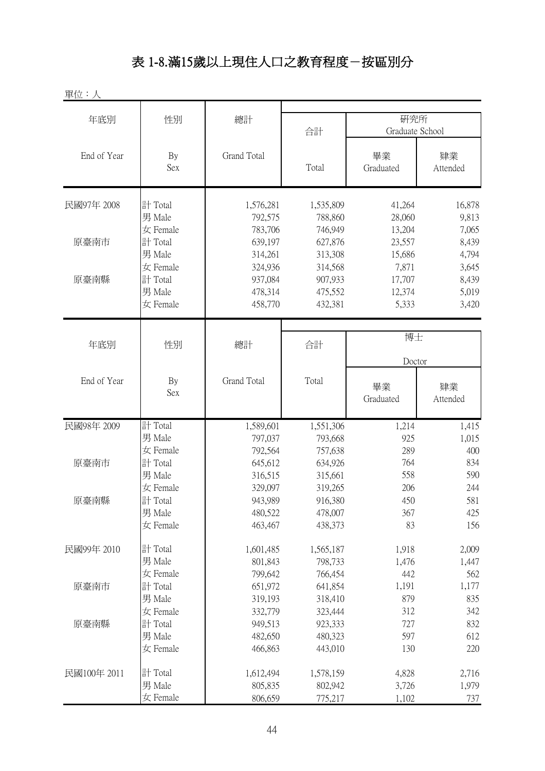# 表 1-8.滿15歲以上現住人口之教育程度-按區別分

單位:人

| 年底別         | 性別         | 總計          |           | 研究所             |              |
|-------------|------------|-------------|-----------|-----------------|--------------|
|             |            |             | 合計        | Graduate School |              |
|             |            |             |           |                 |              |
| End of Year | By         | Grand Total |           | 畢業              | 肄業           |
|             | Sex        |             | Total     | Graduated       | Attended     |
|             |            |             |           |                 |              |
| 民國97年 2008  | 計 Total    | 1,576,281   | 1,535,809 | 41,264          | 16,878       |
|             | 男 Male     | 792,575     | 788,860   | 28,060          | 9,813        |
|             | 女 Female   | 783,706     | 746,949   | 13,204          | 7,065        |
| 原臺南市        | 計 Total    | 639,197     | 627,876   | 23,557          | 8,439        |
|             | 男 Male     | 314,261     | 313,308   | 15,686          | 4,794        |
|             | 女 Female   | 324,936     | 314,568   | 7,871           | 3,645        |
| 原臺南縣        | 計 Total    | 937,084     | 907,933   | 17,707          | 8,439        |
|             | 男 Male     | 478,314     | 475,552   | 12,374          | 5,019        |
|             | 女 Female   | 458,770     | 432,381   | 5,333           | 3,420        |
|             |            |             |           |                 |              |
|             |            |             |           | 博士              |              |
| 年底別         | 性別         | 總計          | 合計        |                 |              |
|             |            |             |           | Doctor          |              |
| End of Year | By         | Grand Total | Total     | 畢業              | 肄業           |
|             | <b>Sex</b> |             |           | Graduated       | Attended     |
|             |            |             |           |                 |              |
| 民國98年 2009  | 計 Total    | 1,589,601   | 1,551,306 | 1,214           | 1,415        |
|             | 男 Male     | 797,037     | 793,668   | 925             | 1,015        |
|             | 女 Female   | 792,564     | 757,638   | 289             | 400          |
| 原臺南市        | 計 Total    | 645,612     | 634,926   | 764             | 834          |
|             | 男 Male     | 316,515     | 315,661   | 558             | 590          |
|             | 女 Female   | 329,097     | 319,265   | 206             | 244          |
| 原臺南縣        | 計 Total    | 943,989     | 916,380   | 450             | 581          |
|             | 男 Male     | 480,522     | 478,007   | 367             | 425          |
|             | 女 Female   | 463,467     | 438,373   | 83              | 156          |
| 民國99年 2010  | 計 Total    | 1,601,485   | 1,565,187 | 1,918           | 2,009        |
|             | 男 Male     | 801,843     | 798,733   | 1,476           |              |
|             | 女 Female   | 799,642     | 766,454   | 442             | 1,447<br>562 |
| 原臺南市        | 計 Total    | 651,972     | 641,854   | 1,191           | 1,177        |
|             | 男 Male     | 319,193     | 318,410   | 879             | 835          |
|             | 女 Female   | 332,779     |           | 312             | 342          |
|             |            |             | 323,444   |                 |              |
| 原臺南縣        | 計 Total    | 949,513     | 923,333   | 727             | 832          |
|             | 男 Male     | 482,650     | 480,323   | 597             | 612          |
|             | 女 Female   | 466,863     | 443,010   | 130             | 220          |
| 民國100年 2011 | 計 Total    | 1,612,494   | 1,578,159 | 4,828           | 2,716        |
|             | 男 Male     | 805,835     | 802,942   | 3,726           | 1,979        |
|             | 女 Female   | 806,659     | 775,217   | 1,102           | 737          |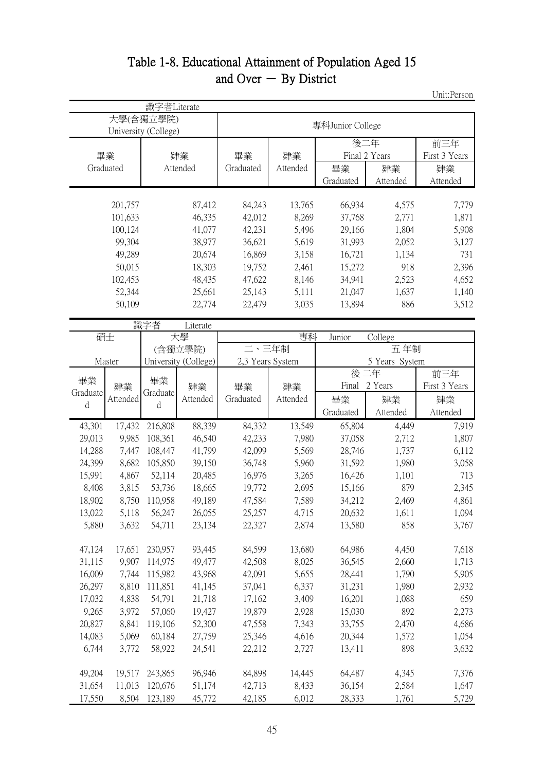#### Table 1-8. Educational Attainment of Population Aged 15 and Over  $-$  By District

Unit:Person

|          |           | 識字者Literate                       |                      |                  |          |                   |               |                      |
|----------|-----------|-----------------------------------|----------------------|------------------|----------|-------------------|---------------|----------------------|
|          |           | 大學(含獨立學院)<br>University (College) |                      |                  |          | 專科Junior College  |               |                      |
|          | 畢業        |                                   | 肄業                   | 畢業               | 肄業       | 後二年               | Final 2 Years | 前三年<br>First 3 Years |
|          | Graduated |                                   | Attended             | Graduated        | Attended | 畢業                | 肄業            | 肄業                   |
|          |           |                                   |                      |                  |          | Graduated         | Attended      | Attended             |
|          |           |                                   |                      |                  |          |                   |               |                      |
|          | 201,757   |                                   | 87,412               | 84,243           | 13,765   | 66,934            | 4,575         | 7,779                |
|          | 101,633   |                                   | 46,335               | 42,012           | 8,269    | 37,768            | 2,771         | 1,871                |
|          | 100,124   |                                   | 41,077               | 42,231           | 5,496    | 29,166            | 1,804         | 5,908                |
|          | 99,304    |                                   | 38,977               | 36,621           | 5,619    | 31,993            | 2,052         | 3,127                |
|          | 49,289    |                                   | 20,674               | 16,869           | 3,158    | 16,721            | 1,134         | 731                  |
|          | 50,015    |                                   | 18,303               | 19,752           | 2,461    | 15,272            | 918           | 2,396                |
|          | 102,453   |                                   | 48,435               | 47,622           | 8,146    | 34,941            | 2,523         | 4,652                |
|          | 52,344    |                                   | 25,661               | 25,143           | 5,111    | 21,047            | 1,637         | 1,140                |
|          | 50,109    |                                   | 22,774               | 22,479           | 3,035    | 13,894            | 886           | 3,512                |
|          |           | 識字者                               | Literate             |                  |          |                   |               |                      |
|          | 碩士        |                                   | 大學                   |                  | 專科       | College<br>Junior |               |                      |
|          |           |                                   | (含獨立學院)              | 二、三年制            |          | 五年制               |               |                      |
|          | Master    |                                   | University (College) | 2,3 Years System |          | 5 Years System    |               |                      |
| 畢業       |           | 畢業                                |                      |                  |          | 後二年               |               | 前三年                  |
| Graduate | 肄業        | Graduate                          | 肄業                   | 畢業               | 肄業       |                   | Final 2 Years | First 3 Years        |
| d        | Attended  | d                                 | Attended             | Graduated        | Attended | 畢業                | 肄業            | 肄業                   |
|          |           |                                   |                      |                  |          | Graduated         | Attended      | Attended             |
| 43,301   | 17,432    | 216,808                           | 88,339               | 84,332           | 13,549   | 65,804            | 4,449         | 7,919                |
| 29,013   | 9,985     | 108,361                           | 46,540               | 42,233           | 7,980    | 37,058            | 2,712         | 1,807                |
| 14,288   | 7,447     | 108,447                           | 41,799               | 42,099           | 5,569    | 28,746            | 1,737         | 6,112                |
| 24,399   | 8,682     | 105,850                           | 39,150               | 36,748           | 5,960    | 31,592            | 1,980         | 3,058                |
| 15,991   | 4,867     | 52,114                            | 20,485               | 16,976           | 3,265    | 16,426            | 1,101         | 713                  |
| 8,408    | 3,815     | 53,736                            | 18,665               | 19,772           | 2,695    | 15,166            | 879           | 2,345                |
| 18,902   | 8,750     | 110,958                           | 49,189               | 47,584           | 7,589    | 34,212            | 2,469         | 4,861                |
| 13,022   | 5,118     | 56,247                            | 26,055               | 25,257           | 4,715    | 20,632            | 1,611         | 1,094                |
| 5,880    | 3,632     | 54,711                            | 23,134               | 22,327           | 2,874    | 13,580            | 858           | 3,767                |
| 47,124   | 17,651    | 230,957                           | 93,445               | 84,599           | 13,680   | 64,986            | 4,450         | 7,618                |
| 31,115   | 9,907     | 114,975                           | 49,477               | 42,508           | 8,025    | 36,545            | 2,660         | 1,713                |
| 16,009   | 7,744     | 115,982                           | 43,968               | 42,091           | 5,655    | 28,441            | 1,790         | 5,905                |
| 26,297   | 8,810     | 111,851                           | 41,145               | 37,041           | 6,337    | 31,231            | 1,980         | 2,932                |
| 17,032   | 4,838     | 54,791                            | 21,718               | 17,162           | 3,409    | 16,201            | 1,088         | 659                  |
| 9,265    | 3,972     | 57,060                            | 19,427               | 19,879           | 2,928    | 15,030            | 892           | 2,273                |
| 20,827   | 8,841     | 119,106                           | 52,300               | 47,558           | 7,343    | 33,755            | 2,470         | 4,686                |
| 14,083   | 5,069     | 60,184                            | 27,759               | 25,346           | 4,616    | 20,344            | 1,572         | 1,054                |
| 6,744    | 3,772     | 58,922                            | 24,541               | 22,212           | 2,727    | 13,411            | 898           | 3,632                |
|          |           |                                   |                      |                  |          |                   |               |                      |
| 49,204   | 19,517    | 243,865                           | 96,946               | 84,898           | 14,445   | 64,487            | 4,345         | 7,376                |
| 31,654   | 11,013    | 120,676                           | 51,174               | 42,713           | 8,433    | 36,154            | 2,584         | 1,647                |
| 17,550   | 8,504     | 123,189                           | 45,772               | 42,185           | 6,012    | 28,333            | 1,761         | 5,729                |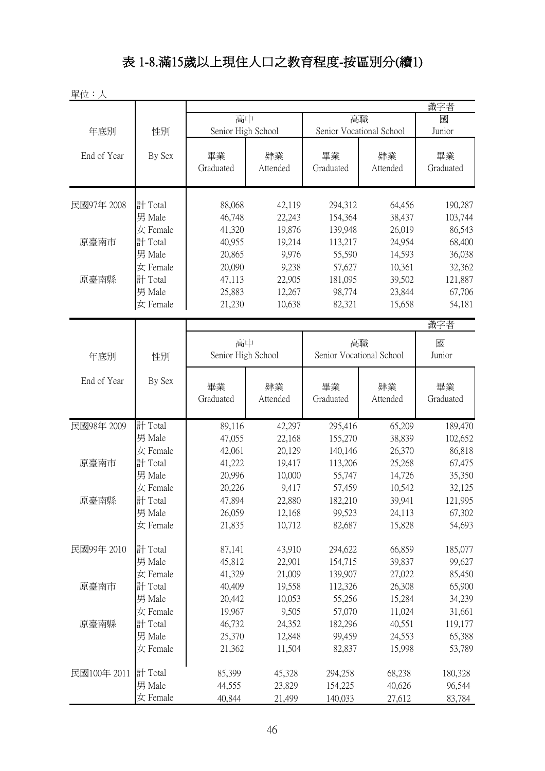# 表 1-8.滿15歲以上現住人口之教育程度-按區別分(續1)

單位:人

|             |                    |                    |                  |                          |                  | 識字者                        |  |  |
|-------------|--------------------|--------------------|------------------|--------------------------|------------------|----------------------------|--|--|
|             |                    | 高中                 |                  | 高職                       |                  | 國                          |  |  |
| 年底別         | 性別                 | Senior High School |                  | Senior Vocational School |                  | Junior                     |  |  |
|             |                    |                    |                  |                          |                  |                            |  |  |
| End of Year | By Sex             | 畢業                 | 肄業               | 畢業                       | 肄業               | 畢業                         |  |  |
|             |                    | Graduated          | Attended         | Graduated                | Attended         | Graduated                  |  |  |
|             |                    |                    |                  |                          |                  |                            |  |  |
| 民國97年 2008  | 計 Total            | 88,068             | 42,119           | 294,312                  | 64,456           | 190,287                    |  |  |
|             | 男 Male             | 46,748             | 22,243           | 154,364                  | 38,437           | 103,744                    |  |  |
|             | 女 Female           | 41,320             | 19,876           | 139,948                  | 26,019           | 86,543                     |  |  |
| 原臺南市        | 計 Total            | 40,955             | 19,214           | 113,217                  | 24,954           | 68,400                     |  |  |
|             | 男 Male             | 20,865             | 9,976            | 55,590                   | 14,593           | 36,038                     |  |  |
|             | 女 Female           | 20,090             | 9,238            | 57,627                   | 10,361           | 32,362                     |  |  |
| 原臺南縣        | 計 Total            | 47,113             | 22,905           | 181,095                  | 39,502           | 121,887                    |  |  |
|             | 男 Male             | 25,883             | 12,267           | 98,774                   | 23,844           | 67,706                     |  |  |
|             | 女 Female           | 21,230             | 10,638           | 82,321                   | 15,658           | 54,181                     |  |  |
|             |                    |                    |                  |                          |                  |                            |  |  |
|             |                    |                    | 識字者              |                          |                  |                            |  |  |
|             |                    | 高中                 |                  | 高職                       |                  | 國                          |  |  |
| 年底別         | 性別                 | Senior High School |                  | Senior Vocational School |                  | Junior                     |  |  |
|             |                    |                    |                  |                          |                  |                            |  |  |
| End of Year | By Sex             | 畢業                 | 肄業               | 畢業                       | 肄業               | 畢業                         |  |  |
|             |                    | Graduated          | Attended         | Graduated                | Attended         | Graduated                  |  |  |
|             |                    |                    |                  |                          |                  |                            |  |  |
| 民國98年 2009  | 計 Total            | 89,116             | 42,297           | 295,416                  | 65,209           | 189,470                    |  |  |
|             | 男 Male             | 47,055             | 22,168           | 155,270                  | 38,839           | 102,652                    |  |  |
|             | 女 Female           | 42,061             | 20,129           | 140,146                  | 26,370           | 86,818                     |  |  |
| 原臺南市        | 計 Total            | 41,222             | 19,417           | 113,206                  | 25,268           | 67,475                     |  |  |
|             | 男 Male             | 20,996             | 10,000           | 55,747                   | 14,726           | 35,350                     |  |  |
|             | 女 Female           | 20,226             | 9,417            | 57,459                   | 10,542           |                            |  |  |
| 原臺南縣        | 計 Total            |                    |                  |                          |                  |                            |  |  |
|             |                    |                    |                  |                          |                  | 32,125                     |  |  |
|             |                    | 47,894             | 22,880           | 182,210                  | 39,941           | 121,995                    |  |  |
|             | 男 Male             | 26,059             | 12,168           | 99,523                   | 24,113           |                            |  |  |
|             | 女 Female           | 21,835             | 10,712           | 82,687                   | 15,828           | 54,693                     |  |  |
| 民國99年 2010  | 計 Total            | 87,141             | 43,910           | 294,622                  | 66,859           | 67,302<br>185,077          |  |  |
|             | 男 Male             | 45,812             | 22,901           | 154,715                  | 39,837           | 99,627                     |  |  |
|             | 女 Female           | 41,329             | 21,009           | 139,907                  | 27,022           | 85,450                     |  |  |
| 原臺南市        | 計 Total            | 40,409             | 19,558           | 112,326                  |                  |                            |  |  |
|             | 男 Male             | 20,442             | 10,053           | 55,256                   | 26,308<br>15,284 |                            |  |  |
|             | 女 Female           | 19,967             | 9,505            | 57,070                   | 11,024           | 31,661                     |  |  |
| 原臺南縣        |                    |                    | 24,352           |                          |                  | 65,900<br>34,239           |  |  |
|             | 計 Total            | 46,732             |                  | 182,296                  | 40,551           | 119,177                    |  |  |
|             | 男 Male<br>女 Female | 25,370             | 12,848<br>11,504 | 99,459<br>82,837         | 24,553<br>15,998 |                            |  |  |
|             |                    | 21,362             |                  |                          |                  |                            |  |  |
| 民國100年 2011 | 計 Total            | 85,399             | 45,328           | 294,258                  | 68,238           | 180,328                    |  |  |
|             | 男 Male             | 44,555             | 23,829           | 154,225                  | 40,626           | 65,388<br>53,789<br>96,544 |  |  |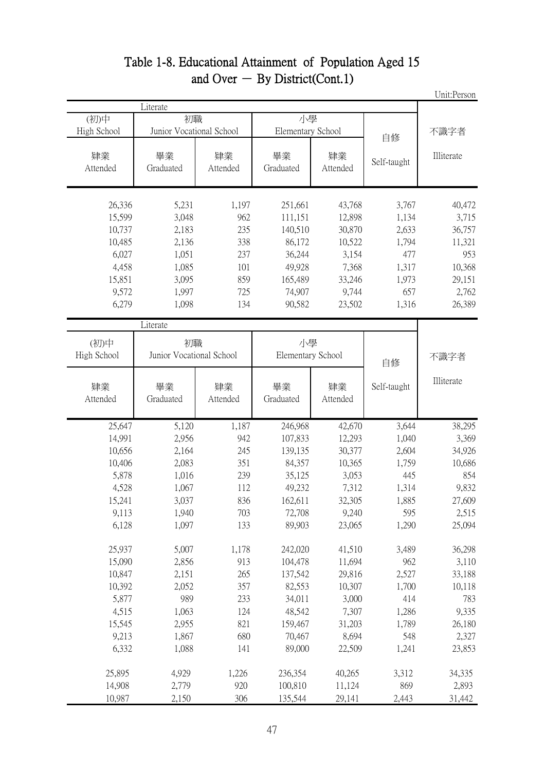|             |                          |          |                   |          |             | Unit:Person |
|-------------|--------------------------|----------|-------------------|----------|-------------|-------------|
|             | Literate                 |          |                   |          |             |             |
| (初)中        | 初職                       |          | 小學                |          |             |             |
| High School | Junior Vocational School |          | Elementary School |          | 自修          | 不識字者        |
|             |                          |          |                   |          |             |             |
| 肄業          | 畢業                       | 肄業       | 畢業                | 肄業       | Self-taught | Illiterate  |
| Attended    | Graduated                | Attended | Graduated         | Attended |             |             |
| 26,336      | 5,231                    | 1,197    | 251,661           | 43,768   | 3,767       | 40,472      |
| 15,599      | 3,048                    | 962      | 111,151           | 12,898   | 1,134       | 3,715       |
| 10,737      | 2,183                    | 235      | 140,510           | 30,870   | 2,633       | 36,757      |
| 10,485      | 2,136                    | 338      | 86,172            | 10,522   | 1,794       | 11,321      |
| 6,027       | 1,051                    | 237      | 36,244            | 3,154    | 477         | 953         |
| 4,458       | 1,085                    | 101      | 49,928            | 7,368    | 1,317       | 10,368      |
| 15,851      | 3,095                    | 859      | 165,489           | 33,246   | 1,973       | 29,151      |
| 9,572       | 1,997                    | 725      | 74,907            | 9,744    | 657         | 2,762       |
| 6,279       | 1,098                    | 134      | 90,582            | 23,502   | 1,316       | 26,389      |
|             | Literate                 |          |                   |          |             |             |
| (初)中        | 初職                       |          | 小學                |          |             |             |
| High School | Junior Vocational School |          | Elementary School |          | 自修          | 不識字者        |
| 肄業          | 畢業                       | 肄業       | 畢業                | 肄業       | Self-taught | Illiterate  |
| Attended    | Graduated                | Attended | Graduated         | Attended |             |             |
| 25,647      | 5,120                    | 1,187    | 246,968           | 42,670   | 3,644       | 38,295      |
| 14,991      | 2,956                    | 942      | 107,833           | 12,293   | 1,040       | 3,369       |
| 10,656      | 2,164                    | 245      | 139,135           | 30,377   | 2,604       | 34,926      |
| 10,406      | 2,083                    | 351      | 84,357            | 10,365   | 1,759       | 10,686      |
| 5,878       | 1,016                    | 239      | 35,125            | 3,053    | 445         | 854         |
| 4,528       | 1,067                    | 112      | 49,232            | 7,312    | 1,314       | 9,832       |
| 15,241      | 3,037                    | 836      | 162,611           | 32,305   | 1,885       | 27,609      |
| 9,113       | 1,940                    | 703      | 72,708            | 9,240    | 595         | 2,515       |
| 6,128       | 1,097                    | 133      | 89,903            | 23,065   | 1,290       | 25,094      |
| 25,937      | 5,007                    | 1,178    | 242,020           | 41,510   | 3,489       | 36,298      |
| 15,090      | 2,856                    | 913      | 104,478           | 11,694   | 962         | 3,110       |
| 10,847      | 2,151                    | 265      | 137,542           | 29,816   | 2,527       | 33,188      |
| 10,392      | 2,052                    | 357      | 82,553            | 10,307   | 1,700       | 10,118      |
| 5,877       | 989                      | 233      | 34,011            | 3,000    | 414         | 783         |
| 4,515       | 1,063                    | 124      | 48,542            | 7,307    | 1,286       | 9,335       |
| 15,545      | 2,955                    | 821      | 159,467           | 31,203   | 1,789       | 26,180      |
| 9,213       | 1,867                    | 680      | 70,467            | 8,694    | 548         | 2,327       |
| 6,332       | 1,088                    | 141      | 89,000            | 22,509   | 1,241       | 23,853      |
| 25,895      | 4,929                    | 1,226    | 236,354           | 40,265   | 3,312       | 34,335      |
| 14,908      | 2,779                    | 920      | 100,810           | 11,124   | 869         | 2,893       |
| 10,987      | 2,150                    | 306      | 135,544           | 29,141   | 2,443       | 31,442      |

#### Table 1-8. Educational Attainment of Population Aged 15 and Over  $-$  By District(Cont.1)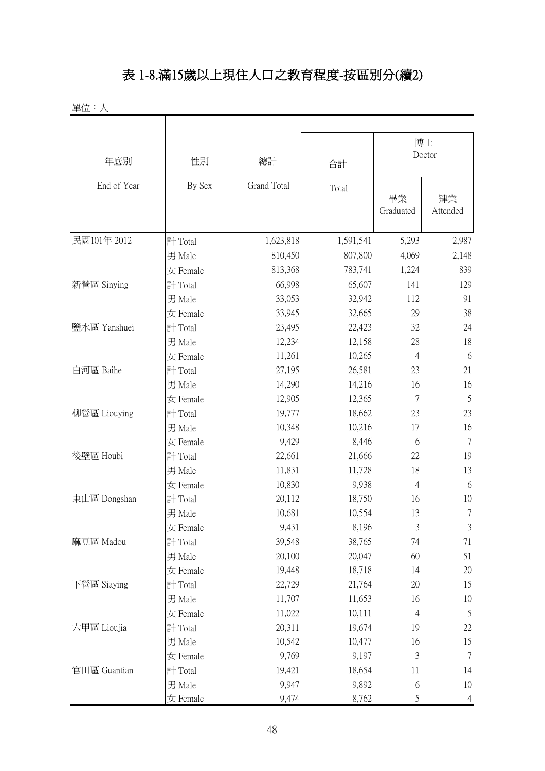## 表 1-8.滿15歲以上現住人口之教育程度-按區別分(續2)

| 單位:人         |          |             |           |                 |                |  |
|--------------|----------|-------------|-----------|-----------------|----------------|--|
| 年底別          | 性別       | 總計          | 合計        | 博士<br>Doctor    |                |  |
| End of Year  | By Sex   | Grand Total | Total     | 畢業<br>Graduated | 肄業<br>Attended |  |
| 民國101年 2012  | 計 Total  | 1,623,818   | 1,591,541 | 5,293           | 2,987          |  |
|              | 男 Male   | 810,450     | 807,800   | 4,069           | 2,148          |  |
|              | 女 Female | 813,368     | 783,741   | 1,224           | 839            |  |
| 新營區 Sinying  | 計 Total  | 66,998      | 65,607    | 141             | 129            |  |
|              | 男 Male   | 33,053      | 32,942    | 112             | 91             |  |
|              | 女 Female | 33,945      | 32,665    | 29              | 38             |  |
| 鹽水區 Yanshuei | 計 Total  | 23,495      | 22,423    | 32              | 24             |  |
|              | 男 Male   | 12,234      | 12,158    | 28              | 18             |  |
|              | 女 Female | 11,261      | 10,265    | 4               | 6              |  |
| 白河區 Baihe    | 計 Total  | 27,195      | 26,581    | 23              | 21             |  |
|              | 男 Male   | 14,290      | 14,216    | 16              | 16             |  |
|              | 女 Female | 12,905      | 12,365    | 7               | 5              |  |
| 柳營區 Liouying | 計 Total  | 19,777      | 18,662    | 23              | 23             |  |
|              | 男 Male   | 10,348      | 10,216    | 17              | 16             |  |
|              | 女 Female | 9,429       | 8,446     | 6               | $\overline{7}$ |  |
| 後壁區 Houbi    | 計 Total  | 22,661      | 21,666    | 22              | 19             |  |
|              | 男 Male   | 11,831      | 11,728    | 18              | 13             |  |
|              | 女 Female | 10,830      | 9,938     | $\overline{4}$  | 6              |  |
| 東山區 Dongshan | 計 Total  | 20,112      | 18,750    | 16              | 10             |  |
|              | 男 Male   | 10,681      | 10,554    | 13              | 7              |  |
|              | 女 Female | 9,431       | 8,196     | 3               | $\mathfrak{Z}$ |  |
| 麻豆區 Madou    | 計 Total  | 39,548      | 38,765    | 74              | 71             |  |
|              | 男 Male   | 20,100      | 20,047    | 60              | 51             |  |
|              | 女 Female | 19,448      | 18,718    | 14              | 20             |  |
| 下營區 Siaying  | 計 Total  | 22,729      | 21,764    | 20              | 15             |  |
|              | 男 Male   | 11,707      | 11,653    | 16              | 10             |  |
|              | 女 Female | 11,022      | 10,111    | 4               | 5              |  |
| 六甲區 Lioujia  | 計 Total  | 20,311      | 19,674    | 19              | 22             |  |
|              | 男 Male   | 10,542      | 10,477    | 16              | 15             |  |
|              | 女 Female | 9,769       | 9,197     | 3               | $\tau$         |  |
| 官田區 Guantian | 計 Total  | 19,421      | 18,654    | 11              | 14             |  |
|              | 男 Male   | 9,947       | 9,892     | 6               | 10             |  |
|              | 女 Female | 9,474       | 8,762     | 5               | $\overline{4}$ |  |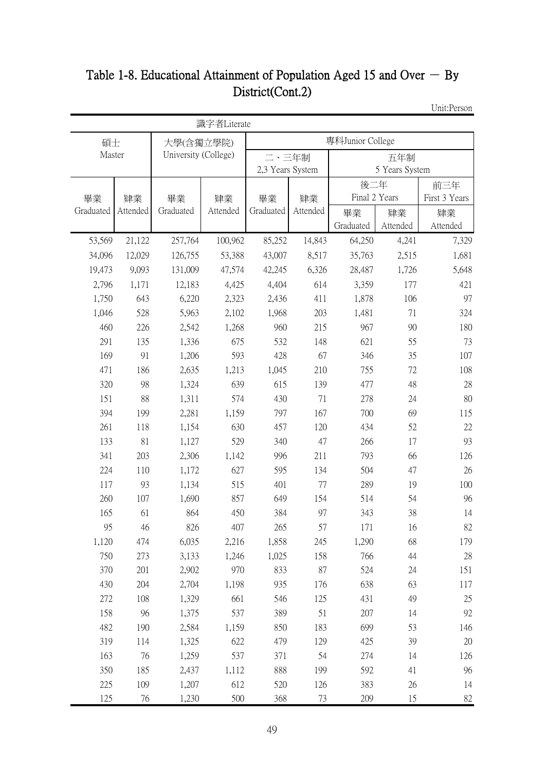## Table 1-8. Educational Attainment of Population Aged 15 and Over  $-$  By District(Cont.2)

Unit:Person

|           |          |                      | 識字者Literate |                  |          |                  |                |               |
|-----------|----------|----------------------|-------------|------------------|----------|------------------|----------------|---------------|
| 碩士        |          | 大學(含獨立學院)            |             |                  |          | 專科Junior College |                |               |
| Master    |          | University (College) |             | 二、三年制            |          |                  | 五年制            |               |
|           |          |                      |             | 2,3 Years System |          |                  | 5 Years System |               |
|           |          |                      |             |                  |          | 後二年              |                | 前三年           |
| 畢業        | 肄業       | 畢業                   | 肄業          | 畢業               | 肄業       | Final 2 Years    |                | First 3 Years |
| Graduated | Attended | Graduated            | Attended    | Graduated        | Attended | 畢業               | 肄業             | 肄業            |
|           |          |                      |             |                  |          | Graduated        | Attended       | Attended      |
| 53,569    | 21,122   | 257,764              | 100,962     | 85,252           | 14,843   | 64,250           | 4,241          | 7,329         |
| 34,096    | 12,029   | 126,755              | 53,388      | 43,007           | 8,517    | 35,763           | 2,515          | 1,681         |
| 19,473    | 9,093    | 131,009              | 47,574      | 42,245           | 6,326    | 28,487           | 1,726          | 5,648         |
| 2,796     | 1,171    | 12,183               | 4,425       | 4,404            | 614      | 3,359            | 177            | 421           |
| 1,750     | 643      | 6,220                | 2,323       | 2,436            | 411      | 1,878            | 106            | 97            |
| 1,046     | 528      | 5,963                | 2,102       | 1,968            | 203      | 1,481            | 71             | 324           |
| 460       | 226      | 2,542                | 1,268       | 960              | 215      | 967              | 90             | 180           |
| 291       | 135      | 1,336                | 675         | 532              | 148      | 621              | 55             | 73            |
| 169       | 91       | 1,206                | 593         | 428              | 67       | 346              | 35             | 107           |
| 471       | 186      | 2,635                | 1,213       | 1,045            | 210      | 755              | 72             | 108           |
| 320       | 98       | 1,324                | 639         | 615              | 139      | 477              | 48             | 28            |
| 151       | 88       | 1,311                | 574         | 430              | 71       | 278              | 24             | 80            |
| 394       | 199      | 2,281                | 1,159       | 797              | 167      | 700              | 69             | 115           |
| 261       | 118      | 1,154                | 630         | 457              | 120      | 434              | 52             | 22            |
| 133       | 81       | 1,127                | 529         | 340              | 47       | 266              | 17             | 93            |
| 341       | 203      | 2,306                | 1,142       | 996              | 211      | 793              | 66             | 126           |
| 224       | 110      | 1,172                | 627         | 595              | 134      | 504              | 47             | 26            |
| 117       | 93       | 1,134                | 515         | 401              | 77       | 289              | 19             | 100           |
| 260       | 107      | 1,690                | 857         | 649              | 154      | 514              | 54             | 96            |
| 165       | 61       | 864                  | 450         | 384              | 97       | 343              | 38             | 14            |
| 95        | 46       | 826                  | 407         | 265              | 57       | 171              | 16             | 82            |
| 1,120     | 474      | 6,035                | 2,216       | 1,858            | 245      | 1,290            | 68             | 179           |
| 750       | 273      | 3,133                | 1,246       | 1,025            | 158      | 766              | 44             | 28            |
| 370       | 201      | 2,902                | 970         | 833              | 87       | 524              | 24             | 151           |
| 430       | 204      | 2,704                | 1,198       | 935              | 176      | 638              | 63             | 117           |
| 272       | 108      | 1,329                | 661         | 546              | 125      | 431              | 49             | 25            |
| 158       | 96       | 1,375                | 537         | 389              | 51       | 207              | 14             | 92            |
| 482       | 190      | 2,584                | 1,159       | 850              | 183      | 699              | 53             | 146           |
| 319       | 114      | 1,325                | 622         | 479              | 129      | 425              | 39             | $20\,$        |
| 163       | 76       | 1,259                | 537         | 371              | 54       | 274              | 14             | 126           |
| 350       | 185      | 2,437                | 1,112       | 888              | 199      | 592              | 41             | 96            |
| 225       | 109      | 1,207                | 612         | 520              | 126      | 383              | 26             | 14            |
| 125       | 76       | 1,230                | 500         | 368              | 73       | 209              | 15             | 82            |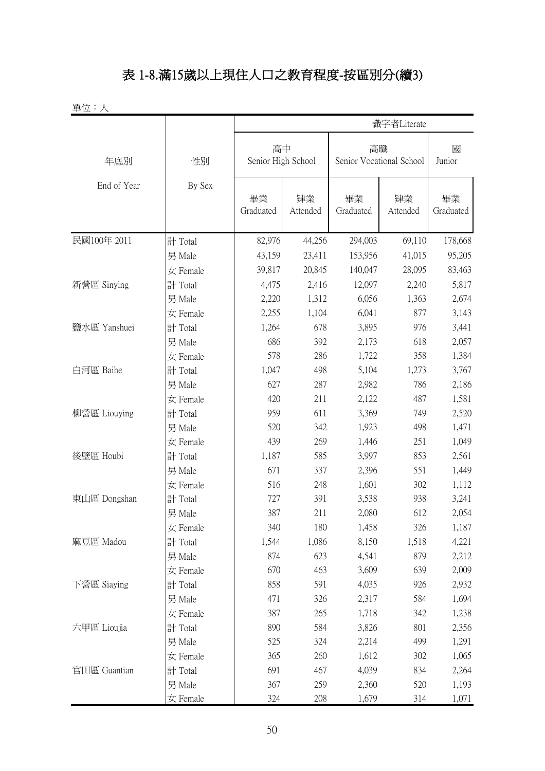## 表 1-8.滿15歲以上現住人口之教育程度-按區別分(續3)

|              |          |                          |                |                                | 識字者Literate    |                 |  |
|--------------|----------|--------------------------|----------------|--------------------------------|----------------|-----------------|--|
| 年底別          | 性別       | 高中<br>Senior High School |                | 高職<br>Senior Vocational School |                | 國<br>Junior     |  |
| End of Year  | By Sex   | 畢業<br>Graduated          | 肄業<br>Attended | 畢業<br>Graduated                | 肄業<br>Attended | 畢業<br>Graduated |  |
| 民國100年 2011  | 計 Total  | 82,976                   | 44,256         | 294,003                        | 69,110         | 178,668         |  |
|              | 男 Male   | 43,159                   | 23,411         | 153,956                        | 41,015         | 95,205          |  |
|              | 女 Female | 39,817                   | 20,845         | 140,047                        | 28,095         | 83,463          |  |
| 新營區 Sinying  | 計 Total  | 4,475                    | 2,416          | 12,097                         | 2,240          | 5,817           |  |
|              | 男 Male   | 2,220                    | 1,312          | 6,056                          | 1,363          | 2,674           |  |
|              | 女 Female | 2,255                    | 1,104          | 6,041                          | 877            | 3,143           |  |
| 鹽水區 Yanshuei | 計 Total  | 1,264                    | 678            | 3,895                          | 976            | 3,441           |  |
|              | 男 Male   | 686                      | 392            | 2,173                          | 618            | 2,057           |  |
|              | 女 Female | 578                      | 286            | 1,722                          | 358            | 1,384           |  |
| 白河區 Baihe    | 計 Total  | 1,047                    | 498            | 5,104                          | 1,273          | 3,767           |  |
|              | 男 Male   | 627                      | 287            | 2,982                          | 786            | 2,186           |  |
|              | 女 Female | 420                      | 211            | 2,122                          | 487            | 1,581           |  |
| 柳營區 Liouying | 計 Total  | 959                      | 611            | 3,369                          | 749            | 2,520           |  |
|              | 男 Male   | 520                      | 342            | 1,923                          | 498            | 1,471           |  |
|              | 女 Female | 439                      | 269            | 1,446                          | 251            | 1,049           |  |
| 後壁區 Houbi    | 計 Total  | 1,187                    | 585            | 3,997                          | 853            | 2,561           |  |
|              | 男 Male   | 671                      | 337            | 2,396                          | 551            | 1,449           |  |
|              | 女 Female | 516                      | 248            | 1,601                          | 302            | 1,112           |  |
| 東山區 Dongshan | 計 Total  | 727                      | 391            | 3,538                          | 938            | 3,241           |  |
|              | 男 Male   | 387                      | 211            | 2,080                          | 612            | 2,054           |  |
|              | 女 Female | 340                      | 180            | 1,458                          | 326            | 1,187           |  |
| 麻豆區 Madou    | 計 Total  | 1,544                    | 1,086          | 8,150                          | 1,518          | 4,221           |  |
|              | 男 Male   | 874                      | 623            | 4,541                          | 879            | 2,212           |  |
|              | 女 Female | 670                      | 463            | 3,609                          | 639            | 2,009           |  |
| 下營區 Siaying  | 計 Total  | 858                      | 591            | 4,035                          | 926            | 2,932           |  |
|              | 男 Male   | 471                      | 326            | 2,317                          | 584            | 1,694           |  |
|              | 女 Female | 387                      | 265            | 1,718                          | 342            | 1,238           |  |
| 六甲區 Lioujia  | 計 Total  | 890                      | 584            | 3,826                          | 801            | 2,356           |  |
|              | 男 Male   | 525                      | 324            | 2,214                          | 499            | 1,291           |  |
|              | 女 Female | 365                      | 260            | 1,612                          | 302            | 1,065           |  |
| 官田區 Guantian | 計 Total  | 691                      | 467            | 4,039                          | 834            | 2,264           |  |
|              | 男 Male   | 367                      | 259            | 2,360                          | 520            | 1,193           |  |
|              | 女 Female | 324                      | 208            | 1,679                          | 314            | 1,071           |  |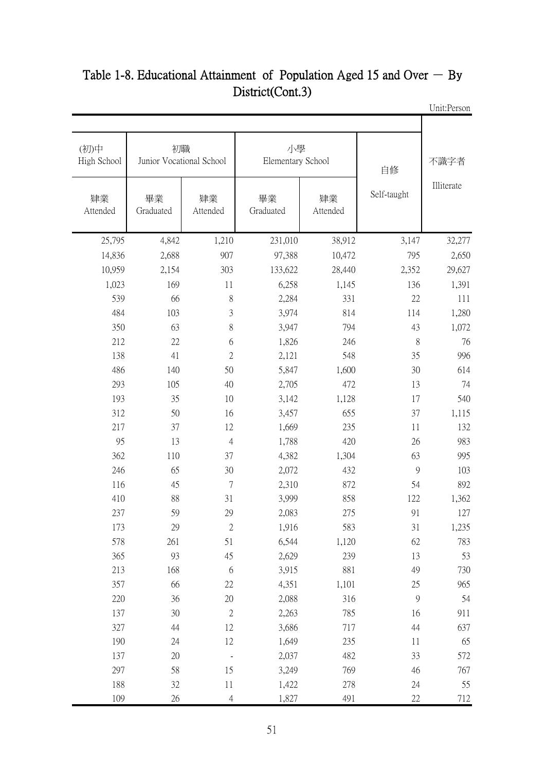| 不識字者       | 自修             |                | 小學<br>Elementary School |                | 初職<br>Junior Vocational School | (初)中<br>High School |
|------------|----------------|----------------|-------------------------|----------------|--------------------------------|---------------------|
| Illiterate | Self-taught    | 肄業<br>Attended | 畢業<br>Graduated         | 肄業<br>Attended | 畢業<br>Graduated                | 肄業<br>Attended      |
| 32,277     | 3,147          | 38,912         | 231,010                 | 1,210          | 4,842                          | 25,795              |
| 2,650      | 795            | 10,472         | 97,388                  | 907            | 2,688                          | 14,836              |
| 29,627     | 2,352          | 28,440         | 133,622                 | 303            | 2,154                          | 10,959              |
| 1,391      | 136            | 1,145          | 6,258                   | 11             | 169                            | 1,023               |
| 111        | $22\,$         | 331            | 2,284                   | $\, 8$         | 66                             | 539                 |
| 1,280      | 114            | 814            | 3,974                   | 3              | 103                            | 484                 |
| 1,072      | 43             | 794            | 3,947                   | 8              | 63                             | 350                 |
| 76         | 8              | 246            | 1,826                   | 6              | 22                             | 212                 |
| 996        | 35             | 548            | 2,121                   | $\overline{2}$ | 41                             | 138                 |
| 614        | 30             | 1,600          | 5,847                   | 50             | 140                            | 486                 |
| 74         | 13             | 472            | 2,705                   | 40             | 105                            | 293                 |
| 540        | 17             | 1,128          | 3,142                   | 10             | 35                             | 193                 |
| 1,115      | 37             | 655            | 3,457                   | 16             | 50                             | 312                 |
| 132        | 11             | 235            | 1,669                   | 12             | 37                             | 217                 |
| 983        | $26\,$         | 420            | 1,788                   | $\overline{4}$ | 13                             | 95                  |
| 995        | 63             | 1,304          | 4,382                   | 37             | 110                            | 362                 |
| 103        | $\mathcal{G}$  | 432            | 2,072                   | 30             | 65                             | 246                 |
| 892        | 54             | 872            | 2,310                   | $\overline{7}$ | 45                             | 116                 |
| 1,362      | 122            | 858            | 3,999                   | 31             | 88                             | 410                 |
| 127        | 91             | 275            | 2,083                   | 29             | 59                             | 237                 |
| 1,235      | 31             | 583            | 1,916                   | 2              | 29                             | 173                 |
| 783        | 62             | 1,120          | 6,544                   | 51             | 261                            | 578                 |
| 53         | 13             | 239            | 2,629                   | 45             | 93                             | 365                 |
| 730        | 49             | 881            | 3,915                   | 6              | 168                            | 213                 |
| 965        | 25             | 1,101          | 4,351                   | $22\,$         | 66                             | 357                 |
| 54         | $\overline{9}$ | 316            | 2,088                   | 20             | 36                             | 220                 |
| 911        | 16             | 785            | 2,263                   | $\sqrt{2}$     | 30                             | 137                 |
| 637        | 44             | 717            | 3,686                   | 12             | 44                             | 327                 |
| 65         | 11             | 235            | 1,649                   | 12             | 24                             | 190                 |
| 572        | 33             | 482            | 2,037                   |                | $20\,$                         | 137                 |
| 767        | 46             | 769            | 3,249                   | 15             | 58                             | 297                 |
| 55         | 24             | 278            | 1,422                   | $11\,$         | $32\,$                         | 188                 |
| $712\,$    | 22             | 491            | 1,827                   | $\overline{4}$ | 26                             | 109                 |

#### Unit:Person Table 1-8. Educational Attainment of Population Aged 15 and Over  $-$  By District(Cont.3)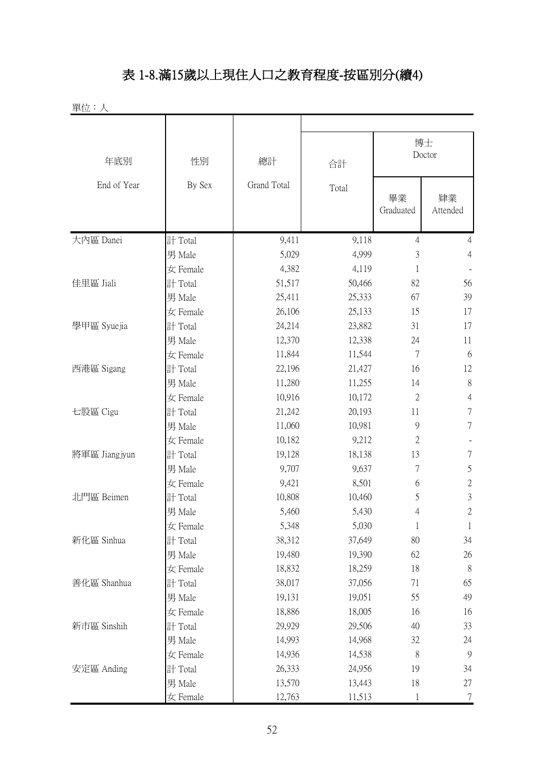## 表 1-8.滿15歲以上現住人口之教育程度-按區別分(續4)

單位:人

| 年底別           | 性別       | 總計          | 合計     | 博士<br>Doctor    |                |  |
|---------------|----------|-------------|--------|-----------------|----------------|--|
| End of Year   | By Sex   | Grand Total | Total  | 畢業<br>Graduated | 肄業<br>Attended |  |
| 大內區 Danei     | 計 Total  | 9,411       | 9,118  | $\overline{4}$  | $\overline{4}$ |  |
|               | 男 Male   | 5,029       | 4,999  | 3               | $\overline{4}$ |  |
|               | 女 Female | 4,382       | 4,119  | 1               |                |  |
| 佳里區 Jiali     | 計 Total  | 51,517      | 50,466 | 82              | 56             |  |
|               | 男 Male   | 25,411      | 25,333 | 67              | 39             |  |
|               | 女 Female | 26,106      | 25,133 | 15              | 17             |  |
| 學甲區 Syuejia   | 計 Total  | 24,214      | 23,882 | 31              | 17             |  |
|               | 男 Male   | 12,370      | 12,338 | 24              | 11             |  |
|               | 女 Female | 11,844      | 11,544 | $\tau$          | 6              |  |
| 西港區 Sigang    | 計 Total  | 22,196      | 21,427 | 16              | 12             |  |
|               | 男 Male   | 11,280      | 11,255 | 14              | 8              |  |
|               | 女 Female | 10,916      | 10,172 | $\mathfrak{2}$  | $\overline{4}$ |  |
| 七股區 Cigu      | 計 Total  | 21,242      | 20,193 | 11              | $\tau$         |  |
|               | 男 Male   | 11,060      | 10,981 | $\mathcal{G}$   | $\tau$         |  |
|               | 女 Female | 10,182      | 9,212  | $\overline{2}$  |                |  |
| 將軍區 Jiangjyun | 計 Total  | 19,128      | 18,138 | 13              | $\tau$         |  |
|               | 男 Male   | 9,707       | 9,637  | $\overline{7}$  | $\mathfrak s$  |  |
|               | 女 Female | 9,421       | 8,501  | 6               | $\sqrt{2}$     |  |
| 北門區 Beimen    | 計 Total  | 10,808      | 10,460 | 5               | $\mathfrak{Z}$ |  |
|               | 男 Male   | 5,460       | 5,430  | 4               | $\mathbf{2}$   |  |
|               | 女 Female | 5,348       | 5,030  |                 |                |  |
| 新化區 Sinhua    | 計 Total  | 38,312      | 37,649 | 80              | 34             |  |
|               | 男 Male   | 19,480      | 19,390 | 62              | 26             |  |
|               | 女 Female | 18,832      | 18,259 | 18              | 8              |  |
| 善化區 Shanhua   | 計 Total  | 38,017      | 37,056 | 71              | 65             |  |
|               | 男 Male   | 19,131      | 19,051 | 55              | 49             |  |
|               | 女 Female | 18,886      | 18,005 | 16              | 16             |  |
| 新市區 Sinshih   | 計 Total  | 29,929      | 29,506 | 40              | 33             |  |
|               | 男 Male   | 14,993      | 14,968 | 32              | 24             |  |
|               | 女 Female | 14,936      | 14,538 | 8               | 9              |  |
| 安定區 Anding    | 計 Total  | 26,333      | 24,956 | 19              | 34             |  |
|               | 男 Male   | 13,570      | 13,443 | 18              | 27             |  |
|               | 女 Female | 12,763      | 11,513 | 1               | $\tau$         |  |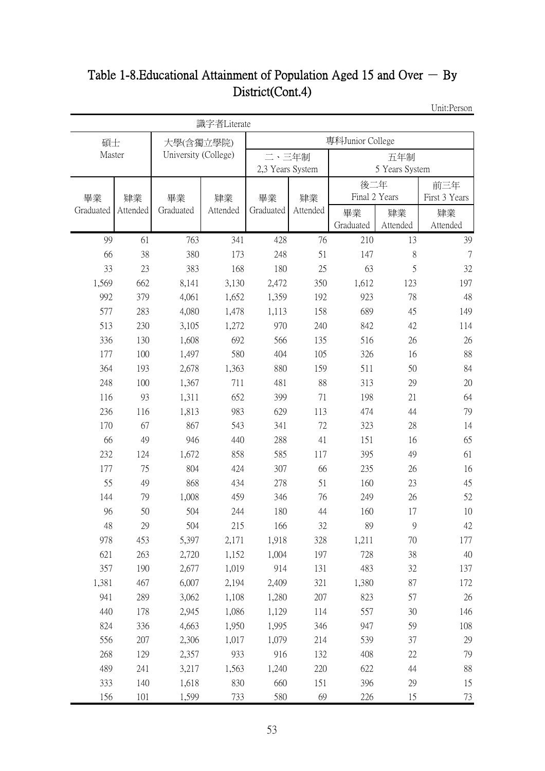## Table 1-8. Educational Attainment of Population Aged 15 and Over  $-$  By District(Cont.4)

Unit:Person

|           |          |                      | 識字者Literate |                  |          |               |                |               |  |  |
|-----------|----------|----------------------|-------------|------------------|----------|---------------|----------------|---------------|--|--|
| 碩士        |          | 大學(含獨立學院)            |             | 專科Junior College |          |               |                |               |  |  |
| Master    |          | University (College) |             | 二、三年制            |          |               | 五年制            |               |  |  |
|           |          |                      |             | 2,3 Years System |          |               | 5 Years System |               |  |  |
|           |          |                      |             |                  |          | 後二年           |                | 前三年           |  |  |
| 畢業        | 肄業       | 畢業                   | 肄業          | 畢業               | 肄業       | Final 2 Years |                | First 3 Years |  |  |
| Graduated | Attended | Graduated            | Attended    | Graduated        | Attended | 畢業            | 肄業             | 肄業            |  |  |
|           |          |                      |             |                  |          | Graduated     | Attended       | Attended      |  |  |
| 99        | 61       | 763                  | 341         | 428              | 76       | 210           | 13             | 39            |  |  |
| 66        | 38       | 380                  | 173         | 248              | 51       | 147           | 8              | 7             |  |  |
| 33        | 23       | 383                  | 168         | 180              | 25       | 63            | 5              | 32            |  |  |
| 1,569     | 662      | 8,141                | 3,130       | 2,472            | 350      | 1,612         | 123            | 197           |  |  |
| 992       | 379      | 4,061                | 1,652       | 1,359            | 192      | 923           | 78             | 48            |  |  |
| 577       | 283      | 4,080                | 1,478       | 1,113            | 158      | 689           | 45             | 149           |  |  |
| 513       | 230      | 3,105                | 1,272       | 970              | 240      | 842           | 42             | 114           |  |  |
| 336       | 130      | 1,608                | 692         | 566              | 135      | 516           | 26             | 26            |  |  |
| 177       | 100      | 1,497                | 580         | 404              | 105      | 326           | 16             | 88            |  |  |
| 364       | 193      | 2,678                | 1,363       | 880              | 159      | 511           | 50             | 84            |  |  |
| 248       | 100      | 1,367                | 711         | 481              | 88       | 313           | 29             | 20            |  |  |
| 116       | 93       | 1,311                | 652         | 399              | 71       | 198           | 21             | 64            |  |  |
| 236       | 116      | 1,813                | 983         | 629              | 113      | 474           | 44             | 79            |  |  |
| 170       | 67       | 867                  | 543         | 341              | 72       | 323           | 28             | 14            |  |  |
| 66        | 49       | 946                  | 440         | 288              | 41       | 151           | 16             | 65            |  |  |
| 232       | 124      | 1,672                | 858         | 585              | 117      | 395           | 49             | 61            |  |  |
| 177       | 75       | 804                  | 424         | 307              | 66       | 235           | 26             | 16            |  |  |
| 55        | 49       | 868                  | 434         | 278              | 51       | 160           | 23             | 45            |  |  |
| 144       | 79       | 1,008                | 459         | 346              | 76       | 249           | 26             | 52            |  |  |
| 96        | 50       | 504                  | 244         | 180              | 44       | 160           | 17             | 10            |  |  |
| 48        | 29       | 504                  | 215         | 166              | 32       | 89            | 9              | 42            |  |  |
| 978       | 453      | 5,397                | 2,171       | 1,918            | 328      | 1,211         | 70             | 177           |  |  |
| 621       | 263      | 2,720                | 1,152       | 1,004            | 197      | 728           | 38             | 40            |  |  |
| 357       | 190      | 2,677                | 1,019       | 914              | 131      | 483           | 32             | 137           |  |  |
| 1,381     | 467      | 6,007                | 2,194       | 2,409            | 321      | 1,380         | 87             | 172           |  |  |
| 941       | 289      | 3,062                | 1,108       | 1,280            | 207      | 823           | 57             | 26            |  |  |
| 440       | 178      | 2,945                | 1,086       | 1,129            | 114      | 557           | 30             | 146           |  |  |
| 824       | 336      | 4,663                | 1,950       | 1,995            | 346      | 947           | 59             | 108           |  |  |
| 556       | 207      | 2,306                | 1,017       | 1,079            | 214      | 539           | 37             | 29            |  |  |
| 268       | 129      | 2,357                | 933         | 916              | 132      | 408           | 22             | 79            |  |  |
| 489       | 241      | 3,217                | 1,563       | 1,240            | 220      | 622           | 44             | 88            |  |  |
| 333       | 140      | 1,618                | 830         | 660              | 151      | 396           | 29             | 15            |  |  |
| 156       | 101      | 1,599                | 733         | 580              | 69       | 226           | 15             | 73            |  |  |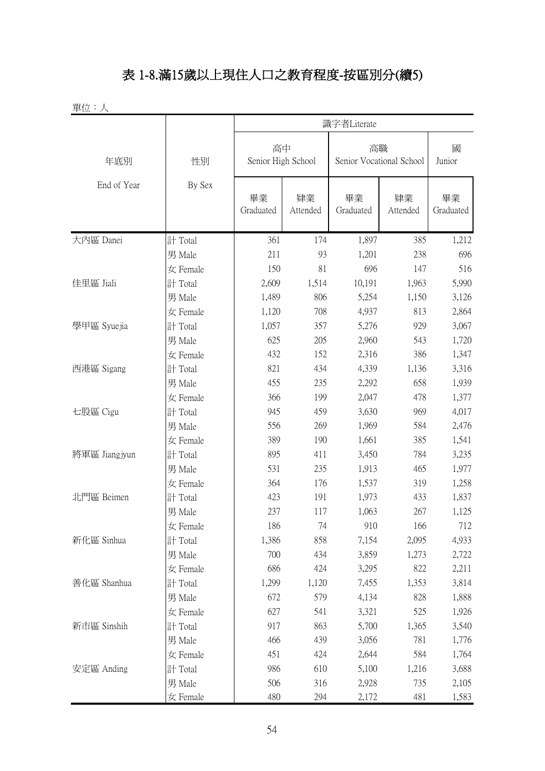## 表 1-8.滿15歲以上現住人口之教育程度-按區別分(續5)

|               |          |                          |                | 識字者Literate     |                          |                 |
|---------------|----------|--------------------------|----------------|-----------------|--------------------------|-----------------|
| 年底別           | 性別       | 高中<br>Senior High School |                | 高職              | Senior Vocational School | 國<br>Junior     |
| End of Year   | By Sex   | 畢業<br>Graduated          | 肄業<br>Attended | 畢業<br>Graduated | 肄業<br>Attended           | 畢業<br>Graduated |
| 大內區 Danei     | 計 Total  | 361                      | 174            | 1,897           | 385                      | 1,212           |
|               | 男 Male   | 211                      | 93             | 1,201           | 238                      | 696             |
|               | 女 Female | 150                      | 81             | 696             | 147                      | 516             |
| 佳里區 Jiali     | 計 Total  | 2,609                    | 1,514          | 10,191          | 1,963                    | 5,990           |
|               | 男 Male   | 1,489                    | 806            | 5,254           | 1,150                    | 3,126           |
|               | 女 Female | 1,120                    | 708            | 4,937           | 813                      | 2,864           |
| 學甲區 Syuejia   | 計 Total  | 1,057                    | 357            | 5,276           | 929                      | 3,067           |
|               | 男 Male   | 625                      | 205            | 2,960           | 543                      | 1,720           |
|               | 女 Female | 432                      | 152            | 2,316           | 386                      | 1,347           |
| 西港區 Sigang    | 計 Total  | 821                      | 434            | 4,339           | 1,136                    | 3,316           |
|               | 男 Male   | 455                      | 235            | 2,292           | 658                      | 1,939           |
|               | 女 Female | 366                      | 199            | 2,047           | 478                      | 1,377           |
| 七股區 Cigu      | 計 Total  | 945                      | 459            | 3,630           | 969                      | 4,017           |
|               | 男 Male   | 556                      | 269            | 1,969           | 584                      | 2,476           |
|               | 女 Female | 389                      | 190            | 1,661           | 385                      | 1,541           |
| 將軍區 Jiangjyun | 計 Total  | 895                      | 411            | 3,450           | 784                      | 3,235           |
|               | 男 Male   | 531                      | 235            | 1,913           | 465                      | 1,977           |
|               | 女 Female | 364                      | 176            | 1,537           | 319                      | 1,258           |
| 北門區 Beimen    | 計 Total  | 423                      | 191            | 1,973           | 433                      | 1,837           |
|               | 男 Male   | 237                      | 117            | 1,063           | 267                      | 1,125           |
|               | 女 Female | 186                      | 74             | 910             | 166                      | 712             |
| 新化區 Sinhua    | 計 Total  | 1,386                    | 858            | 7,154           | 2,095                    | 4,933           |
|               | 男 Male   | 700                      | 434            | 3,859           | 1,273                    | 2,722           |
|               | 女 Female | 686                      | 424            | 3,295           | 822                      | 2,211           |
| 善化區 Shanhua   | 計 Total  | 1,299                    | 1,120          | 7,455           | 1,353                    | 3,814           |
|               | 男 Male   | 672                      | 579            | 4,134           | 828                      | 1,888           |
|               | 女 Female | 627                      | 541            | 3,321           | 525                      | 1,926           |
| 新市區 Sinshih   | 計 Total  | 917                      | 863            | 5,700           | 1,365                    | 3,540           |
|               | 男 Male   | 466                      | 439            | 3,056           | 781                      | 1,776           |
|               | 女 Female | 451                      | 424            | 2,644           | 584                      | 1,764           |
| 安定區 Anding    | 計 Total  | 986                      | 610            | 5,100           | 1,216                    | 3,688           |
|               | 男 Male   | 506                      | 316            | 2,928           | 735                      | 2,105           |
|               | 女 Female | 480                      | 294            | 2,172           | 481                      | 1,583           |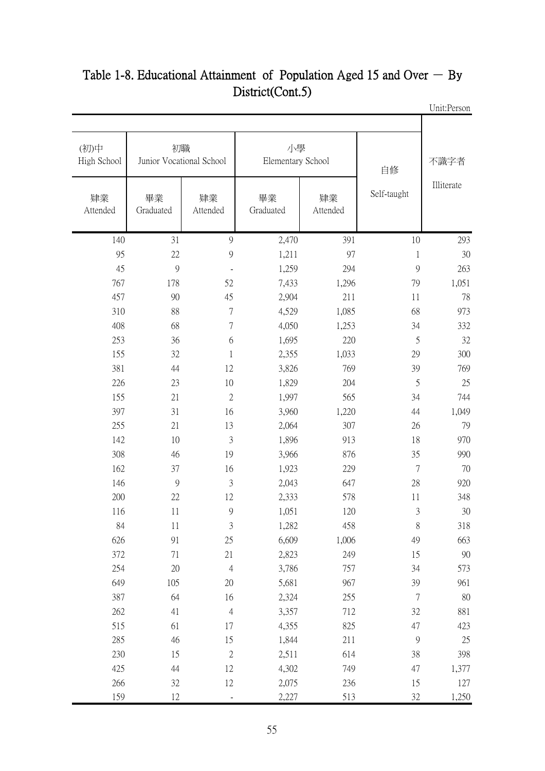| 不識字者       | 自修             |                | 小學<br>Elementary School |                | 初職<br>Junior Vocational School | (初)中<br>High School |
|------------|----------------|----------------|-------------------------|----------------|--------------------------------|---------------------|
| Illiterate | Self-taught    | 肄業<br>Attended | 畢業<br>Graduated         | 肄業<br>Attended | 畢業<br>Graduated                | 肄業<br>Attended      |
| 293        | 10             | 391            | 2,470                   | 9              | 31                             | 140                 |
| 30         | $\mathbf{1}$   | 97             | 1,211                   | 9              | $22\,$                         | 95                  |
| 263        | $\overline{9}$ | 294            | 1,259                   | $\blacksquare$ | 9                              | 45                  |
| 1,051      | 79             | 1,296          | 7,433                   | 52             | 178                            | 767                 |
| 78         | 11             | 211            | 2,904                   | 45             | 90                             | 457                 |
| 973        | 68             | 1,085          | 4,529                   | $\overline{7}$ | 88                             | 310                 |
| 332        | 34             | 1,253          | 4,050                   | $\overline{7}$ | 68                             | 408                 |
| 32         | 5              | 220            | 1,695                   | 6              | 36                             | 253                 |
| 300        | 29             | 1,033          | 2,355                   | $\mathbf{1}$   | 32                             | 155                 |
| 769        | 39             | 769            | 3,826                   | 12             | 44                             | 381                 |
| 25         | 5              | 204            | 1,829                   | 10             | 23                             | 226                 |
| 744        | 34             | 565            | 1,997                   | $\mathbf{2}$   | 21                             | 155                 |
| 1,049      | 44             | 1,220          | 3,960                   | 16             | 31                             | 397                 |
| 79         | 26             | 307            | 2,064                   | 13             | 21                             | 255                 |
| 970        | 18             | 913            | 1,896                   | 3              | 10                             | 142                 |
| 990        | 35             | 876            | 3,966                   | 19             | 46                             | 308                 |
| 70         | $\overline{7}$ | 229            | 1,923                   | 16             | 37                             | 162                 |
| 920        | 28             | 647            | 2,043                   | 3              | 9                              | 146                 |
| 348        | 11             | 578            | 2,333                   | 12             | 22                             | 200                 |
| 30         | 3              | 120            | 1,051                   | 9              | 11                             | 116                 |
| 318        | 8              | 458            | 1,282                   | 3              | 11                             | 84                  |
| 663        | 49             | 1,006          | 6,609                   | $25\,$         | 91                             | 626                 |
| 90         | 15             | 249            | 2,823                   | 21             | 71                             | 372                 |
| 573        | 34             | 757            | 3,786                   | $\overline{4}$ | 20                             | 254                 |
| 961        | 39             | 967            | 5,681                   | 20             | 105                            | 649                 |
| 80         | $\overline{7}$ | 255            | 2,324                   | 16             | 64                             | 387                 |
| 881        | 32             | 712            | 3,357                   | $\overline{4}$ | 41                             | 262                 |
| 423        | 47             | 825            | 4,355                   | 17             | 61                             | 515                 |
| 25         | $\mathcal{G}$  | 211            | 1,844                   | 15             | 46                             | 285                 |
| 398        | 38             | 614            | 2,511                   | $\sqrt{2}$     | 15                             | 230                 |
| 1,377      | 47             | 749            | 4,302                   | 12             | 44                             | 425                 |
| 127        | 15             | 236            | 2,075                   | $12\,$         | 32                             | 266                 |
| 1,250      | 32             | 513            | 2,227                   |                | 12                             | 159                 |

#### Unit:Person Table 1-8. Educational Attainment of Population Aged 15 and Over  $-$  By District(Cont.5)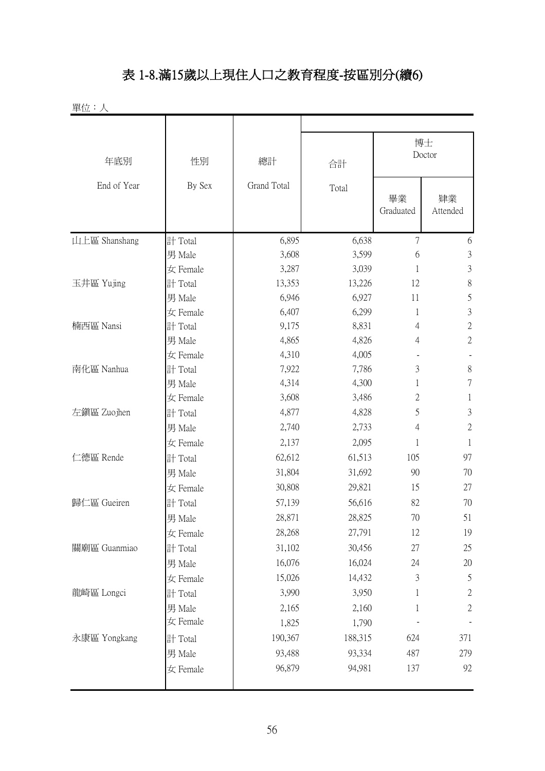# 表 1-8.滿15歲以上現住人口之教育程度-按區別分(續6)

| 單位:人          |          |             |         |                 |                |
|---------------|----------|-------------|---------|-----------------|----------------|
|               |          |             |         |                 |                |
|               |          |             |         |                 | 博士<br>Doctor   |
| 年底別           | 性別       | 總計          | 合計      |                 |                |
| End of Year   | By Sex   | Grand Total | Total   | 畢業<br>Graduated | 肄業<br>Attended |
| 山上區 Shanshang | 計 Total  | 6,895       | 6,638   | $\overline{7}$  | 6              |
|               | 男 Male   | 3,608       | 3,599   | 6               | $\mathfrak{Z}$ |
|               | 女 Female | 3,287       | 3,039   | 1               | $\mathfrak{Z}$ |
| 玉井區 Yujing    | 計 Total  | 13,353      | 13,226  | 12              | $8\,$          |
|               | 男 Male   | 6,946       | 6,927   | 11              | 5              |
|               | 女 Female | 6,407       | 6,299   | 1               | $\mathfrak{Z}$ |
| 楠西區 Nansi     | 計 Total  | 9,175       | 8,831   | 4               | $\sqrt{2}$     |
|               | 男 Male   | 4,865       | 4,826   | 4               | $\sqrt{2}$     |
|               | 女 Female | 4,310       | 4,005   |                 |                |
| 南化區 Nanhua    | 計 Total  | 7,922       | 7,786   | 3               | $8\,$          |
|               | 男 Male   | 4,314       | 4,300   | 1               | $\tau$         |
|               | 女 Female | 3,608       | 3,486   | 2               | 1              |
| 左鎮區 Zuojhen   | 計 Total  | 4,877       | 4,828   | 5               | $\mathfrak{Z}$ |
|               | 男 Male   | 2,740       | 2,733   | 4               | $\mathbf{2}$   |
|               | 女 Female | 2,137       | 2,095   | 1               | $\mathbf{1}$   |
| 仁德區 Rende     | 計 Total  | 62,612      | 61,513  | 105             | 97             |
|               | 男 Male   | 31,804      | 31,692  | 90              | 70             |
|               | 女 Female | 30,808      | 29,821  | 15              | 27             |
| 歸仁區 Gueiren   | 計 Total  | 57,139      | 56,616  | 82              | 70             |
|               | 男 Male   | 28,871      | 28,825  | 70              | 51             |
|               | 女 Female | 28,268      | 27,791  | 12              | 19             |
| 關廟區 Guanmiao  | 計 Total  | 31,102      | 30,456  | 27              | 25             |
|               | 男 Male   | 16,076      | 16,024  | 24              | 20             |
|               | 女 Female | 15,026      | 14,432  | 3               | $\mathfrak s$  |
| 龍崎區 Longci    | 計 Total  | 3,990       | 3,950   | 1               | $\sqrt{2}$     |
|               | 男 Male   | 2,165       | 2,160   | 1               | $\sqrt{2}$     |
|               | 女 Female | 1,825       | 1,790   |                 |                |
| 永康區 Yongkang  | 計 Total  | 190,367     | 188,315 | 624             | 371            |
|               | 男 Male   | 93,488      | 93,334  | 487             | 279            |
|               | 女 Female | 96,879      | 94,981  | 137             | 92             |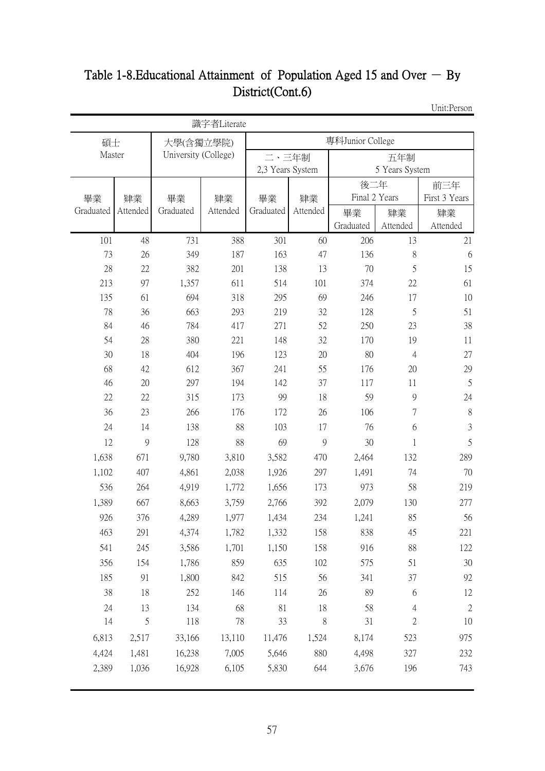## Table 1-8. Educational Attainment of Population Aged 15 and Over  $-$  By District(Cont.6)

Unit:Person

| 專科Junior College<br>碩士<br>大學(含獨立學院)<br>Master<br>University (College)<br>二、三年制<br>五年制<br>2,3 Years System<br>5 Years System<br>後二年<br>前三年<br>Final 2 Years<br>First 3 Years<br>畢業<br>畢業<br>肄業<br>肄業<br>畢業<br>肄業<br>Graduated<br>Graduated<br>Attended<br>Graduated<br>Attended<br>Attended<br>畢業<br>肄業<br>肄業<br>Graduated<br>Attended<br>Attended<br>101<br>48<br>731<br>388<br>301<br>60<br>206<br>13<br>21<br>8<br>73<br>26<br>349<br>187<br>163<br>47<br>136<br>6<br>5<br>28<br>15<br>22<br>382<br>201<br>138<br>13<br>70<br>213<br>97<br>1,357<br>611<br>514<br>101<br>374<br>22<br>61<br>135<br>61<br>694<br>318<br>69<br>17<br>10<br>295<br>246<br>78<br>5<br>51<br>36<br>663<br>293<br>219<br>32<br>128<br>84<br>46<br>784<br>417<br>271<br>52<br>250<br>23<br>38<br>19<br>54<br>28<br>380<br>221<br>148<br>32<br>11<br>170<br>30<br>18<br>404<br>196<br>20<br>80<br>27<br>123<br>$\overline{4}$<br>68<br>42<br>367<br>55<br>176<br>20<br>29<br>612<br>241<br>5<br>46<br>20<br>297<br>194<br>142<br>37<br>117<br>11<br>22<br>22<br>315<br>173<br>99<br>18<br>59<br>9<br>24<br>$8\,$<br>36<br>23<br>26<br>106<br>7<br>266<br>176<br>172<br>$\mathfrak{Z}$<br>88<br>24<br>14<br>138<br>103<br>17<br>76<br>6<br>5<br>12<br>9<br>128<br>88<br>69<br>9<br>30<br>1<br>1,638<br>671<br>3,810<br>3,582<br>289<br>9,780<br>470<br>2,464<br>132<br>297<br>74<br>70<br>1,102<br>407<br>4,861<br>2,038<br>1,926<br>1,491<br>536<br>4,919<br>1,772<br>973<br>58<br>264<br>1,656<br>173<br>219<br>1,389<br>667<br>3,759<br>2,766<br>392<br>8,663<br>2,079<br>130<br>277<br>926<br>376<br>4,289<br>1,977<br>234<br>1,241<br>85<br>56<br>1,434<br>463<br>291<br>4,374<br>1,782<br>1,332<br>158<br>838<br>45<br>221<br>541<br>1,701<br>158<br>88<br>245<br>3,586<br>1,150<br>916<br>122<br>356<br>154<br>1,786<br>859<br>635<br>102<br>51<br>30<br>575<br>185<br>91<br>1,800<br>842<br>56<br>37<br>515<br>341<br>92<br>38<br>18<br>252<br>146<br>26<br>89<br>6<br>12<br>114<br>68<br>$\sqrt{2}$<br>24<br>13<br>81<br>18<br>58<br>134<br>$\overline{4}$<br>5<br>$\sqrt{2}$<br>14<br>78<br>33<br>8<br>31<br>118<br>10<br>6,813<br>2,517<br>33,166<br>13,110<br>11,476<br>1,524<br>8,174<br>523<br>975<br>7,005<br>4,424<br>1,481<br>5,646<br>880<br>16,238<br>4,498<br>327<br>232<br>2,389<br>1,036<br>16,928<br>6,105<br>5,830<br>644<br>3,676<br>196<br>743 |  | 識字者Literate |  |  |  |
|---------------------------------------------------------------------------------------------------------------------------------------------------------------------------------------------------------------------------------------------------------------------------------------------------------------------------------------------------------------------------------------------------------------------------------------------------------------------------------------------------------------------------------------------------------------------------------------------------------------------------------------------------------------------------------------------------------------------------------------------------------------------------------------------------------------------------------------------------------------------------------------------------------------------------------------------------------------------------------------------------------------------------------------------------------------------------------------------------------------------------------------------------------------------------------------------------------------------------------------------------------------------------------------------------------------------------------------------------------------------------------------------------------------------------------------------------------------------------------------------------------------------------------------------------------------------------------------------------------------------------------------------------------------------------------------------------------------------------------------------------------------------------------------------------------------------------------------------------------------------------------------------------------------------------------------------------------------------------------------------------------------------------------------------------------------------------------------------------------------------------------------------------------------------------------------------------------------------------------------------------------------------------------------------------------------------------------------------------|--|-------------|--|--|--|
|                                                                                                                                                                                                                                                                                                                                                                                                                                                                                                                                                                                                                                                                                                                                                                                                                                                                                                                                                                                                                                                                                                                                                                                                                                                                                                                                                                                                                                                                                                                                                                                                                                                                                                                                                                                                                                                                                                                                                                                                                                                                                                                                                                                                                                                                                                                                                   |  |             |  |  |  |
|                                                                                                                                                                                                                                                                                                                                                                                                                                                                                                                                                                                                                                                                                                                                                                                                                                                                                                                                                                                                                                                                                                                                                                                                                                                                                                                                                                                                                                                                                                                                                                                                                                                                                                                                                                                                                                                                                                                                                                                                                                                                                                                                                                                                                                                                                                                                                   |  |             |  |  |  |
|                                                                                                                                                                                                                                                                                                                                                                                                                                                                                                                                                                                                                                                                                                                                                                                                                                                                                                                                                                                                                                                                                                                                                                                                                                                                                                                                                                                                                                                                                                                                                                                                                                                                                                                                                                                                                                                                                                                                                                                                                                                                                                                                                                                                                                                                                                                                                   |  |             |  |  |  |
|                                                                                                                                                                                                                                                                                                                                                                                                                                                                                                                                                                                                                                                                                                                                                                                                                                                                                                                                                                                                                                                                                                                                                                                                                                                                                                                                                                                                                                                                                                                                                                                                                                                                                                                                                                                                                                                                                                                                                                                                                                                                                                                                                                                                                                                                                                                                                   |  |             |  |  |  |
|                                                                                                                                                                                                                                                                                                                                                                                                                                                                                                                                                                                                                                                                                                                                                                                                                                                                                                                                                                                                                                                                                                                                                                                                                                                                                                                                                                                                                                                                                                                                                                                                                                                                                                                                                                                                                                                                                                                                                                                                                                                                                                                                                                                                                                                                                                                                                   |  |             |  |  |  |
|                                                                                                                                                                                                                                                                                                                                                                                                                                                                                                                                                                                                                                                                                                                                                                                                                                                                                                                                                                                                                                                                                                                                                                                                                                                                                                                                                                                                                                                                                                                                                                                                                                                                                                                                                                                                                                                                                                                                                                                                                                                                                                                                                                                                                                                                                                                                                   |  |             |  |  |  |
|                                                                                                                                                                                                                                                                                                                                                                                                                                                                                                                                                                                                                                                                                                                                                                                                                                                                                                                                                                                                                                                                                                                                                                                                                                                                                                                                                                                                                                                                                                                                                                                                                                                                                                                                                                                                                                                                                                                                                                                                                                                                                                                                                                                                                                                                                                                                                   |  |             |  |  |  |
|                                                                                                                                                                                                                                                                                                                                                                                                                                                                                                                                                                                                                                                                                                                                                                                                                                                                                                                                                                                                                                                                                                                                                                                                                                                                                                                                                                                                                                                                                                                                                                                                                                                                                                                                                                                                                                                                                                                                                                                                                                                                                                                                                                                                                                                                                                                                                   |  |             |  |  |  |
|                                                                                                                                                                                                                                                                                                                                                                                                                                                                                                                                                                                                                                                                                                                                                                                                                                                                                                                                                                                                                                                                                                                                                                                                                                                                                                                                                                                                                                                                                                                                                                                                                                                                                                                                                                                                                                                                                                                                                                                                                                                                                                                                                                                                                                                                                                                                                   |  |             |  |  |  |
|                                                                                                                                                                                                                                                                                                                                                                                                                                                                                                                                                                                                                                                                                                                                                                                                                                                                                                                                                                                                                                                                                                                                                                                                                                                                                                                                                                                                                                                                                                                                                                                                                                                                                                                                                                                                                                                                                                                                                                                                                                                                                                                                                                                                                                                                                                                                                   |  |             |  |  |  |
|                                                                                                                                                                                                                                                                                                                                                                                                                                                                                                                                                                                                                                                                                                                                                                                                                                                                                                                                                                                                                                                                                                                                                                                                                                                                                                                                                                                                                                                                                                                                                                                                                                                                                                                                                                                                                                                                                                                                                                                                                                                                                                                                                                                                                                                                                                                                                   |  |             |  |  |  |
|                                                                                                                                                                                                                                                                                                                                                                                                                                                                                                                                                                                                                                                                                                                                                                                                                                                                                                                                                                                                                                                                                                                                                                                                                                                                                                                                                                                                                                                                                                                                                                                                                                                                                                                                                                                                                                                                                                                                                                                                                                                                                                                                                                                                                                                                                                                                                   |  |             |  |  |  |
|                                                                                                                                                                                                                                                                                                                                                                                                                                                                                                                                                                                                                                                                                                                                                                                                                                                                                                                                                                                                                                                                                                                                                                                                                                                                                                                                                                                                                                                                                                                                                                                                                                                                                                                                                                                                                                                                                                                                                                                                                                                                                                                                                                                                                                                                                                                                                   |  |             |  |  |  |
|                                                                                                                                                                                                                                                                                                                                                                                                                                                                                                                                                                                                                                                                                                                                                                                                                                                                                                                                                                                                                                                                                                                                                                                                                                                                                                                                                                                                                                                                                                                                                                                                                                                                                                                                                                                                                                                                                                                                                                                                                                                                                                                                                                                                                                                                                                                                                   |  |             |  |  |  |
|                                                                                                                                                                                                                                                                                                                                                                                                                                                                                                                                                                                                                                                                                                                                                                                                                                                                                                                                                                                                                                                                                                                                                                                                                                                                                                                                                                                                                                                                                                                                                                                                                                                                                                                                                                                                                                                                                                                                                                                                                                                                                                                                                                                                                                                                                                                                                   |  |             |  |  |  |
|                                                                                                                                                                                                                                                                                                                                                                                                                                                                                                                                                                                                                                                                                                                                                                                                                                                                                                                                                                                                                                                                                                                                                                                                                                                                                                                                                                                                                                                                                                                                                                                                                                                                                                                                                                                                                                                                                                                                                                                                                                                                                                                                                                                                                                                                                                                                                   |  |             |  |  |  |
|                                                                                                                                                                                                                                                                                                                                                                                                                                                                                                                                                                                                                                                                                                                                                                                                                                                                                                                                                                                                                                                                                                                                                                                                                                                                                                                                                                                                                                                                                                                                                                                                                                                                                                                                                                                                                                                                                                                                                                                                                                                                                                                                                                                                                                                                                                                                                   |  |             |  |  |  |
|                                                                                                                                                                                                                                                                                                                                                                                                                                                                                                                                                                                                                                                                                                                                                                                                                                                                                                                                                                                                                                                                                                                                                                                                                                                                                                                                                                                                                                                                                                                                                                                                                                                                                                                                                                                                                                                                                                                                                                                                                                                                                                                                                                                                                                                                                                                                                   |  |             |  |  |  |
|                                                                                                                                                                                                                                                                                                                                                                                                                                                                                                                                                                                                                                                                                                                                                                                                                                                                                                                                                                                                                                                                                                                                                                                                                                                                                                                                                                                                                                                                                                                                                                                                                                                                                                                                                                                                                                                                                                                                                                                                                                                                                                                                                                                                                                                                                                                                                   |  |             |  |  |  |
|                                                                                                                                                                                                                                                                                                                                                                                                                                                                                                                                                                                                                                                                                                                                                                                                                                                                                                                                                                                                                                                                                                                                                                                                                                                                                                                                                                                                                                                                                                                                                                                                                                                                                                                                                                                                                                                                                                                                                                                                                                                                                                                                                                                                                                                                                                                                                   |  |             |  |  |  |
|                                                                                                                                                                                                                                                                                                                                                                                                                                                                                                                                                                                                                                                                                                                                                                                                                                                                                                                                                                                                                                                                                                                                                                                                                                                                                                                                                                                                                                                                                                                                                                                                                                                                                                                                                                                                                                                                                                                                                                                                                                                                                                                                                                                                                                                                                                                                                   |  |             |  |  |  |
|                                                                                                                                                                                                                                                                                                                                                                                                                                                                                                                                                                                                                                                                                                                                                                                                                                                                                                                                                                                                                                                                                                                                                                                                                                                                                                                                                                                                                                                                                                                                                                                                                                                                                                                                                                                                                                                                                                                                                                                                                                                                                                                                                                                                                                                                                                                                                   |  |             |  |  |  |
|                                                                                                                                                                                                                                                                                                                                                                                                                                                                                                                                                                                                                                                                                                                                                                                                                                                                                                                                                                                                                                                                                                                                                                                                                                                                                                                                                                                                                                                                                                                                                                                                                                                                                                                                                                                                                                                                                                                                                                                                                                                                                                                                                                                                                                                                                                                                                   |  |             |  |  |  |
|                                                                                                                                                                                                                                                                                                                                                                                                                                                                                                                                                                                                                                                                                                                                                                                                                                                                                                                                                                                                                                                                                                                                                                                                                                                                                                                                                                                                                                                                                                                                                                                                                                                                                                                                                                                                                                                                                                                                                                                                                                                                                                                                                                                                                                                                                                                                                   |  |             |  |  |  |
|                                                                                                                                                                                                                                                                                                                                                                                                                                                                                                                                                                                                                                                                                                                                                                                                                                                                                                                                                                                                                                                                                                                                                                                                                                                                                                                                                                                                                                                                                                                                                                                                                                                                                                                                                                                                                                                                                                                                                                                                                                                                                                                                                                                                                                                                                                                                                   |  |             |  |  |  |
|                                                                                                                                                                                                                                                                                                                                                                                                                                                                                                                                                                                                                                                                                                                                                                                                                                                                                                                                                                                                                                                                                                                                                                                                                                                                                                                                                                                                                                                                                                                                                                                                                                                                                                                                                                                                                                                                                                                                                                                                                                                                                                                                                                                                                                                                                                                                                   |  |             |  |  |  |
|                                                                                                                                                                                                                                                                                                                                                                                                                                                                                                                                                                                                                                                                                                                                                                                                                                                                                                                                                                                                                                                                                                                                                                                                                                                                                                                                                                                                                                                                                                                                                                                                                                                                                                                                                                                                                                                                                                                                                                                                                                                                                                                                                                                                                                                                                                                                                   |  |             |  |  |  |
|                                                                                                                                                                                                                                                                                                                                                                                                                                                                                                                                                                                                                                                                                                                                                                                                                                                                                                                                                                                                                                                                                                                                                                                                                                                                                                                                                                                                                                                                                                                                                                                                                                                                                                                                                                                                                                                                                                                                                                                                                                                                                                                                                                                                                                                                                                                                                   |  |             |  |  |  |
|                                                                                                                                                                                                                                                                                                                                                                                                                                                                                                                                                                                                                                                                                                                                                                                                                                                                                                                                                                                                                                                                                                                                                                                                                                                                                                                                                                                                                                                                                                                                                                                                                                                                                                                                                                                                                                                                                                                                                                                                                                                                                                                                                                                                                                                                                                                                                   |  |             |  |  |  |
|                                                                                                                                                                                                                                                                                                                                                                                                                                                                                                                                                                                                                                                                                                                                                                                                                                                                                                                                                                                                                                                                                                                                                                                                                                                                                                                                                                                                                                                                                                                                                                                                                                                                                                                                                                                                                                                                                                                                                                                                                                                                                                                                                                                                                                                                                                                                                   |  |             |  |  |  |
|                                                                                                                                                                                                                                                                                                                                                                                                                                                                                                                                                                                                                                                                                                                                                                                                                                                                                                                                                                                                                                                                                                                                                                                                                                                                                                                                                                                                                                                                                                                                                                                                                                                                                                                                                                                                                                                                                                                                                                                                                                                                                                                                                                                                                                                                                                                                                   |  |             |  |  |  |
|                                                                                                                                                                                                                                                                                                                                                                                                                                                                                                                                                                                                                                                                                                                                                                                                                                                                                                                                                                                                                                                                                                                                                                                                                                                                                                                                                                                                                                                                                                                                                                                                                                                                                                                                                                                                                                                                                                                                                                                                                                                                                                                                                                                                                                                                                                                                                   |  |             |  |  |  |
|                                                                                                                                                                                                                                                                                                                                                                                                                                                                                                                                                                                                                                                                                                                                                                                                                                                                                                                                                                                                                                                                                                                                                                                                                                                                                                                                                                                                                                                                                                                                                                                                                                                                                                                                                                                                                                                                                                                                                                                                                                                                                                                                                                                                                                                                                                                                                   |  |             |  |  |  |
|                                                                                                                                                                                                                                                                                                                                                                                                                                                                                                                                                                                                                                                                                                                                                                                                                                                                                                                                                                                                                                                                                                                                                                                                                                                                                                                                                                                                                                                                                                                                                                                                                                                                                                                                                                                                                                                                                                                                                                                                                                                                                                                                                                                                                                                                                                                                                   |  |             |  |  |  |
|                                                                                                                                                                                                                                                                                                                                                                                                                                                                                                                                                                                                                                                                                                                                                                                                                                                                                                                                                                                                                                                                                                                                                                                                                                                                                                                                                                                                                                                                                                                                                                                                                                                                                                                                                                                                                                                                                                                                                                                                                                                                                                                                                                                                                                                                                                                                                   |  |             |  |  |  |
|                                                                                                                                                                                                                                                                                                                                                                                                                                                                                                                                                                                                                                                                                                                                                                                                                                                                                                                                                                                                                                                                                                                                                                                                                                                                                                                                                                                                                                                                                                                                                                                                                                                                                                                                                                                                                                                                                                                                                                                                                                                                                                                                                                                                                                                                                                                                                   |  |             |  |  |  |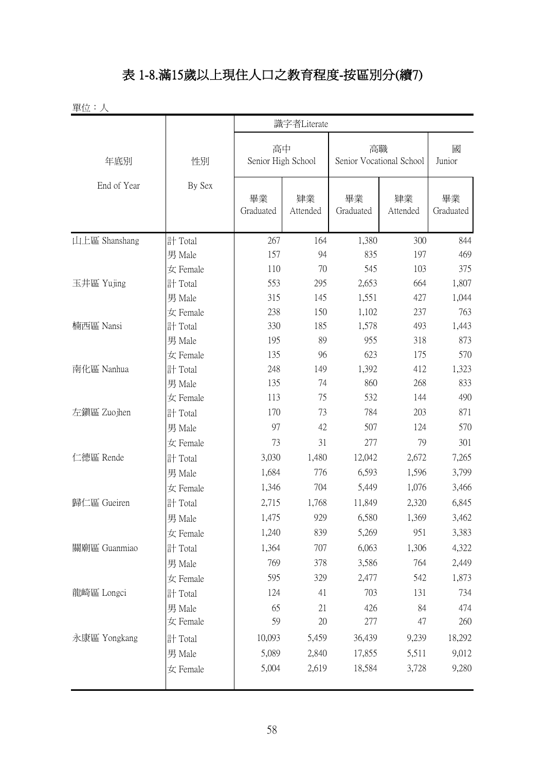## 表 1-8.滿15歲以上現住人口之教育程度-按區別分(續7)

|               |                                                                                                                                               |                          | 識字者Literate    |                                |                |                 |
|---------------|-----------------------------------------------------------------------------------------------------------------------------------------------|--------------------------|----------------|--------------------------------|----------------|-----------------|
| 年底別           | 性別                                                                                                                                            | 高中<br>Senior High School |                | 高職<br>Senior Vocational School |                | 國<br>Junior     |
| End of Year   | By Sex                                                                                                                                        | 畢業<br>Graduated          | 肄業<br>Attended | 畢業<br>Graduated                | 肄業<br>Attended | 畢業<br>Graduated |
| 山上區 Shanshang | 計 Total                                                                                                                                       | 267                      | 164            | 1,380                          | 300            | 844             |
|               | 男 Male                                                                                                                                        | 157                      | 94             | 835                            | 197            | 469             |
|               | 女 Female                                                                                                                                      | 110                      | 70             | 545                            | 103            | 375             |
| 玉井區 Yujing    | 計 Total                                                                                                                                       | 553                      | 295            | 2,653                          | 664            | 1,807           |
|               | 男 Male                                                                                                                                        | 315                      | 145            | 1,551                          | 427            | 1,044           |
|               | 女 Female                                                                                                                                      | 238                      | 150            | 1,102                          | 237            | 763             |
| 楠西區 Nansi     | 計 Total                                                                                                                                       | 330                      | 185            | 1,578                          | 493            | 1,443           |
|               | 89<br>男 Male<br>195<br>135<br>96<br>女 Female<br>計 Total<br>248<br>149<br>135<br>74<br>男 Male<br>113<br>75<br>女 Female<br>73<br>170<br>計 Total | 955                      | 318            | 873                            |                |                 |
|               |                                                                                                                                               |                          |                | 623                            | 175            | 570             |
| 南化區 Nanhua    |                                                                                                                                               |                          |                | 1,392                          | 412            | 1,323           |
|               |                                                                                                                                               |                          |                | 860                            | 268            | 833             |
|               |                                                                                                                                               |                          |                | 532                            | 144            | 490             |
| 左鎮區 Zuojhen   |                                                                                                                                               |                          |                | 784                            | 203            | 871             |
|               | 男 Male                                                                                                                                        | 97                       | 42             | 507                            | 124            | 570             |
|               | 女 Female                                                                                                                                      | 73                       | 31             | 277                            | 79             | 301             |
| 仁德區 Rende     | 計 Total                                                                                                                                       | 3,030                    | 1,480          | 12,042                         | 2,672          | 7,265           |
|               | 男 Male                                                                                                                                        | 1,684                    | 776            | 6,593                          | 1,596          | 3,799           |
|               | 女 Female                                                                                                                                      | 1,346                    | 704            | 5,449                          | 1,076          | 3,466           |
| 歸仁區 Gueiren   | 計 Total                                                                                                                                       | 2,715                    | 1,768          | 11,849                         | 2,320          | 6,845           |
|               | 男 Male                                                                                                                                        | 1,475                    | 929            | 6,580                          | 1,369          | 3,462           |
|               | 女 Female                                                                                                                                      | 1,240                    | 839            | 5,269                          | 951            | 3,383           |
| 關廟區 Guanmiao  | 計 Total                                                                                                                                       | 1,364                    | 707            | 6,063                          | 1,306          | 4,322           |
|               | 男 Male                                                                                                                                        | 769                      | 378            | 3,586                          | 764            | 2,449           |
|               | 女 Female                                                                                                                                      | 595                      | 329            | 2,477                          | 542            | 1,873           |
| 龍崎區 Longci    | 計 Total                                                                                                                                       | 124                      | 41             | 703                            | 131            | 734             |
|               | 男 Male                                                                                                                                        | 65                       | 21             | 426                            | 84             | 474             |
|               | 女 Female                                                                                                                                      | 59                       | 20             | 277                            | 47             | 260             |
| 永康區 Yongkang  | 計 Total                                                                                                                                       | 10,093                   | 5,459          | 36,439                         | 9,239          | 18,292          |
|               | 男 Male                                                                                                                                        | 5,089                    | 2,840          | 17,855                         | 5,511          | 9,012           |
|               | 女 Female                                                                                                                                      | 5,004                    | 2,619          | 18,584                         | 3,728          | 9,280           |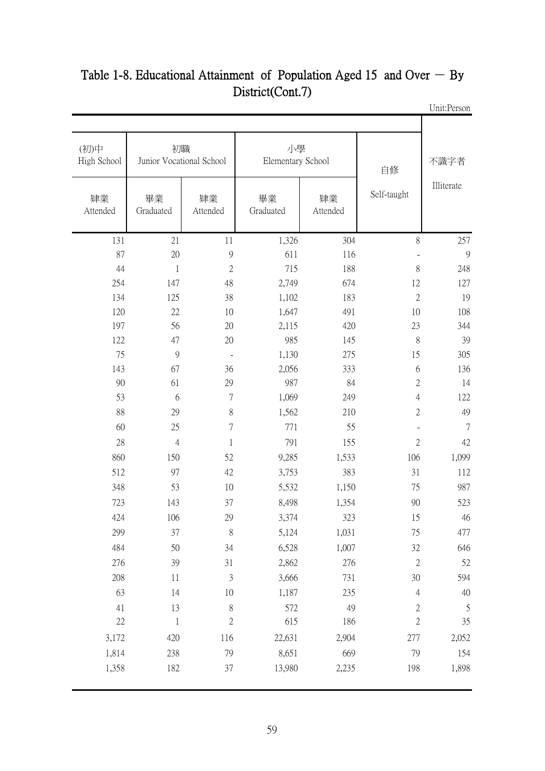| 不識字者       | 自修                       |                | 小學<br>Elementary School |                | 初職<br>Junior Vocational School | (初)中<br>High School |
|------------|--------------------------|----------------|-------------------------|----------------|--------------------------------|---------------------|
| Illiterate | Self-taught              | 肄業<br>Attended | 畢業<br>Graduated         | 肄業<br>Attended | 畢業<br>Graduated                | 肄業<br>Attended      |
| 257        | 8                        | 304            | 1,326                   | 11             | 21                             | 131                 |
|            |                          | 116            | 611                     | 9              | $20\,$                         | 87                  |
| 248        | $8\,$                    | 188            | 715                     | $\overline{2}$ | $\,1$                          | 44                  |
| 127        | 12                       | 674            | 2,749                   | 48             | 147                            | 254                 |
| 19         | $\mathbf{2}$             | 183            | 1,102                   | 38             | 125                            | 134                 |
| 108        | 10                       | 491            | 1,647                   | 10             | $22\,$                         | 120                 |
| 344        | 23                       | 420            | 2,115                   | 20             | 56                             | 197                 |
| 39         | 8                        | 145            | 985                     | 20             | 47                             | 122                 |
| 305        | 15                       | 275            | 1,130                   | $\blacksquare$ | $\overline{9}$                 | 75                  |
| 136        | 6                        | 333            | 2,056                   | 36             | 67                             | 143                 |
| 14         | $\mathbf{2}$             | 84             | 987                     | 29             | 61                             | 90                  |
| 122        | $\overline{4}$           | 249            | 1,069                   | $\tau$         | 6                              | 53                  |
| 49         | $\mathbf{2}$             | 210            | 1,562                   | $8\,$          | 29                             | 88                  |
|            | $\overline{\phantom{m}}$ | 55             | 771                     | 7              | 25                             | 60                  |
| 42         | $\mathbf{2}$             | 155            | 791                     | $\mathbf{1}$   | $\overline{4}$                 | 28                  |
| 1,099      | 106                      | 1,533          | 9,285                   | 52             | 150                            | 860                 |
| 112        | 31                       | 383            | 3,753                   | 42             | 97                             | 512                 |
| 987        | 75                       | 1,150          | 5,532                   | 10             | 53                             | 348                 |
| 523        | 90                       | 1,354          | 8,498                   | 37             | 143                            | 723                 |
| 46         | 15                       | 323            | 3,374                   | 29             | 106                            | 424                 |
| 477        | 75                       | 1,031          | 5,124                   | $\,$ $\,$      | 37                             | 299                 |
| 646        | 32                       | 1,007          | 6,528                   | 34             | 50                             | 484                 |
| 52         | $\sqrt{2}$               | 276            | 2,862                   | 31             | 39                             | 276                 |
| 594        | 30                       | 731            | 3,666                   | $\mathfrak{Z}$ | 11                             | 208                 |
| 40         | $\overline{4}$           | 235            | 1,187                   | $10\,$         | 14                             | 63                  |
|            | $\sqrt{2}$               | 49             | 572                     | $\,$ $\,$      | 13                             | 41                  |
| 35         | $\overline{2}$           | 186            | 615                     | $\sqrt{2}$     | $\mathbf{1}$                   | 22                  |
| 2,052      | 277                      | 2,904          | 22,631                  | 116            | 420                            | 3,172               |
| 154        | 79                       | 669            | 8,651                   | 79             | 238                            | 1,814               |
| 1,898      | 198                      | 2,235          | 13,980                  | 37             | 182                            | 1,358               |

#### Unit:Person Table 1-8. Educational Attainment of Population Aged 15 and Over  $-$  By District(Cont.7)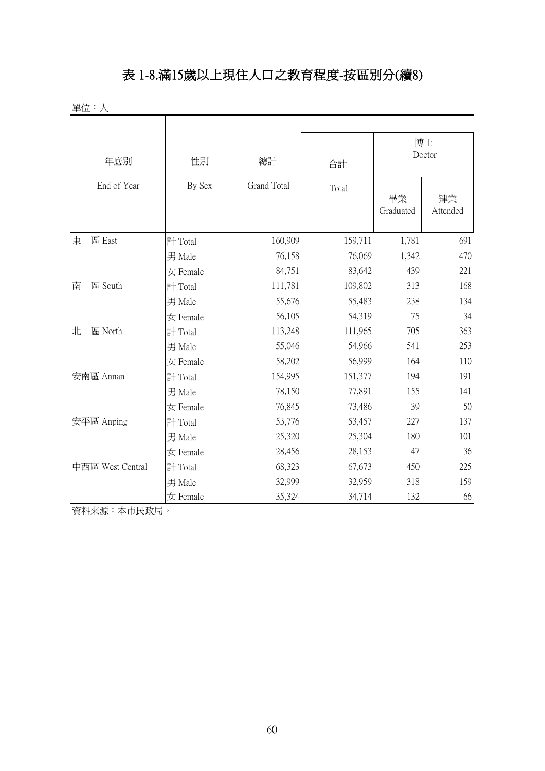#### 表 1-8.滿15歲以上現住人口之教育程度-按區別分(續8)

| 單位:人             |          |                    |         |                 |                |
|------------------|----------|--------------------|---------|-----------------|----------------|
| 年底別              | 性別       | 總計                 | 合計      |                 | 博士<br>Doctor   |
| End of Year      | By Sex   | <b>Grand Total</b> | Total   | 畢業<br>Graduated | 肄業<br>Attended |
| 東<br>區 East      | 計 Total  | 160,909            | 159,711 | 1,781           | 691            |
|                  | 男 Male   | 76,158             | 76,069  | 1,342           | 470            |
|                  | 女 Female | 84,751             | 83,642  | 439             | 221            |
| 區 South<br>南     | 計 Total  | 111,781            | 109,802 | 313             | 168            |
|                  | 男 Male   | 55,676             | 55,483  | 238             | 134            |
|                  | 女 Female | 56,105             | 54,319  | 75              | 34             |
| 北<br>區 North     | 計 Total  | 113,248            | 111,965 | 705             | 363            |
|                  | 男 Male   | 55,046             | 54,966  | 541             | 253            |
|                  | 女 Female | 58,202             | 56,999  | 164             | 110            |
| 安南區 Annan        | 計 Total  | 154,995            | 151,377 | 194             | 191            |
|                  | 男 Male   | 78,150             | 77,891  | 155             | 141            |
|                  | 女 Female | 76,845             | 73,486  | 39              | 50             |
| 安平區 Anping       | 計 Total  | 53,776             | 53,457  | 227             | 137            |
|                  | 男 Male   | 25,320             | 25,304  | 180             | 101            |
|                  | 女 Female | 28,456             | 28,153  | 47              | 36             |
| 中西區 West Central | 計 Total  | 68,323             | 67,673  | 450             | 225            |
|                  | 男 Male   | 32,999             | 32,959  | 318             | 159            |
|                  | 女 Female | 35,324             | 34,714  | 132             | 66             |

資料來源:本市民政局。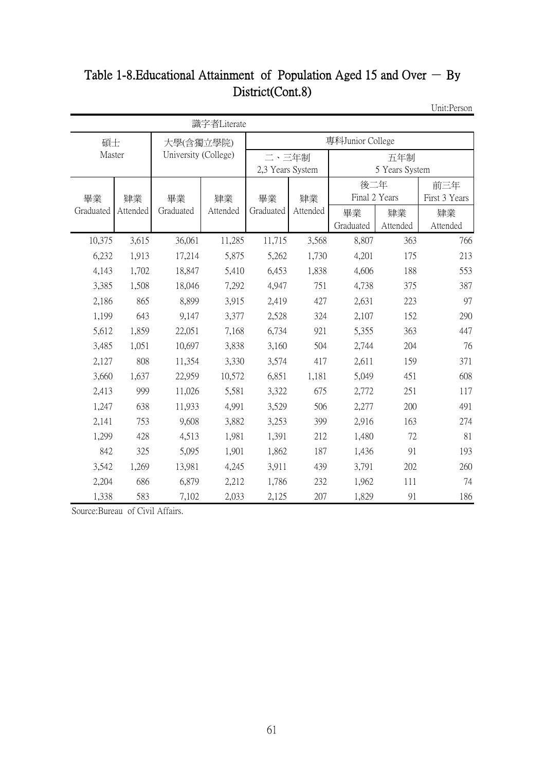#### Table 1-8. Educational Attainment of Population Aged 15 and Over  $-$  By District(Cont.8)

Unit:Person

|           |          |                      | 識字者Literate |                  |          |               |                |               |  |  |
|-----------|----------|----------------------|-------------|------------------|----------|---------------|----------------|---------------|--|--|
| 碩士        |          | 大學(含獨立學院)            |             | 專科Junior College |          |               |                |               |  |  |
| Master    |          | University (College) |             | 二、三年制            |          |               | 五年制            |               |  |  |
|           |          |                      |             | 2,3 Years System |          |               | 5 Years System |               |  |  |
|           |          |                      |             |                  |          | 後二年           |                | 前三年           |  |  |
| 畢業        | 肄業       | 畢業                   | 肄業          | 畢業               | 肄業       | Final 2 Years |                | First 3 Years |  |  |
| Graduated | Attended | Graduated            | Attended    | Graduated        | Attended | 畢業            | 肄業             | 肄業            |  |  |
|           |          |                      |             |                  |          | Graduated     | Attended       | Attended      |  |  |
| 10,375    | 3,615    | 36,061               | 11,285      | 11,715           | 3,568    | 8,807         | 363            | 766           |  |  |
| 6,232     | 1,913    | 17,214               | 5,875       | 5,262            | 1,730    | 4,201         | 175            | 213           |  |  |
| 4,143     | 1,702    | 18,847               | 5,410       | 6,453            | 1,838    | 4,606         | 188            | 553           |  |  |
| 3,385     | 1,508    | 18,046               | 7,292       | 4,947            | 751      | 4,738         | 375            | 387           |  |  |
| 2,186     | 865      | 8,899                | 3,915       | 2,419            | 427      | 2,631         | 223            | 97            |  |  |
| 1,199     | 643      | 9,147                | 3,377       | 2,528            | 324      | 2,107         | 152            | 290           |  |  |
| 5,612     | 1,859    | 22,051               | 7,168       | 6,734            | 921      | 5,355         | 363            | 447           |  |  |
| 3,485     | 1,051    | 10,697               | 3,838       | 3,160            | 504      | 2,744         | 204            | 76            |  |  |
| 2,127     | 808      | 11,354               | 3,330       | 3,574            | 417      | 2,611         | 159            | 371           |  |  |
| 3,660     | 1,637    | 22,959               | 10,572      | 6,851            | 1,181    | 5,049         | 451            | 608           |  |  |
| 2,413     | 999      | 11,026               | 5,581       | 3,322            | 675      | 2,772         | 251            | 117           |  |  |
| 1,247     | 638      | 11,933               | 4,991       | 3,529            | 506      | 2,277         | 200            | 491           |  |  |
| 2,141     | 753      | 9,608                | 3,882       | 3,253            | 399      | 2,916         | 163            | 274           |  |  |
| 1,299     | 428      | 4,513                | 1,981       | 1,391            | 212      | 1,480         | 72             | 81            |  |  |
| 842       | 325      | 5,095                | 1,901       | 1,862            | 187      | 1,436         | 91             | 193           |  |  |
| 3,542     | 1,269    | 13,981               | 4,245       | 3,911            | 439      | 3,791         | 202            | 260           |  |  |
| 2,204     | 686      | 6,879                | 2,212       | 1,786            | 232      | 1,962         | 111            | 74            |  |  |
| 1,338     | 583      | 7,102                | 2,033       | 2,125            | 207      | 1,829         | 91             | 186           |  |  |

Source:Bureau of Civil Affairs.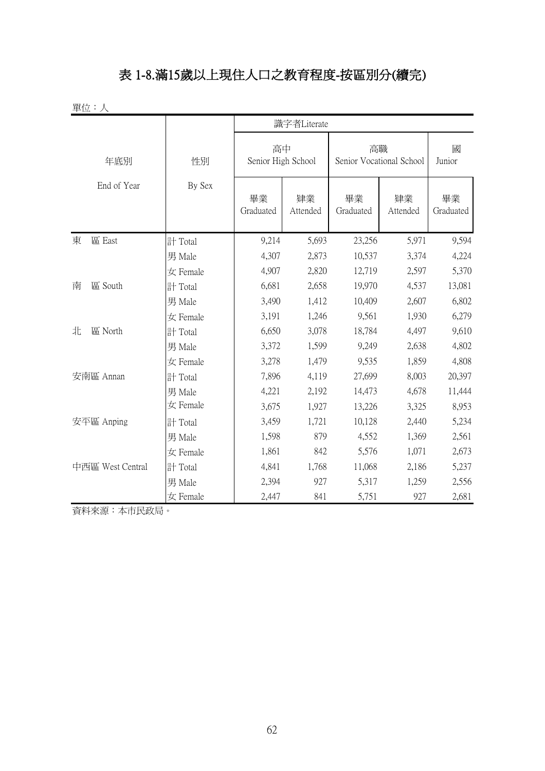#### 表 1-8.滿15歲以上現住人口之教育程度-按區別分(續完)

| 單位:人             |          |                          |                |                                |                |                 |
|------------------|----------|--------------------------|----------------|--------------------------------|----------------|-----------------|
|                  |          |                          | 識字者Literate    |                                |                |                 |
| 年底別              | 性別       | 高中<br>Senior High School |                | 高職<br>Senior Vocational School | 國<br>Junior    |                 |
| End of Year      | By Sex   | 畢業<br>Graduated          | 肄業<br>Attended | 畢業<br>Graduated                | 肄業<br>Attended | 畢業<br>Graduated |
| 東<br>區 East      | 計 Total  | 9,214                    | 5,693          | 23,256                         | 5,971          | 9,594           |
|                  | 男 Male   | 4,307                    | 2,873          | 10,537                         | 3,374          | 4,224           |
|                  | 女 Female | 4,907                    | 2,820          | 12,719                         | 2,597          | 5,370           |
| 區 South<br>南     | 計 Total  | 6,681                    | 2,658          | 19,970                         | 4,537          | 13,081          |
|                  | 男 Male   | 3,490                    | 1,412          | 10,409                         | 2,607          | 6,802           |
|                  | 女 Female | 3,191                    | 1,246          | 9,561                          | 1,930          | 6,279           |
| 區 North<br>北     | 計 Total  | 6,650                    | 3,078          | 18,784                         | 4,497          | 9,610           |
|                  | 男 Male   | 3,372                    | 1,599          | 9,249                          | 2,638          | 4,802           |
|                  | 女 Female | 3,278                    | 1,479          | 9,535                          | 1,859          | 4,808           |
| 安南區 Annan        | 計 Total  | 7,896                    | 4,119          | 27,699                         | 8,003          | 20,397          |
|                  | 男 Male   | 4,221                    | 2,192          | 14,473                         | 4,678          | 11,444          |
|                  | 女 Female | 3,675                    | 1,927          | 13,226                         | 3,325          | 8,953           |
| 安平區 Anping       | 計 Total  | 3,459                    | 1,721          | 10,128                         | 2,440          | 5,234           |
|                  | 男 Male   | 1,598                    | 879            | 4,552                          | 1,369          | 2,561           |
|                  | 女 Female | 1,861                    | 842            | 5,576                          | 1,071          | 2,673           |
| 中西區 West Central | 計 Total  | 4,841                    | 1,768          | 11,068                         | 2,186          | 5,237           |
|                  | 男 Male   | 2,394                    | 927            | 5,317                          | 1,259          | 2,556           |
|                  | 女 Female | 2,447                    | 841            | 5,751                          | 927            | 2,681           |

資料來源:本市民政局。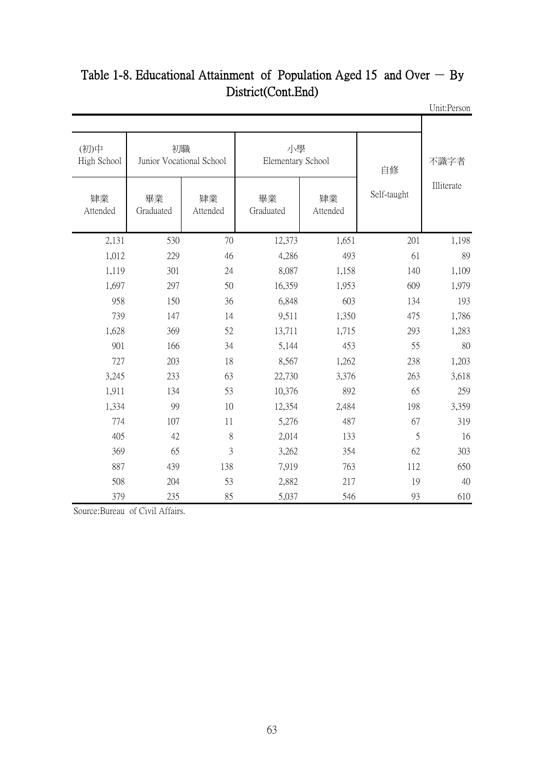| <b>CHILL CLUCH</b> |             |                |                         |                                |                 |                     |
|--------------------|-------------|----------------|-------------------------|--------------------------------|-----------------|---------------------|
| 不識字者               | 自修          |                | 小學<br>Elementary School | 初職<br>Junior Vocational School |                 | (初)中<br>High School |
| Illiterate         | Self-taught | 肄業<br>Attended | 畢業<br>Graduated         | 肄業<br>Attended                 | 畢業<br>Graduated | 肄業<br>Attended      |
| 1,198              | 201         | 1,651          | 12,373                  | 70                             | 530             | 2,131               |
| 89                 | 61          | 493            | 4,286                   | 46                             | 229             | 1,012               |
| 1,109              | 140         | 1,158          | 8,087                   | 24                             | 301             | 1,119               |
| 1,979              | 609         | 1,953          | 16,359                  | 50                             | 297             | 1,697               |
| 193                | 134         | 603            | 6,848                   | 36                             | 150             | 958                 |
| 1,786              | 475         | 1,350          | 9,511                   | 14                             | 147             | 739                 |
| 1,283              | 293         | 1,715          | 13,711                  | 52                             | 369             | 1,628               |
| 80                 | 55          | 453            | 5,144                   | 34                             | 166             | 901                 |
| 1,203              | 238         | 1,262          | 8,567                   | 18                             | 203             | 727                 |
| 3,618              | 263         | 3,376          | 22,730                  | 63                             | 233             | 3,245               |
| 259                | 65          | 892            | 10,376                  | 53                             | 134             | 1,911               |
| 3,359              | 198         | 2,484          | 12,354                  | 10                             | 99              | 1,334               |
| 319                | 67          | 487            | 5,276                   | 11                             | 107             | 774                 |
| 16                 | 5           | 133            | 2,014                   | $8\,$                          | 42              | 405                 |
| 303                | 62          | 354            | 3,262                   | 3                              | 65              | 369                 |
| 650                | 112         | 763            | 7,919                   | 138                            | 439             | 887                 |
| 40                 | 19          | 217            | 2,882                   | 53                             | 204             | 508                 |
| 610                | 93          | 546            | 5,037                   | 85                             | 235             | 379                 |

#### Unit:Person Table 1-8. Educational Attainment of Population Aged 15 and Over  $-$  By District(Cont.End)

Source:Bureau of Civil Affairs.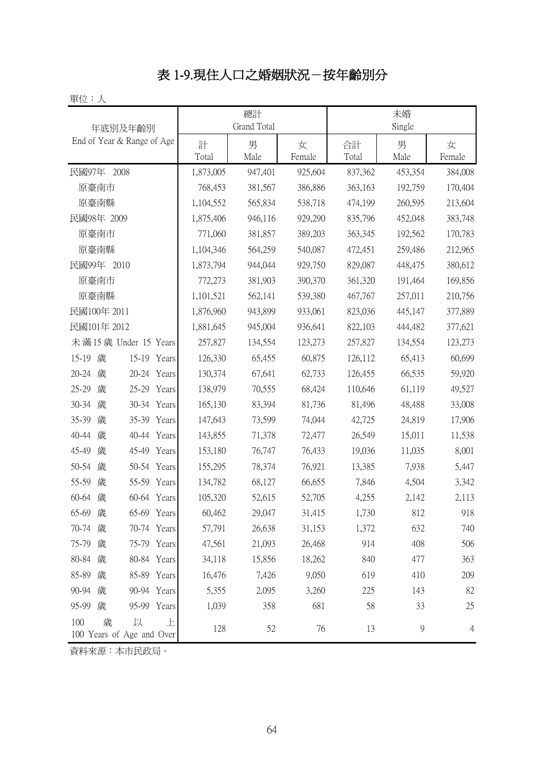## 表 1-9.現住人口之婚姻狀況-按年齡別分

單位:人

| 年底別及年齡別                                         |            | 總計<br>Grand Total |             | 未婚<br>Single |               |                |  |
|-------------------------------------------------|------------|-------------------|-------------|--------------|---------------|----------------|--|
| End of Year & Range of Age                      | 計<br>Total | 男<br>Male         | 女<br>Female | 合計<br>Total  | 男<br>Male     | 女<br>Female    |  |
| 民國97年<br>2008                                   | 1,873,005  | 947,401           | 925,604     | 837,362      | 453,354       | 384,008        |  |
| 原臺南市                                            | 768,453    | 381,567           | 386,886     | 363,163      | 192,759       | 170,404        |  |
| 原臺南縣                                            | 1,104,552  | 565,834           | 538,718     | 474,199      | 260,595       | 213,604        |  |
| 民國98年 2009                                      | 1,875,406  | 946,116           | 929,290     | 835,796      | 452,048       | 383,748        |  |
| 原臺南市                                            | 771,060    | 381,857           | 389,203     | 363,345      | 192,562       | 170,783        |  |
| 原臺南縣                                            | 1,104,346  | 564,259           | 540,087     | 472,451      | 259,486       | 212,965        |  |
| 民國99年 2010                                      | 1,873,794  | 944,044           | 929,750     | 829,087      | 448,475       | 380,612        |  |
| 原臺南市                                            | 772,273    | 381,903           | 390,370     | 361,320      | 191,464       | 169,856        |  |
| 原臺南縣                                            | 1,101,521  | 562,141           | 539,380     | 467,767      | 257,011       | 210,756        |  |
| 民國100年 2011                                     | 1,876,960  | 943,899           | 933,061     | 823,036      | 445,147       | 377,889        |  |
| 民國101年 2012                                     | 1,881,645  | 945,004           | 936,641     | 822,103      | 444,482       | 377,621        |  |
| 未滿15歲 Under 15 Years                            | 257,827    | 134,554           | 123,273     | 257,827      | 134,554       | 123,273        |  |
| 歲<br>15-19<br>15-19 Years                       | 126,330    | 65,455            | 60,875      | 126,112      | 65,413        | 60,699         |  |
| $20 - 24$<br>20-24 Years<br>歲                   | 130,374    | 67,641            | 62,733      | 126,455      | 66,535        | 59,920         |  |
| 歲<br>$25 - 29$<br>25-29 Years                   | 138,979    | 70,555            | 68,424      | 110,646      | 61,119        | 49,527         |  |
| 30-34 Years<br>30-34<br>歲                       | 165,130    | 83,394            | 81,736      | 81,496       | 48,488        | 33,008         |  |
| 歲<br>35-39 Years<br>35-39                       | 147,643    | 73,599            | 74,044      | 42,725       | 24,819        | 17,906         |  |
| 40-44<br>歲<br>40-44 Years                       | 143,855    | 71,378            | 72,477      | 26,549       | 15,011        | 11,538         |  |
| 45-49<br>歲<br>45-49<br>Years                    | 153,180    | 76,747            | 76,433      | 19,036       | 11,035        | 8,001          |  |
| 50-54<br>歲<br>50-54 Years                       | 155,295    | 78,374            | 76,921      | 13,385       | 7,938         | 5,447          |  |
| 55-59<br>歲<br>55-59 Years                       | 134,782    | 68,127            | 66,655      | 7,846        | 4,504         | 3,342          |  |
| 歲<br>60-64 Years<br>60-64                       | 105,320    | 52,615            | 52,705      | 4,255        | 2,142         | 2,113          |  |
| 歲<br>65-69<br>65-69 Years                       | 60,462     | 29,047            | 31,415      | 1,730        | 812           | 918            |  |
| 70-74 歲<br>70-74 Years                          | 57,791     | 26,638            | 31,153      | 1,372        | 632           | 740            |  |
| 75-79 歲<br>75-79 Years                          | 47,561     | 21,093            | 26,468      | 914          | 408           | 506            |  |
| 80-84 歲<br>80-84 Years                          | 34,118     | 15,856            | 18,262      | 840          | 477           | 363            |  |
| 85-89 歲<br>85-89 Years                          | 16,476     | 7,426             | 9,050       | 619          | 410           | 209            |  |
| 90-94 歲<br>90-94 Years                          | 5,355      | 2,095             | 3,260       | 225          | 143           | 82             |  |
| 95-99 歲<br>95-99 Years                          | 1,039      | 358               | 681         | 58           | 33            | 25             |  |
| 歲<br>以<br>100<br>上<br>100 Years of Age and Over | 128        | 52                | 76          | 13           | $\mathcal{G}$ | $\overline{4}$ |  |

資料來源:本市民政局。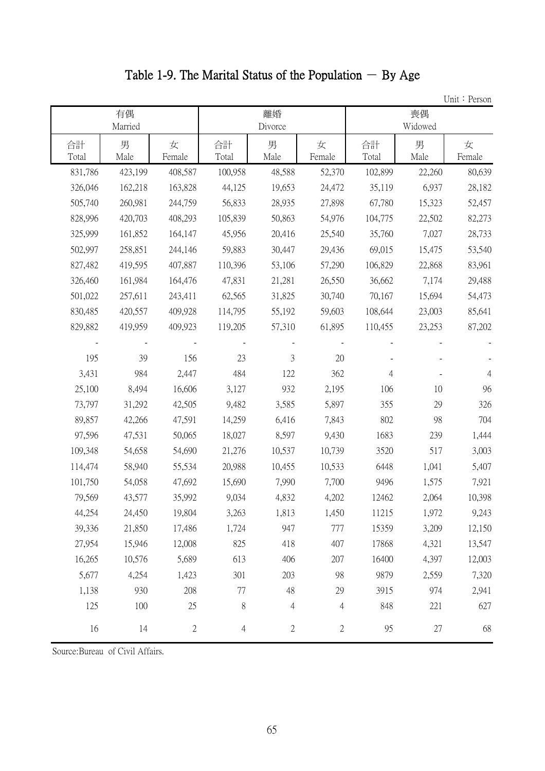Table 1-9. The Marital Status of the Population  $-$  By Age

|             |               |             |                |                |                |             |               | Unit: Person   |
|-------------|---------------|-------------|----------------|----------------|----------------|-------------|---------------|----------------|
|             | 有偶<br>Married |             |                | 離婚<br>Divorce  |                |             | 喪偶<br>Widowed |                |
| 合計<br>Total | 男<br>Male     | 女<br>Female | 合計<br>Total    | 男<br>Male      | 女<br>Female    | 合計<br>Total | 男<br>Male     | 女<br>Female    |
| 831,786     | 423,199       | 408,587     | 100,958        | 48,588         | 52,370         | 102,899     | 22,260        | 80,639         |
| 326,046     | 162,218       | 163,828     | 44,125         | 19,653         | 24,472         | 35,119      | 6,937         | 28,182         |
| 505,740     | 260,981       | 244,759     | 56,833         | 28,935         | 27,898         | 67,780      | 15,323        | 52,457         |
| 828,996     | 420,703       | 408,293     | 105,839        | 50,863         | 54,976         | 104,775     | 22,502        | 82,273         |
| 325,999     | 161,852       | 164,147     | 45,956         | 20,416         | 25,540         | 35,760      | 7,027         | 28,733         |
| 502,997     | 258,851       | 244,146     | 59,883         | 30,447         | 29,436         | 69,015      | 15,475        | 53,540         |
| 827,482     | 419,595       | 407,887     | 110,396        | 53,106         | 57,290         | 106,829     | 22,868        | 83,961         |
| 326,460     | 161,984       | 164,476     | 47,831         | 21,281         | 26,550         | 36,662      | 7,174         | 29,488         |
| 501,022     | 257,611       | 243,411     | 62,565         | 31,825         | 30,740         | 70,167      | 15,694        | 54,473         |
| 830,485     | 420,557       | 409,928     | 114,795        | 55,192         | 59,603         | 108,644     | 23,003        | 85,641         |
| 829,882     | 419,959       | 409,923     | 119,205        | 57,310         | 61,895         | 110,455     | 23,253        | 87,202         |
|             |               |             |                |                |                |             |               |                |
| 195         | 39            | 156         | 23             | $\mathfrak{Z}$ | 20             |             |               |                |
| 3,431       | 984           | 2,447       | 484            | 122            | 362            | 4           |               | $\overline{4}$ |
| 25,100      | 8,494         | 16,606      | 3,127          | 932            | 2,195          | 106         | 10            | 96             |
| 73,797      | 31,292        | 42,505      | 9,482          | 3,585          | 5,897          | 355         | 29            | 326            |
| 89,857      | 42,266        | 47,591      | 14,259         | 6,416          | 7,843          | 802         | 98            | 704            |
| 97,596      | 47,531        | 50,065      | 18,027         | 8,597          | 9,430          | 1683        | 239           | 1,444          |
| 109,348     | 54,658        | 54,690      | 21,276         | 10,537         | 10,739         | 3520        | 517           | 3,003          |
| 114,474     | 58,940        | 55,534      | 20,988         | 10,455         | 10,533         | 6448        | 1,041         | 5,407          |
| 101,750     | 54,058        | 47,692      | 15,690         | 7,990          | 7,700          | 9496        | 1,575         | 7,921          |
| 79,569      | 43,577        | 35,992      | 9,034          | 4,832          | 4,202          | 12462       | 2,064         | 10,398         |
| 44,254      | 24,450        | 19,804      | 3,263          | 1,813          | 1,450          | 11215       | 1,972         | 9,243          |
| 39,336      | 21,850        | 17,486      | 1,724          | 947            | 777            | 15359       | 3,209         | 12,150         |
| 27,954      | 15,946        | 12,008      | 825            | 418            | 407            | 17868       | 4,321         | 13,547         |
| 16,265      | 10,576        | 5,689       | 613            | 406            | 207            | 16400       | 4,397         | 12,003         |
| 5,677       | 4,254         | 1,423       | 301            | 203            | 98             | 9879        | 2,559         | 7,320          |
| 1,138       | 930           | 208         | $77\,$         | 48             | 29             | 3915        | 974           | 2,941          |
| 125         | 100           | 25          | 8              | $\overline{4}$ | $\overline{4}$ | 848         | 221           | 627            |
| 16          | 14            | $\sqrt{2}$  | $\overline{4}$ | $\sqrt{2}$     | $\mathbf{2}$   | 95          | 27            | 68             |

Source:Bureau of Civil Affairs.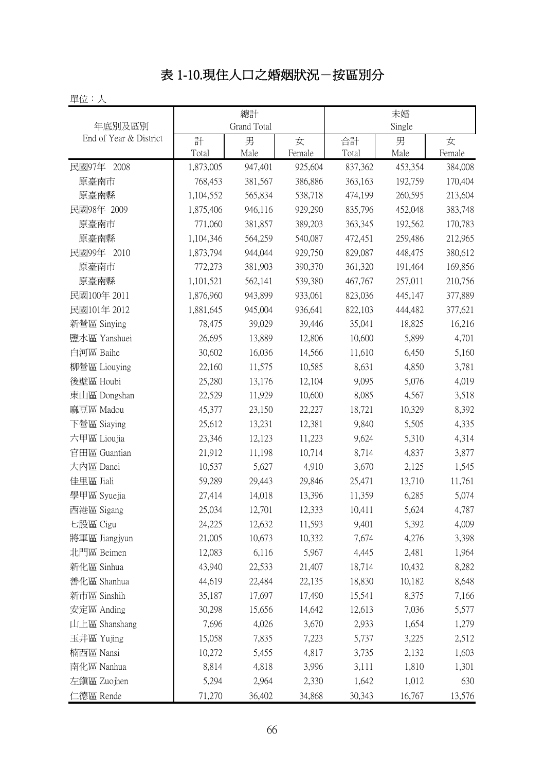## 表 1-10.現住人口之婚姻狀況-按區別分

|                           |                        | 總計                 |                    |                    | 未婚                 |                    |
|---------------------------|------------------------|--------------------|--------------------|--------------------|--------------------|--------------------|
| 年底別及區別                    |                        | Grand Total        |                    |                    | Single             |                    |
| End of Year & District    | 計                      | 男                  | 女                  | 合計                 | 男                  | 女                  |
|                           | Total                  | Male               | Female             | Total              | Male               | Female             |
| 民國97年 2008                | 1,873,005              | 947,401            | 925,604            | 837,362            | 453,354            | 384,008            |
| 原臺南市<br>原臺南縣              | 768,453                | 381,567            | 386,886            | 363,163            | 192,759<br>260,595 | 170,404            |
| 民國98年 2009                | 1,104,552<br>1,875,406 | 565,834<br>946,116 | 538,718<br>929,290 | 474,199<br>835,796 | 452,048            | 213,604<br>383,748 |
|                           | 771,060                |                    |                    |                    |                    |                    |
| 原臺南市                      |                        | 381,857<br>564,259 | 389,203<br>540,087 | 363,345            | 192,562<br>259,486 | 170,783<br>212,965 |
| 原臺南縣<br>民國99年<br>2010     | 1,104,346<br>1,873,794 | 944,044            | 929,750            | 472,451<br>829,087 | 448,475            | 380,612            |
| 原臺南市                      | 772,273                | 381,903            | 390,370            | 361,320            | 191,464            | 169,856            |
| 原臺南縣                      | 1,101,521              | 562,141            | 539,380            | 467,767            | 257,011            | 210,756            |
| 民國100年 2011               | 1,876,960              | 943,899            | 933,061            | 823,036            | 445,147            | 377,889            |
| 民國101年 2012               | 1,881,645              | 945,004            | 936,641            | 822,103            | 444,482            | 377,621            |
| 新營區 Sinying               | 78,475                 | 39,029             | 39,446             | 35,041             | 18,825             | 16,216             |
|                           | 26,695                 |                    |                    |                    |                    | 4,701              |
| 鹽水區 Yanshuei<br>白河區 Baihe | 30,602                 | 13,889<br>16,036   | 12,806<br>14,566   | 10,600<br>11,610   | 5,899              | 5,160              |
| 柳營區 Liouying              | 22,160                 | 11,575             | 10,585             | 8,631              | 6,450<br>4,850     | 3,781              |
|                           |                        |                    |                    |                    |                    |                    |
| 後壁區 Houbi                 | 25,280                 | 13,176             | 12,104             | 9,095<br>8,085     | 5,076              | 4,019              |
| 東山區 Dongshan<br>麻豆區 Madou | 22,529                 | 11,929             | 10,600<br>22,227   | 18,721             | 4,567              | 3,518<br>8,392     |
|                           | 45,377                 | 23,150             |                    |                    | 10,329             |                    |
| 下營區 Siaying               | 25,612                 | 13,231             | 12,381             | 9,840              | 5,505              | 4,335              |
| 六甲區 Lioujia               | 23,346                 | 12,123             | 11,223             | 9,624              | 5,310              | 4,314              |
| 官田區 Guantian              | 21,912                 | 11,198<br>5,627    | 10,714             | 8,714              | 4,837              | 3,877              |
| 大內區 Danei                 | 10,537                 |                    | 4,910              | 3,670              | 2,125              | 1,545              |
| 佳里區 Jiali                 | 59,289                 | 29,443             | 29,846             | 25,471             | 13,710             | 11,761             |
| 學甲區 Syuejia               | 27,414                 | 14,018             | 13,396             | 11,359             | 6,285              | 5,074              |
| 西港區 Sigang                | 25,034                 | 12,701             | 12,333             | 10,411             | 5,624              | 4,787              |
| 七股區 Cigu                  | 24,225                 | 12,632             | 11,593             | 9,401              | 5,392              | 4,009              |
| 將軍區 Jiangjyun             | 21,005                 | 10,673             | 10,332             | 7,674              | 4,276              | 3,398              |
| 北門區 Beimen                | 12,083                 | 6,116<br>22,533    | 5,967              | 4,445              | 2,481              | 1,964              |
| 新化區 Sinhua                | 43,940                 |                    | 21,407             | 18,714             | 10,432             | 8,282              |
| 善化區 Shanhua               | 44,619                 | 22,484             | 22,135             | 18,830             | 10,182             | 8,648              |
| 新市區 Sinshih               | 35,187                 | 17,697             | 17,490             | 15,541             | 8,375              | 7,166              |
| 安定區 Anding                | 30,298                 | 15,656             | 14,642             | 12,613             | 7,036              | 5,577              |
| 山上區 Shanshang             | 7,696                  | 4,026              | 3,670              | 2,933              | 1,654              | 1,279              |
| 玉井區 Yujing                | 15,058                 | 7,835              | 7,223              | 5,737              | 3,225              | 2,512              |
| 楠西區 Nansi                 | 10,272                 | 5,455              | 4,817              | 3,735              | 2,132              | 1,603              |
| 南化區 Nanhua                | 8,814                  | 4,818              | 3,996              | 3,111              | 1,810              | 1,301              |
| 左鎮區 Zuojhen               | 5,294                  | 2,964              | 2,330              | 1,642              | 1,012              | 630                |
| 仁德區 Rende                 | 71,270                 | 36,402             | 34,868             | 30,343             | 16,767             | 13,576             |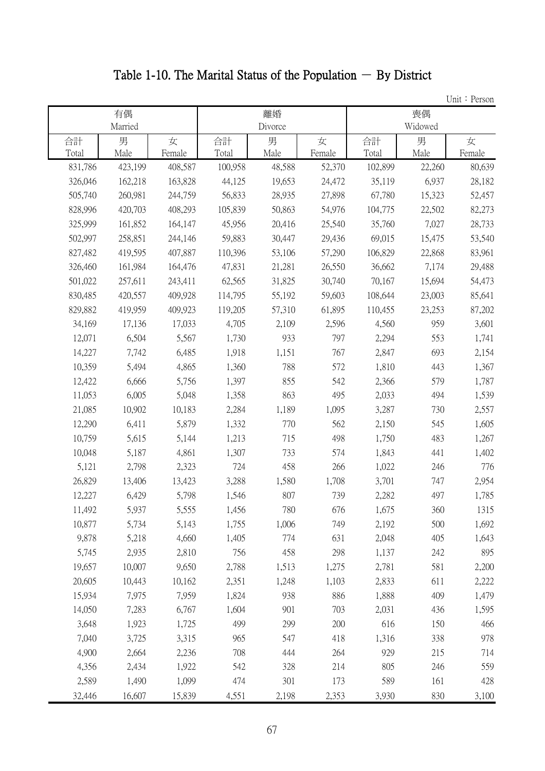# Table 1-10. The Marital Status of the Population  $-$  By District

|         |         |         |         |         |        |         |         | Unit: Person |
|---------|---------|---------|---------|---------|--------|---------|---------|--------------|
|         | 有偶      |         |         | 離婚      |        |         | 喪偶      |              |
|         | Married |         |         | Divorce |        |         | Widowed |              |
| 合計      | 男       | 女       | 合計      | 男       | 女      | 合計      | 男       | 女            |
| Total   | Male    | Female  | Total   | Male    | Female | Total   | Male    | Female       |
| 831,786 | 423,199 | 408,587 | 100,958 | 48,588  | 52,370 | 102,899 | 22,260  | 80,639       |
| 326,046 | 162,218 | 163,828 | 44,125  | 19,653  | 24,472 | 35,119  | 6,937   | 28,182       |
| 505,740 | 260,981 | 244,759 | 56,833  | 28,935  | 27,898 | 67,780  | 15,323  | 52,457       |
| 828,996 | 420,703 | 408,293 | 105,839 | 50,863  | 54,976 | 104,775 | 22,502  | 82,273       |
| 325,999 | 161,852 | 164,147 | 45,956  | 20,416  | 25,540 | 35,760  | 7,027   | 28,733       |
| 502,997 | 258,851 | 244,146 | 59,883  | 30,447  | 29,436 | 69,015  | 15,475  | 53,540       |
| 827,482 | 419,595 | 407,887 | 110,396 | 53,106  | 57,290 | 106,829 | 22,868  | 83,961       |
| 326,460 | 161,984 | 164,476 | 47,831  | 21,281  | 26,550 | 36,662  | 7,174   | 29,488       |
| 501,022 | 257,611 | 243,411 | 62,565  | 31,825  | 30,740 | 70,167  | 15,694  | 54,473       |
| 830,485 | 420,557 | 409,928 | 114,795 | 55,192  | 59,603 | 108,644 | 23,003  | 85,641       |
| 829,882 | 419,959 | 409,923 | 119,205 | 57,310  | 61,895 | 110,455 | 23,253  | 87,202       |
| 34,169  | 17,136  | 17,033  | 4,705   | 2,109   | 2,596  | 4,560   | 959     | 3,601        |
| 12,071  | 6,504   | 5,567   | 1,730   | 933     | 797    | 2,294   | 553     | 1,741        |
| 14,227  | 7,742   | 6,485   | 1,918   | 1,151   | 767    | 2,847   | 693     | 2,154        |
| 10,359  | 5,494   | 4,865   | 1,360   | 788     | 572    | 1,810   | 443     | 1,367        |
| 12,422  | 6,666   | 5,756   | 1,397   | 855     | 542    | 2,366   | 579     | 1,787        |
| 11,053  | 6,005   | 5,048   | 1,358   | 863     | 495    | 2,033   | 494     | 1,539        |
| 21,085  | 10,902  | 10,183  | 2,284   | 1,189   | 1,095  | 3,287   | 730     | 2,557        |
| 12,290  | 6,411   | 5,879   | 1,332   | 770     | 562    | 2,150   | 545     | 1,605        |
| 10,759  | 5,615   | 5,144   | 1,213   | 715     | 498    | 1,750   | 483     | 1,267        |
| 10,048  | 5,187   | 4,861   | 1,307   | 733     | 574    | 1,843   | 441     | 1,402        |
| 5,121   | 2,798   | 2,323   | 724     | 458     | 266    | 1,022   | 246     | 776          |
| 26,829  | 13,406  | 13,423  | 3,288   | 1,580   | 1,708  | 3,701   | 747     | 2,954        |
| 12,227  | 6,429   | 5,798   | 1,546   | 807     | 739    | 2,282   | 497     | 1,785        |
| 11,492  | 5,937   | 5,555   | 1,456   | 780     | 676    | 1,675   | 360     | 1315         |
| 10,877  | 5,734   | 5,143   | 1,755   | 1,006   | 749    | 2,192   | 500     | 1,692        |
| 9,878   | 5,218   | 4,660   | 1,405   | 774     | 631    | 2,048   | 405     | 1,643        |
| 5,745   | 2,935   | 2,810   | 756     | 458     | 298    | 1,137   | 242     | 895          |
| 19,657  | 10,007  | 9,650   | 2,788   | 1,513   | 1,275  | 2,781   | 581     | 2,200        |
| 20,605  | 10,443  | 10,162  | 2,351   | 1,248   | 1,103  | 2,833   | 611     | 2,222        |
| 15,934  | 7,975   | 7,959   | 1,824   | 938     | 886    | 1,888   | 409     | 1,479        |
| 14,050  | 7,283   | 6,767   | 1,604   | 901     | 703    | 2,031   | 436     | 1,595        |
| 3,648   | 1,923   | 1,725   | 499     | 299     | 200    | 616     | 150     | 466          |
| 7,040   | 3,725   | 3,315   | 965     | 547     | 418    | 1,316   | 338     | 978          |
| 4,900   | 2,664   | 2,236   | 708     | 444     | 264    | 929     | 215     | 714          |
| 4,356   | 2,434   | 1,922   | 542     | 328     | 214    | 805     | 246     | 559          |
| 2,589   | 1,490   | 1,099   | 474     | 301     | 173    | 589     | 161     | 428          |
| 32,446  | 16,607  | 15,839  | 4,551   | 2,198   | 2,353  | 3,930   | 830     | 3,100        |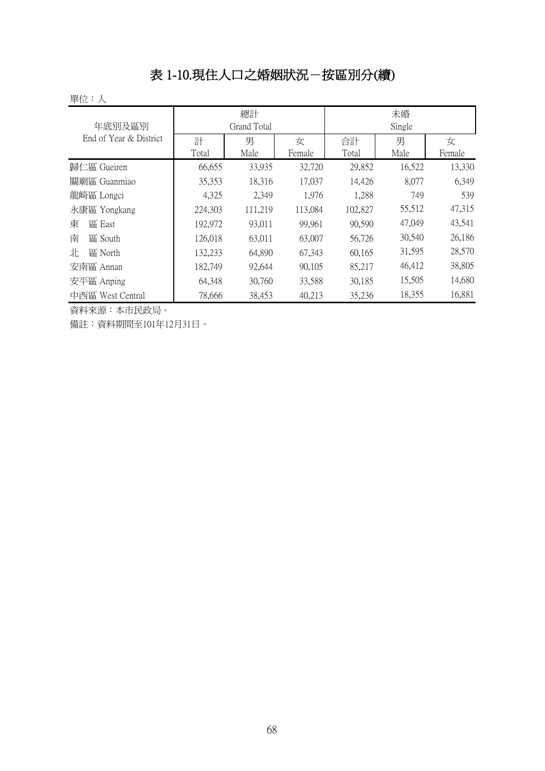#### 表 1-10.現住人口之婚姻狀況-按區別分(續)

單位:人

| 年底別及區別                 |         | 總計<br>Grand Total |         | 未婚<br>Single |        |        |
|------------------------|---------|-------------------|---------|--------------|--------|--------|
| End of Year & District | 計       | 男                 | 女       | 合計           | 男      | 女      |
|                        | Total   | Male              | Female  | Total        | Male   | Female |
| 歸仁區 Gueiren            | 66,655  | 33,935            | 32,720  | 29,852       | 16,522 | 13,330 |
| 關廟區 Guanmiao           | 35,353  | 18,316            | 17,037  | 14,426       | 8,077  | 6,349  |
| 龍崎區 Longci             | 4,325   | 2,349             | 1,976   | 1,288        | 749    | 539    |
| 永康區 Yongkang           | 224,303 | 111,219           | 113,084 | 102,827      | 55,512 | 47,315 |
| 東<br>區 East            | 192,972 | 93,011            | 99,961  | 90,590       | 47,049 | 43,541 |
| 南<br>區 South           | 126,018 | 63,011            | 63,007  | 56,726       | 30,540 | 26,186 |
| 北<br>區 North           | 132,233 | 64,890            | 67,343  | 60,165       | 31,595 | 28,570 |
| 安南區 Annan              | 182,749 | 92,644            | 90,105  | 85,217       | 46,412 | 38,805 |
| 安平區 Anping             | 64,348  | 30,760            | 33,588  | 30,185       | 15,505 | 14,680 |
| 中西區 West Central       | 78,666  | 38,453            | 40,213  | 35,236       | 18,355 | 16,881 |

資料來源:本市民政局。

備註:資料期間至101年12月31日。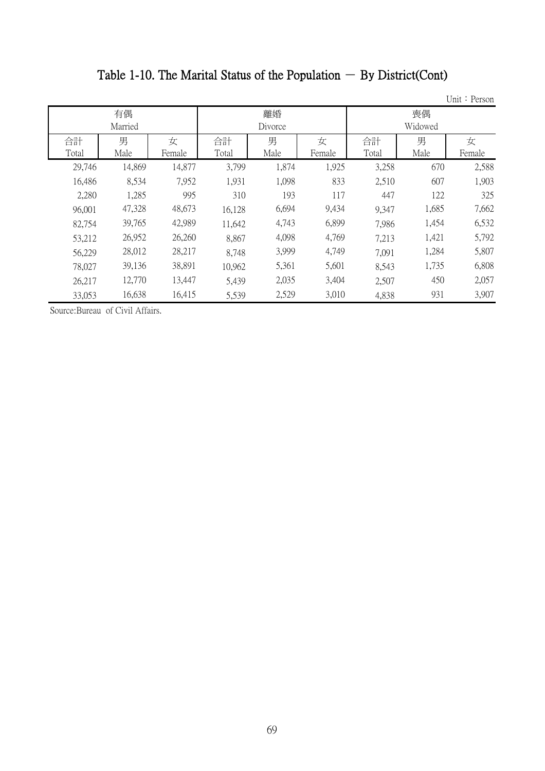# Table 1-10. The Marital Status of the Population  $-$  By District(Cont)

Unit: Person

|             | 有偶<br>Married |             | 離婚<br>Divorce |           |             | 喪偶<br>Widowed |           |             |  |
|-------------|---------------|-------------|---------------|-----------|-------------|---------------|-----------|-------------|--|
| 合計<br>Total | 男<br>Male     | 女<br>Female | 合計<br>Total   | 男<br>Male | 女<br>Female | 合計<br>Total   | 男<br>Male | 女<br>Female |  |
| 29,746      | 14,869        | 14,877      | 3,799         | 1,874     | 1,925       | 3,258         | 670       | 2,588       |  |
| 16,486      | 8,534         | 7,952       | 1,931         | 1,098     | 833         | 2,510         | 607       | 1,903       |  |
| 2,280       | 1,285         | 995         | 310           | 193       | 117         | 447           | 122       | 325         |  |
| 96,001      | 47,328        | 48,673      | 16,128        | 6,694     | 9,434       | 9,347         | 1,685     | 7,662       |  |
| 82,754      | 39,765        | 42,989      | 11,642        | 4,743     | 6,899       | 7,986         | 1,454     | 6,532       |  |
| 53,212      | 26,952        | 26,260      | 8,867         | 4,098     | 4,769       | 7,213         | 1,421     | 5,792       |  |
| 56,229      | 28,012        | 28,217      | 8,748         | 3,999     | 4,749       | 7,091         | 1,284     | 5,807       |  |
| 78,027      | 39,136        | 38,891      | 10,962        | 5,361     | 5,601       | 8,543         | 1,735     | 6,808       |  |
| 26,217      | 12,770        | 13,447      | 5,439         | 2,035     | 3,404       | 2,507         | 450       | 2,057       |  |
| 33,053      | 16,638        | 16,415      | 5,539         | 2,529     | 3,010       | 4,838         | 931       | 3,907       |  |

Source:Bureau of Civil Affairs.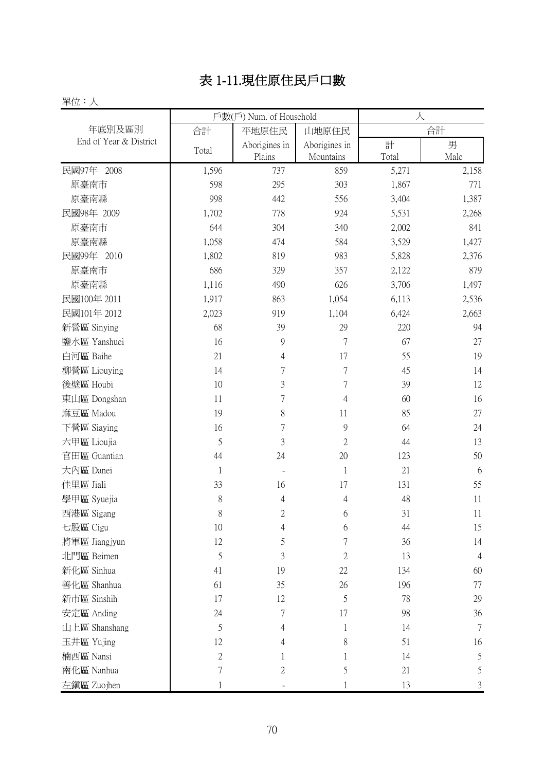# 表 1-11.現住原住民戶口數

#### 單位:人

|                        |                | 戶數(戶) Num. of Household |                | 人     |                |
|------------------------|----------------|-------------------------|----------------|-------|----------------|
| 年底別及區別                 | 合計             | 平地原住民                   | 山地原住民          |       | 合計             |
| End of Year & District | Total          | Aborigines in           | Aborigines in  | 計     | 男              |
|                        |                | Plains                  | Mountains      | Total | Male           |
| 民國97年 2008             | 1,596          | 737                     | 859            | 5,271 | 2,158          |
| 原臺南市                   | 598            | 295                     | 303            | 1,867 | 771            |
| 原臺南縣                   | 998            | 442                     | 556            | 3,404 | 1,387          |
| 民國98年 2009             | 1,702          | 778                     | 924            | 5,531 | 2,268          |
| 原臺南市                   | 644            | 304                     | 340            | 2,002 | 841            |
| 原臺南縣                   | 1,058          | 474                     | 584            | 3,529 | 1,427          |
| 民國99年 2010             | 1,802          | 819                     | 983            | 5,828 | 2,376          |
| 原臺南市                   | 686            | 329                     | 357            | 2,122 | 879            |
| 原臺南縣                   | 1,116          | 490                     | 626            | 3,706 | 1,497          |
| 民國100年 2011            | 1,917          | 863                     | 1,054          | 6,113 | 2,536          |
| 民國101年 2012            | 2,023          | 919                     | 1,104          | 6,424 | 2,663          |
| 新營區 Sinying            | 68             | 39                      | 29             | 220   | 94             |
| 鹽水區 Yanshuei           | 16             | 9                       | $\overline{7}$ | 67    | 27             |
| 白河區 Baihe              | 21             | $\overline{4}$          | 17             | 55    | 19             |
| 柳營區 Liouying           | 14             | $\overline{7}$          | $\overline{7}$ | 45    | 14             |
| 後壁區 Houbi              | 10             | 3                       | $\sqrt{ }$     | 39    | 12             |
| 東山區 Dongshan           | 11             | 7                       | 4              | 60    | 16             |
| 麻豆區 Madou              | 19             | 8                       | 11             | 85    | 27             |
| 下營區 Siaying            | 16             | $\overline{7}$          | 9              | 64    | 24             |
| 六甲區 Lioujia            | 5              | $\overline{3}$          | $\overline{2}$ | 44    | 13             |
| 官田區 Guantian           | 44             | 24                      | 20             | 123   | 50             |
| 大內區 Danei              | $\mathbf{1}$   |                         | $\mathbf{1}$   | 21    | 6              |
| 佳里區 Jiali              | 33             | 16                      | 17             | 131   | 55             |
| 學甲區 Syuejia            | $\,$ $\,$      | 4                       | 4              | 48    | 11             |
| 西港區 Sigang             | 8              | $\mathfrak{2}$          | 6              | 31    | 11             |
| 七股區 Cigu               | 10             | 4                       | 6              | 44    | 15             |
| 將軍區 Jiangjyun          | 12             | 5                       | $\overline{7}$ | 36    | 14             |
| 北門區 Beimen             | 5              | 3                       | $\overline{2}$ | 13    | $\overline{4}$ |
| 新化區 Sinhua             | 41             | 19                      | 22             | 134   | 60             |
| 善化區 Shanhua            | 61             | 35                      | 26             | 196   | 77             |
| 新市區 Sinshih            | 17             | 12                      | 5              | 78    | 29             |
| 安定區 Anding             | 24             | 7                       | 17             | 98    | 36             |
| 山上區 Shanshang          | 5              | 4                       | $\mathbf{1}$   | 14    | $\overline{7}$ |
| 玉井區 Yujing             | 12             | 4                       | 8              | 51    | 16             |
| 楠西區 Nansi              | $\mathbf{2}$   | 1                       | 1              | 14    | 5              |
| 南化區 Nanhua             | $\overline{7}$ | 2                       | 5              | 21    | 5              |
| 左鎮區 Zuojhen            | 1              |                         | 1              | 13    | $\mathfrak{Z}$ |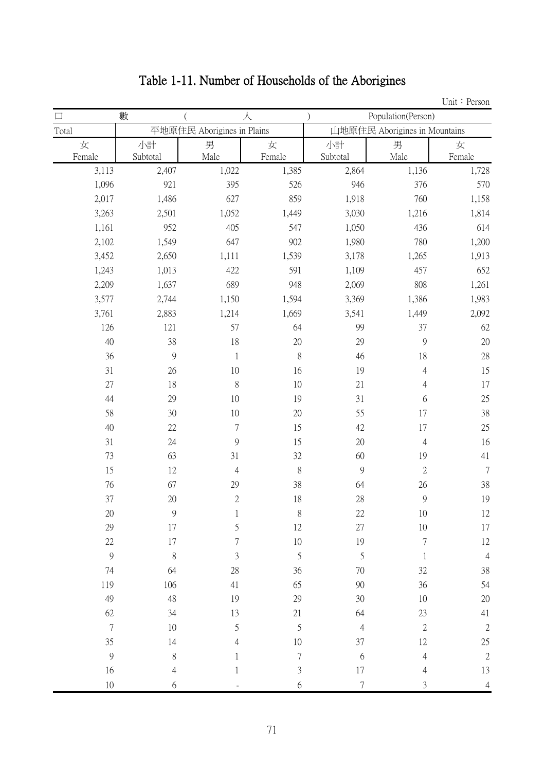# Table 1-11. Number of Households of the Aborigines

| $\Box$           | 數        |                            | 人                |                  | Population(Person)            |                |
|------------------|----------|----------------------------|------------------|------------------|-------------------------------|----------------|
| Total            |          | 平地原住民 Aborigines in Plains |                  |                  | 山地原住民 Aborigines in Mountains |                |
| 女                | 小計       | 男                          | 女                | 小計               | 男                             | 女              |
| Female           | Subtotal | Male                       | Female           | Subtotal         | Male                          | Female         |
| 3,113            | 2,407    | 1,022                      | 1,385            | 2,864            | 1,136                         | 1,728          |
| 1,096            | 921      | 395                        | 526              | 946              | 376                           | 570            |
| 2,017            | 1,486    | 627                        | 859              | 1,918            | 760                           | 1,158          |
| 3,263            | 2,501    | 1,052                      | 1,449            | 3,030            | 1,216                         | 1,814          |
| 1,161            | 952      | 405                        | 547              | 1,050            | 436                           | 614            |
| 2,102            | 1,549    | 647                        | 902              | 1,980            | 780                           | 1,200          |
| 3,452            | 2,650    | 1,111                      | 1,539            | 3,178            | 1,265                         | 1,913          |
| 1,243            | 1,013    | 422                        | 591              | 1,109            | 457                           | 652            |
| 2,209            | 1,637    | 689                        | 948              | 2,069            | 808                           | 1,261          |
| 3,577            | 2,744    | 1,150                      | 1,594            | 3,369            | 1,386                         | 1,983          |
| 3,761            | 2,883    | 1,214                      | 1,669            | 3,541            | 1,449                         | 2,092          |
| 126              | 121      | 57                         | 64               | 99               | 37                            | 62             |
| 40               | 38       | 18                         | $20\,$           | 29               | $\mathcal{G}$                 | $20\,$         |
| 36               | 9        | $\mathbf 1$                | $\,$ $\,$        | 46               | 18                            | 28             |
| 31               | 26       | 10                         | 16               | 19               | 4                             | 15             |
| $27\,$           | 18       | $\,$ $\,$                  | 10               | 21               | 4                             | 17             |
| 44               | 29       | 10                         | 19               | 31               | 6                             | 25             |
| 58               | 30       | 10                         | $20\,$           | 55               | 17                            | 38             |
| 40               | $22\,$   | $\overline{7}$             | 15               | 42               | 17                            | 25             |
| 31               | 24       | 9                          | 15               | $20\,$           | $\overline{4}$                | 16             |
| 73               | 63       | 31                         | $32\,$           | 60               | 19                            | 41             |
| 15               | 12       | 4                          | $\,$ $\,$        | 9                | $\overline{2}$                | 7              |
| 76               | 67       | 29                         | 38               | 64               | 26                            | 38             |
| 37               | $20\,$   | $\overline{2}$             | 18               | 28               | 9                             | 19             |
| 20               | 9        | 1                          | 8                | 22               | 10                            | 12             |
| 29               | 17       | 5                          | 12               | $27\,$           | 10                            | 17             |
| $22\,$           | $17\,$   | $\overline{7}$             | $10\,$           | 19               | 7                             | 12             |
| $\boldsymbol{9}$ | $\, 8$   | 3                          | 5                | $\mathfrak s$    | $\mathbf{1}$                  | $\overline{4}$ |
| 74               | 64       | 28                         | 36               | 70               | 32                            | 38             |
| 119              | 106      | 41                         | 65               | 90               | 36                            | 54             |
| 49               | 48       | 19                         | 29               | 30               | 10                            | 20             |
| 62               | 34       | 13                         | 21               | 64               | 23                            | 41             |
| $\boldsymbol{7}$ | 10       | 5                          | 5                | $\overline{4}$   | $\sqrt{2}$                    | $\sqrt{2}$     |
| 35               | 14       | 4                          | 10               | 37               | 12                            | 25             |
| $\boldsymbol{9}$ | $8\,$    | 1                          | $\boldsymbol{7}$ | $\boldsymbol{6}$ | 4                             | $\sqrt{2}$     |
| 16               | 4        | 1                          | $\sqrt{3}$       | $17\,$           | 4                             | 13             |
| 10               | 6        |                            | $6\,$            | $\sqrt{ }$       | 3                             | $\overline{4}$ |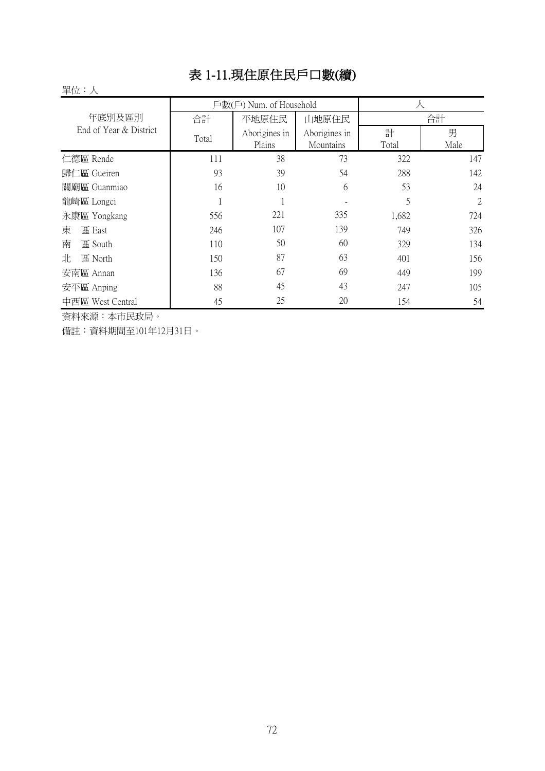#### 表 1-11.現住原住民戶口數(續)

#### 單位:人

|                        |       | 戶數(戶) Num. of Household |               |       |      |
|------------------------|-------|-------------------------|---------------|-------|------|
| 年底別及區別                 | 合計    | 平地原住民                   | 山地原住民         |       | 合計   |
| End of Year & District | Total | Aborigines in           | Aborigines in | 計     | 男    |
|                        |       | Plains                  | Mountains     | Total | Male |
| 仁德區 Rende              | 111   | 38                      | 73            | 322   | 147  |
| 歸仁區 Gueiren            | 93    | 39                      | 54            | 288   | 142  |
| 關廟區 Guanmiao           | 16    | 10                      | 6             | 53    | 24   |
| 龍崎區 Longci             |       |                         |               | 5     | 2    |
| 永康區 Yongkang           | 556   | 221                     | 335           | 1,682 | 724  |
| 東<br>區 East            | 246   | 107                     | 139           | 749   | 326  |
| 南<br>區 South           | 110   | 50                      | 60            | 329   | 134  |
| 北<br>區 North           | 150   | 87                      | 63            | 401   | 156  |
| 安南區 Annan              | 136   | 67                      | 69            | 449   | 199  |
| 安平區 Anping             | 88    | 45                      | 43            | 247   | 105  |
| 中西區 West Central       | 45    | 25                      | 20            | 154   | 54   |

資料來源:本市民政局。

備註:資料期間至101年12月31日。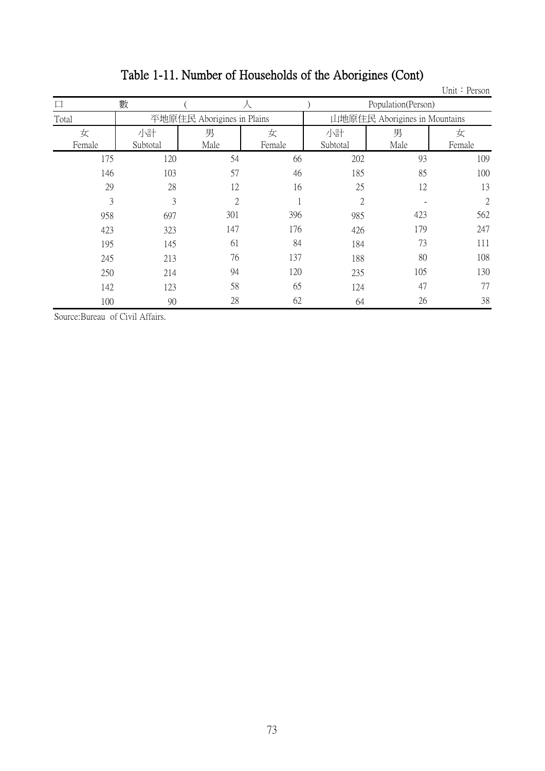|        |          |                            |        |                |                               | Unit: Person   |
|--------|----------|----------------------------|--------|----------------|-------------------------------|----------------|
|        | 數        |                            |        |                | Population(Person)            |                |
| Total  |          | 平地原住民 Aborigines in Plains |        |                | 山地原住民 Aborigines in Mountains |                |
| 女      | 小計       | 男                          | 女      | 小計             | 男                             | 女              |
| Female | Subtotal | Male                       | Female | Subtotal       | Male                          | Female         |
| 175    | 120      | 54                         | 66     | 202            | 93                            | 109            |
| 146    | 103      | 57                         | 46     | 185            | 85                            | 100            |
| 29     | 28       | 12                         | 16     | 25             | 12                            | 13             |
| 3      | 3        | $\overline{2}$             |        | $\overline{2}$ |                               | $\mathfrak{2}$ |
| 958    | 697      | 301                        | 396    | 985            | 423                           | 562            |
| 423    | 323      | 147                        | 176    | 426            | 179                           | 247            |
| 195    | 145      | 61                         | 84     | 184            | 73                            | 111            |
| 245    | 213      | 76                         | 137    | 188            | 80                            | 108            |
| 250    | 214      | 94                         | 120    | 235            | 105                           | 130            |
| 142    | 123      | 58                         | 65     | 124            | 47                            | 77             |
| 100    | 90       | 28                         | 62     | 64             | 26                            | 38             |

# Table 1-11. Number of Households of the Aborigines (Cont)

Source:Bureau of Civil Affairs.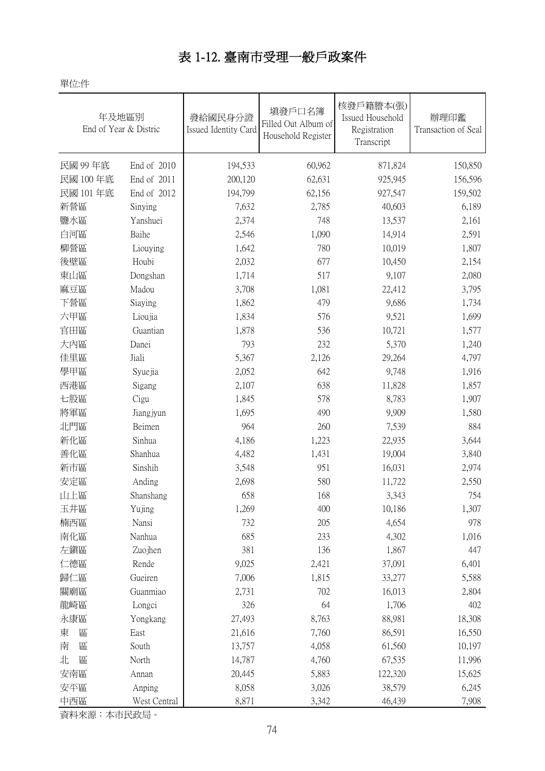#### 表 1-12. 臺南市受理一般戶政案件

單位:件

| 年及地區別<br>End of Year & Distric |              | 發給國民身分證<br>Issued Identity Card | 填發戶口名簿<br>Filled Out Album of<br>Household Register | 核發戶籍謄本(張)<br>Issued Household<br>Registration<br>Transcript | 辦理印鑑<br>Transaction of Seal |
|--------------------------------|--------------|---------------------------------|-----------------------------------------------------|-------------------------------------------------------------|-----------------------------|
| 民國 99年底                        | End of 2010  | 194,533                         | 60,962                                              | 871,824                                                     | 150,850                     |
| 民國 100年底                       | End of 2011  | 200,120                         | 62,631                                              | 925,945                                                     | 156,596                     |
| 民國 101年底                       | End of 2012  | 194,799                         | 62,156                                              | 927,547                                                     | 159,502                     |
| 新營區                            | Sinying      | 7,632                           | 2,785                                               | 40,603                                                      | 6,189                       |
| 鹽水區                            | Yanshuei     | 2,374                           | 748                                                 | 13,537                                                      | 2,161                       |
| 白河區                            | Baihe        | 2,546                           | 1,090                                               | 14,914                                                      | 2,591                       |
| 柳營區                            | Liouying     | 1,642                           | 780                                                 | 10,019                                                      | 1,807                       |
| 後壁區                            | Houbi        | 2,032                           | 677                                                 | 10,450                                                      | 2,154                       |
| 東山區                            | Dongshan     | 1,714                           | 517                                                 | 9,107                                                       | 2,080                       |
| 麻豆區                            | Madou        | 3,708                           | 1,081                                               | 22,412                                                      | 3,795                       |
| 下營區                            | Siaying      | 1,862                           | 479                                                 | 9,686                                                       | 1,734                       |
| 六甲區                            | Lioujia      | 1,834                           | 576                                                 | 9,521                                                       | 1,699                       |
| 官田區                            | Guantian     | 1,878                           | 536                                                 | 10,721                                                      | 1,577                       |
| 大內區                            | Danei        | 793                             | 232                                                 | 5,370                                                       | 1,240                       |
| 佳里區                            | Jiali        | 5,367                           | 2,126                                               | 29,264                                                      | 4,797                       |
| 學甲區                            | Syuejia      | 2,052                           | 642                                                 | 9,748                                                       | 1,916                       |
| 西港區                            | Sigang       | 2,107                           | 638                                                 | 11,828                                                      | 1,857                       |
| 七股區                            | Cigu         | 1,845                           | 578                                                 | 8,783                                                       | 1,907                       |
| 將軍區                            | Jiangjyun    | 1,695                           | 490                                                 | 9,909                                                       | 1,580                       |
| 北門區                            | Beimen       | 964                             | 260                                                 | 7,539                                                       | 884                         |
| 新化區                            | Sinhua       | 4,186                           | 1,223                                               | 22,935                                                      | 3,644                       |
| 善化區                            | Shanhua      | 4,482                           | 1,431                                               | 19,004                                                      | 3,840                       |
| 新市區                            | Sinshih      | 3,548                           | 951                                                 | 16,031                                                      | 2,974                       |
| 安定區                            | Anding       | 2,698                           | 580                                                 | 11,722                                                      | 2,550                       |
| 山上區                            | Shanshang    | 658                             | 168                                                 | 3,343                                                       | 754                         |
| 玉井區                            | Yujing       | 1,269                           | 400                                                 | 10,186                                                      | 1,307                       |
| 楠西區                            | Nansi        | 732                             | 205                                                 | 4,654                                                       | 978                         |
| 南化區                            | Nanhua       | 685                             | 233                                                 | 4,302                                                       | 1,016                       |
| 左鎭區                            | Zuojhen      | 381                             | 136                                                 | 1,867                                                       | 447                         |
| 仁德區                            | Rende        | 9,025                           | 2,421                                               | 37,091                                                      | 6,401                       |
| 歸仁區                            | Gueiren      | 7,006                           | 1,815                                               | 33,277                                                      | 5,588                       |
| 關廟區                            | Guanmiao     | 2,731                           | 702                                                 | 16,013                                                      | 2,804                       |
| 龍崎區                            | Longci       | 326                             | 64                                                  | 1,706                                                       | 402                         |
| 永康區                            | Yongkang     | 27,493                          | 8,763                                               | 88,981                                                      | 18,308                      |
| 區<br>東                         | East         | 21,616                          | 7,760                                               | 86,591                                                      | 16,550                      |
| 南<br>區                         | South        | 13,757                          | 4,058                                               | 61,560                                                      | 10,197                      |
| 北<br>區                         | North        | 14,787                          | 4,760                                               | 67,535                                                      | 11,996                      |
| 安南區                            | Annan        | 20,445                          | 5,883                                               | 122,320                                                     | 15,625                      |
| 安平區                            | Anping       | 8,058                           | 3,026                                               | 38,579                                                      | 6,245                       |
| 中西區                            | West Central | 8,871                           | 3,342                                               | 46,439                                                      | 7,908                       |

資料來源:本市民政局。